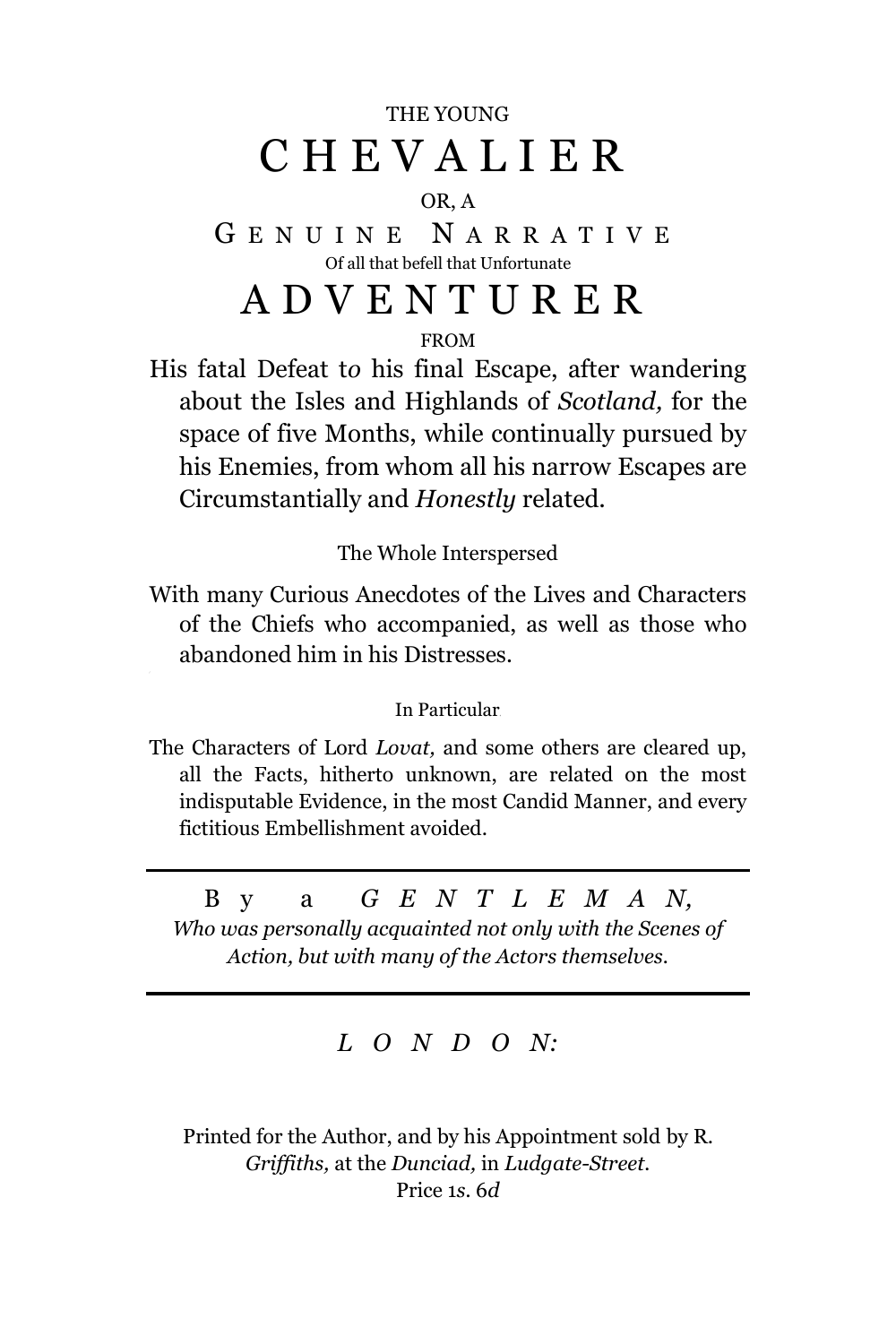## THE YOUNG C H E V A L I E R

#### OR, A

G E N U I N E N A R R A T I V E Of all that befell that Unfortunate

# A D V E N T U R E R

FROM

His fatal Defeat t*o* his final Escape, after wandering about the Isles and Highlands of *Scotland,* for the space of five Months, while continually pursued by his Enemies, from whom all his narrow Escapes are Circumstantially and *Honestly* related.

The Whole Interspersed

With many Curious Anecdotes of the Lives and Characters of the Chiefs who accompanied, as well as those who abandoned him in his Distresses.

In Particular<sup>4</sup>

The Characters of Lord *Lovat,* and some others are cleared up, all the Facts, hitherto unknown, are related on the most indisputable Evidence, in the most Candid Manner, and every fictitious Embellishment avoided.

### B y a *G E N T L E M A N,*

*Who was personally acquainted not only with the Scenes of Action, but with many of the Actors themselves.*

#### *L O N D O N:*

Printed for the Author, and by his Appointment sold by R. *Griffiths,* at the *Dunciad,* in *Ludgate-Street.* Price 1*s.* 6*d*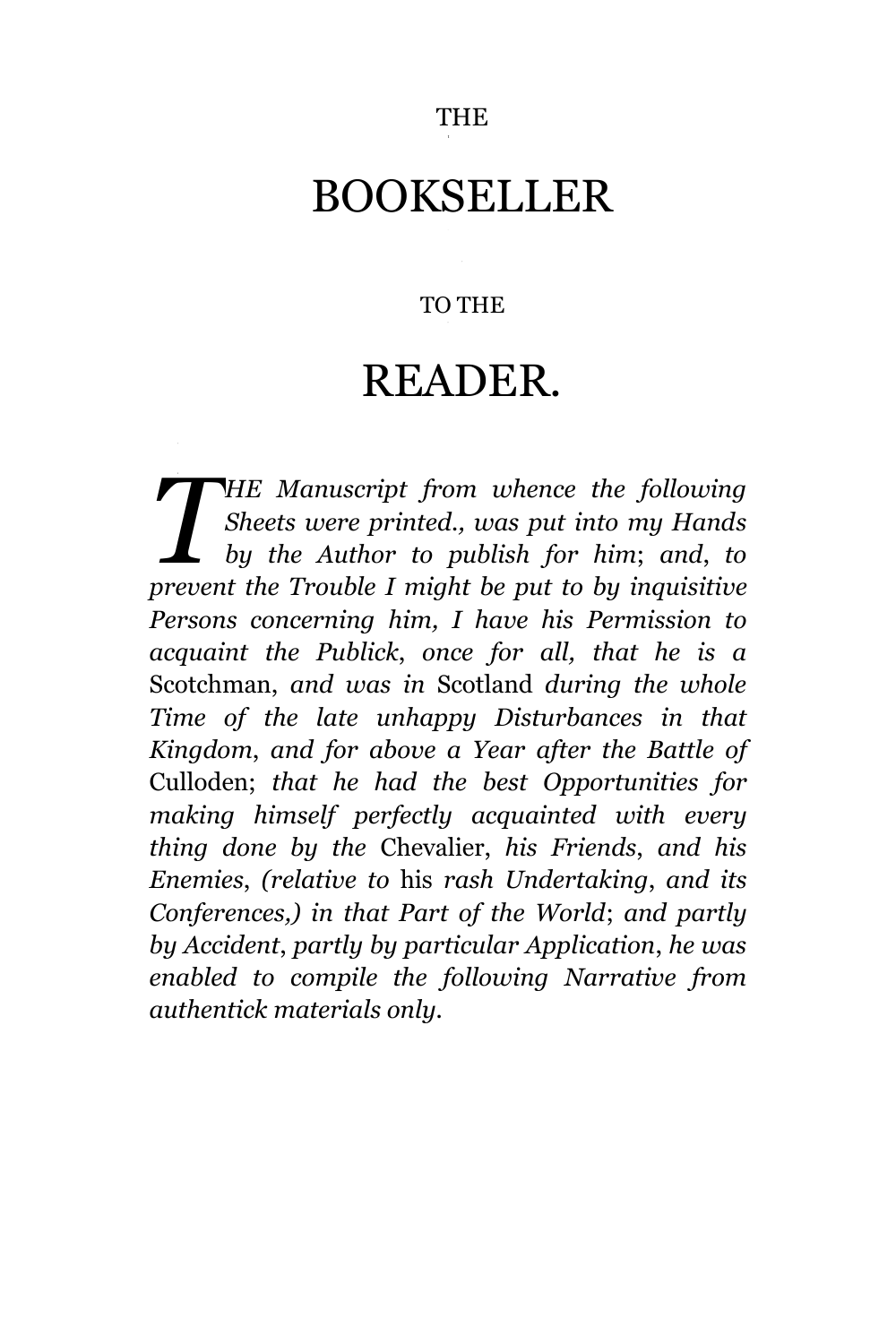# BOOKSELLER

#### TO THE

# READER.

*HE Manuscript from whence the following Sheets were printed., was put into my Hands by the Author to publish for him*; *and*, *to PHE Manuscript from whence the following*<br>*Sheets were printed., was put into my Hands by the Author to publish for him; and, to prevent the Trouble I might be put to by inquisitive Persons concerning him, I have his Permission to acquaint the Publick*, *once for all, that he is a* Scotchman, *and was in* Scotland *during the whole Time of the late unhappy Disturbances in that Kingdom*, *and for above a Year after the Battle of* Culloden; *that he had the best Opportunities for making himself perfectly acquainted with every thing done by the* Chevalier, *his Friends*, *and his Enemies*, *(relative to* his *rash Undertaking*, *and its Conferences,) in that Part of the World*; *and partly by Accident*, *partly by particular Application*, *he was enabled to compile the following Narrative from authentick materials only.*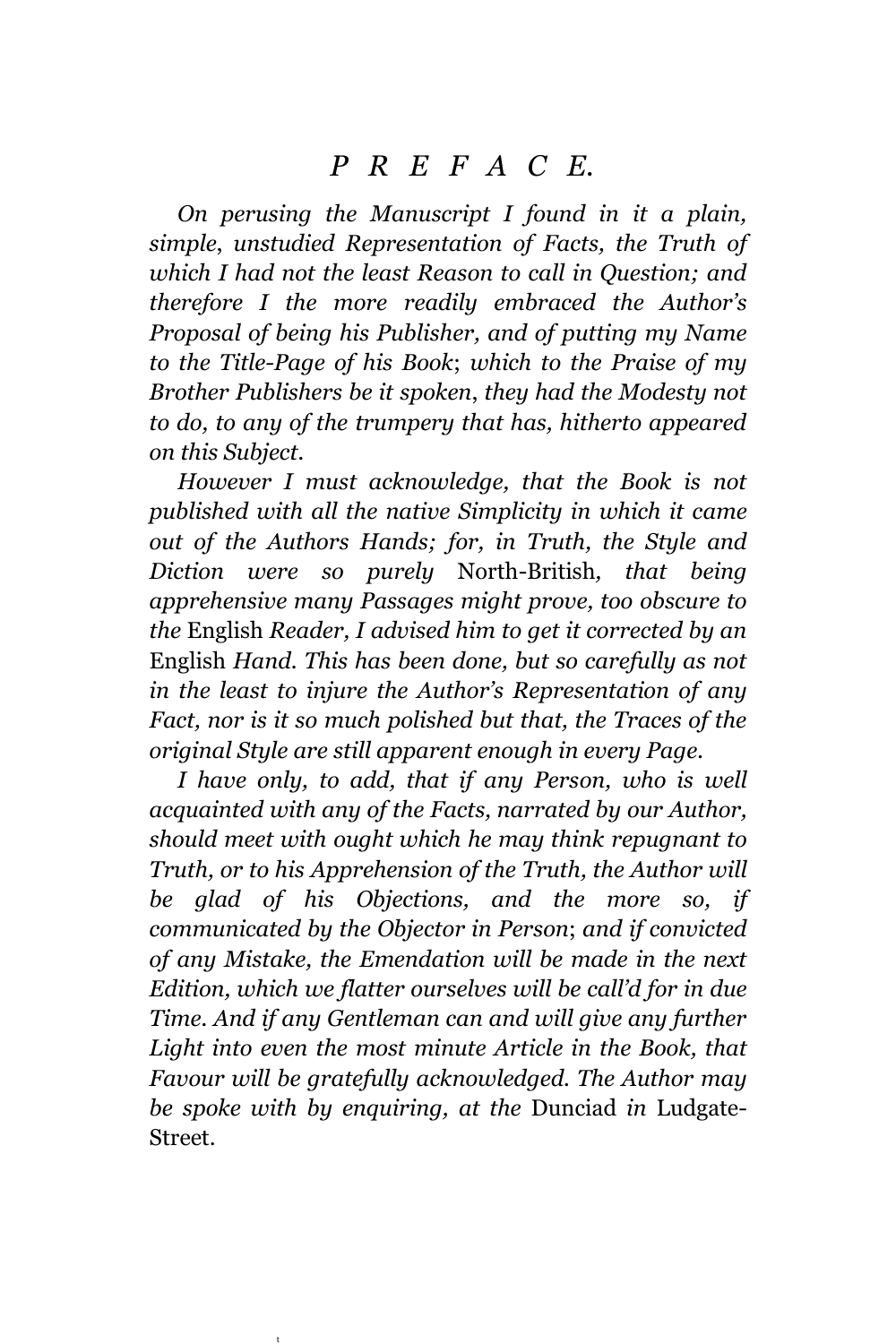*On perusing the Manuscript I found in it a plain, simple*, *unstudied Representation of Facts, the Truth of which I had not the least Reason to call in Question; and therefore I the more readily embraced the Author's Proposal of being his Publisher, and of putting my Name to the Title-Page of his Book*; *which to the Praise of my Brother Publishers be it spoken*, *they had the Modesty not to do, to any of the trumpery that has, hitherto appeared on this Subject.*

*However I must acknowledge, that the Book is not published with all the native Simplicity in which it came out of the Authors Hands; for, in Truth, the Style and Diction were so purely* North-British*, that being apprehensive many Passages might prove, too obscure to the* English *Reader, I advised him to get it corrected by an*  English *Hand. This has been done, but so carefully as not in the least to injure the Author's Representation of any Fact, nor is it so much polished but that, the Traces of the original Style are still apparent enough in every Page.*

*I have only, to add, that if any Person, who is well acquainted with any of the Facts, narrated by our Author, should meet with ought which he may think repugnant to Truth, or to his Apprehension of the Truth, the Author will be glad of his Objections, and the more so, if communicated by the Objector in Person*; *and if convicted of any Mistake, the Emendation will be made in the next Edition, which we flatter ourselves will be call'd for in due Time. And if any Gentleman can and will give any further Light into even the most minute Article in the Book, that Favour will be gratefully acknowledged. The Author may be spoke with by enquiring, at the* Dunciad *in* Ludgate-Street.

t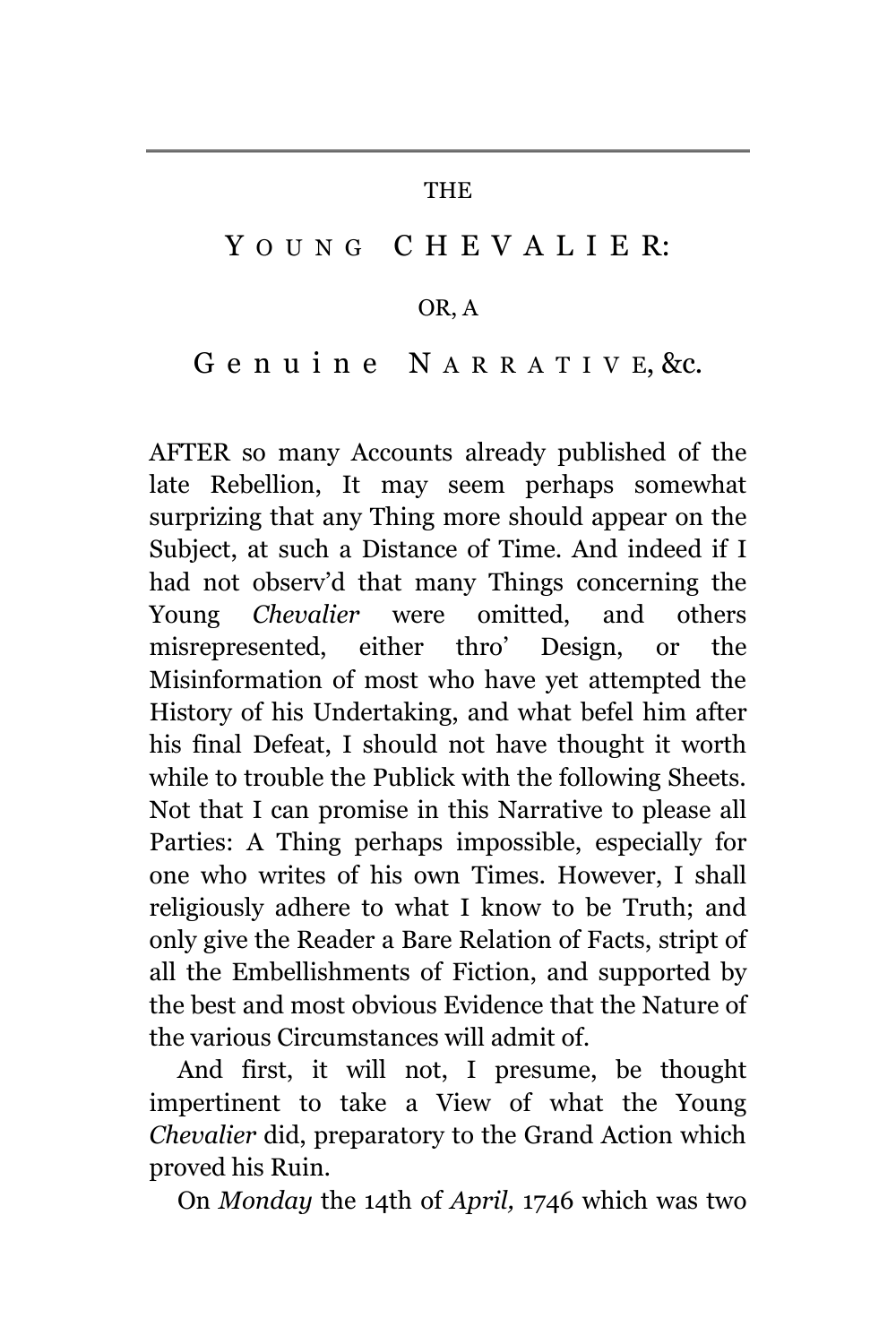#### THE

## YOUNG CHEVALIER:

#### OR, A

#### G e n u i n e N A R R A T I V E, &c.

AFTER so many Accounts already published of the late Rebellion, It may seem perhaps somewhat surprizing that any Thing more should appear on the Subject, at such a Distance of Time. And indeed if I had not observ'd that many Things concerning the Young *Chevalier* were omitted, and others misrepresented, either thro' Design, or the Misinformation of most who have yet attempted the History of his Undertaking, and what befel him after his final Defeat, I should not have thought it worth while to trouble the Publick with the following Sheets. Not that I can promise in this Narrative to please all Parties: A Thing perhaps impossible, especially for one who writes of his own Times. However, I shall religiously adhere to what I know to be Truth; and only give the Reader a Bare Relation of Facts, stript of all the Embellishments of Fiction, and supported by the best and most obvious Evidence that the Nature of the various Circumstances will admit of.

And first, it will not, I presume, be thought impertinent to take a View of what the Young *Chevalier* did, preparatory to the Grand Action which proved his Ruin.

On *Monday* the 14th of *April,* 1746 which was two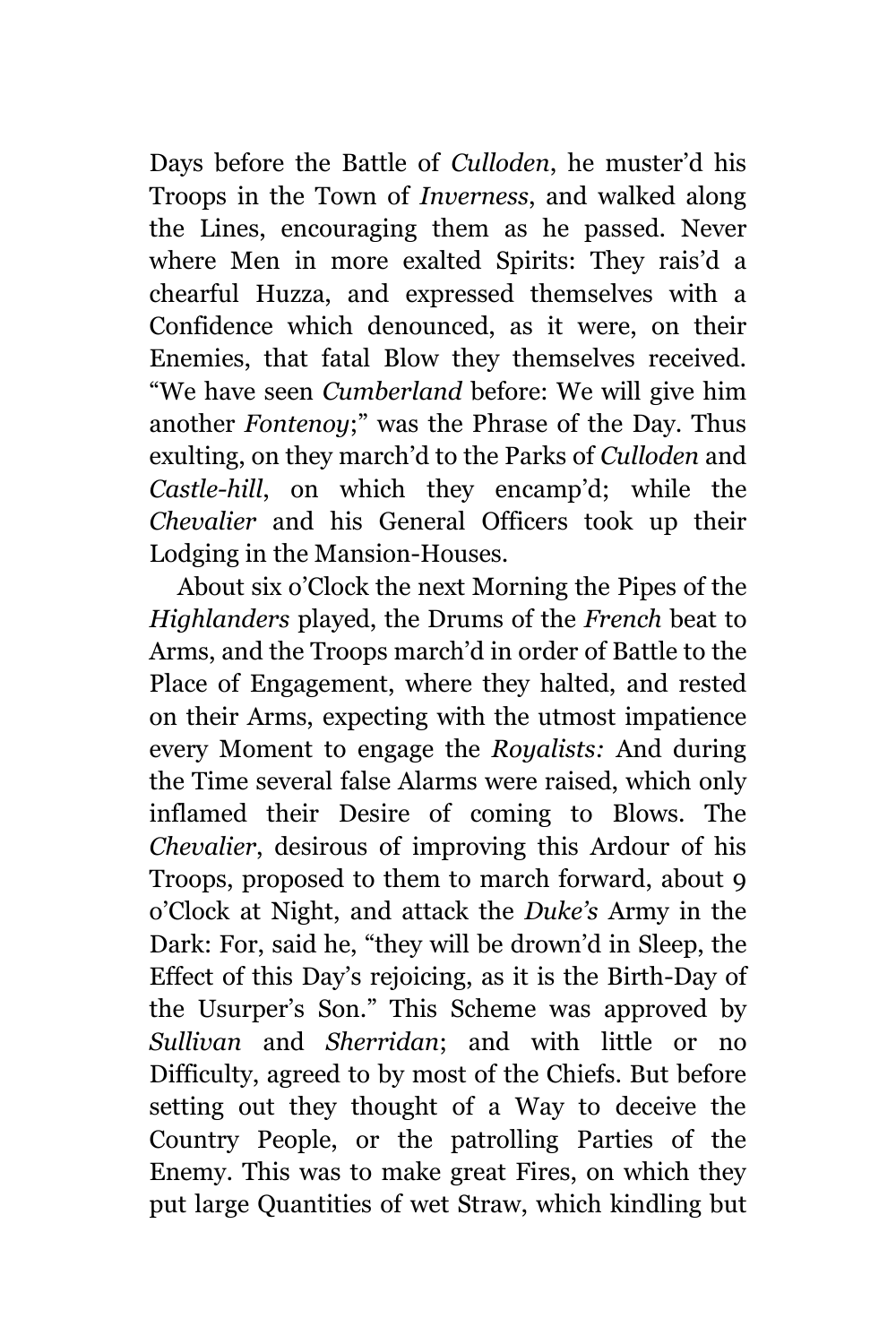Days before the Battle of *Culloden*, he muster'd his Troops in the Town of *Inverness*, and walked along the Lines, encouraging them as he passed. Never where Men in more exalted Spirits: They rais'd a chearful Huzza, and expressed themselves with a Confidence which denounced, as it were, on their Enemies, that fatal Blow they themselves received. "We have seen *Cumberland* before: We will give him another *Fontenoy*;" was the Phrase of the Day. Thus exulting, on they march'd to the Parks of *Culloden* and *Castle-hill*, on which they encamp'd; while the *Chevalier* and his General Officers took up their Lodging in the Mansion-Houses.

About six o'Clock the next Morning the Pipes of the *Highlanders* played, the Drums of the *French* beat to Arms, and the Troops march'd in order of Battle to the Place of Engagement, where they halted, and rested on their Arms, expecting with the utmost impatience every Moment to engage the *Royalists:* And during the Time several false Alarms were raised, which only inflamed their Desire of coming to Blows. The *Chevalier*, desirous of improving this Ardour of his Troops, proposed to them to march forward, about 9 o'Clock at Night, and attack the *Duke's* Army in the Dark: For, said he, "they will be drown'd in Sleep, the Effect of this Day's rejoicing, as it is the Birth-Day of the Usurper's Son." This Scheme was approved by *Sullivan* and *Sherridan*; and with little or no Difficulty, agreed to by most of the Chiefs. But before setting out they thought of a Way to deceive the Country People, or the patrolling Parties of the Enemy. This was to make great Fires, on which they put large Quantities of wet Straw, which kindling but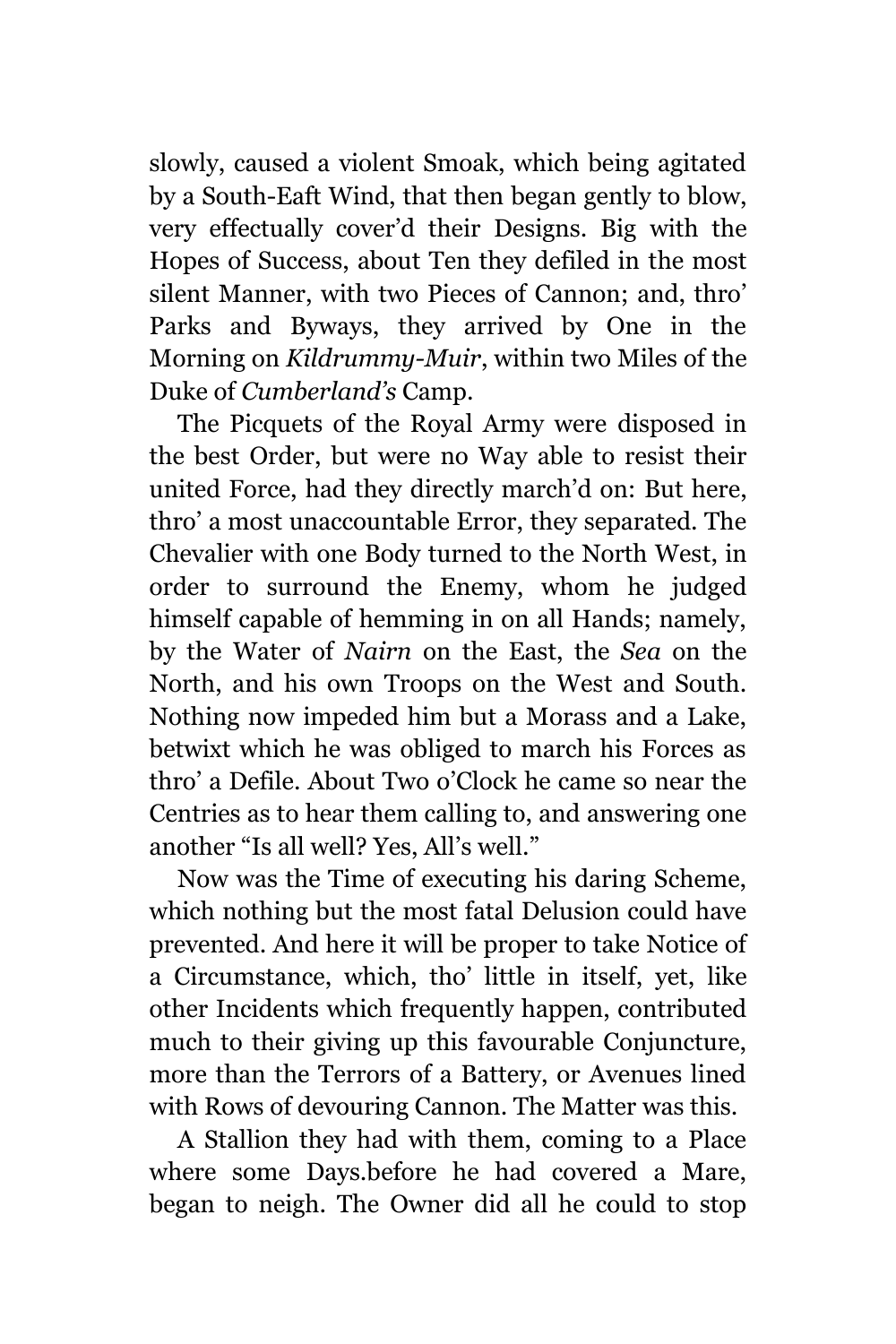slowly, caused a violent Smoak, which being agitated by a South-Eaft Wind, that then began gently to blow, very effectually cover'd their Designs. Big with the Hopes of Success, about Ten they defiled in the most silent Manner, with two Pieces of Cannon; and, thro' Parks and Byways, they arrived by One in the Morning on *Kildrummy-Muir*, within two Miles of the Duke of *Cumberland's* Camp.

The Picquets of the Royal Army were disposed in the best Order, but were no Way able to resist their united Force, had they directly march'd on: But here, thro' a most unaccountable Error, they separated. The Chevalier with one Body turned to the North West, in order to surround the Enemy, whom he judged himself capable of hemming in on all Hands; namely, by the Water of *Nairn* on the East, the *Sea* on the North, and his own Troops on the West and South. Nothing now impeded him but a Morass and a Lake, betwixt which he was obliged to march his Forces as thro' a Defile. About Two o'Clock he came so near the Centries as to hear them calling to, and answering one another "Is all well? Yes, All's well."

Now was the Time of executing his daring Scheme, which nothing but the most fatal Delusion could have prevented. And here it will be proper to take Notice of a Circumstance, which, tho' little in itself, yet, like other Incidents which frequently happen, contributed much to their giving up this favourable Conjuncture, more than the Terrors of a Battery, or Avenues lined with Rows of devouring Cannon. The Matter was this.

A Stallion they had with them, coming to a Place where some Days.before he had covered a Mare, began to neigh. The Owner did all he could to stop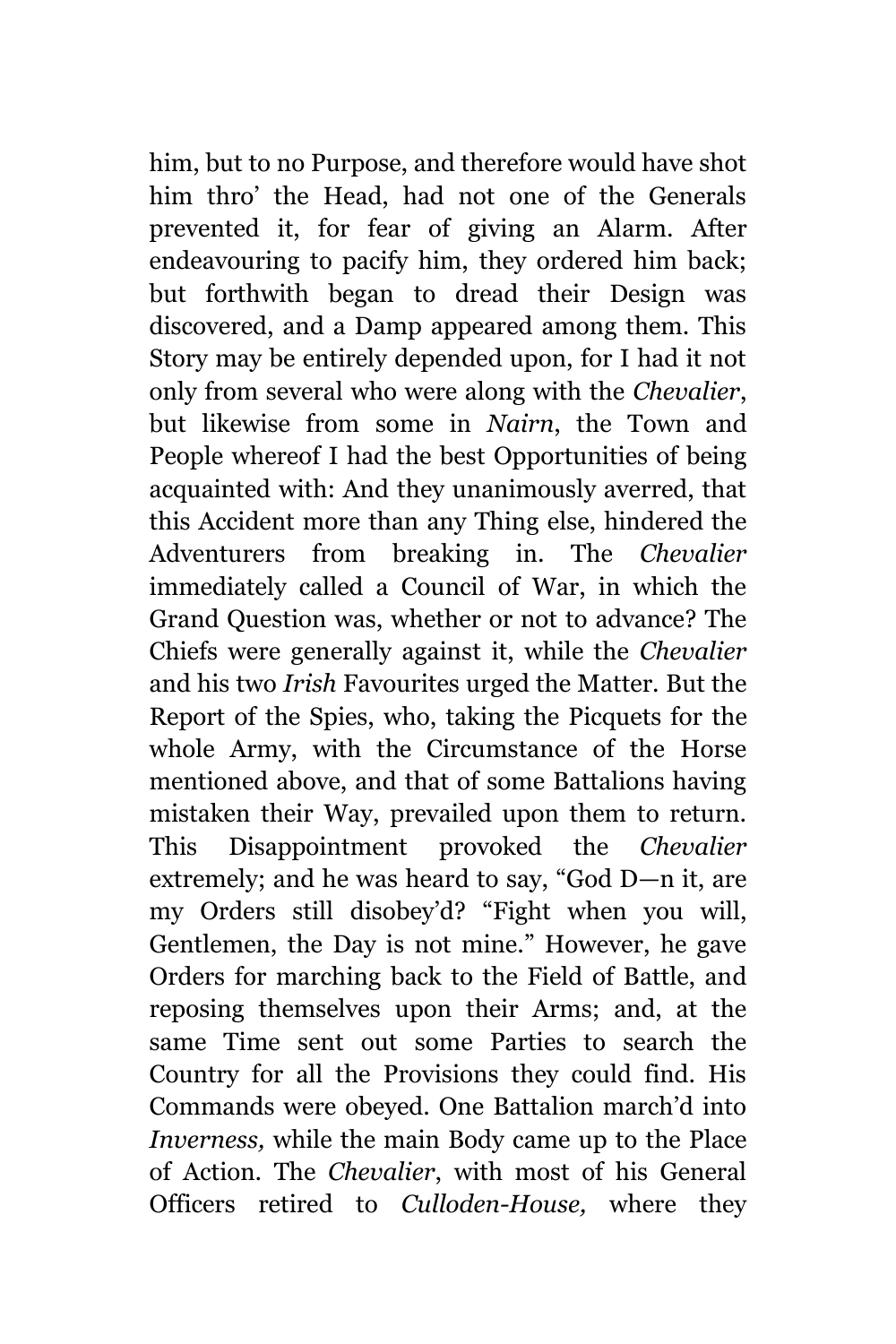him, but to no Purpose, and therefore would have shot him thro' the Head, had not one of the Generals prevented it, for fear of giving an Alarm. After endeavouring to pacify him, they ordered him back; but forthwith began to dread their Design was discovered, and a Damp appeared among them. This Story may be entirely depended upon, for I had it not only from several who were along with the *Chevalier*, but likewise from some in *Nairn*, the Town and People whereof I had the best Opportunities of being acquainted with: And they unanimously averred, that this Accident more than any Thing else, hindered the Adventurers from breaking in. The *Chevalier* immediately called a Council of War, in which the Grand Question was, whether or not to advance? The Chiefs were generally against it, while the *Chevalier* and his two *Irish* Favourites urged the Matter. But the Report of the Spies, who, taking the Picquets for the whole Army, with the Circumstance of the Horse mentioned above, and that of some Battalions having mistaken their Way, prevailed upon them to return. This Disappointment provoked the *Chevalier* extremely; and he was heard to say, "God D—n it, are my Orders still disobey'd? "Fight when you will, Gentlemen, the Day is not mine." However, he gave Orders for marching back to the Field of Battle, and reposing themselves upon their Arms; and, at the same Time sent out some Parties to search the Country for all the Provisions they could find. His Commands were obeyed. One Battalion march'd into *Inverness,* while the main Body came up to the Place of Action. The *Chevalier*, with most of his General Officers retired to *Culloden-House,* where they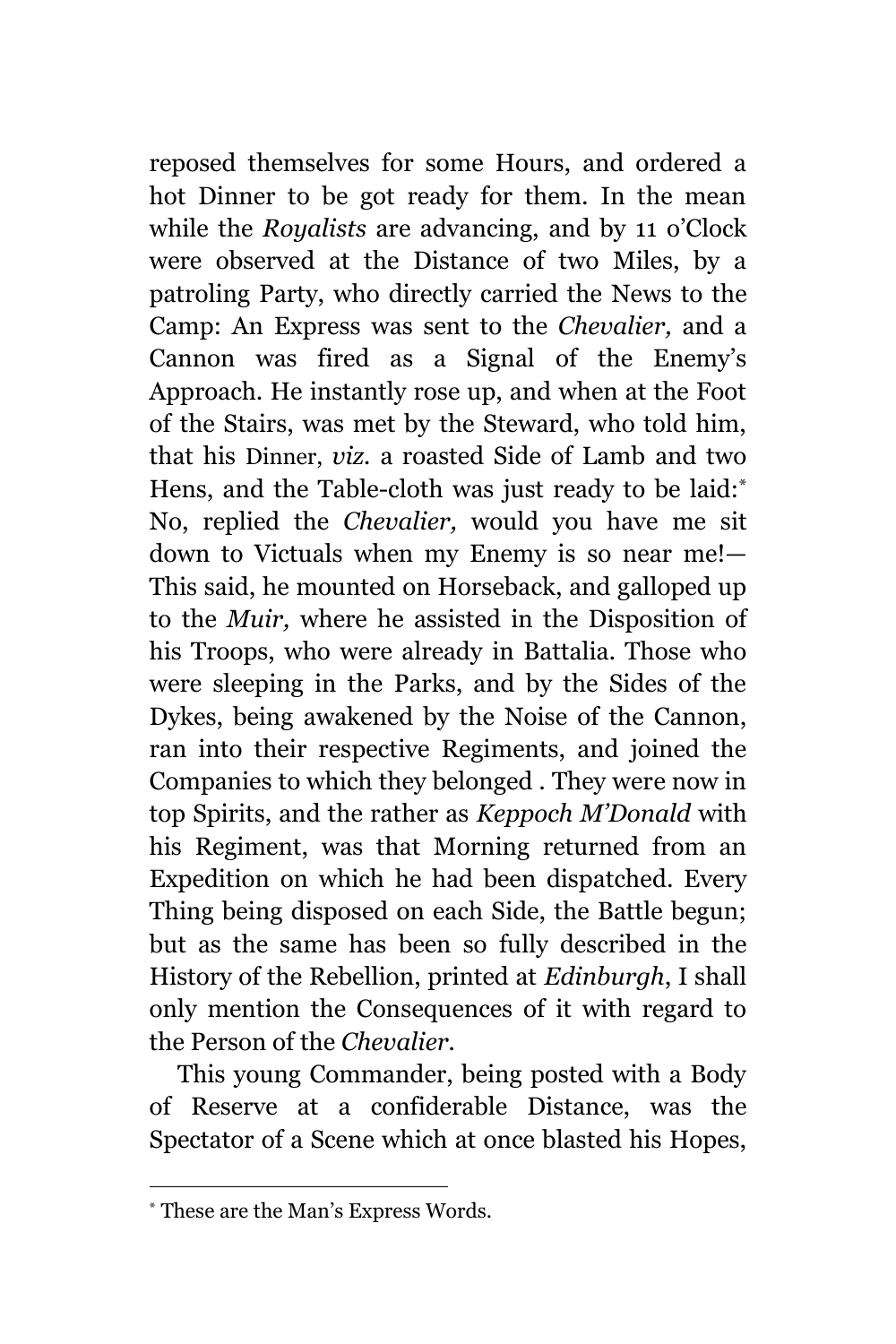reposed themselves for some Hours, and ordered a hot Dinner to be got ready for them. In the mean while the *Royalists* are advancing, and by 11 o'Clock were observed at the Distance of two Miles, by a patroling Party, who directly carried the News to the Camp: An Express was sent to the *Chevalier,* and a Cannon was fired as a Signal of the Enemy's Approach. He instantly rose up, and when at the Foot of the Stairs, was met by the Steward, who told him, that his Dinner, *viz.* a roasted Side of Lamb and two Hens, and the Table-cloth was just ready to be laid:<sup>\*</sup> No, replied the *Chevalier,* would you have me sit down to Victuals when my Enemy is so near me!— This said, he mounted on Horseback, and galloped up to the *Muir,* where he assisted in the Disposition of his Troops, who were already in Battalia. Those who were sleeping in the Parks, and by the Sides of the Dykes, being awakened by the Noise of the Cannon, ran into their respective Regiments, and joined the Companies to which they belonged . They were now in top Spirits, and the rather as *Keppoch M'Donald* with his Regiment, was that Morning returned from an Expedition on which he had been dispatched. Every Thing being disposed on each Side, the Battle begun; but as the same has been so fully described in the History of the Rebellion, printed at *Edinburgh*, I shall only mention the Consequences of it with regard to the Person of the *Chevalier.*

This young Commander, being posted with a Body of Reserve at a confiderable Distance, was the Spectator of a Scene which at once blasted his Hopes,

<sup>\*</sup> These are the Man's Express Words.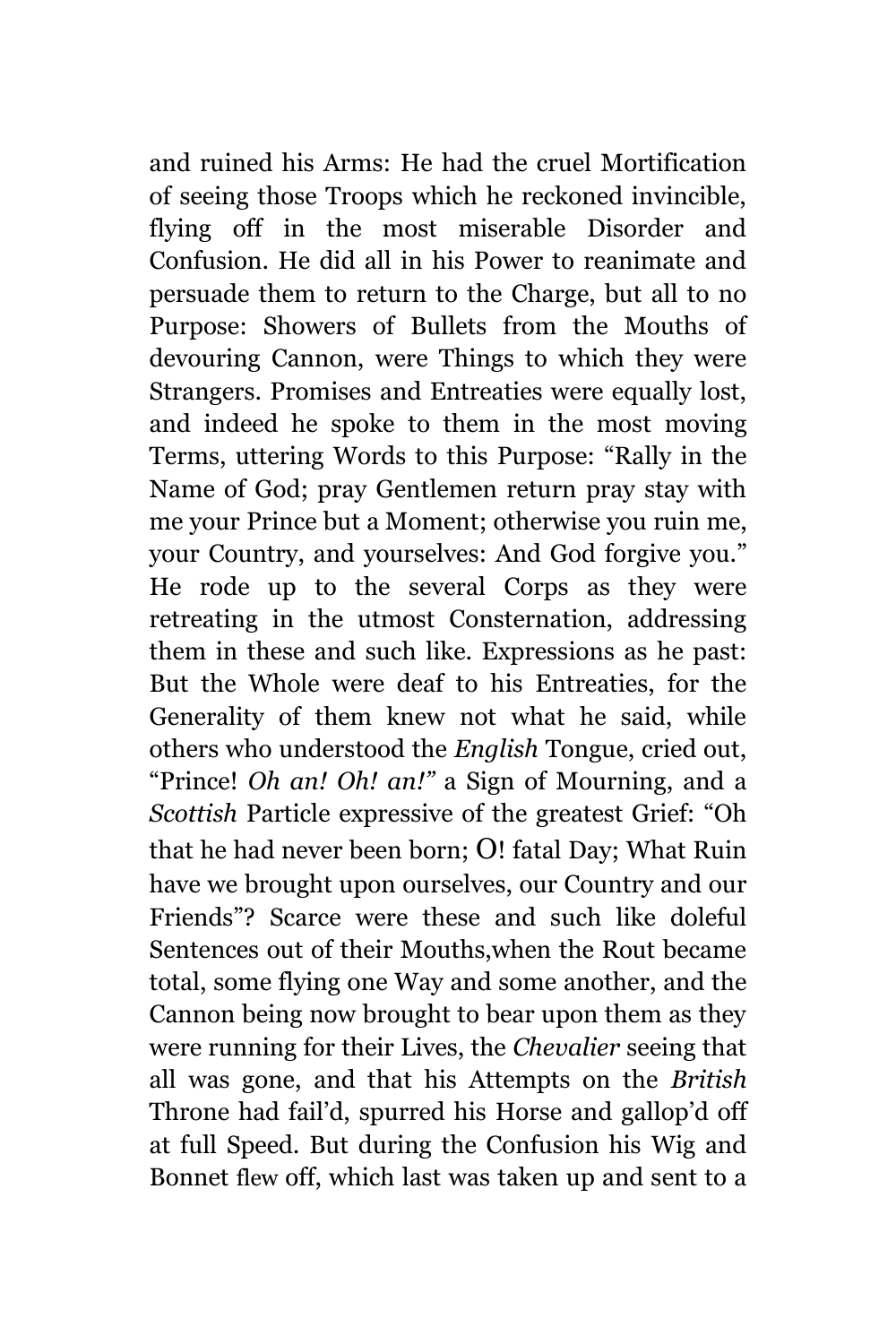and ruined his Arms: He had the cruel Mortification of seeing those Troops which he reckoned invincible, flying off in the most miserable Disorder and Confusion. He did all in his Power to reanimate and persuade them to return to the Charge, but all to no Purpose: Showers of Bullets from the Mouths of devouring Cannon, were Things to which they were Strangers. Promises and Entreaties were equally lost, and indeed he spoke to them in the most moving Terms, uttering Words to this Purpose: "Rally in the Name of God; pray Gentlemen return pray stay with me your Prince but a Moment; otherwise you ruin me, your Country, and yourselves: And God forgive you." He rode up to the several Corps as they were retreating in the utmost Consternation, addressing them in these and such like. Expressions as he past: But the Whole were deaf to his Entreaties, for the Generality of them knew not what he said, while others who understood the *English* Tongue, cried out, "Prince! *Oh an! Oh! an!"* a Sign of Mourning, and a *Scottish* Particle expressive of the greatest Grief: "Oh that he had never been born; O! fatal Day; What Ruin have we brought upon ourselves, our Country and our Friends"? Scarce were these and such like doleful Sentences out of their Mouths,when the Rout became total, some flying one Way and some another, and the Cannon being now brought to bear upon them as they were running for their Lives, the *Chevalier* seeing that all was gone, and that his Attempts on the *British* Throne had fail'd, spurred his Horse and gallop'd off at full Speed. But during the Confusion his Wig and Bonnet flew off, which last was taken up and sent to a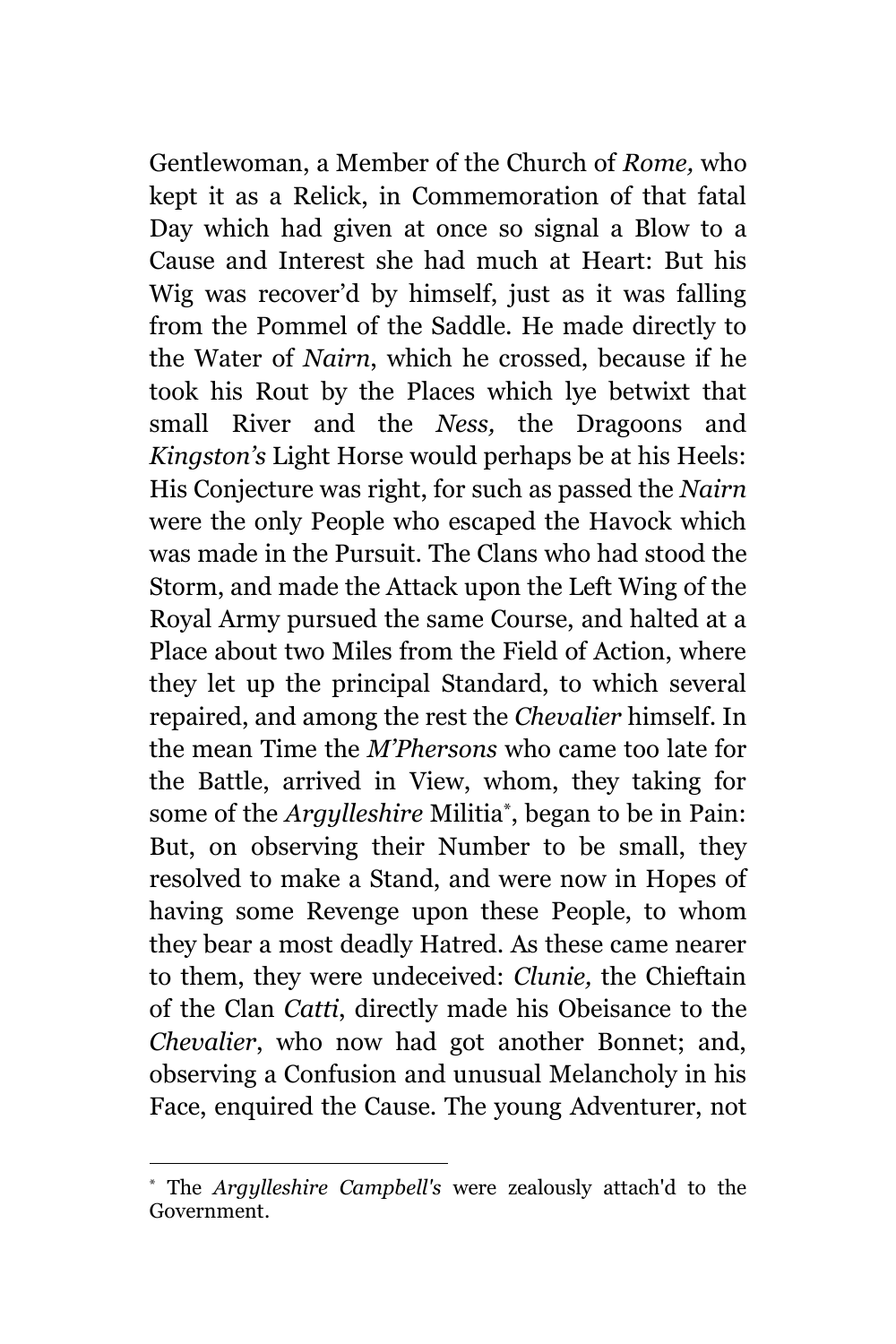Gentlewoman, a Member of the Church of *Rome,* who kept it as a Relick, in Commemoration of that fatal Day which had given at once so signal a Blow to a Cause and Interest she had much at Heart: But his Wig was recover'd by himself, just as it was falling from the Pommel of the Saddle. He made directly to the Water of *Nairn*, which he crossed, because if he took his Rout by the Places which lye betwixt that small River and the *Ness,* the Dragoons and *Kingston's* Light Horse would perhaps be at his Heels: His Conjecture was right, for such as passed the *Nairn* were the only People who escaped the Havock which was made in the Pursuit. The Clans who had stood the Storm, and made the Attack upon the Left Wing of the Royal Army pursued the same Course, and halted at a Place about two Miles from the Field of Action, where they let up the principal Standard, to which several repaired, and among the rest the *Chevalier* himself. In the mean Time the *M'Phersons* who came too late for the Battle, arrived in View, whom, they taking for some of the *Argylleshire* Militia\* , began to be in Pain: But, on observing their Number to be small, they resolved to make a Stand, and were now in Hopes of having some Revenge upon these People, to whom they bear a most deadly Hatred. As these came nearer to them, they were undeceived: *Clunie,* the Chieftain of the Clan *Catti*, directly made his Obeisance to the *Chevalier*, who now had got another Bonnet; and, observing a Confusion and unusual Melancholy in his Face, enquired the Cause. The young Adventurer, not

L,

The *Argylleshire Campbell's* were zealously attach'd to the Government.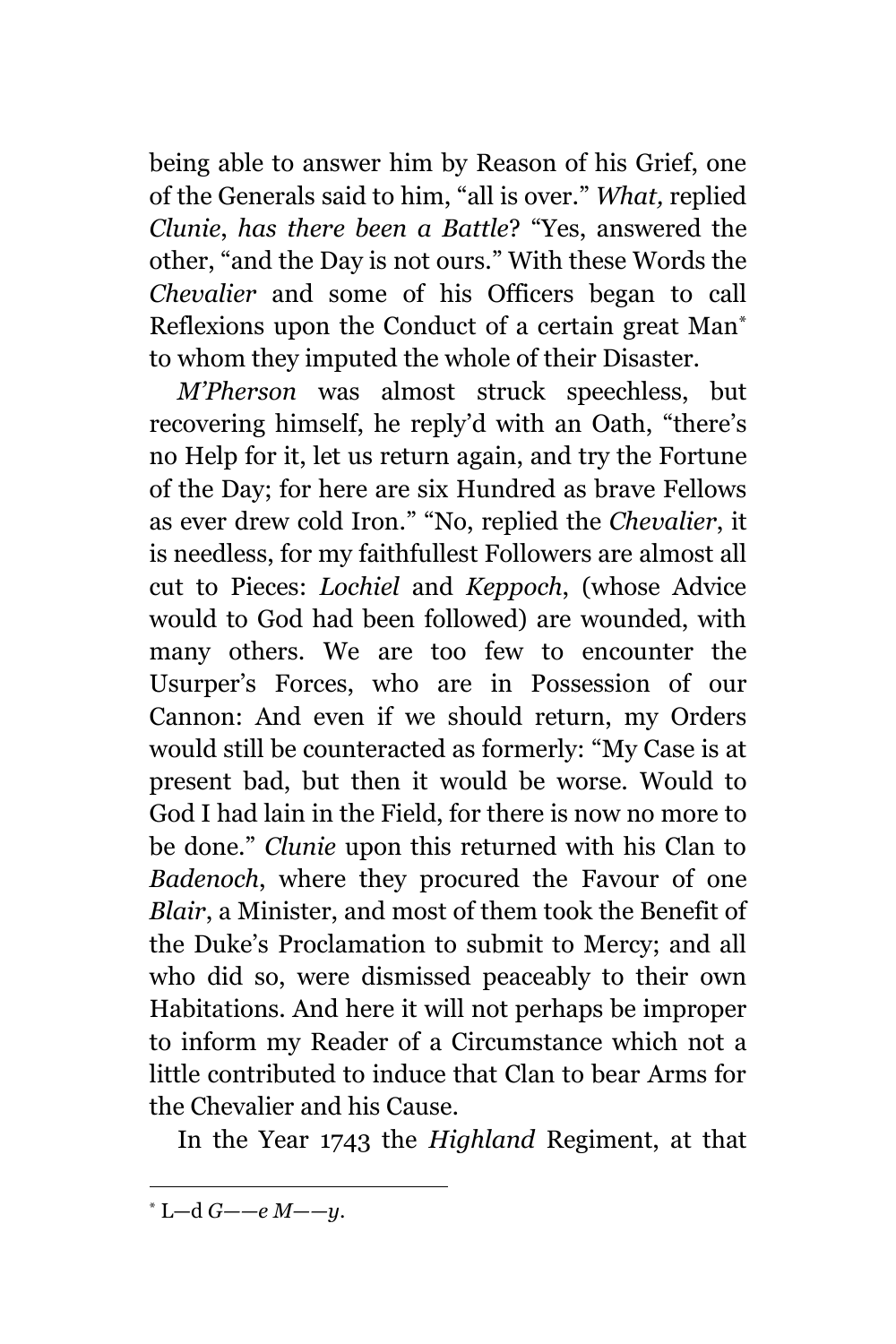being able to answer him by Reason of his Grief, one of the Generals said to him, "all is over." *What,* replied *Clunie*, *has there been a Battle*? "Yes, answered the other, "and the Day is not ours." With these Words the *Chevalier* and some of his Officers began to call Reflexions upon the Conduct of a certain great Man\* to whom they imputed the whole of their Disaster.

*M'Pherson* was almost struck speechless, but recovering himself, he reply'd with an Oath, "there's no Help for it, let us return again, and try the Fortune of the Day; for here are six Hundred as brave Fellows as ever drew cold Iron." "No, replied the *Chevalier*, it is needless, for my faithfullest Followers are almost all cut to Pieces: *Lochiel* and *Keppoch*, (whose Advice would to God had been followed) are wounded, with many others. We are too few to encounter the Usurper's Forces, who are in Possession of our Cannon: And even if we should return, my Orders would still be counteracted as formerly: "My Case is at present bad, but then it would be worse. Would to God I had lain in the Field, for there is now no more to be done." *Clunie* upon this returned with his Clan to *Badenoch*, where they procured the Favour of one *Blair*, a Minister, and most of them took the Benefit of the Duke's Proclamation to submit to Mercy; and all who did so, were dismissed peaceably to their own Habitations. And here it will not perhaps be improper to inform my Reader of a Circumstance which not a little contributed to induce that Clan to bear Arms for the Chevalier and his Cause.

In the Year 1743 the *Highland* Regiment, at that

<sup>\*</sup> L—d *G——e M——y.*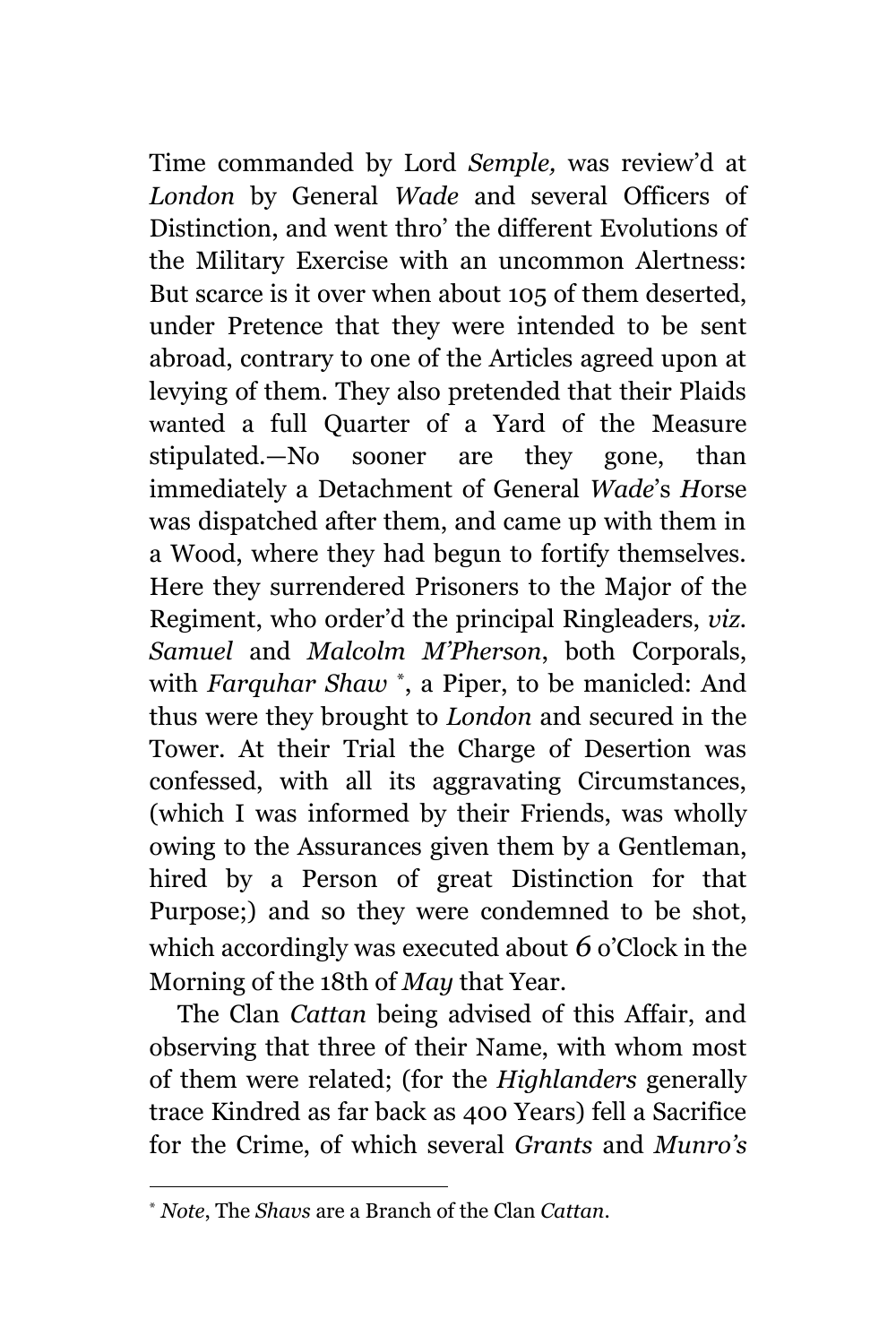Time commanded by Lord *Semple,* was review'd at *London* by General *Wade* and several Officers of Distinction, and went thro' the different Evolutions of the Military Exercise with an uncommon Alertness: But scarce is it over when about 105 of them deserted, under Pretence that they were intended to be sent abroad, contrary to one of the Articles agreed upon at levying of them. They also pretended that their Plaids wanted a full Quarter of a Yard of the Measure stipulated.—No sooner are they gone, than immediately a Detachment of General *Wade*'s *H*orse was dispatched after them, and came up with them in a Wood, where they had begun to fortify themselves. Here they surrendered Prisoners to the Major of the Regiment, who order'd the principal Ringleaders, *viz. Samuel* and *Malcolm M'Pherson*, both Corporals, with *Farquhar Shaw* \* , a Piper, to be manicled: And thus were they brought to *London* and secured in the Tower. At their Trial the Charge of Desertion was confessed, with all its aggravating Circumstances, (which I was informed by their Friends, was wholly owing to the Assurances given them by a Gentleman, hired by a Person of great Distinction for that Purpose;) and so they were condemned to be shot, which accordingly was executed about *6* o'Clock in the Morning of the 18th of *May* that Year.

The Clan *Cattan* being advised of this Affair, and observing that three of their Name, with whom most of them were related; (for the *Highlanders* generally trace Kindred as far back as 400 Years) fell a Sacrifice for the Crime, of which several *Grants* and *Munro's*

<sup>\*</sup> *Note*, The *Shavs* are a Branch of the Clan *Cattan*.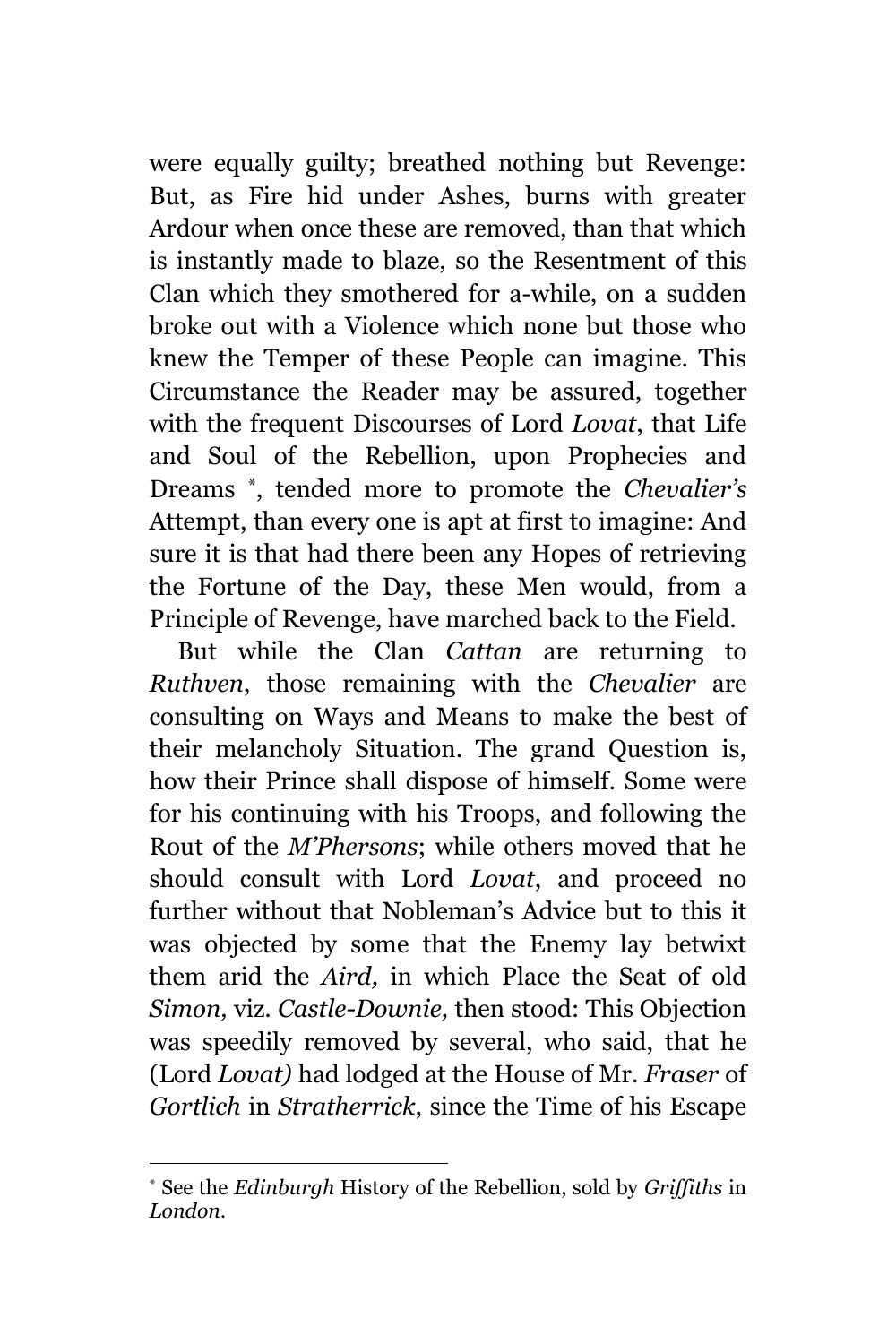were equally guilty; breathed nothing but Revenge: But, as Fire hid under Ashes, burns with greater Ardour when once these are removed, than that which is instantly made to blaze, so the Resentment of this Clan which they smothered for a-while, on a sudden broke out with a Violence which none but those who knew the Temper of these People can imagine. This Circumstance the Reader may be assured, together with the frequent Discourses of Lord *Lovat*, that Life and Soul of the Rebellion, upon Prophecies and Dreams \* , tended more to promote the *Chevalier's* Attempt, than every one is apt at first to imagine: And sure it is that had there been any Hopes of retrieving the Fortune of the Day, these Men would, from a Principle of Revenge, have marched back to the Field.

But while the Clan *Cattan* are returning to *Ruthven*, those remaining with the *Chevalier* are consulting on Ways and Means to make the best of their melancholy Situation. The grand Question is, how their Prince shall dispose of himself. Some were for his continuing with his Troops, and following the Rout of the *M'Phersons*; while others moved that he should consult with Lord *Lovat*, and proceed no further without that Nobleman's Advice but to this it was objected by some that the Enemy lay betwixt them arid the *Aird,* in which Place the Seat of old *Simon,* viz. *Castle-Downie,* then stood: This Objection was speedily removed by several, who said, that he (Lord *Lovat)* had lodged at the House of Mr. *Fraser* of *Gortlich* in *Stratherrick*, since the Time of his Escape

L,

<sup>\*</sup> See the *Edinburgh* History of the Rebellion, sold by *Griffiths* in *London.*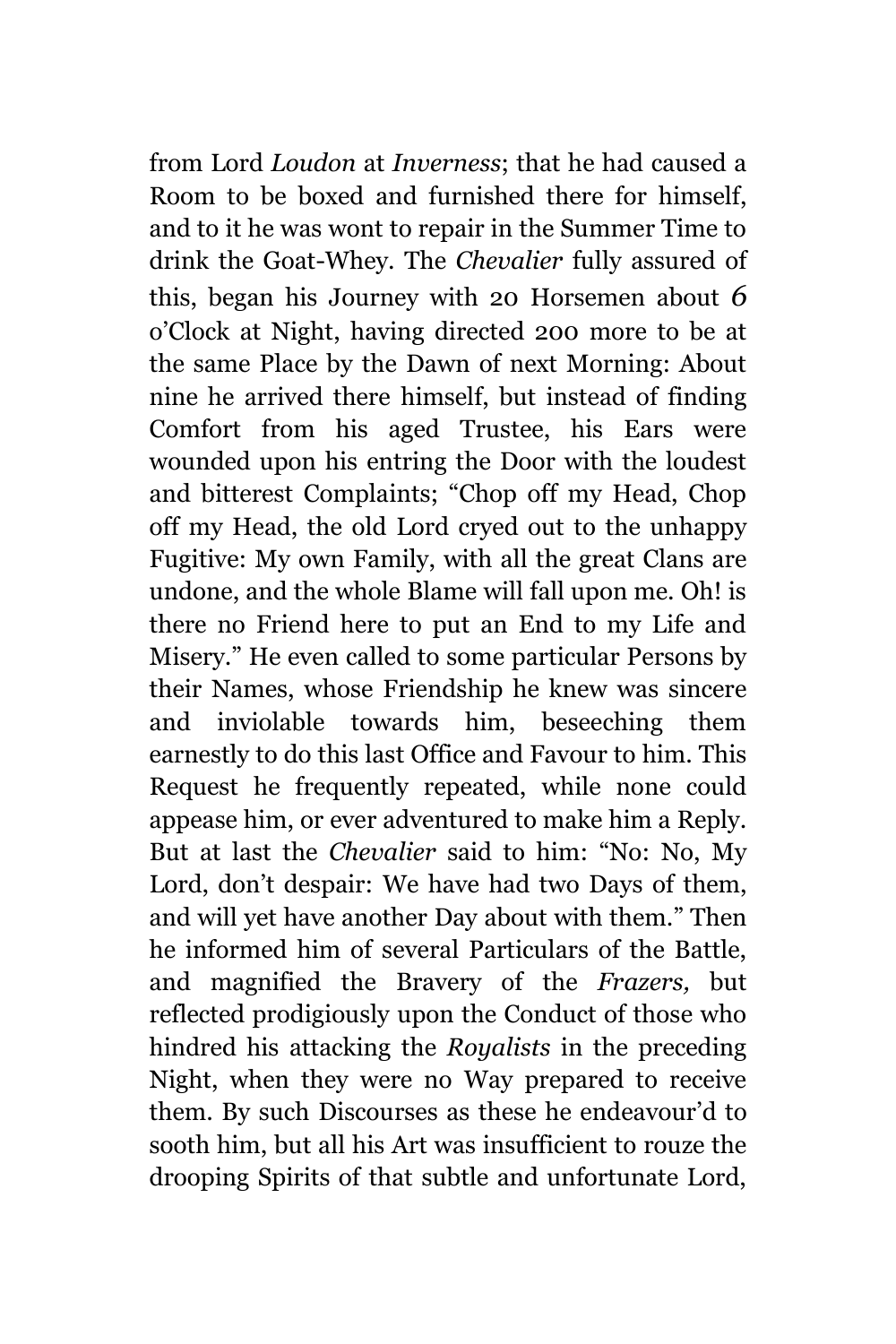from Lord *Loudon* at *Inverness*; that he had caused a Room to be boxed and furnished there for himself, and to it he was wont to repair in the Summer Time to drink the Goat-Whey. The *Chevalier* fully assured of this, began his Journey with 20 Horsemen about *6* o'Clock at Night, having directed 200 more to be at the same Place by the Dawn of next Morning: About nine he arrived there himself, but instead of finding Comfort from his aged Trustee, his Ears were wounded upon his entring the Door with the loudest and bitterest Complaints; "Chop off my Head, Chop off my Head, the old Lord cryed out to the unhappy Fugitive: My own Family, with all the great Clans are undone, and the whole Blame will fall upon me. Oh! is there no Friend here to put an End to my Life and Misery." He even called to some particular Persons by their Names, whose Friendship he knew was sincere and inviolable towards him, beseeching them earnestly to do this last Office and Favour to him. This Request he frequently repeated, while none could appease him, or ever adventured to make him a Reply. But at last the *Chevalier* said to him: "No: No, My Lord, don't despair: We have had two Days of them, and will yet have another Day about with them." Then he informed him of several Particulars of the Battle, and magnified the Bravery of the *Frazers,* but reflected prodigiously upon the Conduct of those who hindred his attacking the *Royalists* in the preceding Night, when they were no Way prepared to receive them. By such Discourses as these he endeavour'd to sooth him, but all his Art was insufficient to rouze the drooping Spirits of that subtle and unfortunate Lord,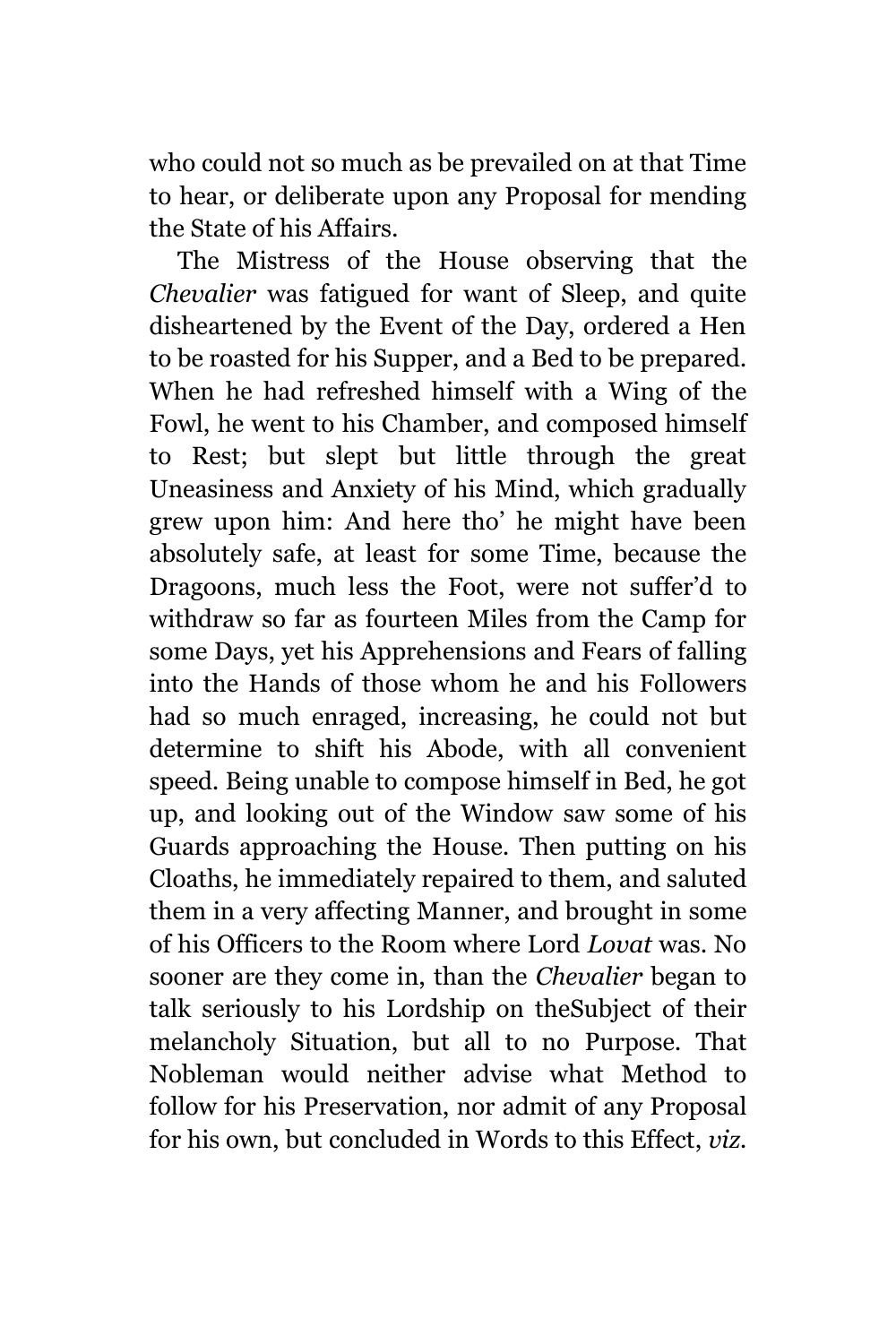who could not so much as be prevailed on at that Time to hear, or deliberate upon any Proposal for mending the State of his Affairs.

The Mistress of the House observing that the *Chevalier* was fatigued for want of Sleep, and quite disheartened by the Event of the Day, ordered a Hen to be roasted for his Supper, and a Bed to be prepared. When he had refreshed himself with a Wing of the Fowl, he went to his Chamber, and composed himself to Rest; but slept but little through the great Uneasiness and Anxiety of his Mind, which gradually grew upon him: And here tho' he might have been absolutely safe, at least for some Time, because the Dragoons, much less the Foot, were not suffer'd to withdraw so far as fourteen Miles from the Camp for some Days, yet his Apprehensions and Fears of falling into the Hands of those whom he and his Followers had so much enraged, increasing, he could not but determine to shift his Abode, with all convenient speed. Being unable to compose himself in Bed, he got up, and looking out of the Window saw some of his Guards approaching the House. Then putting on his Cloaths, he immediately repaired to them, and saluted them in a very affecting Manner, and brought in some of his Officers to the Room where Lord *Lovat* was. No sooner are they come in, than the *Chevalier* began to talk seriously to his Lordship on theSubject of their melancholy Situation, but all to no Purpose. That Nobleman would neither advise what Method to follow for his Preservation, nor admit of any Proposal for his own, but concluded in Words to this Effect, *viz.*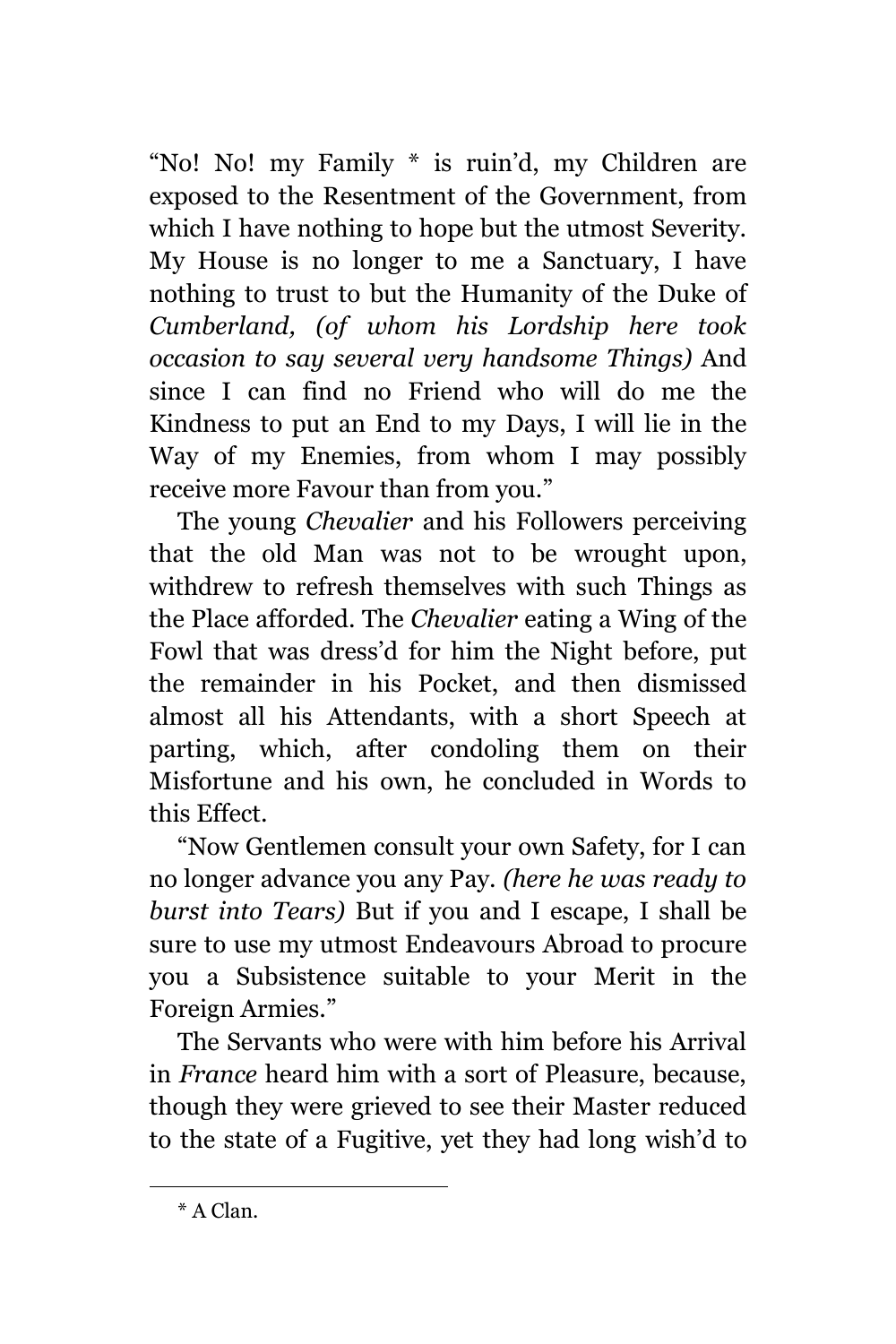"No! No! my Family \* is ruin'd, my Children are exposed to the Resentment of the Government, from which I have nothing to hope but the utmost Severity. My House is no longer to me a Sanctuary, I have nothing to trust to but the Humanity of the Duke of *Cumberland, (of whom his Lordship here took occasion to say several very handsome Things)* And since I can find no Friend who will do me the Kindness to put an End to my Days, I will lie in the Way of my Enemies, from whom I may possibly receive more Favour than from you."

The young *Chevalier* and his Followers perceiving that the old Man was not to be wrought upon, withdrew to refresh themselves with such Things as the Place afforded. The *Chevalier* eating a Wing of the Fowl that was dress'd for him the Night before, put the remainder in his Pocket, and then dismissed almost all his Attendants, with a short Speech at parting, which, after condoling them on their Misfortune and his own, he concluded in Words to this Effect.

"Now Gentlemen consult your own Safety, for I can no longer advance you any Pay. *(here he was ready to burst into Tears)* But if you and I escape, I shall be sure to use my utmost Endeavours Abroad to procure you a Subsistence suitable to your Merit in the Foreign Armies."

The Servants who were with him before his Arrival in *France* heard him with a sort of Pleasure, because, though they were grieved to see their Master reduced to the state of a Fugitive, yet they had long wish'd to

<sup>\*</sup> A Clan.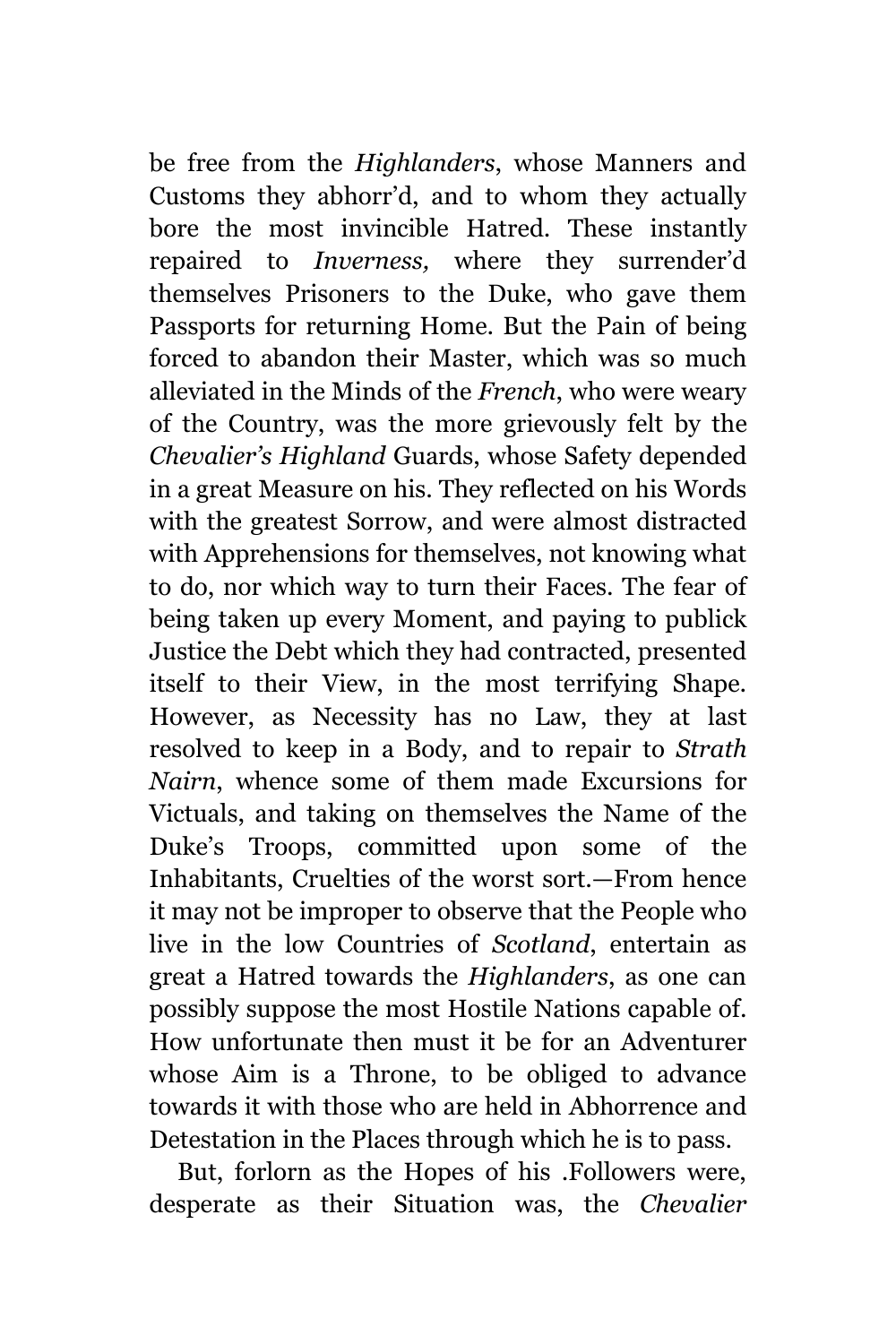be free from the *Highlanders*, whose Manners and Customs they abhorr'd, and to whom they actually bore the most invincible Hatred. These instantly repaired to *Inverness,* where they surrender'd themselves Prisoners to the Duke, who gave them Passports for returning Home. But the Pain of being forced to abandon their Master, which was so much alleviated in the Minds of the *French*, who were weary of the Country, was the more grievously felt by the *Chevalier's Highland* Guards, whose Safety depended in a great Measure on his. They reflected on his Words with the greatest Sorrow, and were almost distracted with Apprehensions for themselves, not knowing what to do, nor which way to turn their Faces. The fear of being taken up every Moment, and paying to publick Justice the Debt which they had contracted, presented itself to their View, in the most terrifying Shape. However, as Necessity has no Law, they at last resolved to keep in a Body, and to repair to *Strath Nairn*, whence some of them made Excursions for Victuals, and taking on themselves the Name of the Duke's Troops, committed upon some of the Inhabitants, Cruelties of the worst sort.—From hence it may not be improper to observe that the People who live in the low Countries of *Scotland*, entertain as great a Hatred towards the *Highlanders*, as one can possibly suppose the most Hostile Nations capable of. How unfortunate then must it be for an Adventurer whose Aim is a Throne, to be obliged to advance towards it with those who are held in Abhorrence and Detestation in the Places through which he is to pass.

But, forlorn as the Hopes of his .Followers were, desperate as their Situation was, the *Chevalier*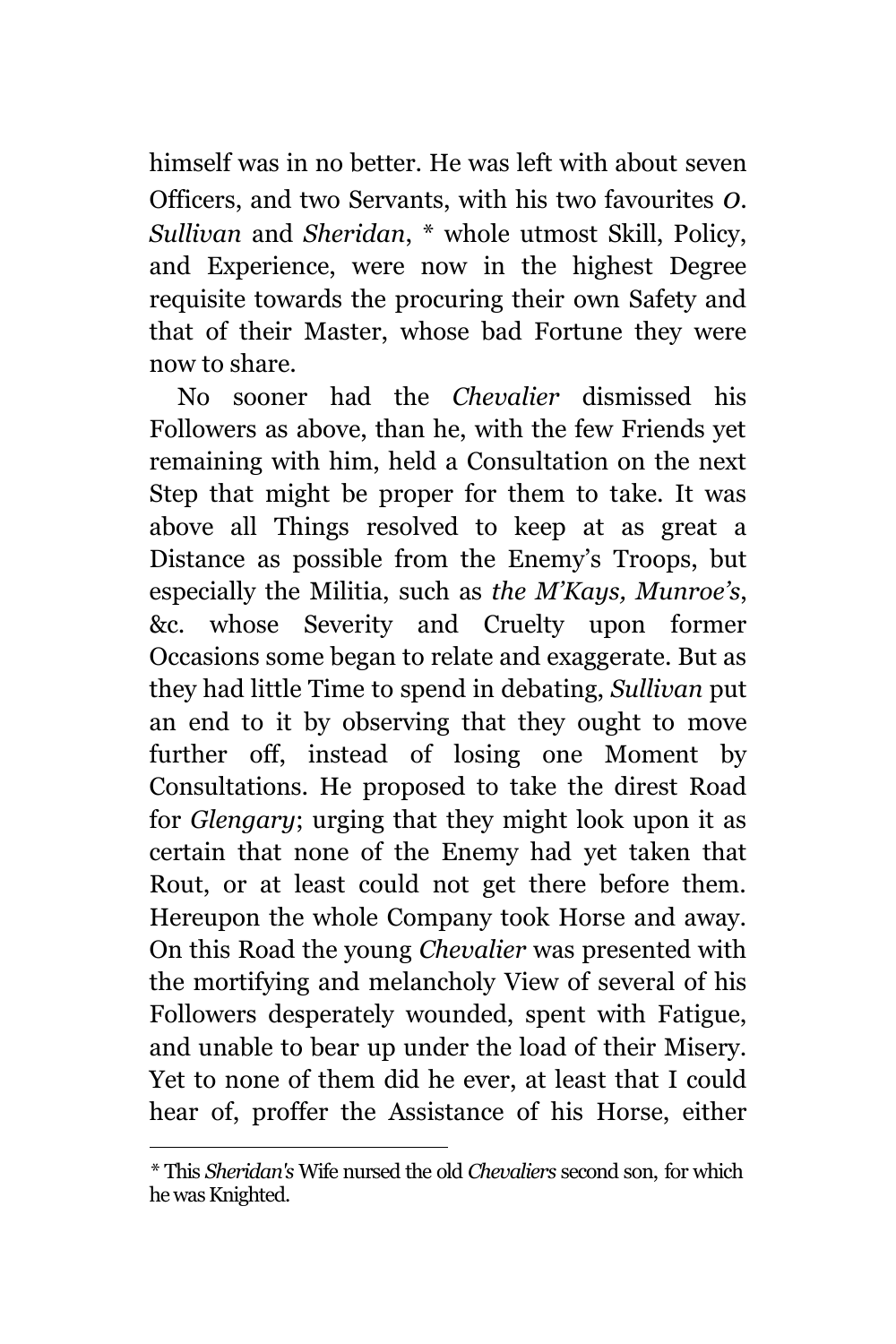himself was in no better. He was left with about seven Officers, and two Servants, with his two favourites *0*. *Sullivan* and *Sheridan*, \* whole utmost Skill, Policy, and Experience, were now in the highest Degree requisite towards the procuring their own Safety and that of their Master, whose bad Fortune they were now to share.

No sooner had the *Chevalier* dismissed his Followers as above, than he, with the few Friends yet remaining with him, held a Consultation on the next Step that might be proper for them to take. It was above all Things resolved to keep at as great a Distance as possible from the Enemy's Troops, but especially the Militia, such as *the M'Kays, Munroe's*, &c. whose Severity and Cruelty upon former Occasions some began to relate and exaggerate. But as they had little Time to spend in debating, *Sullivan* put an end to it by observing that they ought to move further off, instead of losing one Moment by Consultations. He proposed to take the direst Road for *Glengary*; urging that they might look upon it as certain that none of the Enemy had yet taken that Rout, or at least could not get there before them. Hereupon the whole Company took Horse and away. On this Road the young *Chevalier* was presented with the mortifying and melancholy View of several of his Followers desperately wounded, spent with Fatigue, and unable to bear up under the load of their Misery. Yet to none of them did he ever, at least that I could hear of, proffer the Assistance of his Horse, either

*<sup>\*</sup>* This *Sheridan's* Wife nursed the old *Chevaliers* second son, for which he was Knighted.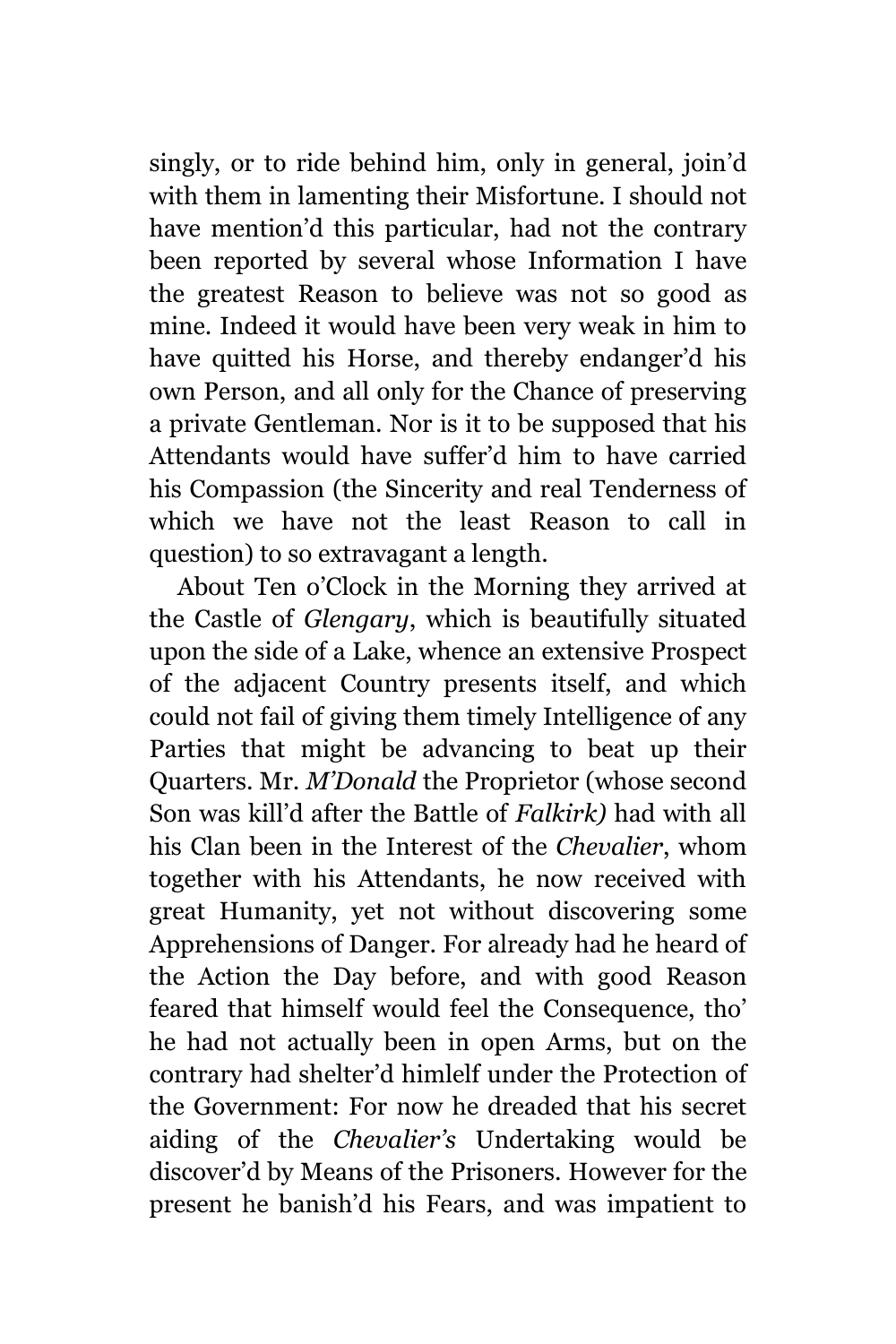singly, or to ride behind him, only in general, join'd with them in lamenting their Misfortune. I should not have mention'd this particular, had not the contrary been reported by several whose Information I have the greatest Reason to believe was not so good as mine. Indeed it would have been very weak in him to have quitted his Horse, and thereby endanger'd his own Person, and all only for the Chance of preserving a private Gentleman. Nor is it to be supposed that his Attendants would have suffer'd him to have carried his Compassion (the Sincerity and real Tenderness of which we have not the least Reason to call in question) to so extravagant a length.

About Ten o'Clock in the Morning they arrived at the Castle of *Glengary*, which is beautifully situated upon the side of a Lake, whence an extensive Prospect of the adjacent Country presents itself, and which could not fail of giving them timely Intelligence of any Parties that might be advancing to beat up their Quarters. Mr. *M'Donald* the Proprietor (whose second Son was kill'd after the Battle of *Falkirk)* had with all his Clan been in the Interest of the *Chevalier*, whom together with his Attendants, he now received with great Humanity, yet not without discovering some Apprehensions of Danger. For already had he heard of the Action the Day before, and with good Reason feared that himself would feel the Consequence, tho' he had not actually been in open Arms, but on the contrary had shelter'd himlelf under the Protection of the Government: For now he dreaded that his secret aiding of the *Chevalier's* Undertaking would be discover'd by Means of the Prisoners. However for the present he banish'd his Fears, and was impatient to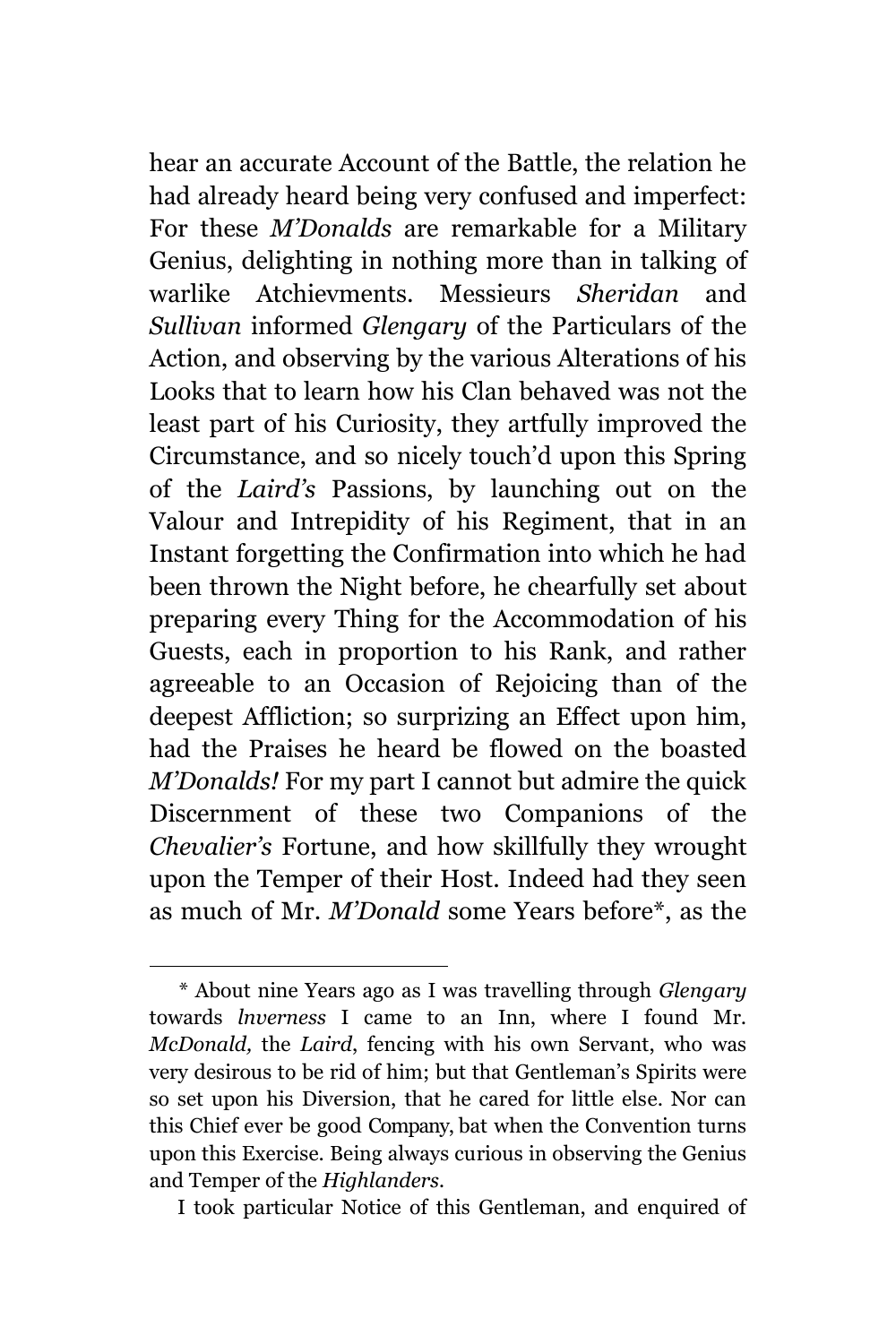hear an accurate Account of the Battle, the relation he had already heard being very confused and imperfect: For these *M'Donalds* are remarkable for a Military Genius, delighting in nothing more than in talking of warlike Atchievments. Messieurs *Sheridan* and *Sullivan* informed *Glengary* of the Particulars of the Action, and observing by the various Alterations of his Looks that to learn how his Clan behaved was not the least part of his Curiosity, they artfully improved the Circumstance, and so nicely touch'd upon this Spring of the *Laird's* Passions, by launching out on the Valour and Intrepidity of his Regiment, that in an Instant forgetting the Confirmation into which he had been thrown the Night before, he chearfully set about preparing every Thing for the Accommodation of his Guests, each in proportion to his Rank, and rather agreeable to an Occasion of Rejoicing than of the deepest Affliction; so surprizing an Effect upon him, had the Praises he heard be flowed on the boasted *M'Donalds!* For my part I cannot but admire the quick Discernment of these two Companions of the *Chevalier's* Fortune, and how skillfully they wrought upon the Temper of their Host. Indeed had they seen as much of Mr. *M'Donald* some Years before\*, as the

÷.

I took particular Notice of this Gentleman, and enquired of

*<sup>\*</sup>* About nine Years ago as I was travelling through *Glengary* towards *lnverness* I came to an Inn, where I found Mr. *McDonald,* the *Laird*, fencing with his own Servant, who was very desirous to be rid of him; but that Gentleman's Spirits were so set upon his Diversion, that he cared for little else. Nor can this Chief ever be good Company, bat when the Convention turns upon this Exercise. Being always curious in observing the Genius and Temper of the *Highlanders.*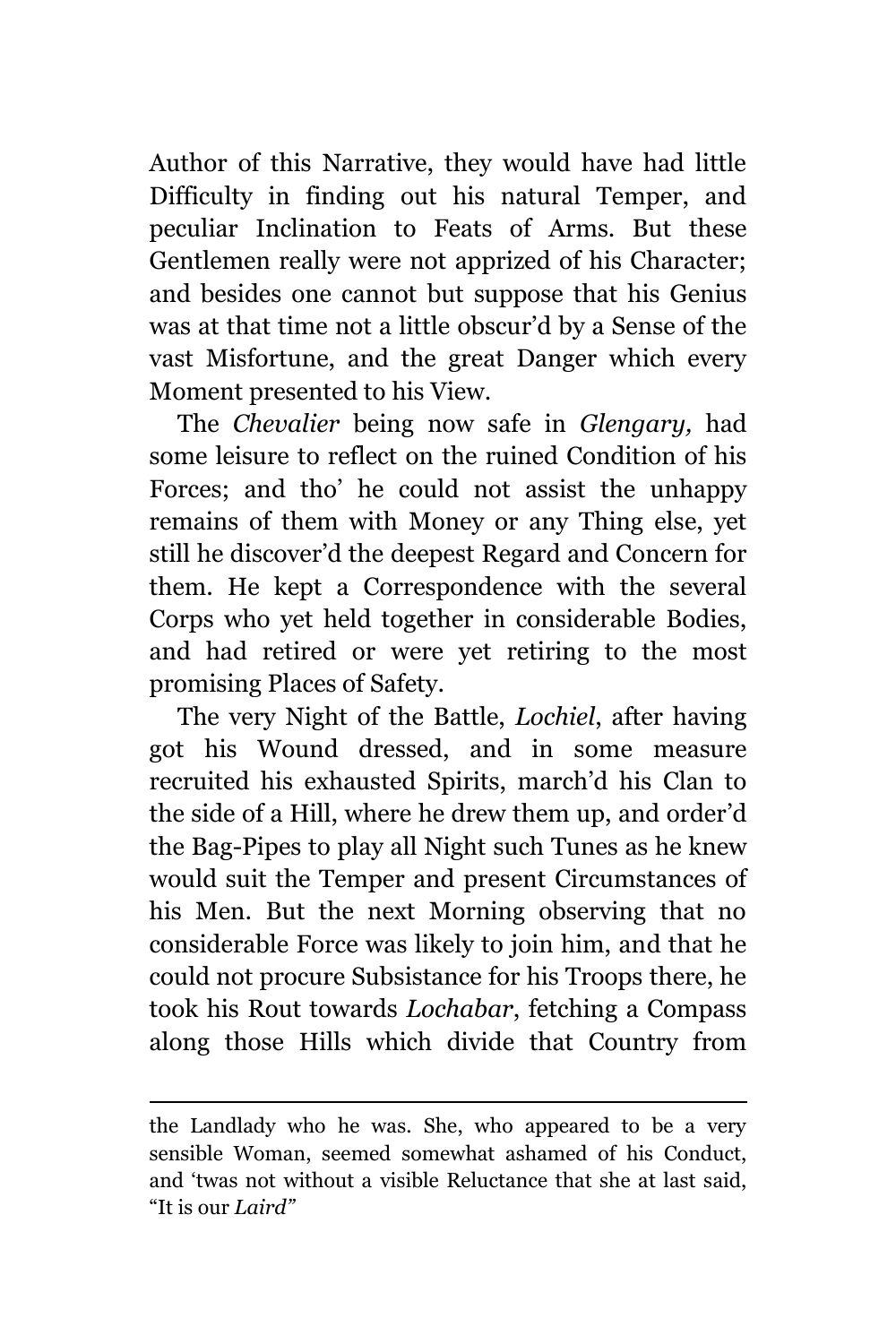Author of this Narrative, they would have had little Difficulty in finding out his natural Temper, and peculiar Inclination to Feats of Arms. But these Gentlemen really were not apprized of his Character; and besides one cannot but suppose that his Genius was at that time not a little obscur'd by a Sense of the vast Misfortune, and the great Danger which every Moment presented to his View.

The *Chevalier* being now safe in *Glengary,* had some leisure to reflect on the ruined Condition of his Forces; and tho' he could not assist the unhappy remains of them with Money or any Thing else, yet still he discover'd the deepest Regard and Concern for them. He kept a Correspondence with the several Corps who yet held together in considerable Bodies, and had retired or were yet retiring to the most promising Places of Safety.

The very Night of the Battle, *Lochiel*, after having got his Wound dressed, and in some measure recruited his exhausted Spirits, march'd his Clan to the side of a Hill, where he drew them up, and order'd the Bag-Pipes to play all Night such Tunes as he knew would suit the Temper and present Circumstances of his Men. But the next Morning observing that no considerable Force was likely to join him, and that he could not procure Subsistance for his Troops there, he took his Rout towards *Lochabar*, fetching a Compass along those Hills which divide that Country from

the Landlady who he was. She, who appeared to be a very sensible Woman, seemed somewhat ashamed of his Conduct, and 'twas not without a visible Reluctance that she at last said, "It is our *Laird"*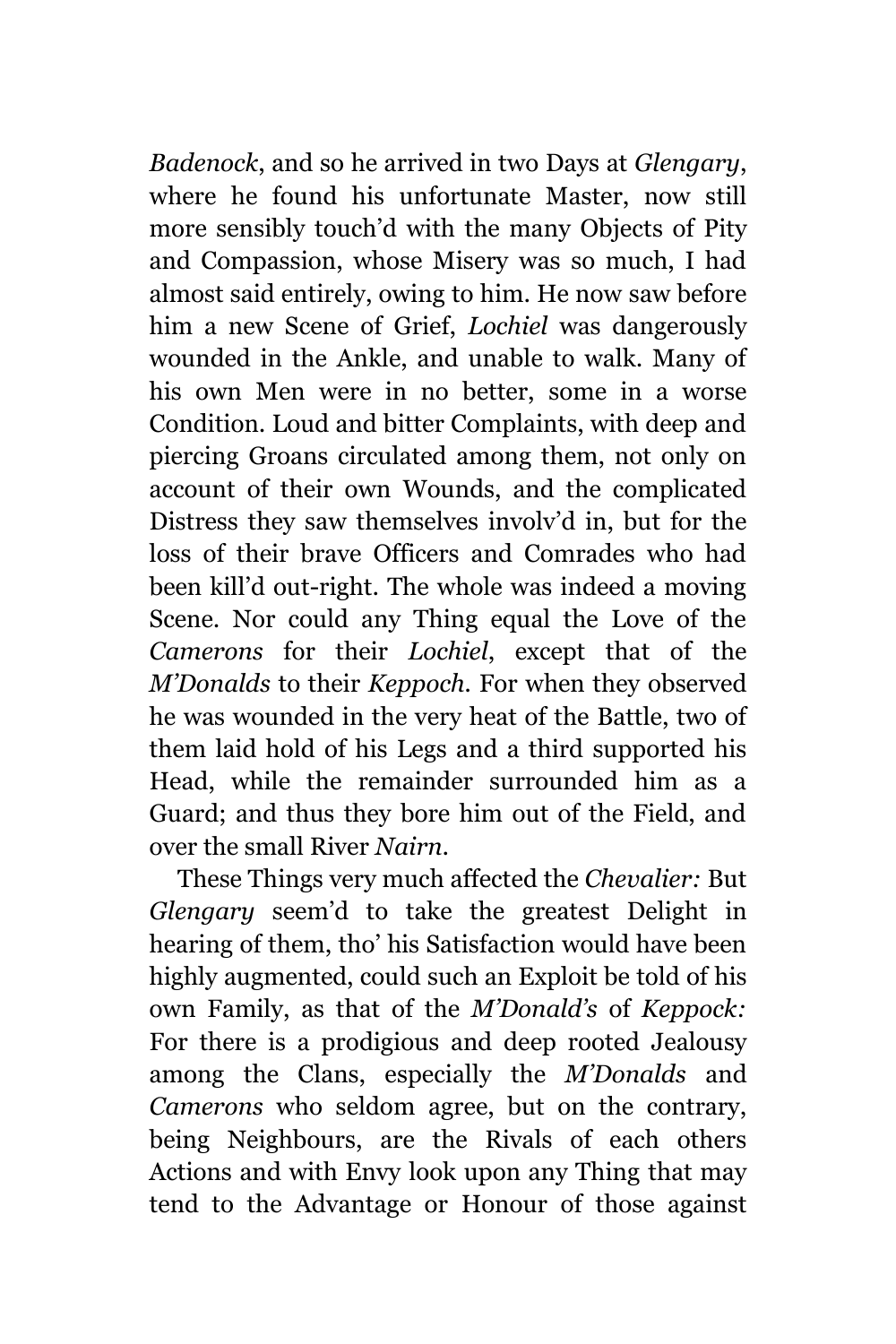*Badenock*, and so he arrived in two Days at *Glengary*, where he found his unfortunate Master, now still more sensibly touch'd with the many Objects of Pity and Compassion, whose Misery was so much, I had almost said entirely, owing to him. He now saw before him a new Scene of Grief, *Lochiel* was dangerously wounded in the Ankle, and unable to walk. Many of his own Men were in no better, some in a worse Condition. Loud and bitter Complaints, with deep and piercing Groans circulated among them, not only on account of their own Wounds, and the complicated Distress they saw themselves involv'd in, but for the loss of their brave Officers and Comrades who had been kill'd out-right. The whole was indeed a moving Scene. Nor could any Thing equal the Love of the *Camerons* for their *Lochiel*, except that of the *M'Donalds* to their *Keppoch.* For when they observed he was wounded in the very heat of the Battle, two of them laid hold of his Legs and a third supported his Head, while the remainder surrounded him as a Guard; and thus they bore him out of the Field, and over the small River *Nairn*.

These Things very much affected the *Chevalier:* But *Glengary* seem'd to take the greatest Delight in hearing of them, tho' his Satisfaction would have been highly augmented, could such an Exploit be told of his own Family, as that of the *M'Donald's* of *Keppock:* For there is a prodigious and deep rooted Jealousy among the Clans, especially the *M'Donalds* and *Camerons* who seldom agree, but on the contrary, being Neighbours, are the Rivals of each others Actions and with Envy look upon any Thing that may tend to the Advantage or Honour of those against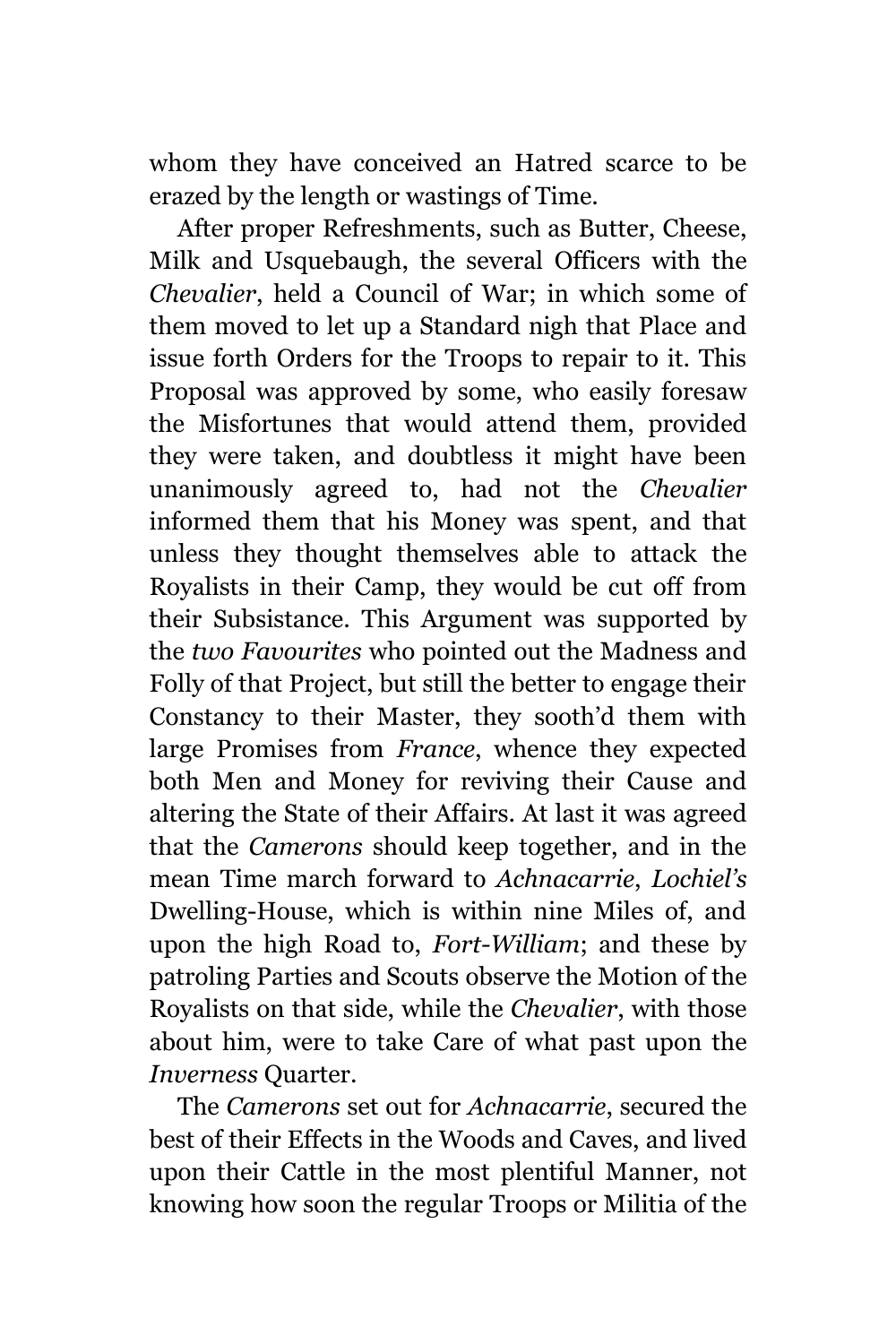whom they have conceived an Hatred scarce to be erazed by the length or wastings of Time.

After proper Refreshments, such as Butter, Cheese, Milk and Usquebaugh, the several Officers with the *Chevalier*, held a Council of War; in which some of them moved to let up a Standard nigh that Place and issue forth Orders for the Troops to repair to it. This Proposal was approved by some, who easily foresaw the Misfortunes that would attend them, provided they were taken, and doubtless it might have been unanimously agreed to, had not the *Chevalier* informed them that his Money was spent, and that unless they thought themselves able to attack the Royalists in their Camp, they would be cut off from their Subsistance. This Argument was supported by the *two Favourites* who pointed out the Madness and Folly of that Project, but still the better to engage their Constancy to their Master, they sooth'd them with large Promises from *France*, whence they expected both Men and Money for reviving their Cause and altering the State of their Affairs. At last it was agreed that the *Camerons* should keep together, and in the mean Time march forward to *Achnacarrie*, *Lochiel's* Dwelling-House, which is within nine Miles of, and upon the high Road to, *Fort-William*; and these by patroling Parties and Scouts observe the Motion of the Royalists on that side, while the *Chevalier*, with those about him, were to take Care of what past upon the *Inverness* Quarter.

The *Camerons* set out for *Achnacarrie*, secured the best of their Effects in the Woods and Caves, and lived upon their Cattle in the most plentiful Manner, not knowing how soon the regular Troops or Militia of the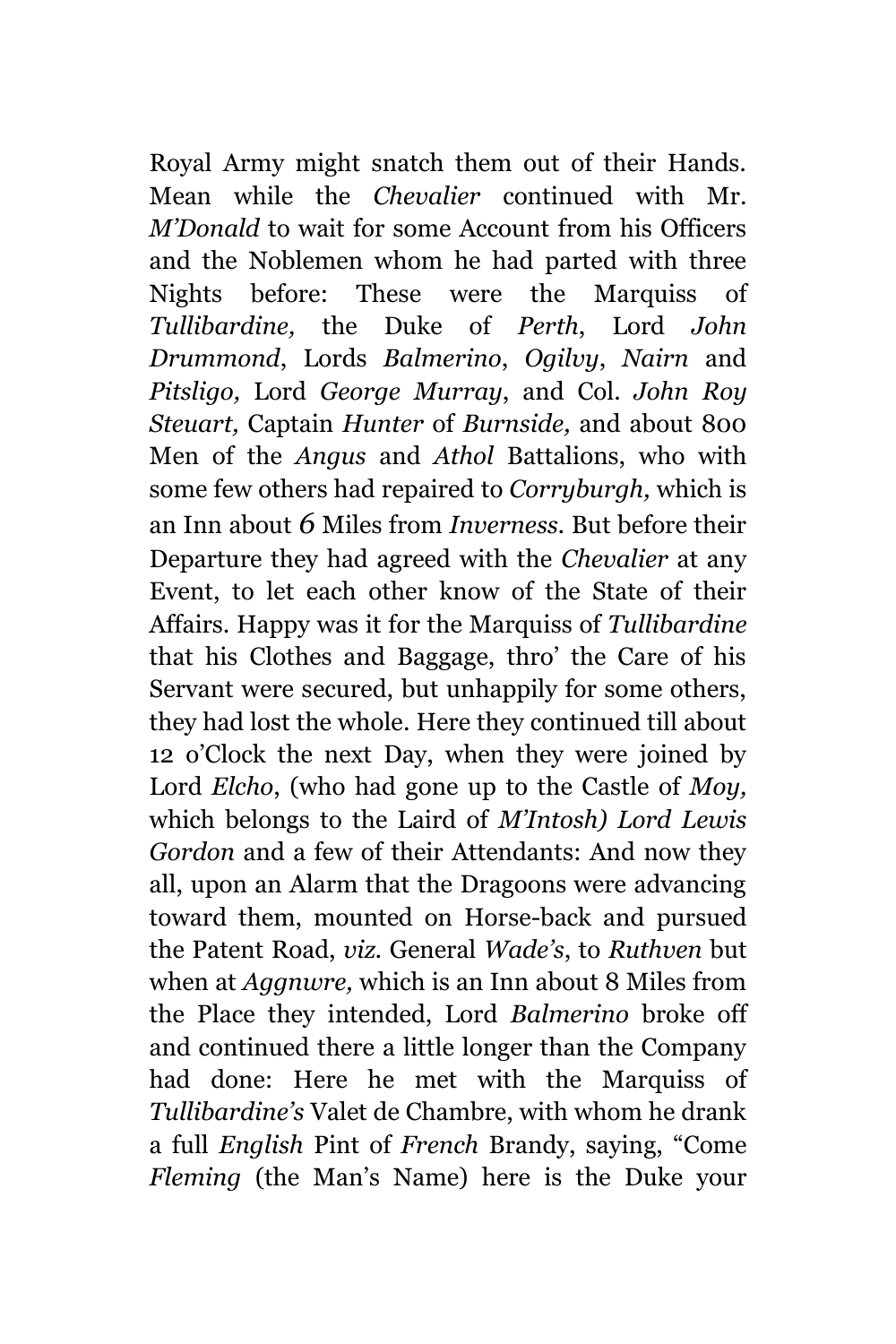Royal Army might snatch them out of their Hands. Mean while the *Chevalier* continued with Mr. *M'Donald* to wait for some Account from his Officers and the Noblemen whom he had parted with three Nights before: These were the Marquiss of *Tullibardine,* the Duke of *Perth*, Lord *John Drummond*, Lords *Balmerino*, *Ogilvy*, *Nairn* and *Pitsligo,* Lord *George Murray*, and Col. *John Roy Steuart,* Captain *Hunter* of *Burnside,* and about 800 Men of the *Angus* and *Athol* Battalions, who with some few others had repaired to *Corryburgh,* which is an Inn about *6* Miles from *Inverness.* But before their Departure they had agreed with the *Chevalier* at any Event, to let each other know of the State of their Affairs. Happy was it for the Marquiss of *Tullibardine* that his Clothes and Baggage, thro' the Care of his Servant were secured, but unhappily for some others, they had lost the whole. Here they continued till about 12 o'Clock the next Day, when they were joined by Lord *Elcho*, (who had gone up to the Castle of *Moy,* which belongs to the Laird of *M'Intosh) Lord Lewis Gordon* and a few of their Attendants: And now they all, upon an Alarm that the Dragoons were advancing toward them, mounted on Horse-back and pursued the Patent Road, *viz.* General *Wade's*, to *Ruthven* but when at *Aggnwre,* which is an Inn about 8 Miles from the Place they intended, Lord *Balmerino* broke off and continued there a little longer than the Company had done: Here he met with the Marquiss of *Tullibardine's* Valet de Chambre, with whom he drank a full *English* Pint of *French* Brandy, saying, "Come *Fleming* (the Man's Name) here is the Duke your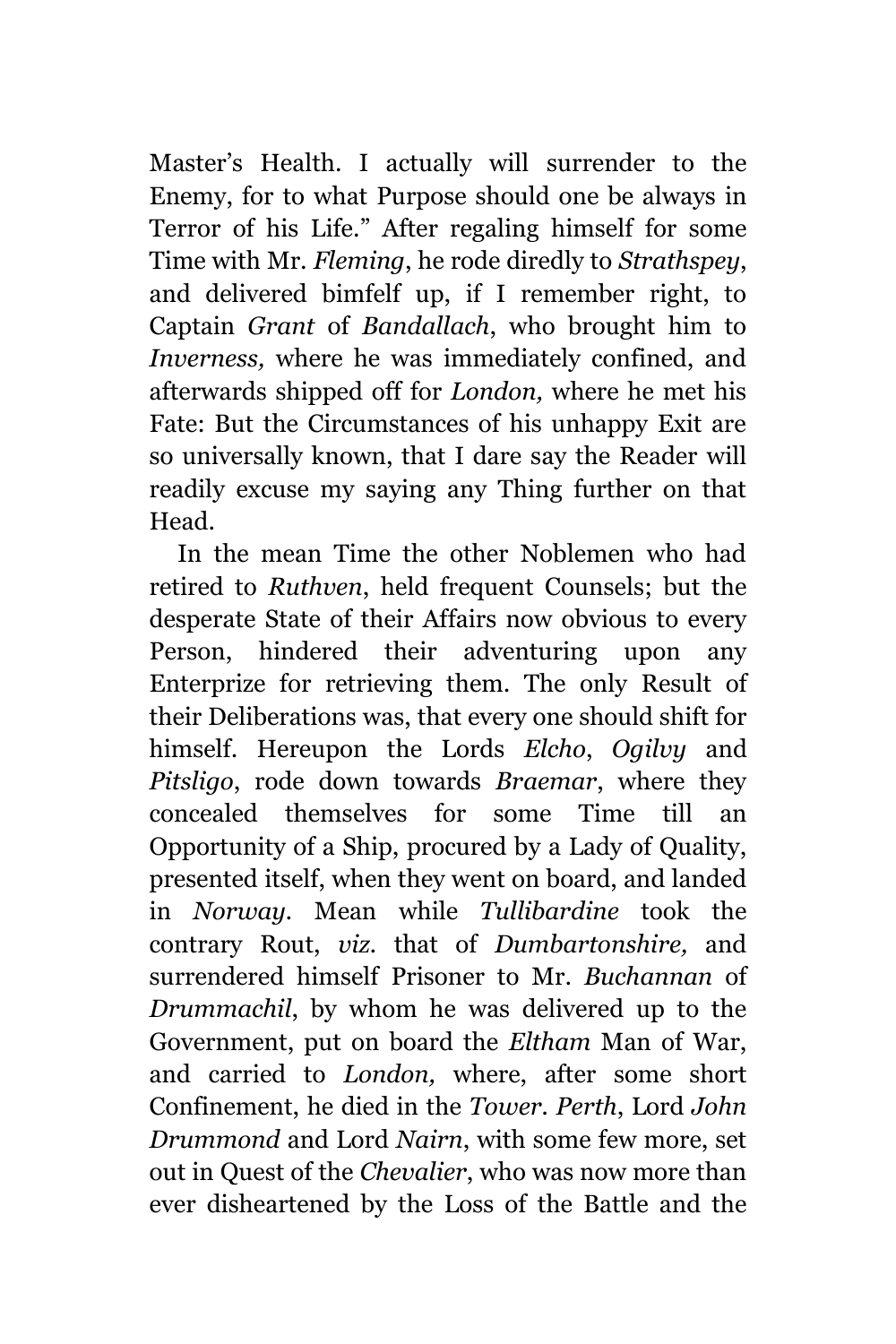Master's Health. I actually will surrender to the Enemy, for to what Purpose should one be always in Terror of his Life." After regaling himself for some Time with Mr. *Fleming*, he rode diredly to *Strathspey*, and delivered bimfelf up, if I remember right, to Captain *Grant* of *Bandallach*, who brought him to *Inverness,* where he was immediately confined, and afterwards shipped off for *London,* where he met his Fate: But the Circumstances of his unhappy Exit are so universally known, that I dare say the Reader will readily excuse my saying any Thing further on that Head.

In the mean Time the other Noblemen who had retired to *Ruthven*, held frequent Counsels; but the desperate State of their Affairs now obvious to every Person, hindered their adventuring upon any Enterprize for retrieving them. The only Result of their Deliberations was, that every one should shift for himself. Hereupon the Lords *Elcho*, *Ogilvy* and *Pitsligo*, rode down towards *Braemar*, where they concealed themselves for some Time till an Opportunity of a Ship, procured by a Lady of Quality, presented itself, when they went on board, and landed in *Norway.* Mean while *Tullibardine* took the contrary Rout, *viz.* that of *Dumbartonshire,* and surrendered himself Prisoner to Mr. *Buchannan* of *Drummachil*, by whom he was delivered up to the Government, put on board the *Eltham* Man of War, and carried to *London,* where, after some short Confinement, he died in the *Tower. Perth*, Lord *John Drummond* and Lord *Nairn*, with some few more, set out in Quest of the *Chevalier*, who was now more than ever disheartened by the Loss of the Battle and the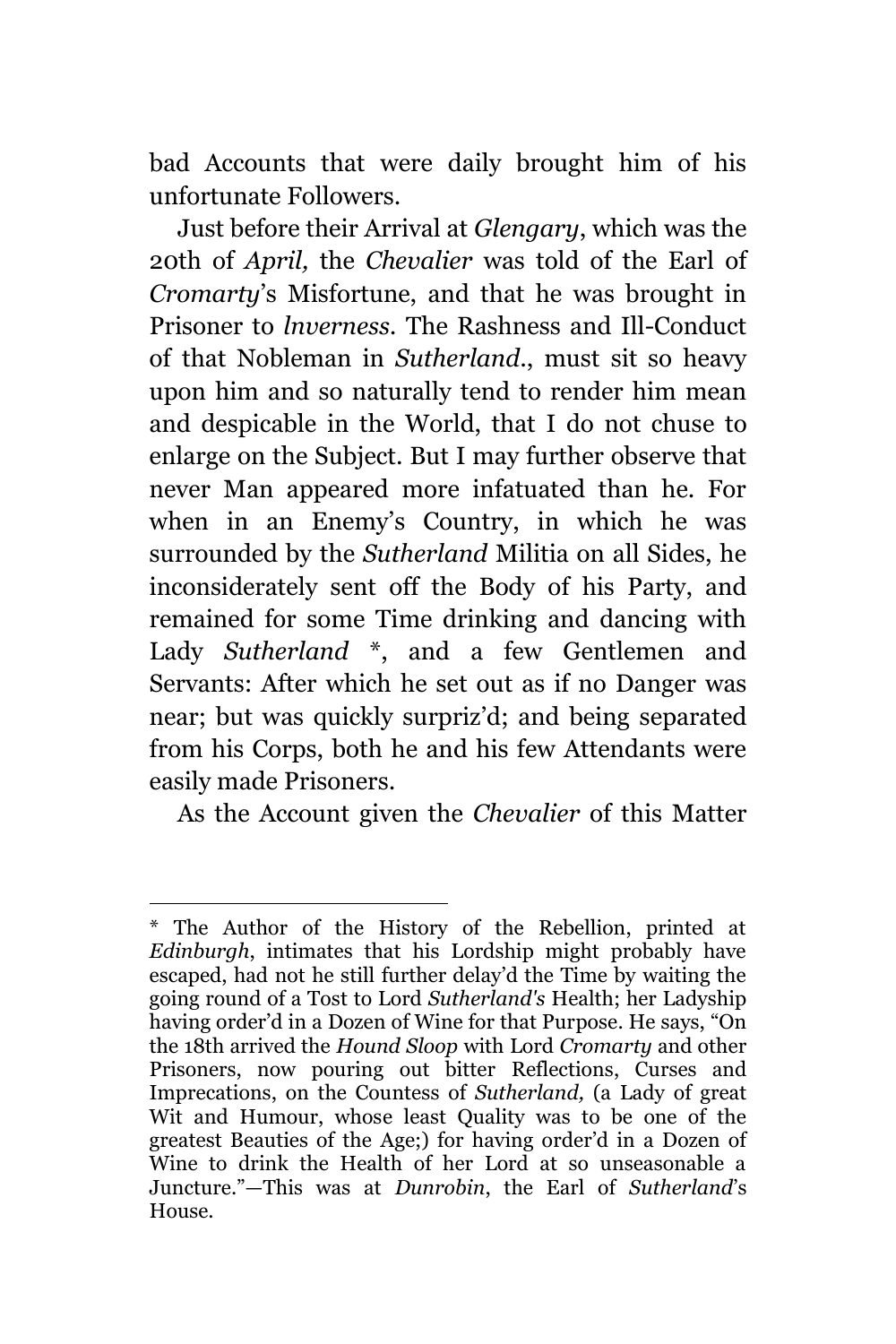bad Accounts that were daily brought him of his unfortunate Followers.

Just before their Arrival at *Glengary*, which was the 20th of *April,* the *Chevalier* was told of the Earl of *Cromarty*'s Misfortune, and that he was brought in Prisoner to *lnverness.* The Rashness and Ill-Conduct of that Nobleman in *Sutherland*., must sit so heavy upon him and so naturally tend to render him mean and despicable in the World, that I do not chuse to enlarge on the Subject. But I may further observe that never Man appeared more infatuated than he. For when in an Enemy's Country, in which he was surrounded by the *Sutherland* Militia on all Sides, he inconsiderately sent off the Body of his Party, and remained for some Time drinking and dancing with Lady *Sutherland* \*, and a few Gentlemen and Servants: After which he set out as if no Danger was near; but was quickly surpriz'd; and being separated from his Corps, both he and his few Attendants were easily made Prisoners.

As the Account given the *Chevalier* of this Matter

<sup>÷.</sup> \* The Author of the History of the Rebellion, printed at *Edinburgh*, intimates that his Lordship might probably have escaped, had not he still further delay'd the Time by waiting the going round of a Tost to Lord *Sutherland's* Health; her Ladyship having order'd in a Dozen of Wine for that Purpose. He says, "On the 18th arrived the *Hound Sloop* with Lord *Cromarty* and other Prisoners, now pouring out bitter Reflections, Curses and Imprecations, on the Countess of *Sutherland,* (a Lady of great Wit and Humour, whose least Quality was to be one of the greatest Beauties of the Age;) for having order'd in a Dozen of Wine to drink the Health of her Lord at so unseasonable a Juncture."—This was at *Dunrobin*, the Earl of *Sutherland*'s House.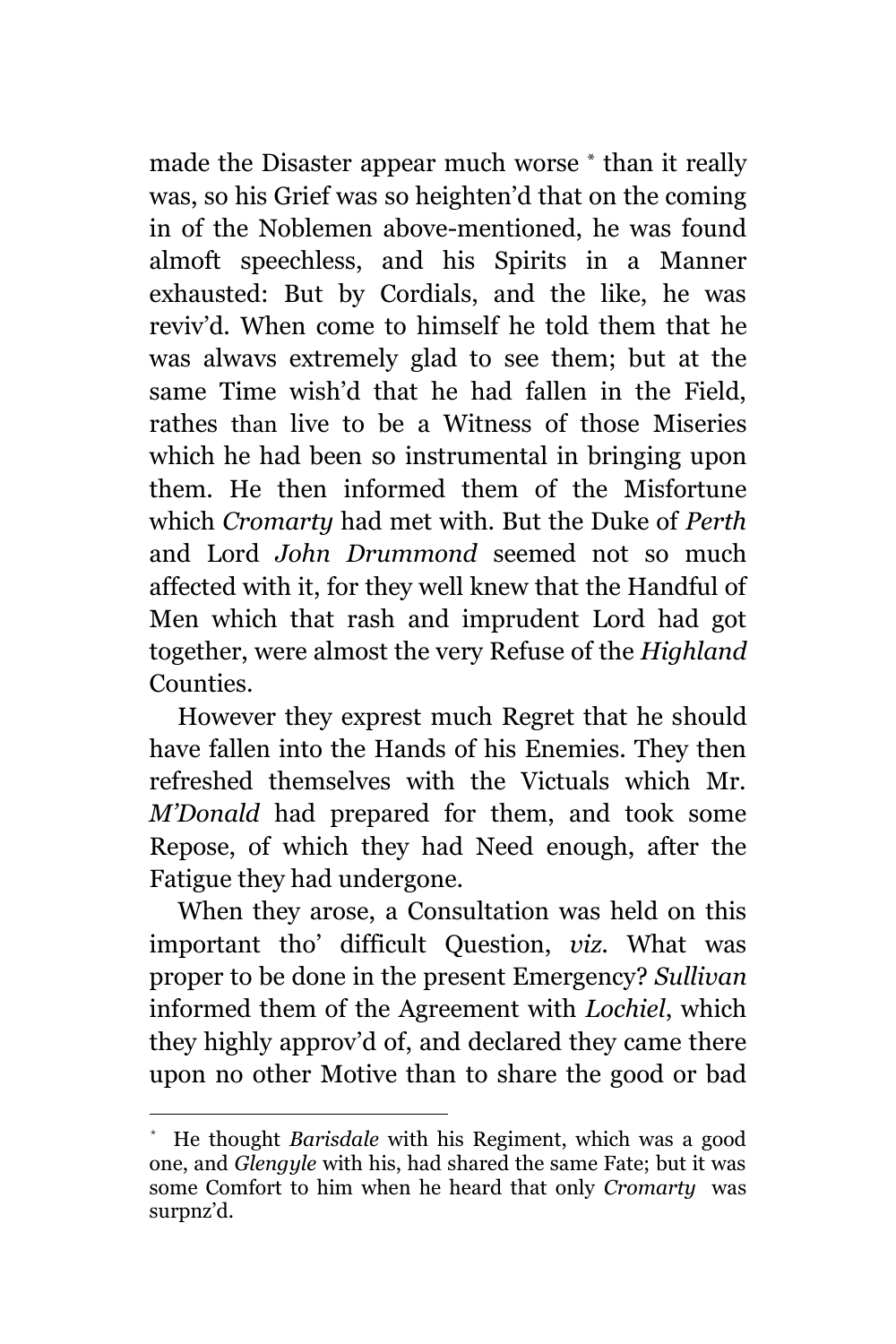made the Disaster appear much worse \* than it really was, so his Grief was so heighten'd that on the coming in of the Noblemen above-mentioned, he was found almoft speechless, and his Spirits in a Manner exhausted: But by Cordials, and the like, he was reviv'd. When come to himself he told them that he was alwavs extremely glad to see them; but at the same Time wish'd that he had fallen in the Field, rathes than live to be a Witness of those Miseries which he had been so instrumental in bringing upon them. He then informed them of the Misfortune which *Cromarty* had met with. But the Duke of *Perth* and Lord *John Drummond* seemed not so much affected with it, for they well knew that the Handful of Men which that rash and imprudent Lord had got together, were almost the very Refuse of the *Highland* Counties.

However they exprest much Regret that he should have fallen into the Hands of his Enemies. They then refreshed themselves with the Victuals which Mr. *M'Donald* had prepared for them, and took some Repose, of which they had Need enough, after the Fatigue they had undergone.

When they arose, a Consultation was held on this important tho' difficult Question, *viz.* What was proper to be done in the present Emergency? *Sullivan* informed them of the Agreement with *Lochiel*, which they highly approv'd of, and declared they came there upon no other Motive than to share the good or bad

<sup>\*</sup> He thought *Barisdale* with his Regiment, which was a good one, and *Glengyle* with his, had shared the same Fate; but it was some Comfort to him when he heard that only *Cromarty* was surpnz'd.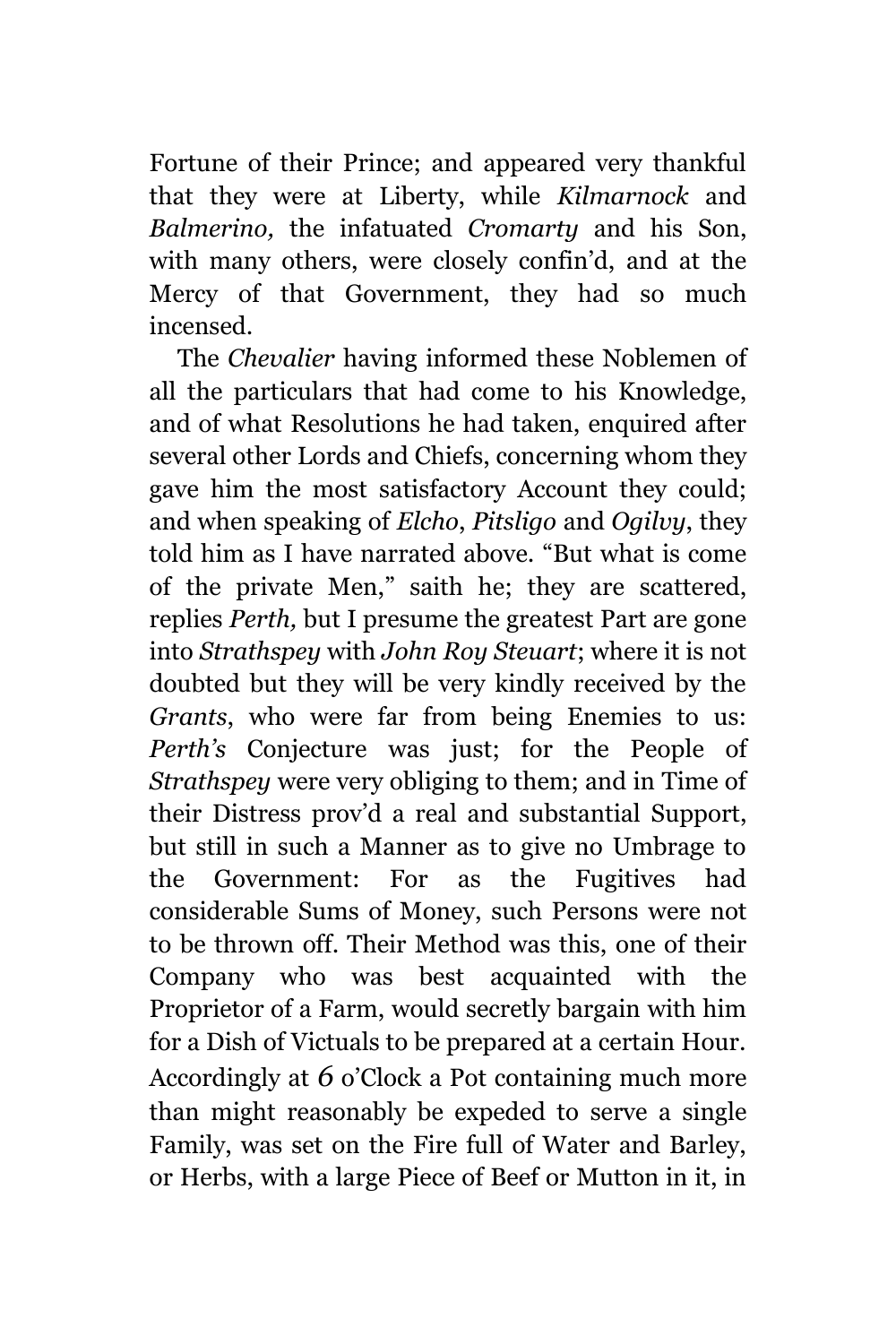Fortune of their Prince; and appeared very thankful that they were at Liberty, while *Kilmarnock* and *Balmerino,* the infatuated *Cromarty* and his Son, with many others, were closely confin'd, and at the Mercy of that Government, they had so much incensed.

The *Chevalier* having informed these Noblemen of all the particulars that had come to his Knowledge, and of what Resolutions he had taken, enquired after several other Lords and Chiefs, concerning whom they gave him the most satisfactory Account they could; and when speaking of *Elcho*, *Pitsligo* and *Ogilvy*, they told him as I have narrated above. "But what is come of the private Men," saith he; they are scattered, replies *Perth,* but I presume the greatest Part are gone into *Strathspey* with *John Roy Steuart*; where it is not doubted but they will be very kindly received by the *Grants*, who were far from being Enemies to us: *Perth's* Conjecture was just; for the People of *Strathspey* were very obliging to them; and in Time of their Distress prov'd a real and substantial Support, but still in such a Manner as to give no Umbrage to the Government: For as the Fugitives had considerable Sums of Money, such Persons were not to be thrown off. Their Method was this, one of their Company who was best acquainted with the Proprietor of a Farm, would secretly bargain with him for a Dish of Victuals to be prepared at a certain Hour. Accordingly at *6* o'Clock a Pot containing much more than might reasonably be expeded to serve a single Family, was set on the Fire full of Water and Barley, or Herbs, with a large Piece of Beef or Mutton in it, in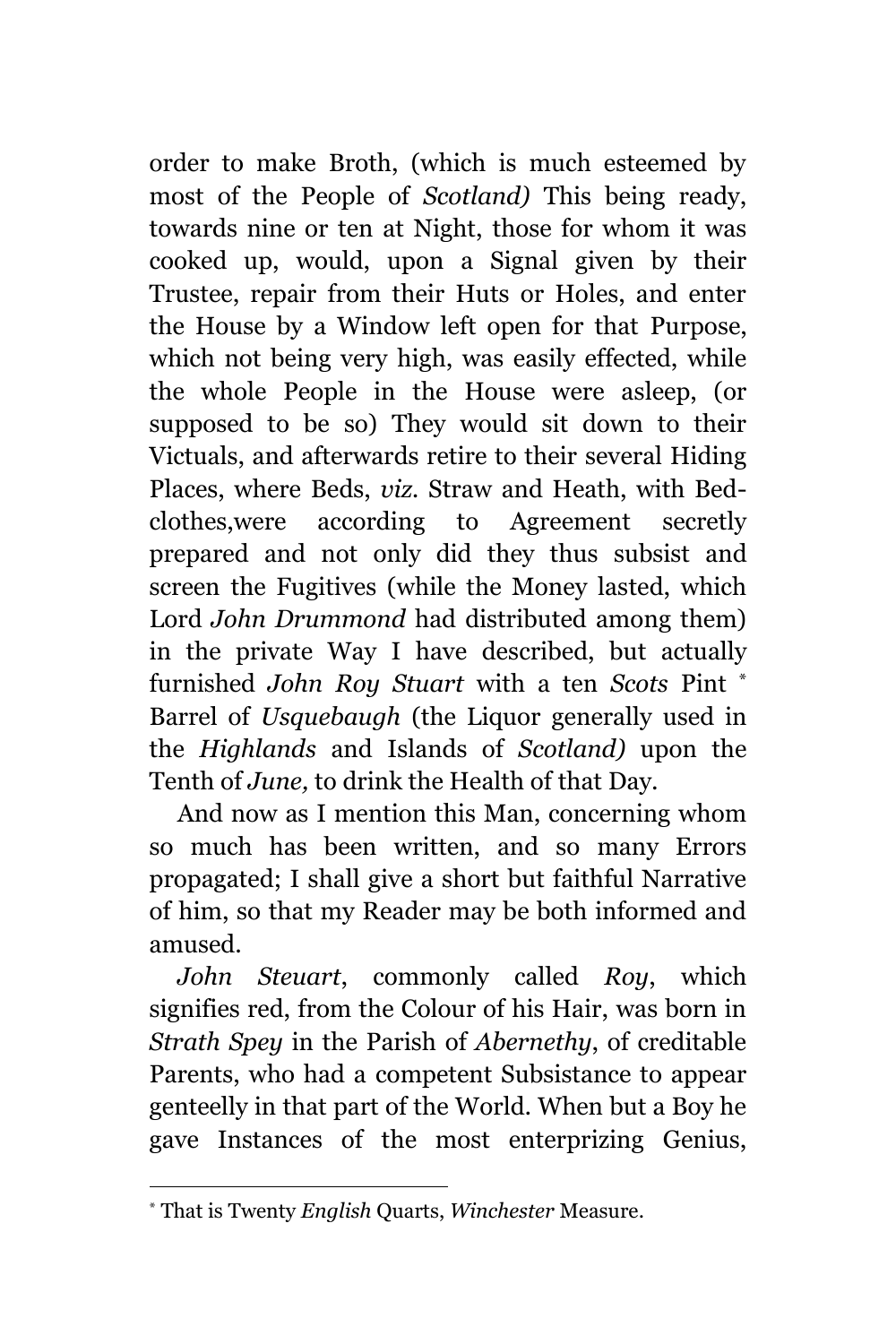order to make Broth, (which is much esteemed by most of the People of *Scotland)* This being ready, towards nine or ten at Night, those for whom it was cooked up, would, upon a Signal given by their Trustee, repair from their Huts or Holes, and enter the House by a Window left open for that Purpose, which not being very high, was easily effected, while the whole People in the House were asleep, (or supposed to be so) They would sit down to their Victuals, and afterwards retire to their several Hiding Places, where Beds, *viz.* Straw and Heath, with Bedclothes,were according to Agreement secretly prepared and not only did they thus subsist and screen the Fugitives (while the Money lasted, which Lord *John Drummond* had distributed among them) in the private Way I have described, but actually furnished *John Roy Stuart* with a ten *Scots* Pint \* Barrel of *Usquebaugh* (the Liquor generally used in the *Highlands* and Islands of *Scotland)* upon the Tenth of *June,* to drink the Health of that Day.

And now as I mention this Man, concerning whom so much has been written, and so many Errors propagated; I shall give a short but faithful Narrative of him, so that my Reader may be both informed and amused.

*John Steuart*, commonly called *Roy*, which signifies red, from the Colour of his Hair, was born in *Strath Spey* in the Parish of *Abernethy*, of creditable Parents, who had a competent Subsistance to appear genteelly in that part of the World. When but a Boy he gave Instances of the most enterprizing Genius,

<sup>\*</sup> That is Twenty *English* Quarts, *Winchester* Measure.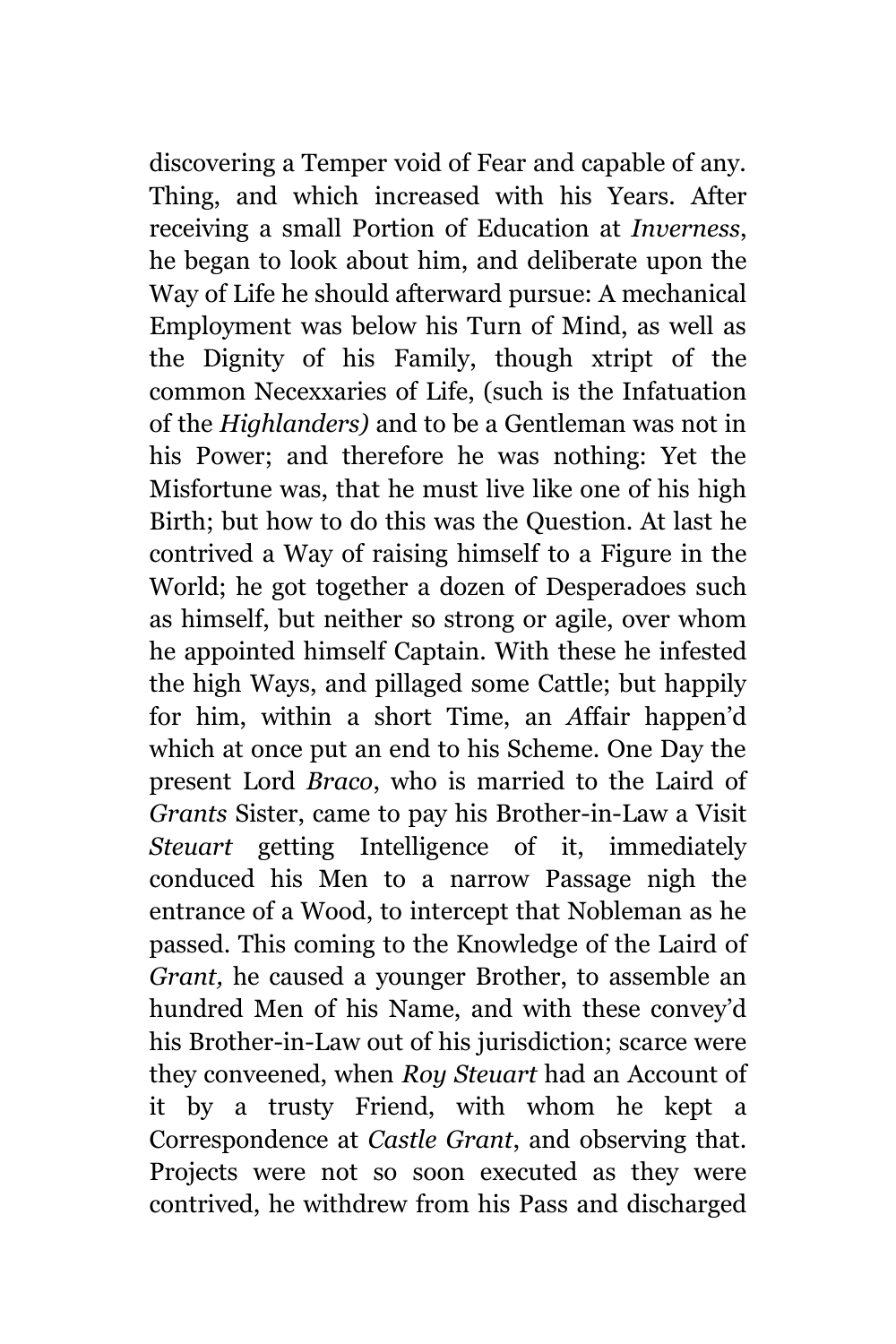discovering a Temper void of Fear and capable of any. Thing, and which increased with his Years. After receiving a small Portion of Education at *Inverness*, he began to look about him, and deliberate upon the Way of Life he should afterward pursue: A mechanical Employment was below his Turn of Mind, as well as the Dignity of his Family, though xtript of the common Necexxaries of Life, (such is the Infatuation of the *Highlanders)* and to be a Gentleman was not in his Power; and therefore he was nothing: Yet the Misfortune was, that he must live like one of his high Birth; but how to do this was the Question. At last he contrived a Way of raising himself to a Figure in the World; he got together a dozen of Desperadoes such as himself, but neither so strong or agile, over whom he appointed himself Captain. With these he infested the high Ways, and pillaged some Cattle; but happily for him, within a short Time, an *A*ffair happen'd which at once put an end to his Scheme. One Day the present Lord *Braco*, who is married to the Laird of *Grants* Sister, came to pay his Brother-in-Law a Visit *Steuart* getting Intelligence of it, immediately conduced his Men to a narrow Passage nigh the entrance of a Wood, to intercept that Nobleman as he passed. This coming to the Knowledge of the Laird of *Grant,* he caused a younger Brother, to assemble an hundred Men of his Name, and with these convey'd his Brother-in-Law out of his jurisdiction; scarce were they conveened, when *Roy Steuart* had an Account of it by a trusty Friend, with whom he kept a Correspondence at *Castle Grant*, and observing that. Projects were not so soon executed as they were contrived, he withdrew from his Pass and discharged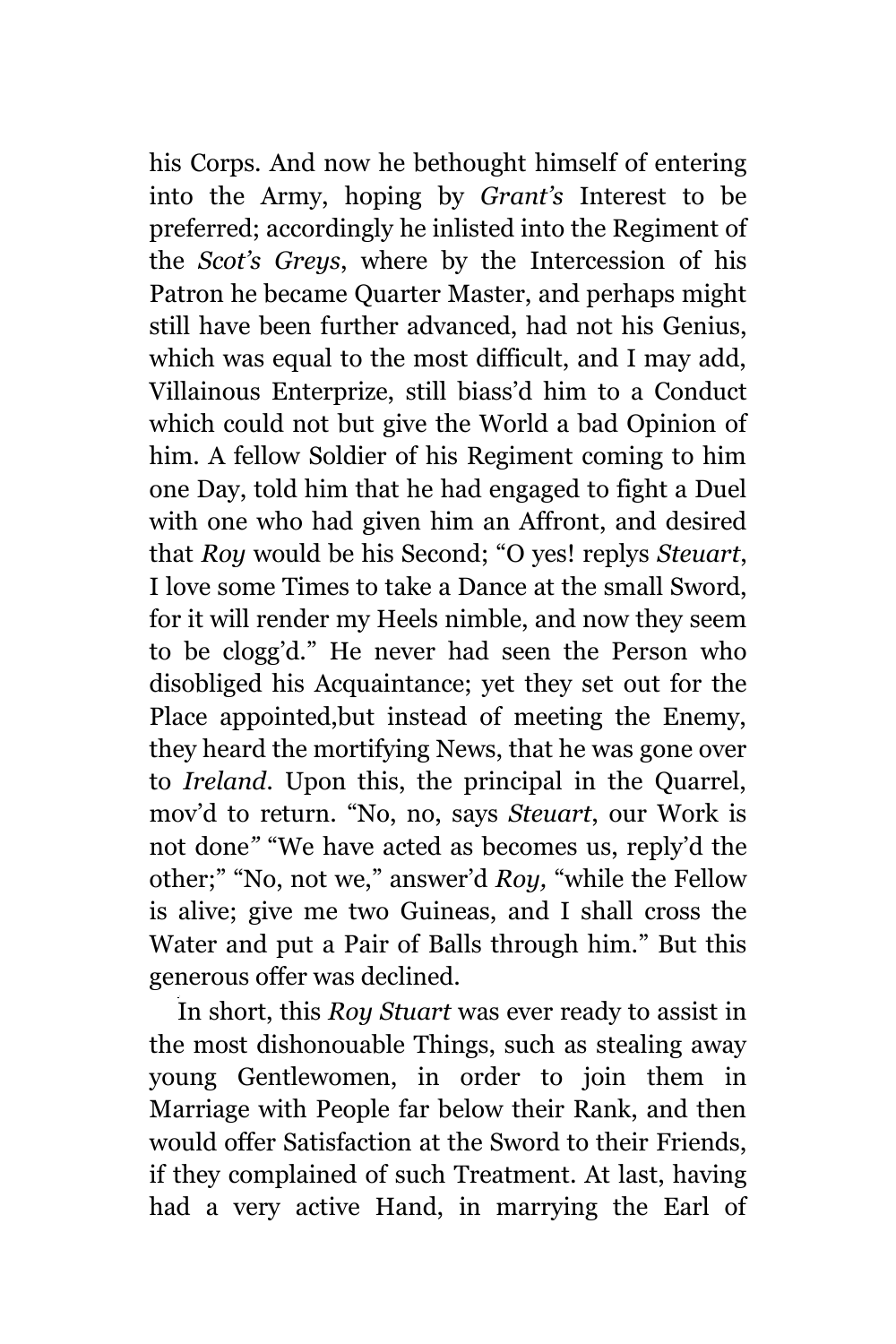his Corps. And now he bethought himself of entering into the Army, hoping by *Grant's* Interest to be preferred; accordingly he inlisted into the Regiment of the *Scot's Greys*, where by the Intercession of his Patron he became Quarter Master, and perhaps might still have been further advanced, had not his Genius, which was equal to the most difficult, and I may add, Villainous Enterprize, still biass'd him to a Conduct which could not but give the World a bad Opinion of him. A fellow Soldier of his Regiment coming to him one Day, told him that he had engaged to fight a Duel with one who had given him an Affront, and desired that *Roy* would be his Second; "O yes! replys *Steuart*, I love some Times to take a Dance at the small Sword, for it will render my Heels nimble, and now they seem to be clogg'd." He never had seen the Person who disobliged his Acquaintance; yet they set out for the Place appointed,but instead of meeting the Enemy, they heard the mortifying News, that he was gone over to *Ireland.* Upon this, the principal in the Quarrel, mov'd to return. "No, no, says *Steuart*, our Work is not done*"* "We have acted as becomes us, reply'd the other;" "No, not we," answer'd *Roy,* "while the Fellow is alive; give me two Guineas, and I shall cross the Water and put a Pair of Balls through him." But this generous offer was declined.

In short, this *Roy Stuart* was ever ready to assist in the most dishonouable Things, such as stealing away young Gentlewomen, in order to join them in Marriage with People far below their Rank, and then would offer Satisfaction at the Sword to their Friends, if they complained of such Treatment. At last, having had a very active Hand, in marrying the Earl of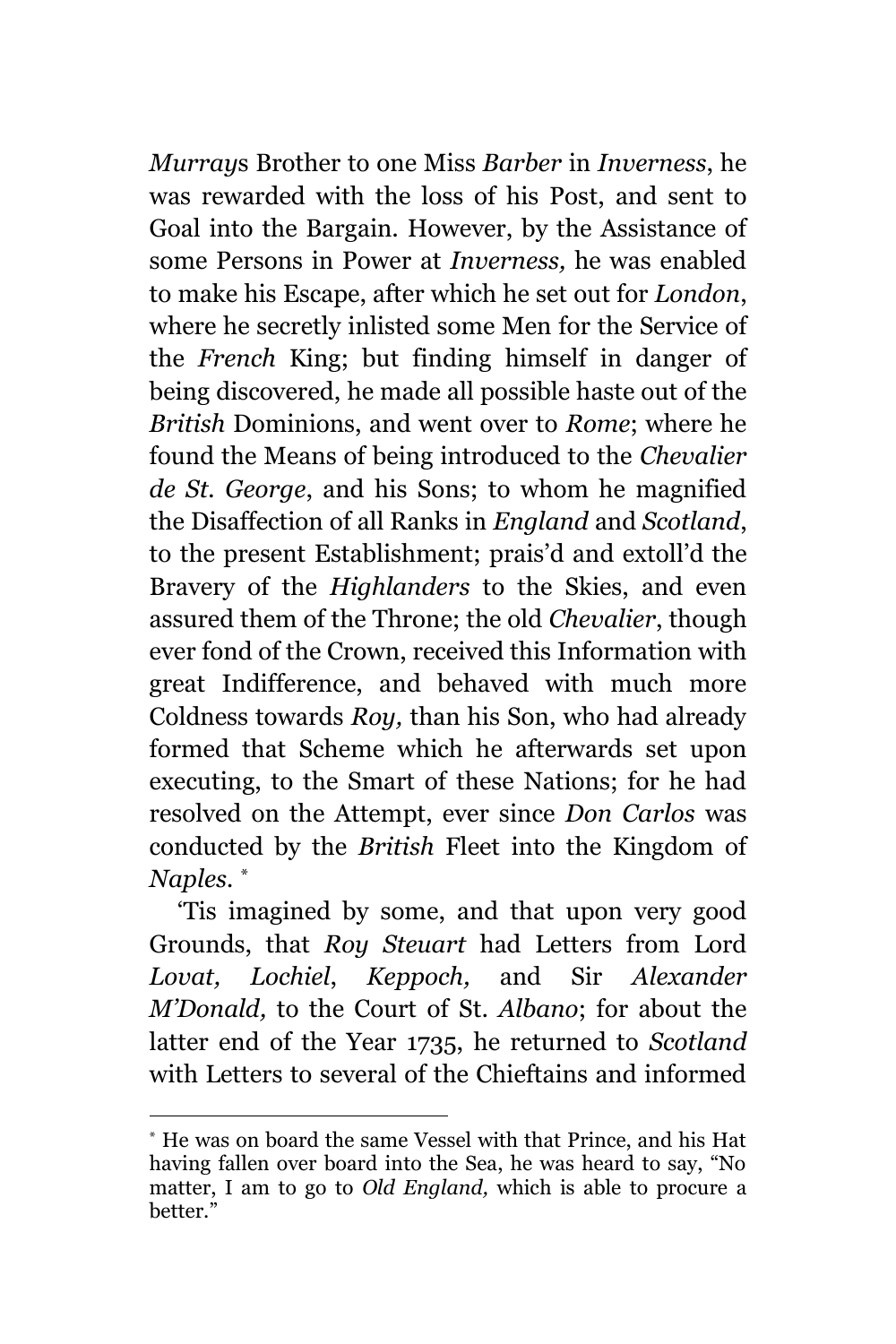*Murray*s Brother to one Miss *Barber* in *Inverness*, he was rewarded with the loss of his Post, and sent to Goal into the Bargain. However, by the Assistance of some Persons in Power at *Inverness,* he was enabled to make his Escape, after which he set out for *London*, where he secretly inlisted some Men for the Service of the *French* King; but finding himself in danger of being discovered, he made all possible haste out of the *British* Dominions, and went over to *Rome*; where he found the Means of being introduced to the *Chevalier de St. George*, and his Sons; to whom he magnified the Disaffection of all Ranks in *England* and *Scotland*, to the present Establishment; prais'd and extoll'd the Bravery of the *Highlanders* to the Skies, and even assured them of the Throne; the old *Chevalier*, though ever fond of the Crown, received this Information with great Indifference, and behaved with much more Coldness towards *Roy,* than his Son, who had already formed that Scheme which he afterwards set upon executing, to the Smart of these Nations; for he had resolved on the Attempt, ever since *Don Carlos* was conducted by the *British* Fleet into the Kingdom of *Naples. \**

'Tis imagined by some, and that upon very good Grounds, that *Roy Steuart* had Letters from Lord *Lovat, Lochiel*, *Keppoch,* and Sir *Alexander M'Donald,* to the Court of St. *Albano*; for about the latter end of the Year 1735, he returned to *Scotland* with Letters to several of the Chieftains and informed

<sup>\*</sup> He was on board the same Vessel with that Prince, and his Hat having fallen over board into the Sea, he was heard to say, "No matter, I am to go to *Old England,* which is able to procure a better."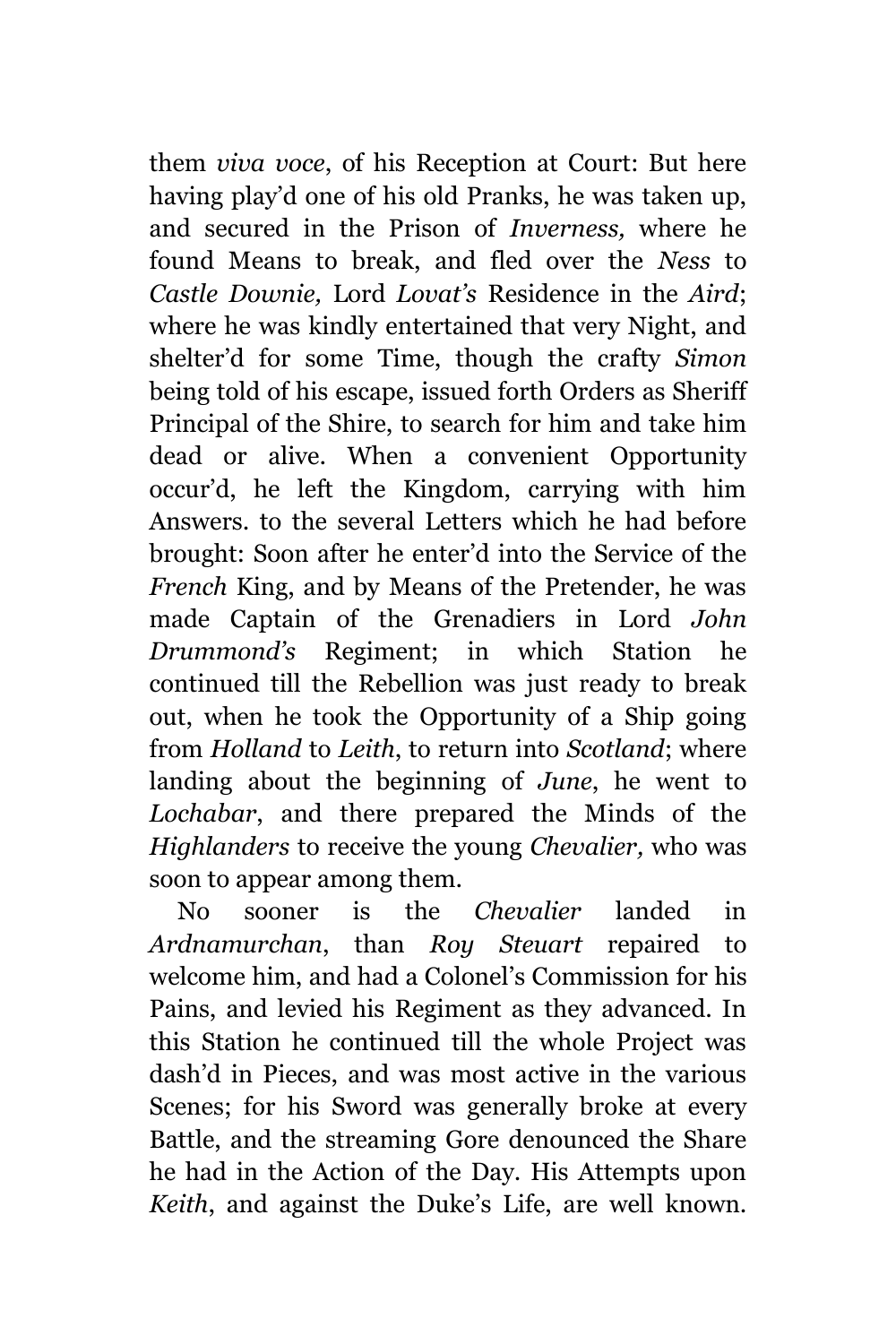them *viva voce*, of his Reception at Court: But here having play'd one of his old Pranks, he was taken up, and secured in the Prison of *Inverness,* where he found Means to break, and fled over the *Ness* to *Castle Downie,* Lord *Lovat's* Residence in the *Aird*; where he was kindly entertained that very Night, and shelter'd for some Time, though the crafty *Simon* being told of his escape, issued forth Orders as Sheriff Principal of the Shire, to search for him and take him dead or alive. When a convenient Opportunity occur'd, he left the Kingdom, carrying with him Answers. to the several Letters which he had before brought: Soon after he enter'd into the Service of the *French* King, and by Means of the Pretender, he was made Captain of the Grenadiers in Lord *John Drummond's* Regiment; in which Station he continued till the Rebellion was just ready to break out, when he took the Opportunity of a Ship going from *Holland* to *Leith*, to return into *Scotland*; where landing about the beginning of *June*, he went to *Lochabar*, and there prepared the Minds of the *Highlanders* to receive the young *Chevalier,* who was soon to appear among them.

No sooner is the *Chevalier* landed in *Ardnamurchan*, than *Roy Steuart* repaired to welcome him, and had a Colonel's Commission for his Pains, and levied his Regiment as they advanced. In this Station he continued till the whole Project was dash'd in Pieces, and was most active in the various Scenes; for his Sword was generally broke at every Battle, and the streaming Gore denounced the Share he had in the Action of the Day. His Attempts upon *Keith*, and against the Duke's Life, are well known.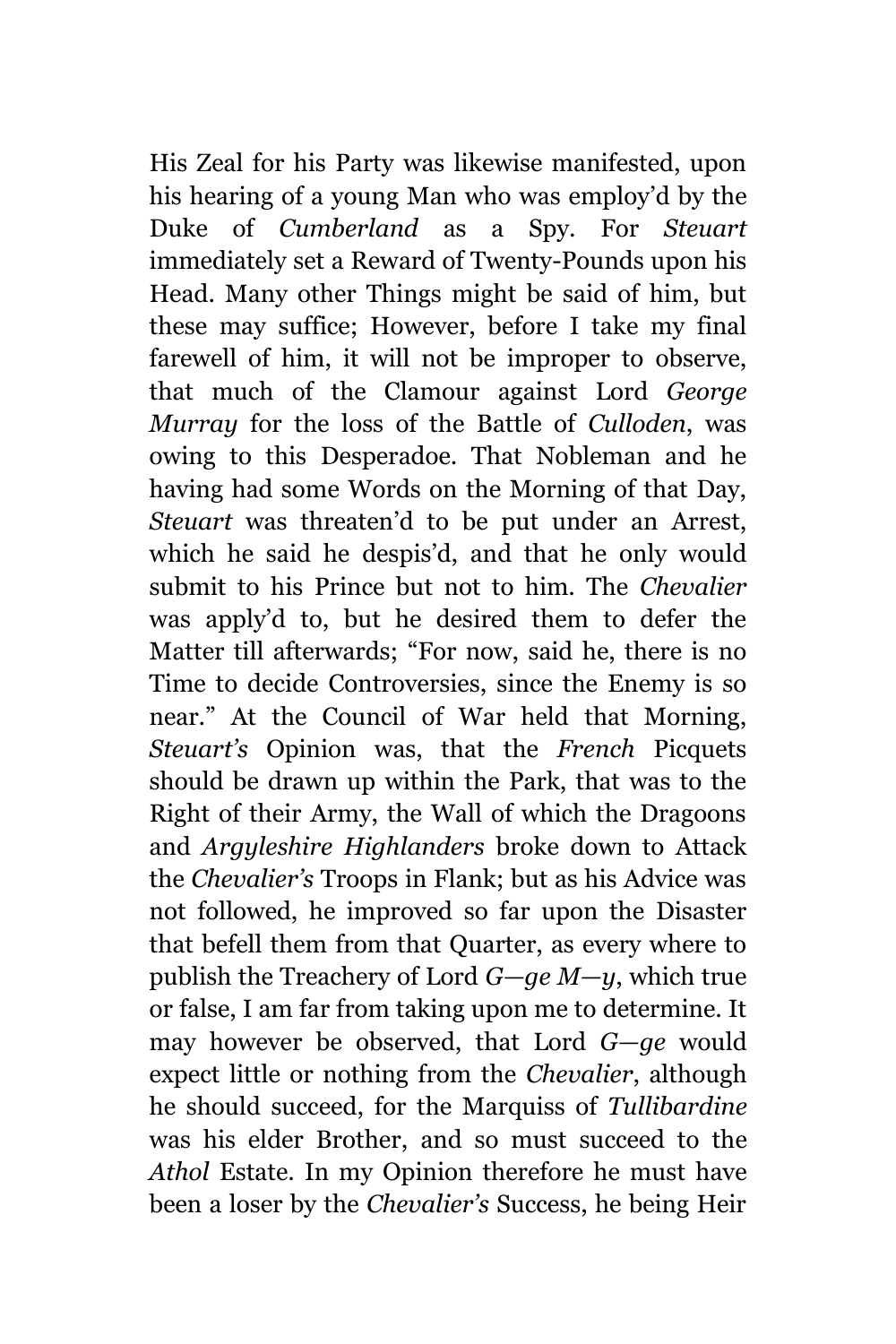His Zeal for his Party was likewise manifested, upon his hearing of a young Man who was employ'd by the Duke of *Cumberland* as a Spy. For *Steuart* immediately set a Reward of Twenty-Pounds upon his Head. Many other Things might be said of him, but these may suffice; However, before I take my final farewell of him, it will not be improper to observe, that much of the Clamour against Lord *George Murray* for the loss of the Battle of *Culloden*, was owing to this Desperadoe. That Nobleman and he having had some Words on the Morning of that Day, *Steuart* was threaten'd to be put under an Arrest, which he said he despis'd, and that he only would submit to his Prince but not to him. The *Chevalier* was apply'd to, but he desired them to defer the Matter till afterwards; "For now, said he, there is no Time to decide Controversies, since the Enemy is so near." At the Council of War held that Morning, *Steuart's* Opinion was, that the *French* Picquets should be drawn up within the Park, that was to the Right of their Army, the Wall of which the Dragoons and *Argyleshire Highlanders* broke down to Attack the *Chevalier's* Troops in Flank; but as his Advice was not followed, he improved so far upon the Disaster that befell them from that Quarter, as every where to publish the Treachery of Lord *G—ge M—y*, which true or false, I am far from taking upon me to determine. It may however be observed, that Lord *G—ge* would expect little or nothing from the *Chevalier*, although he should succeed, for the Marquiss of *Tullibardine* was his elder Brother, and so must succeed to the *Athol* Estate. In my Opinion therefore he must have been a loser by the *Chevalier's* Success, he being Heir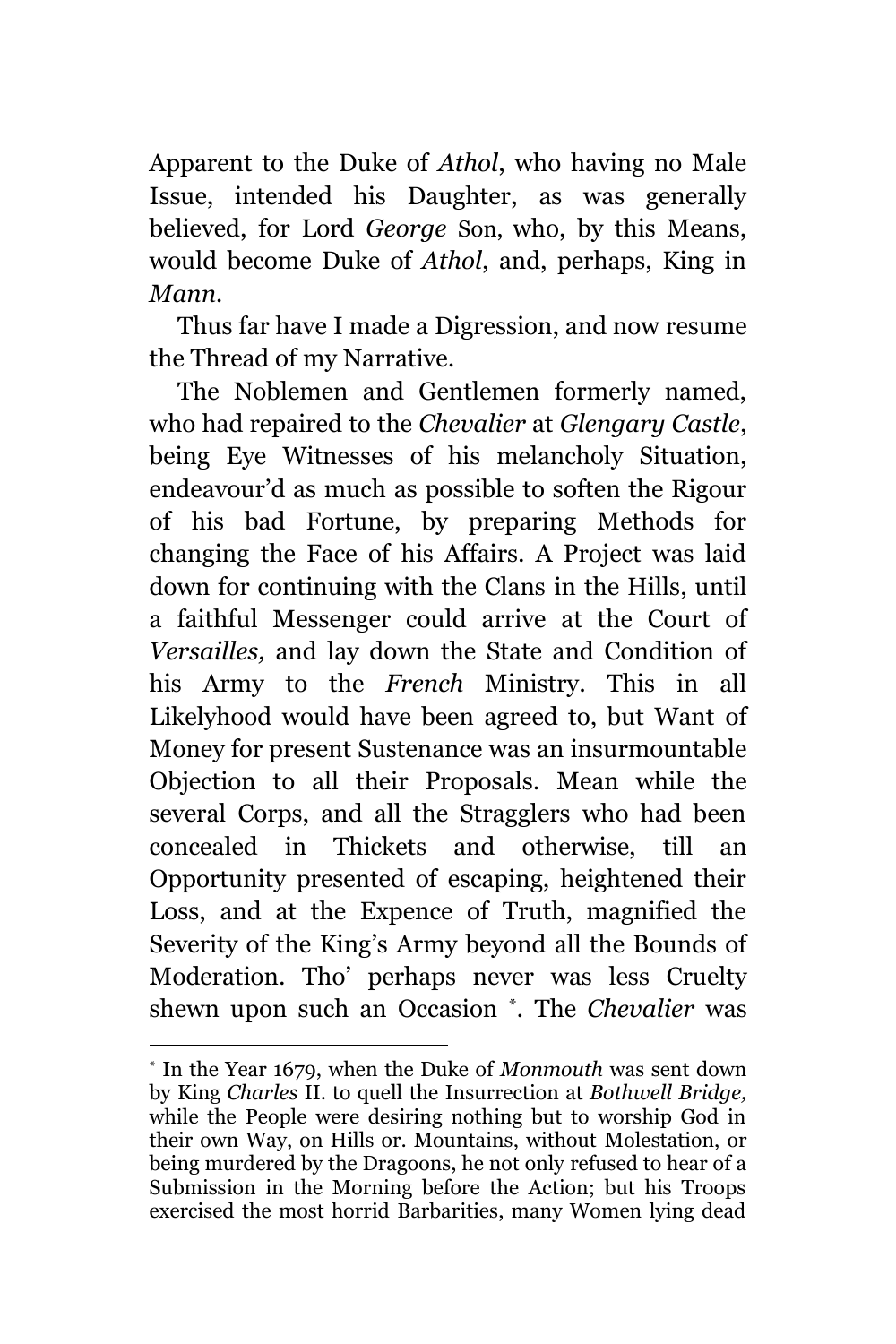Apparent to the Duke of *Athol*, who having no Male Issue, intended his Daughter, as was generally believed, for Lord *George* Son, who, by this Means, would become Duke of *Athol*, and, perhaps, King in *Mann.*

Thus far have I made a Digression, and now resume the Thread of my Narrative.

The Noblemen and Gentlemen formerly named, who had repaired to the *Chevalier* at *Glengary Castle*, being Eye Witnesses of his melancholy Situation, endeavour'd as much as possible to soften the Rigour of his bad Fortune, by preparing Methods for changing the Face of his Affairs. A Project was laid down for continuing with the Clans in the Hills, until a faithful Messenger could arrive at the Court of *Versailles,* and lay down the State and Condition of his Army to the *French* Ministry. This in all Likelyhood would have been agreed to, but Want of Money for present Sustenance was an insurmountable Objection to all their Proposals. Mean while the several Corps, and all the Stragglers who had been concealed in Thickets and otherwise, till an Opportunity presented of escaping, heightened their Loss, and at the Expence of Truth, magnified the Severity of the King's Army beyond all the Bounds of Moderation. Tho' perhaps never was less Cruelty shewn upon such an Occasion \* *.* The *Chevalier* was

<sup>\*</sup> In the Year 1679, when the Duke of *Monmouth* was sent down by King *Charles* II. to quell the Insurrection at *Bothwell Bridge,* while the People were desiring nothing but to worship God in their own Way, on Hills or. Mountains, without Molestation, or being murdered by the Dragoons, he not only refused to hear of a Submission in the Morning before the Action; but his Troops exercised the most horrid Barbarities, many Women lying dead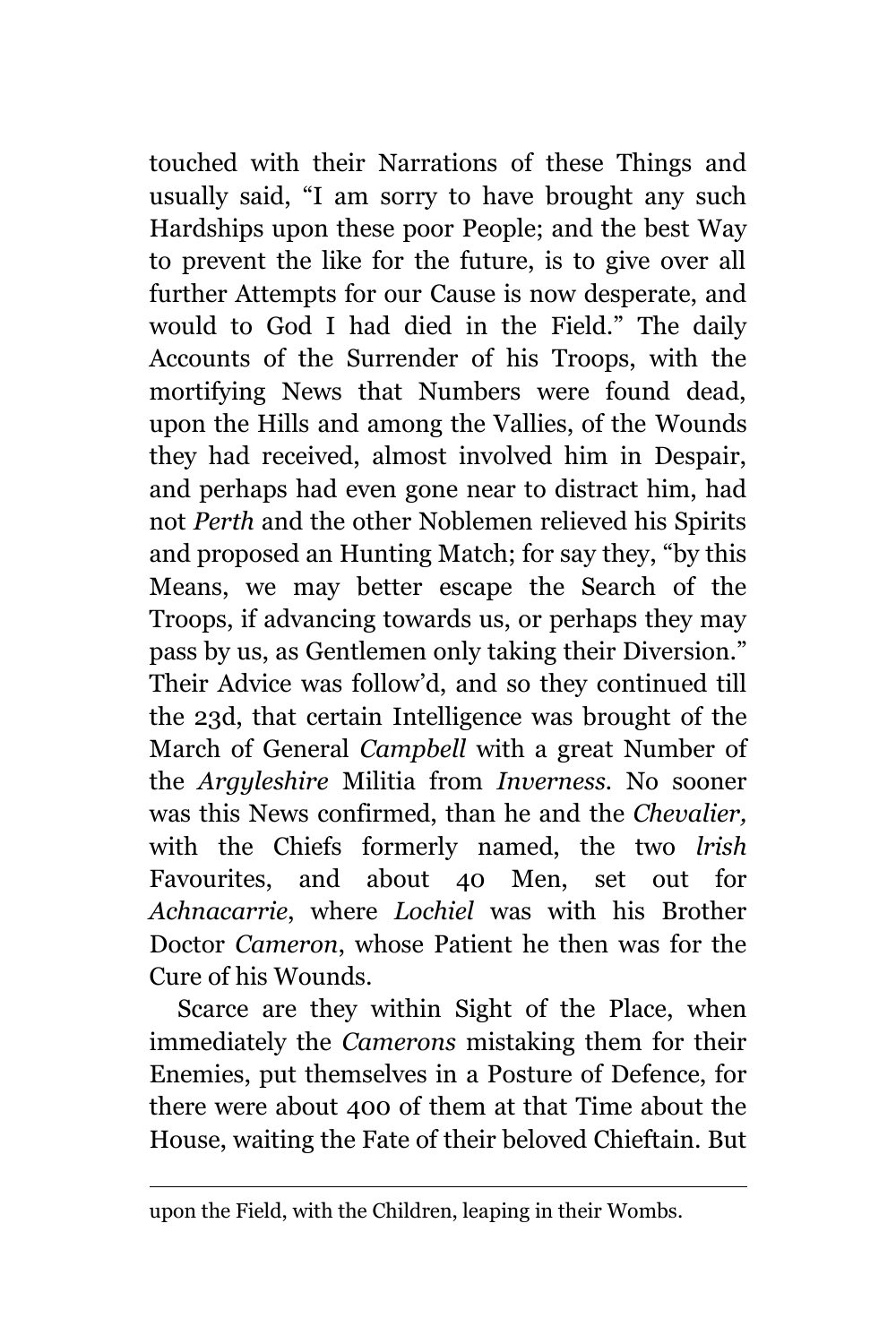touched with their Narrations of these Things and usually said, "I am sorry to have brought any such Hardships upon these poor People; and the best Way to prevent the like for the future, is to give over all further Attempts for our Cause is now desperate, and would to God I had died in the Field." The daily Accounts of the Surrender of his Troops, with the mortifying News that Numbers were found dead, upon the Hills and among the Vallies, of the Wounds they had received, almost involved him in Despair, and perhaps had even gone near to distract him, had not *Perth* and the other Noblemen relieved his Spirits and proposed an Hunting Match; for say they, "by this Means, we may better escape the Search of the Troops, if advancing towards us, or perhaps they may pass by us, as Gentlemen only taking their Diversion." Their Advice was follow'd, and so they continued till the 23d, that certain Intelligence was brought of the March of General *Campbell* with a great Number of the *Argyleshire* Militia from *Inverness.* No sooner was this News confirmed, than he and the *Chevalier,* with the Chiefs formerly named, the two *lrish* Favourites, and about 40 Men, set out for *Achnacarrie*, where *Lochiel* was with his Brother Doctor *Cameron*, whose Patient he then was for the Cure of his Wounds.

Scarce are they within Sight of the Place, when immediately the *Camerons* mistaking them for their Enemies, put themselves in a Posture of Defence, for there were about 400 of them at that Time about the House, waiting the Fate of their beloved Chieftain. But

upon the Field, with the Children, leaping in their Wombs.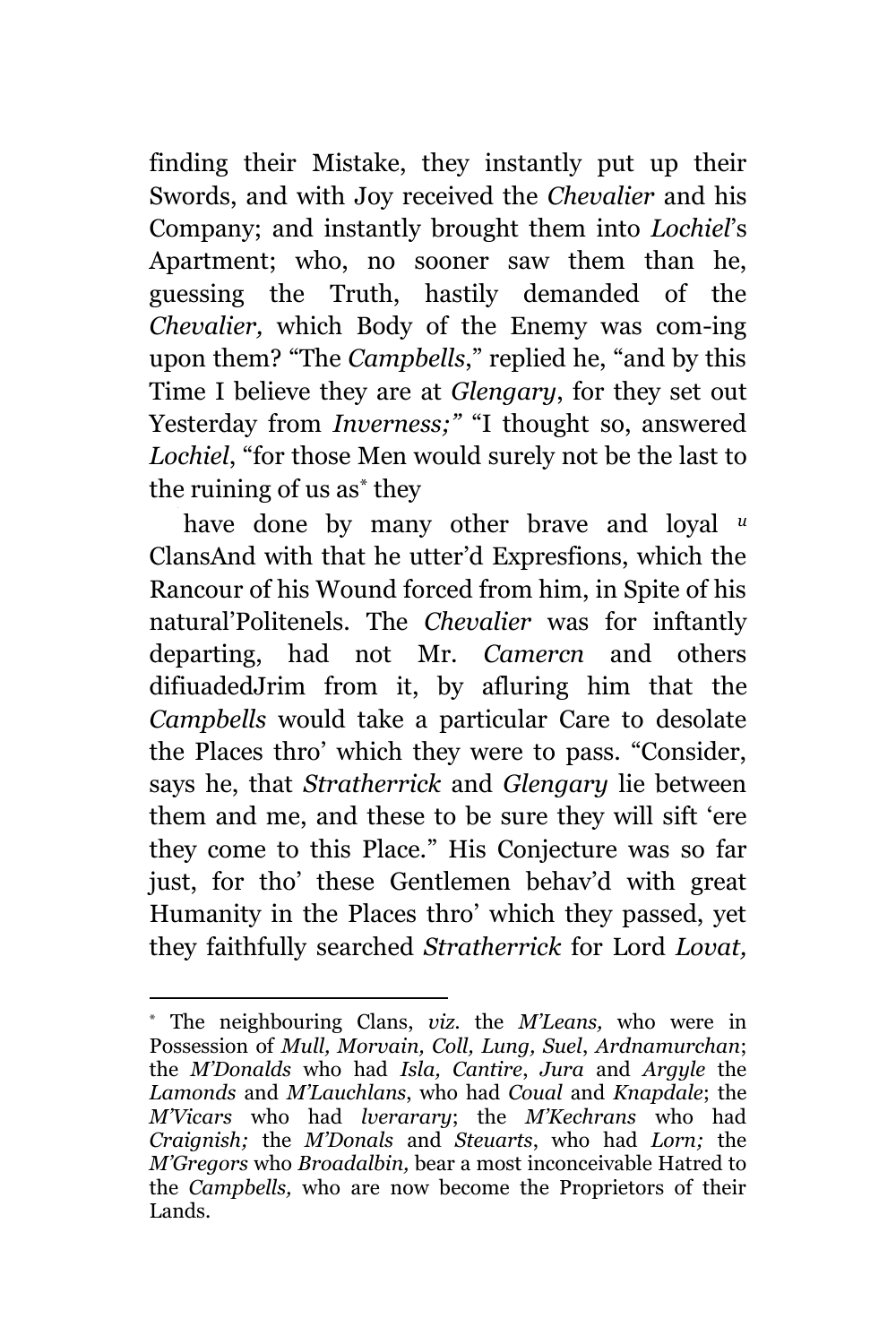finding their Mistake, they instantly put up their Swords, and with Joy received the *Chevalier* and his Company; and instantly brought them into *Lochiel*'s Apartment; who, no sooner saw them than he, guessing the Truth, hastily demanded of the *Chevalier,* which Body of the Enemy was com-ing upon them? "The *Campbells*," replied he, "and by this Time I believe they are at *Glengary*, for they set out Yesterday from *Inverness*;" "I thought so, answered *Lochiel*, "for those Men would surely not be the last to the ruining of us as\* they

have done by many other brave and loyal *<sup>u</sup>* ClansAnd with that he utter'd Expresfions, which the Rancour of his Wound forced from him, in Spite of his natural'Politenels. The *Chevalier* was for inftantly departing, had not Mr. *Camercn* and others difiuadedJrim from it, by afluring him that the *Campbells* would take a particular Care to desolate the Places thro' which they were to pass. "Consider, says he, that *Stratherrick* and *Glengary* lie between them and me, and these to be sure they will sift 'ere they come to this Place." His Conjecture was so far just, for tho' these Gentlemen behav'd with great Humanity in the Places thro' which they passed, yet they faithfully searched *Stratherrick* for Lord *Lovat,*

<sup>\*</sup> The neighbouring Clans, *viz.* the *M'Leans,* who were in Possession of *Mull, Morvain, Coll, Lung, Suel*, *Ardnamurchan*; the *M'Donalds* who had *Isla, Cantire*, *Jura* and *Argyle* the *Lamonds* and *M'Lauchlans*, who had *Coual* and *Knapdale*; the *M'Vicars* who had *lverarary*; the *M'Kechrans* who had *Craignish;* the *M'Donals* and *Steuarts*, who had *Lorn;* the *M'Gregors* who *Broadalbin,* bear a most inconceivable Hatred to the *Campbells,* who are now become the Proprietors of their Lands.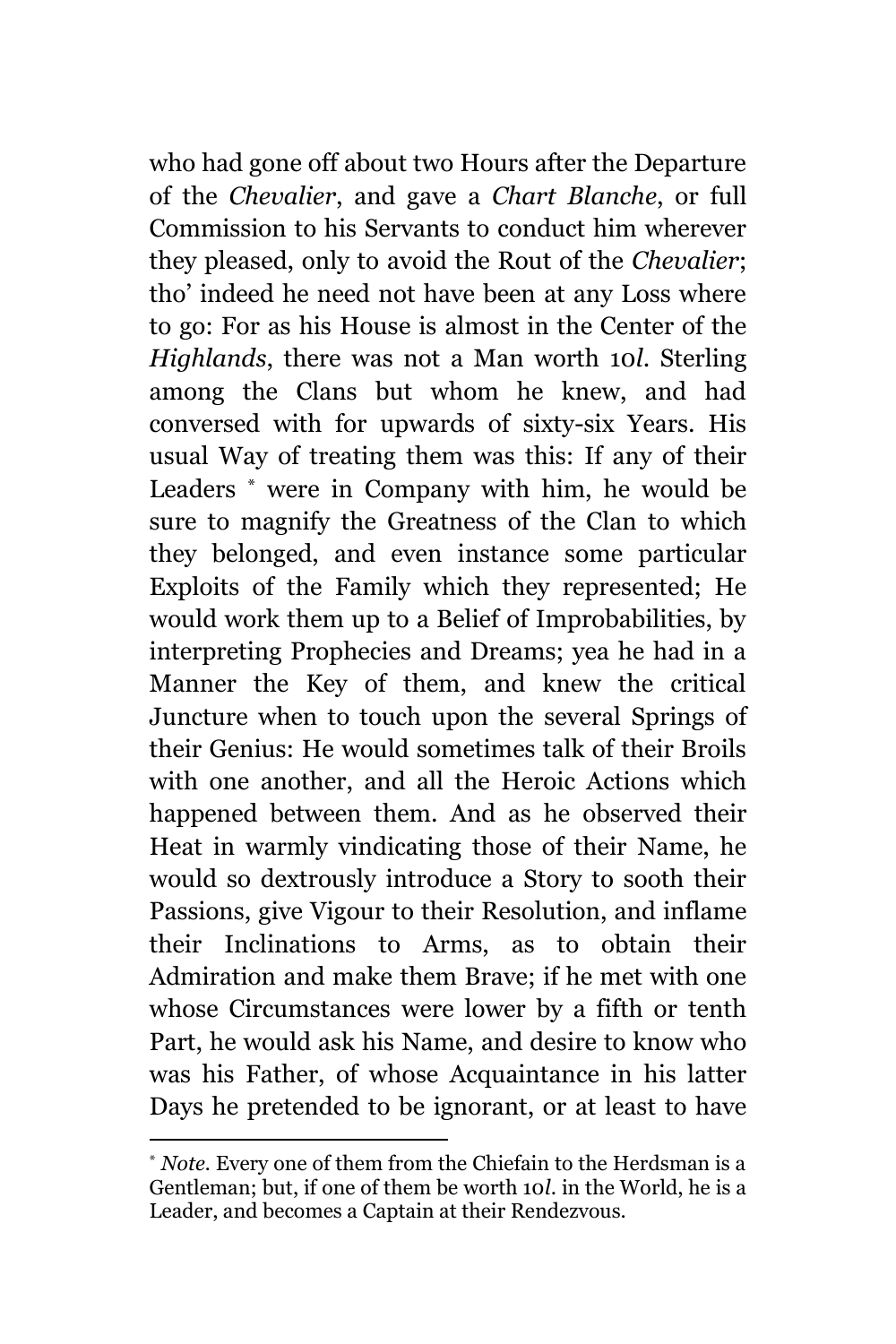who had gone off about two Hours after the Departure of the *Chevalier*, and gave a *Chart Blanche*, or full Commission to his Servants to conduct him wherever they pleased, only to avoid the Rout of the *Chevalier*; tho' indeed he need not have been at any Loss where to go: For as his House is almost in the Center of the *Highlands*, there was not a Man worth 10*l*. Sterling among the Clans but whom he knew, and had conversed with for upwards of sixty-six Years. His usual Way of treating them was this: If any of their Leaders \* were in Company with him, he would be sure to magnify the Greatness of the Clan to which they belonged, and even instance some particular Exploits of the Family which they represented; He would work them up to a Belief of Improbabilities, by interpreting Prophecies and Dreams; yea he had in a Manner the Key of them, and knew the critical Juncture when to touch upon the several Springs of their Genius: He would sometimes talk of their Broils with one another, and all the Heroic Actions which happened between them. And as he observed their Heat in warmly vindicating those of their Name, he would so dextrously introduce a Story to sooth their Passions, give Vigour to their Resolution, and inflame their Inclinations to Arms, as to obtain their Admiration and make them Brave; if he met with one whose Circumstances were lower by a fifth or tenth Part, he would ask his Name, and desire to know who was his Father, of whose Acquaintance in his latter Days he pretended to be ignorant, or at least to have

<sup>\*</sup> *Note.* Every one of them from the Chiefain to the Herdsman is a Gentleman; but, if one of them be worth 10*l*. in the World, he is a Leader, and becomes a Captain at their Rendezvous.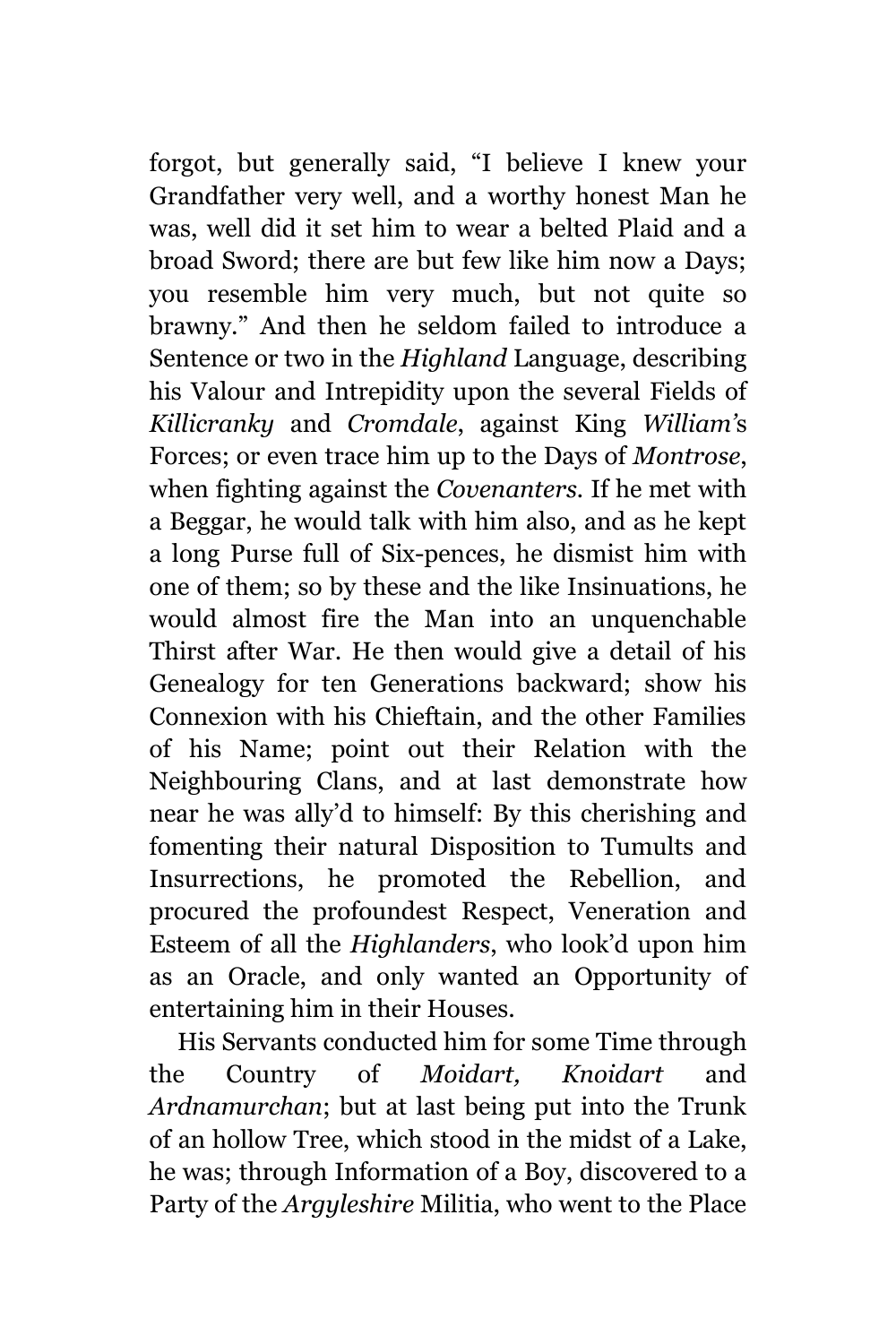forgot, but generally said, "I believe I knew your Grandfather very well, and a worthy honest Man he was, well did it set him to wear a belted Plaid and a broad Sword; there are but few like him now a Days; you resemble him very much, but not quite so brawny." And then he seldom failed to introduce a Sentence or two in the *Highland* Language, describing his Valour and Intrepidity upon the several Fields of *Killicranky* and *Cromdale*, against King *William'*s Forces; or even trace him up to the Days of *Montrose*, when fighting against the *Covenanters.* If he met with a Beggar, he would talk with him also, and as he kept a long Purse full of Six-pences, he dismist him with one of them; so by these and the like Insinuations, he would almost fire the Man into an unquenchable Thirst after War. He then would give a detail of his Genealogy for ten Generations backward; show his Connexion with his Chieftain, and the other Families of his Name; point out their Relation with the Neighbouring Clans, and at last demonstrate how near he was ally'd to himself: By this cherishing and fomenting their natural Disposition to Tumults and Insurrections, he promoted the Rebellion, and procured the profoundest Respect, Veneration and Esteem of all the *Highlanders*, who look'd upon him as an Oracle, and only wanted an Opportunity of entertaining him in their Houses.

His Servants conducted him for some Time through the Country of *Moidart, Knoidart* and *Ardnamurchan*; but at last being put into the Trunk of an hollow Tree, which stood in the midst of a Lake, he was; through Information of a Boy, discovered to a Party of the *Argyleshire* Militia, who went to the Place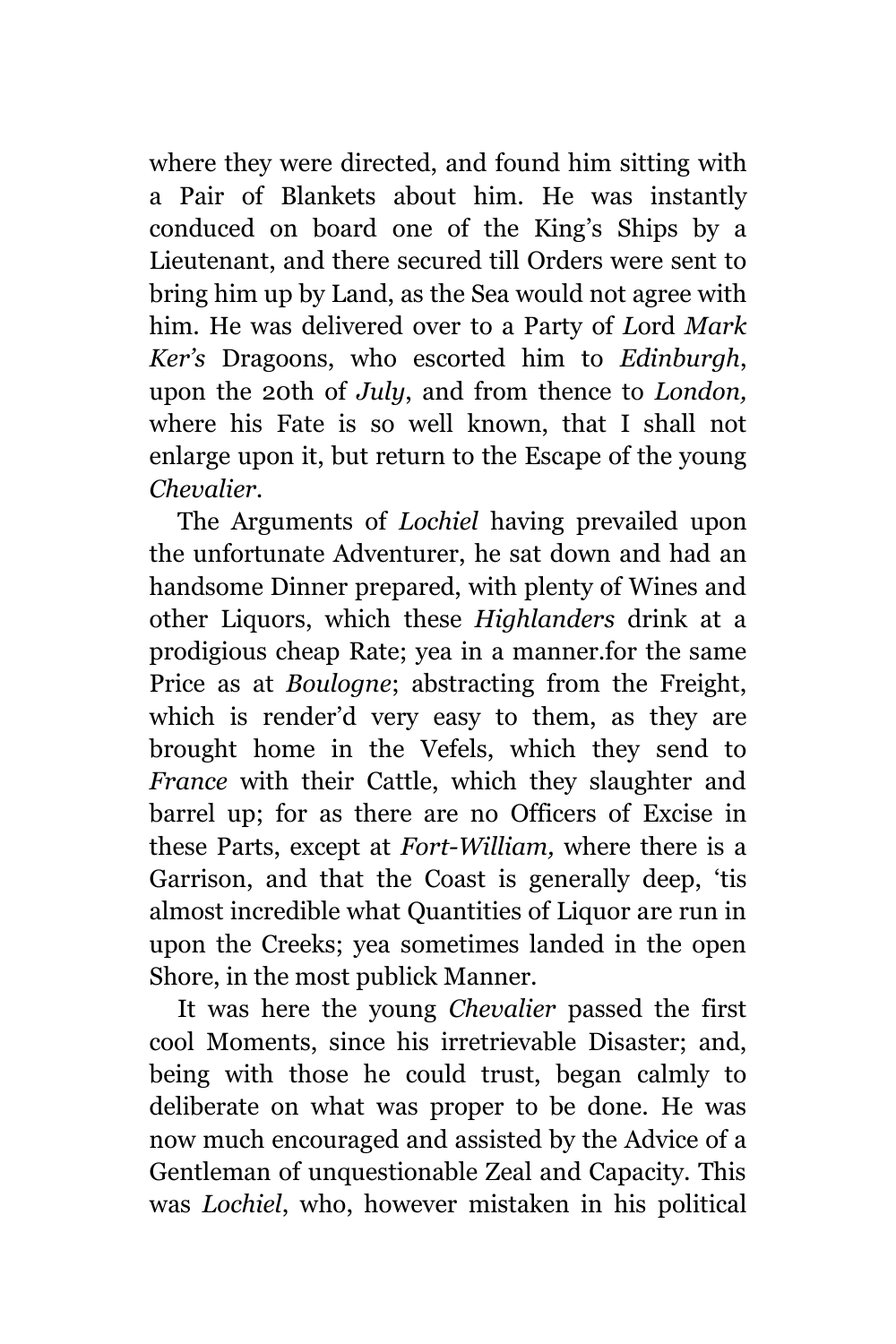where they were directed, and found him sitting with a Pair of Blankets about him. He was instantly conduced on board one of the King's Ships by a Lieutenant, and there secured till Orders were sent to bring him up by Land, as the Sea would not agree with him. He was delivered over to a Party of *L*ord *Mark Ker's* Dragoons, who escorted him to *Edinburgh*, upon the 20th of *July*, and from thence to *London,* where his Fate is so well known, that I shall not enlarge upon it, but return to the Escape of the young *Chevalier.*

The Arguments of *Lochiel* having prevailed upon the unfortunate Adventurer, he sat down and had an handsome Dinner prepared, with plenty of Wines and other Liquors, which these *Highlanders* drink at a prodigious cheap Rate; yea in a manner.for the same Price as at *Boulogne*; abstracting from the Freight, which is render'd very easy to them, as they are brought home in the Vefels, which they send to *France* with their Cattle, which they slaughter and barrel up; for as there are no Officers of Excise in these Parts, except at *Fort-William,* where there is a Garrison, and that the Coast is generally deep, 'tis almost incredible what Quantities of Liquor are run in upon the Creeks; yea sometimes landed in the open Shore, in the most publick Manner.

It was here the young *Chevalier* passed the first cool Moments, since his irretrievable Disaster; and, being with those he could trust, began calmly to deliberate on what was proper to be done. He was now much encouraged and assisted by the Advice of a Gentleman of unquestionable Zeal and Capacity. This was *Lochiel*, who, however mistaken in his political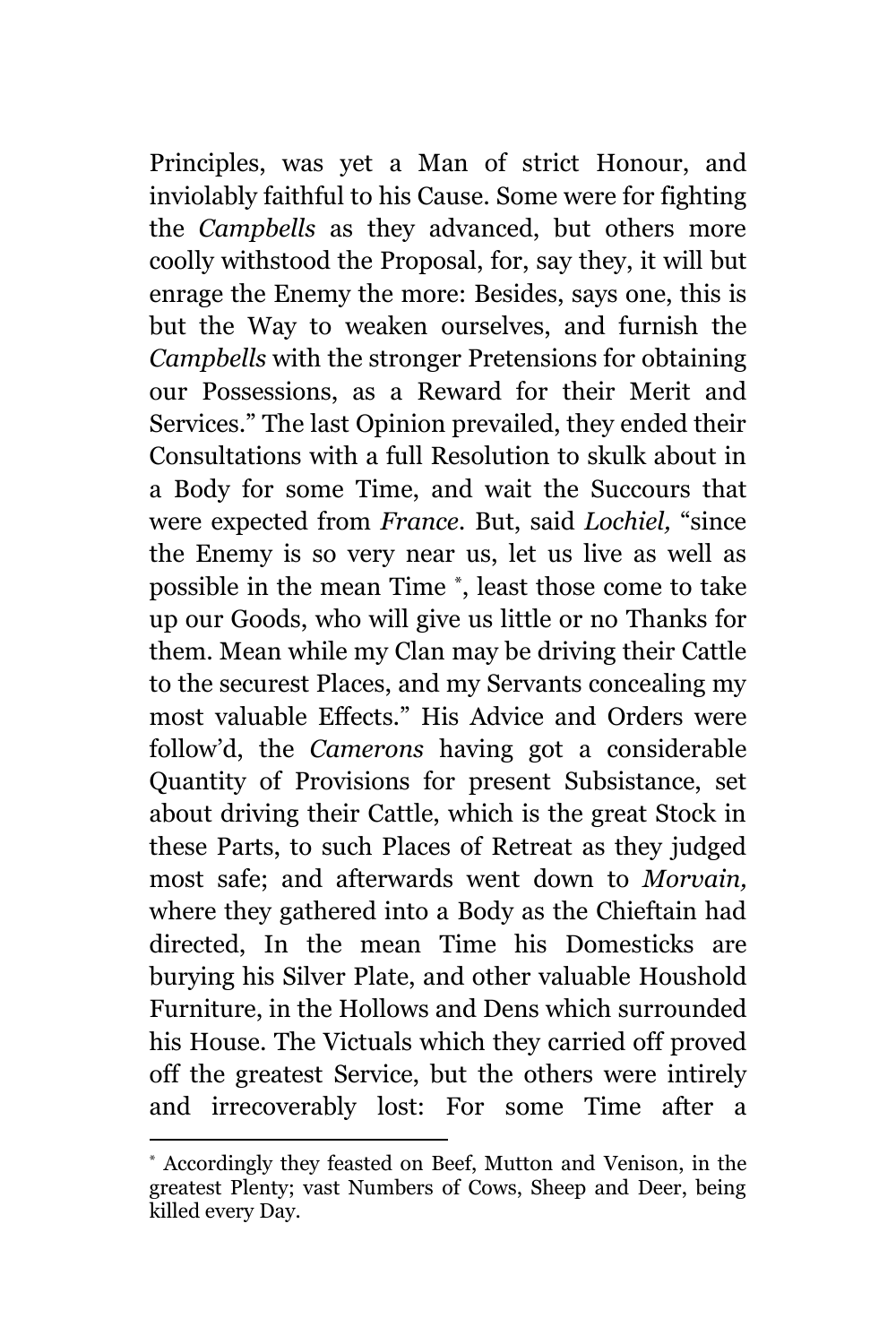Principles, was yet a Man of strict Honour, and inviolably faithful to his Cause. Some were for fighting the *Campbells* as they advanced, but others more coolly withstood the Proposal, for, say they, it will but enrage the Enemy the more: Besides, says one, this is but the Way to weaken ourselves, and furnish the *Campbells* with the stronger Pretensions for obtaining our Possessions, as a Reward for their Merit and Services." The last Opinion prevailed, they ended their Consultations with a full Resolution to skulk about in a Body for some Time, and wait the Succours that were expected from *France.* But, said *Lochiel,* "since the Enemy is so very near us, let us live as well as possible in the mean Time \* , least those come to take up our Goods, who will give us little or no Thanks for them. Mean while my Clan may be driving their Cattle to the securest Places, and my Servants concealing my most valuable Effects." His Advice and Orders were follow'd, the *Camerons* having got a considerable Quantity of Provisions for present Subsistance, set about driving their Cattle, which is the great Stock in these Parts, to such Places of Retreat as they judged most safe; and afterwards went down to *Morvain,* where they gathered into a Body as the Chieftain had directed, In the mean Time his Domesticks are burying his Silver Plate, and other valuable Houshold Furniture, in the Hollows and Dens which surrounded his House. The Victuals which they carried off proved off the greatest Service, but the others were intirely and irrecoverably lost: For some Time after a

<sup>\*</sup> Accordingly they feasted on Beef, Mutton and Venison, in the greatest Plenty; vast Numbers of Cows, Sheep and Deer, being killed every Day.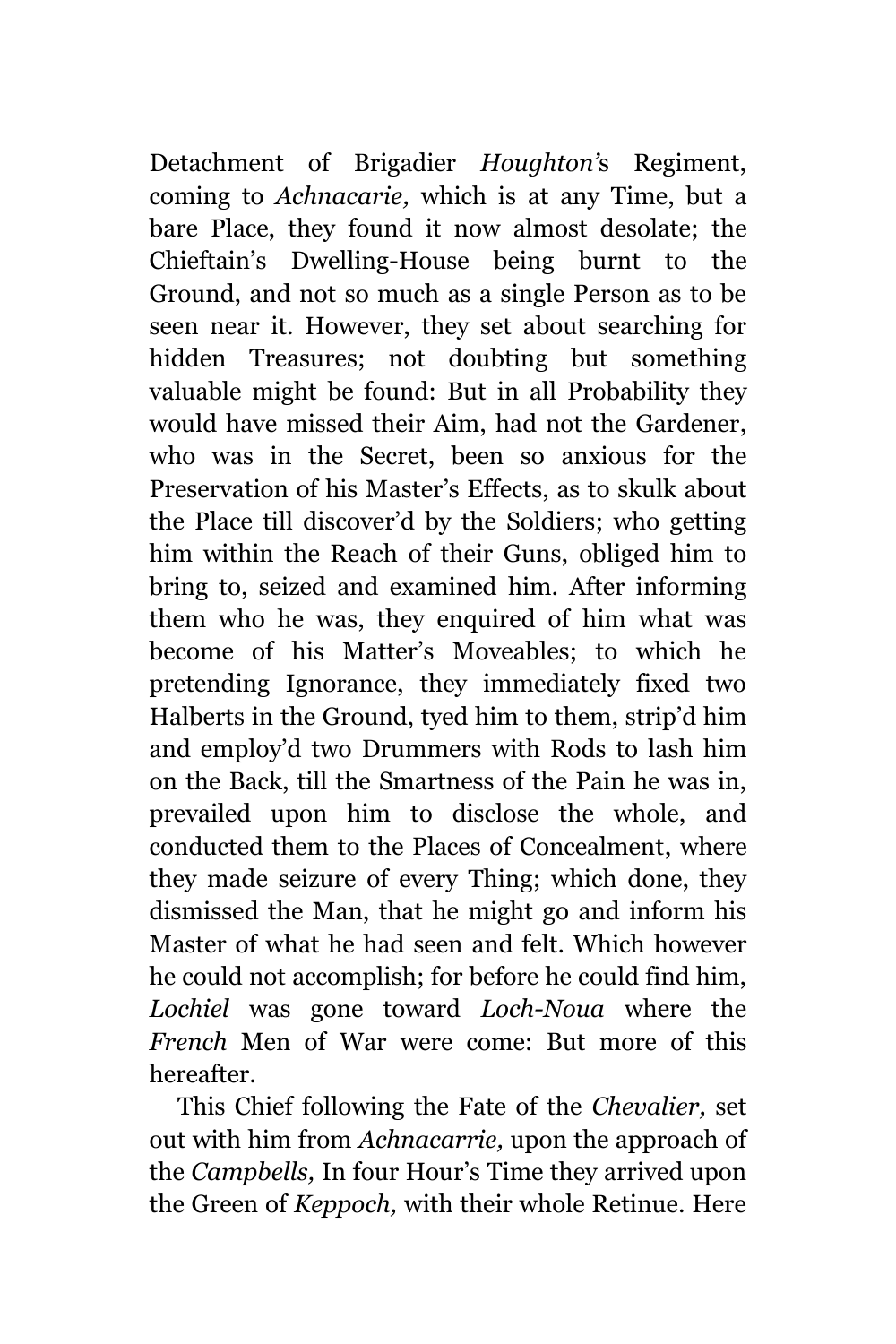Detachment of Brigadier *Houghton'*s Regiment, coming to *Achnacarie,* which is at any Time, but a bare Place, they found it now almost desolate; the Chieftain's Dwelling-House being burnt to the Ground, and not so much as a single Person as to be seen near it. However, they set about searching for hidden Treasures; not doubting but something valuable might be found: But in all Probability they would have missed their Aim, had not the Gardener, who was in the Secret, been so anxious for the Preservation of his Master's Effects, as to skulk about the Place till discover'd by the Soldiers; who getting him within the Reach of their Guns, obliged him to bring to, seized and examined him. After informing them who he was, they enquired of him what was become of his Matter's Moveables; to which he pretending Ignorance, they immediately fixed two Halberts in the Ground, tyed him to them, strip'd him and employ'd two Drummers with Rods to lash him on the Back, till the Smartness of the Pain he was in, prevailed upon him to disclose the whole, and conducted them to the Places of Concealment, where they made seizure of every Thing; which done, they dismissed the Man, that he might go and inform his Master of what he had seen and felt. Which however he could not accomplish; for before he could find him, *Lochiel* was gone toward *Loch-Noua* where the *French* Men of War were come: But more of this hereafter.

This Chief following the Fate of the *Chevalier,* set out with him from *Achnacarrie,* upon the approach of the *Campbells,* In four Hour's Time they arrived upon the Green of *Keppoch,* with their whole Retinue. Here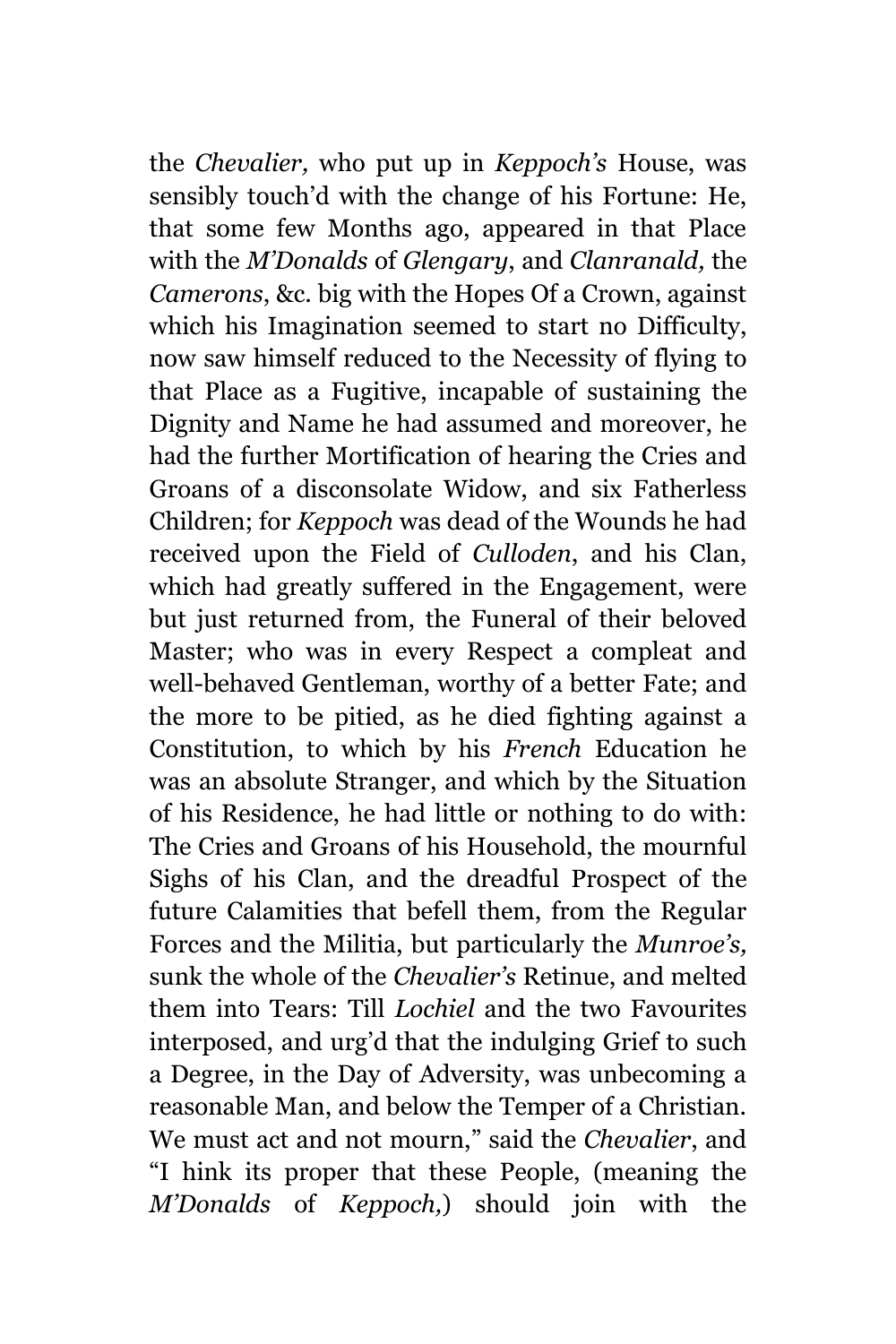the *Chevalier,* who put up in *Keppoch's* House, was sensibly touch'd with the change of his Fortune: He, that some few Months ago, appeared in that Place with the *M'Donalds* of *Glengary*, and *Clanranald,* the *Camerons*, &c. big with the Hopes Of a Crown, against which his Imagination seemed to start no Difficulty, now saw himself reduced to the Necessity of flying to that Place as a Fugitive, incapable of sustaining the Dignity and Name he had assumed and moreover, he had the further Mortification of hearing the Cries and Groans of a disconsolate Widow, and six Fatherless Children; for *Keppoch* was dead of the Wounds he had received upon the Field of *Culloden*, and his Clan, which had greatly suffered in the Engagement, were but just returned from, the Funeral of their beloved Master; who was in every Respect a compleat and well-behaved Gentleman, worthy of a better Fate; and the more to be pitied, as he died fighting against a Constitution, to which by his *French* Education he was an absolute Stranger, and which by the Situation of his Residence, he had little or nothing to do with: The Cries and Groans of his Household, the mournful Sighs of his Clan, and the dreadful Prospect of the future Calamities that befell them, from the Regular Forces and the Militia, but particularly the *Munroe's,* sunk the whole of the *Chevalier's* Retinue, and melted them into Tears: Till *Lochiel* and the two Favourites interposed, and urg'd that the indulging Grief to such a Degree, in the Day of Adversity, was unbecoming a reasonable Man, and below the Temper of a Christian. We must act and not mourn," said the *Chevalier*, and "I hink its proper that these People, (meaning the *M'Donalds* of *Keppoch,*) should join with the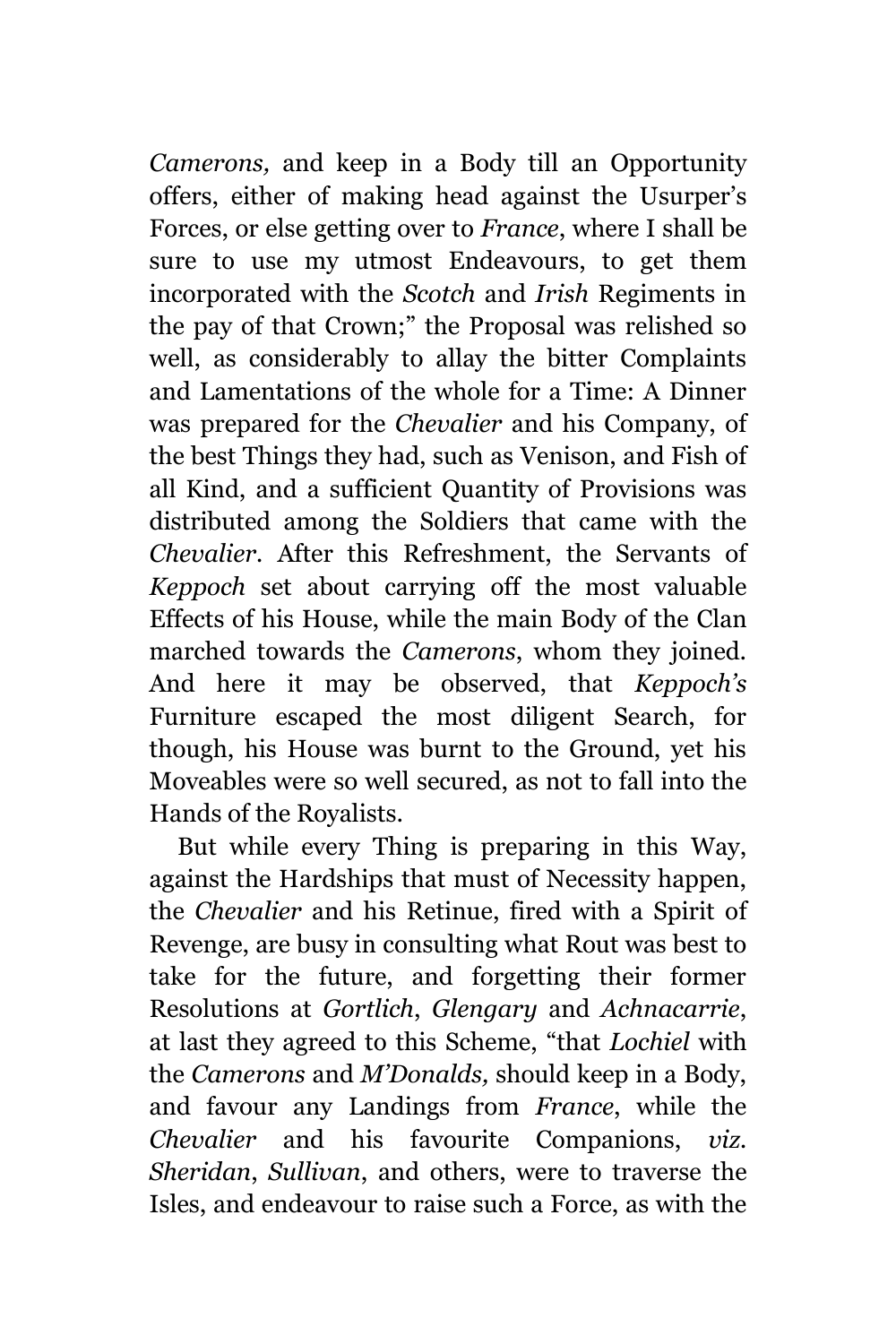*Camerons,* and keep in a Body till an Opportunity offers, either of making head against the Usurper's Forces, or else getting over to *France*, where I shall be sure to use my utmost Endeavours, to get them incorporated with the *Scotch* and *Irish* Regiments in the pay of that Crown;" the Proposal was relished so well, as considerably to allay the bitter Complaints and Lamentations of the whole for a Time: A Dinner was prepared for the *Chevalier* and his Company, of the best Things they had, such as Venison, and Fish of all Kind, and a sufficient Quantity of Provisions was distributed among the Soldiers that came with the *Chevalier.* After this Refreshment, the Servants of *Keppoch* set about carrying off the most valuable Effects of his House, while the main Body of the Clan marched towards the *Camerons*, whom they joined. And here it may be observed, that *Keppoch's* Furniture escaped the most diligent Search, for though, his House was burnt to the Ground, yet his Moveables were so well secured, as not to fall into the Hands of the Royalists.

But while every Thing is preparing in this Way, against the Hardships that must of Necessity happen, the *Chevalier* and his Retinue, fired with a Spirit of Revenge, are busy in consulting what Rout was best to take for the future, and forgetting their former Resolutions at *Gortlich*, *Glengary* and *Achnacarrie*, at last they agreed to this Scheme, "that *Lochiel* with the *Camerons* and *M'Donalds,* should keep in a Body, and favour any Landings from *France*, while the *Chevalier* and his favourite Companions, *viz. Sheridan*, *Sullivan*, and others, were to traverse the Isles, and endeavour to raise such a Force, as with the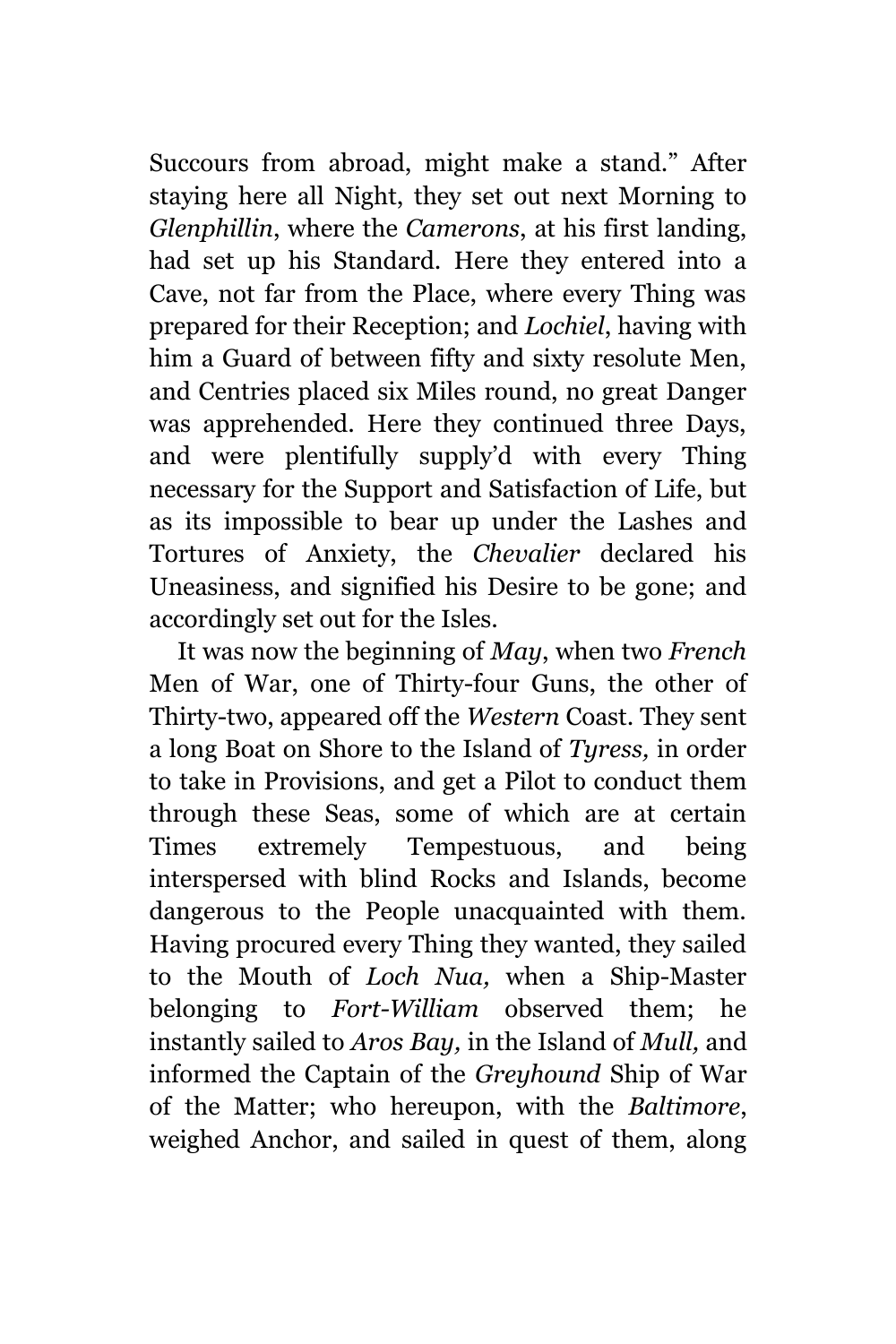Succours from abroad, might make a stand." After staying here all Night, they set out next Morning to *Glenphillin*, where the *Camerons*, at his first landing, had set up his Standard. Here they entered into a Cave, not far from the Place, where every Thing was prepared for their Reception; and *Lochiel*, having with him a Guard of between fifty and sixty resolute Men, and Centries placed six Miles round, no great Danger was apprehended. Here they continued three Days, and were plentifully supply'd with every Thing necessary for the Support and Satisfaction of Life, but as its impossible to bear up under the Lashes and Tortures of Anxiety, the *Chevalier* declared his Uneasiness, and signified his Desire to be gone; and accordingly set out for the Isles.

It was now the beginning of *May*, when two *French* Men of War, one of Thirty-four Guns, the other of Thirty-two, appeared off the *Western* Coast. They sent a long Boat on Shore to the Island of *Tyress,* in order to take in Provisions, and get a Pilot to conduct them through these Seas, some of which are at certain Times extremely Tempestuous, and being interspersed with blind Rocks and Islands, become dangerous to the People unacquainted with them. Having procured every Thing they wanted, they sailed to the Mouth of *Loch Nua,* when a Ship-Master belonging to *Fort-William* observed them; he instantly sailed to *Aros Bay,* in the Island of *Mull,* and informed the Captain of the *Greyhound* Ship of War of the Matter; who hereupon, with the *Baltimore*, weighed Anchor, and sailed in quest of them, along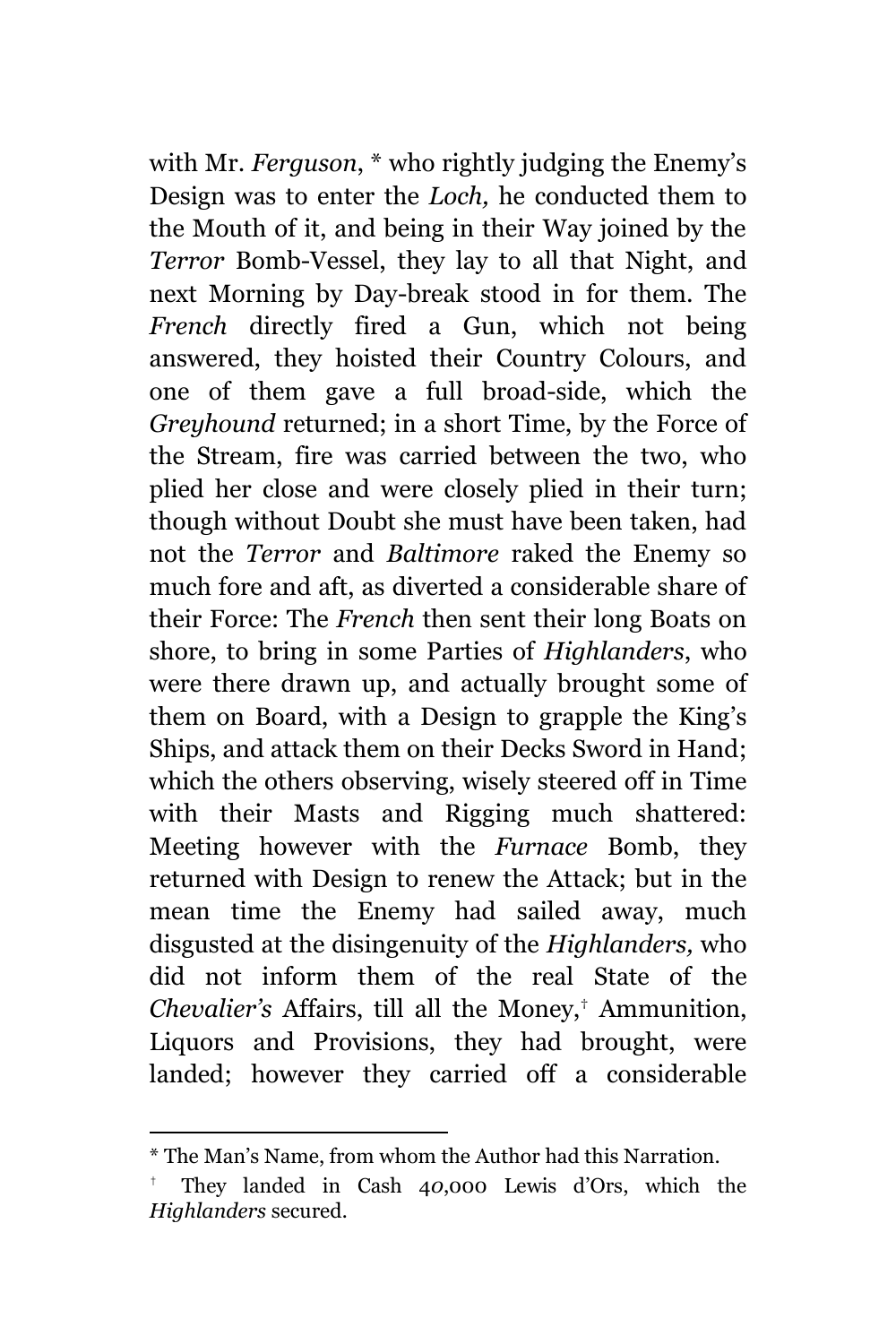with Mr. *Ferguson*, \* who rightly judging the Enemy's Design was to enter the *Loch,* he conducted them to the Mouth of it, and being in their Way joined by the *Terror* Bomb-Vessel, they lay to all that Night, and next Morning by Day-break stood in for them. The *French* directly fired a Gun, which not being answered, they hoisted their Country Colours, and one of them gave a full broad-side, which the *Greyhound* returned; in a short Time, by the Force of the Stream, fire was carried between the two, who plied her close and were closely plied in their turn; though without Doubt she must have been taken, had not the *Terror* and *Baltimore* raked the Enemy so much fore and aft, as diverted a considerable share of their Force: The *French* then sent their long Boats on shore, to bring in some Parties of *Highlanders*, who were there drawn up, and actually brought some of them on Board, with a Design to grapple the King's Ships, and attack them on their Decks Sword in Hand; which the others observing, wisely steered off in Time with their Masts and Rigging much shattered: Meeting however with the *Furnace* Bomb, they returned with Design to renew the Attack; but in the mean time the Enemy had sailed away, much disgusted at the disingenuity of the *Highlanders,* who did not inform them of the real State of the *Chevalier's* Affairs, till all the Money,† Ammunition, Liquors and Provisions, they had brought, were landed; however they carried off a considerable

<sup>\*</sup> The Man's Name, from whom the Author had this Narration.

<sup>†</sup> They landed in Cash 4*0*,000 Lewis d'Ors, which the *Highlanders* secured*.*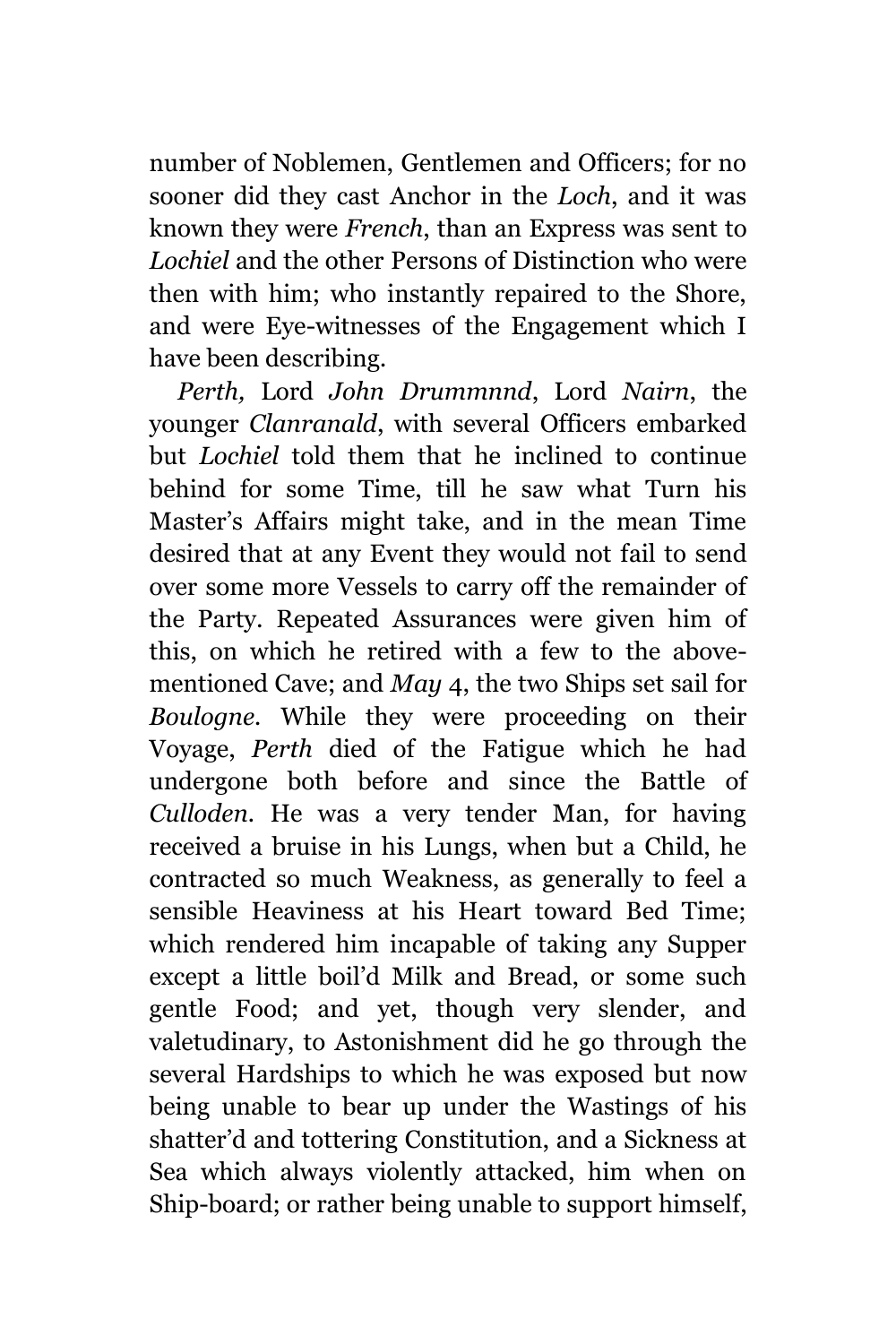number of Noblemen, Gentlemen and Officers; for no sooner did they cast Anchor in the *Loch*, and it was known they were *French*, than an Express was sent to *Lochiel* and the other Persons of Distinction who were then with him; who instantly repaired to the Shore, and were Eye-witnesses of the Engagement which I have been describing.

*Perth,* Lord *John Drummnnd*, Lord *Nairn*, the younger *Clanranald*, with several Officers embarked but *Lochiel* told them that he inclined to continue behind for some Time, till he saw what Turn his Master's Affairs might take, and in the mean Time desired that at any Event they would not fail to send over some more Vessels to carry off the remainder of the Party. Repeated Assurances were given him of this, on which he retired with a few to the abovementioned Cave; and *May* 4, the two Ships set sail for *Boulogne.* While they were proceeding on their Voyage, *Perth* died of the Fatigue which he had undergone both before and since the Battle of *Culloden.* He was a very tender Man, for having received a bruise in his Lungs, when but a Child, he contracted so much Weakness, as generally to feel a sensible Heaviness at his Heart toward Bed Time; which rendered him incapable of taking any Supper except a little boil'd Milk and Bread, or some such gentle Food; and yet, though very slender, and valetudinary, to Astonishment did he go through the several Hardships to which he was exposed but now being unable to bear up under the Wastings of his shatter'd and tottering Constitution, and a Sickness at Sea which always violently attacked, him when on Ship-board; or rather being unable to support himself,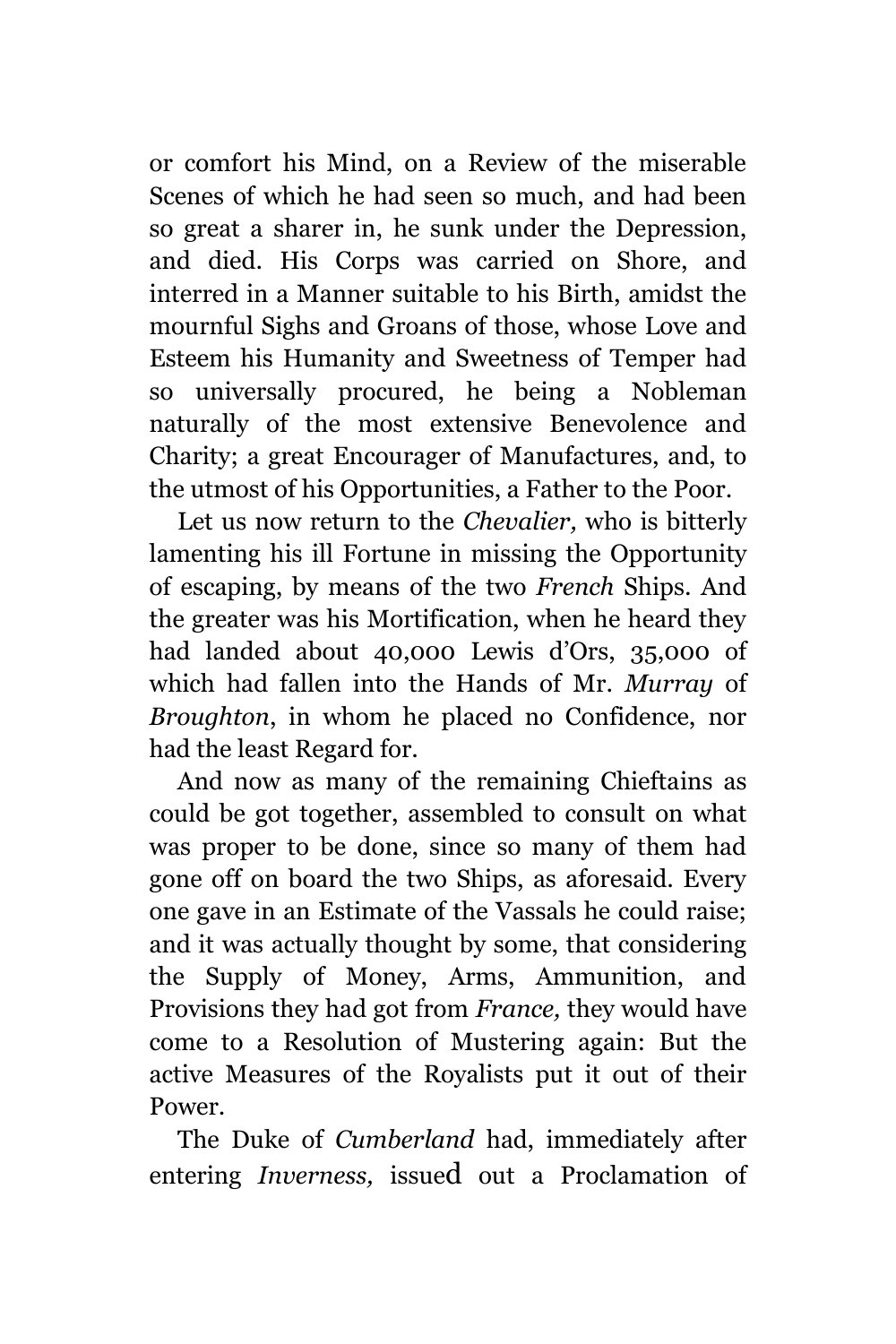or comfort his Mind, on a Review of the miserable Scenes of which he had seen so much, and had been so great a sharer in, he sunk under the Depression, and died. His Corps was carried on Shore, and interred in a Manner suitable to his Birth, amidst the mournful Sighs and Groans of those, whose Love and Esteem his Humanity and Sweetness of Temper had so universally procured, he being a Nobleman naturally of the most extensive Benevolence and Charity; a great Encourager of Manufactures, and, to the utmost of his Opportunities, a Father to the Poor.

Let us now return to the *Chevalier,* who is bitterly lamenting his ill Fortune in missing the Opportunity of escaping, by means of the two *French* Ships. And the greater was his Mortification, when he heard they had landed about 40,000 Lewis d'Ors, 35,000 of which had fallen into the Hands of Mr. *Murray* of *Broughton*, in whom he placed no Confidence, nor had the least Regard for.

And now as many of the remaining Chieftains as could be got together, assembled to consult on what was proper to be done, since so many of them had gone off on board the two Ships, as aforesaid. Every one gave in an Estimate of the Vassals he could raise; and it was actually thought by some, that considering the Supply of Money, Arms, Ammunition, and Provisions they had got from *France,* they would have come to a Resolution of Mustering again: But the active Measures of the Royalists put it out of their Power.

The Duke of *Cumberland* had, immediately after entering *Inverness,* issued out a Proclamation of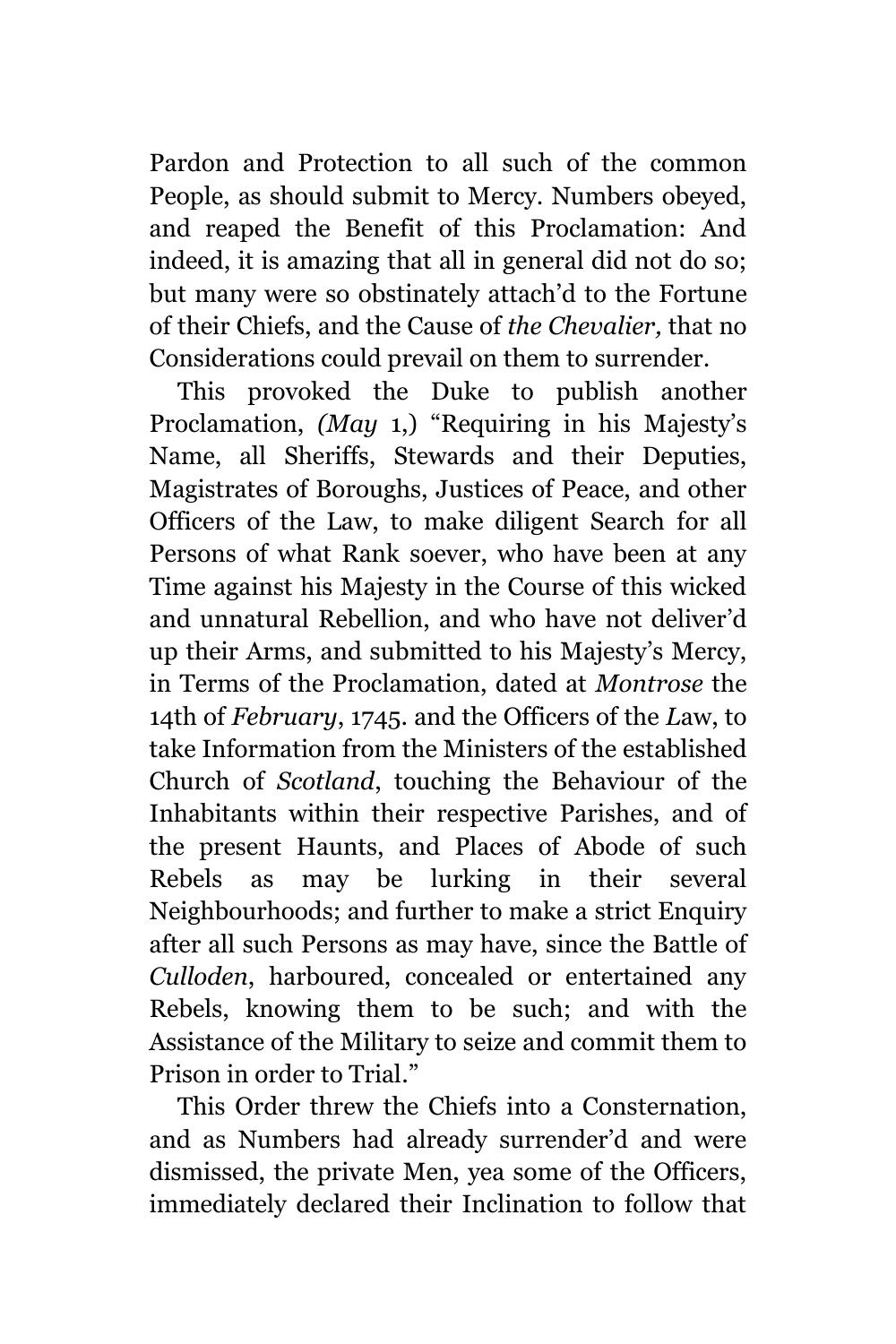Pardon and Protection to all such of the common People, as should submit to Mercy. Numbers obeyed, and reaped the Benefit of this Proclamation: And indeed, it is amazing that all in general did not do so; but many were so obstinately attach'd to the Fortune of their Chiefs, and the Cause of *the Chevalier,* that no Considerations could prevail on them to surrender.

This provoked the Duke to publish another Proclamation, *(May* 1,) "Requiring in his Majesty's Name, all Sheriffs, Stewards and their Deputies, Magistrates of Boroughs, Justices of Peace, and other Officers of the Law, to make diligent Search for all Persons of what Rank soever, who have been at any Time against his Majesty in the Course of this wicked and unnatural Rebellion, and who have not deliver'd up their Arms, and submitted to his Majesty's Mercy, in Terms of the Proclamation, dated at *Montrose* the 14th of *February*, 1745. and the Officers of the *L*aw, to take Information from the Ministers of the established Church of *Scotland*, touching the Behaviour of the Inhabitants within their respective Parishes, and of the present Haunts, and Places of Abode of such Rebels as may be lurking in their several Neighbourhoods; and further to make a strict Enquiry after all such Persons as may have, since the Battle of *Culloden*, harboured, concealed or entertained any Rebels, knowing them to be such; and with the Assistance of the Military to seize and commit them to Prison in order to Trial."

This Order threw the Chiefs into a Consternation, and as Numbers had already surrender'd and were dismissed, the private Men, yea some of the Officers, immediately declared their Inclination to follow that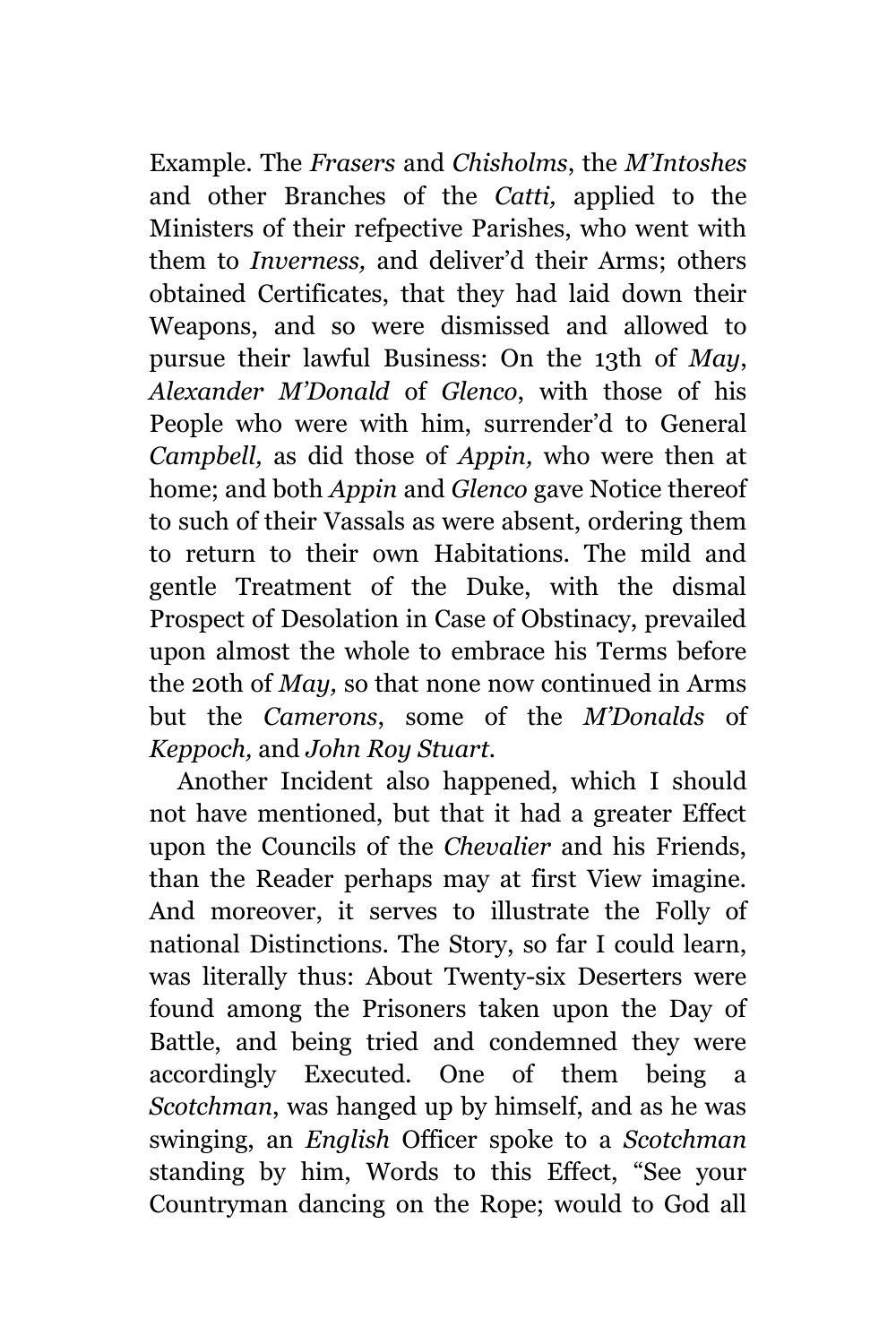Example. The *Frasers* and *Chisholms*, the *M'Intoshes* and other Branches of the *Catti,* applied to the Ministers of their refpective Parishes, who went with them to *Inverness,* and deliver'd their Arms; others obtained Certificates, that they had laid down their Weapons, and so were dismissed and allowed to pursue their lawful Business: On the 13th of *May*, *Alexander M'Donald* of *Glenco*, with those of his People who were with him, surrender'd to General *Campbell,* as did those of *Appin,* who were then at home; and both *Appin* and *Glenco* gave Notice thereof to such of their Vassals as were absent, ordering them to return to their own Habitations. The mild and gentle Treatment of the Duke, with the dismal Prospect of Desolation in Case of Obstinacy, prevailed upon almost the whole to embrace his Terms before the 20th of *May,* so that none now continued in Arms but the *Camerons*, some of the *M'Donalds* of *Keppoch,* and *John Roy Stuart.*

Another Incident also happened, which I should not have mentioned, but that it had a greater Effect upon the Councils of the *Chevalier* and his Friends, than the Reader perhaps may at first View imagine. And moreover, it serves to illustrate the Folly of national Distinctions. The Story, so far I could learn, was literally thus: About Twenty-six Deserters were found among the Prisoners taken upon the Day of Battle, and being tried and condemned they were accordingly Executed. One of them being a *Scotchman*, was hanged up by himself, and as he was swinging, an *English* Officer spoke to a *Scotchman* standing by him, Words to this Effect, "See your Countryman dancing on the Rope; would to God all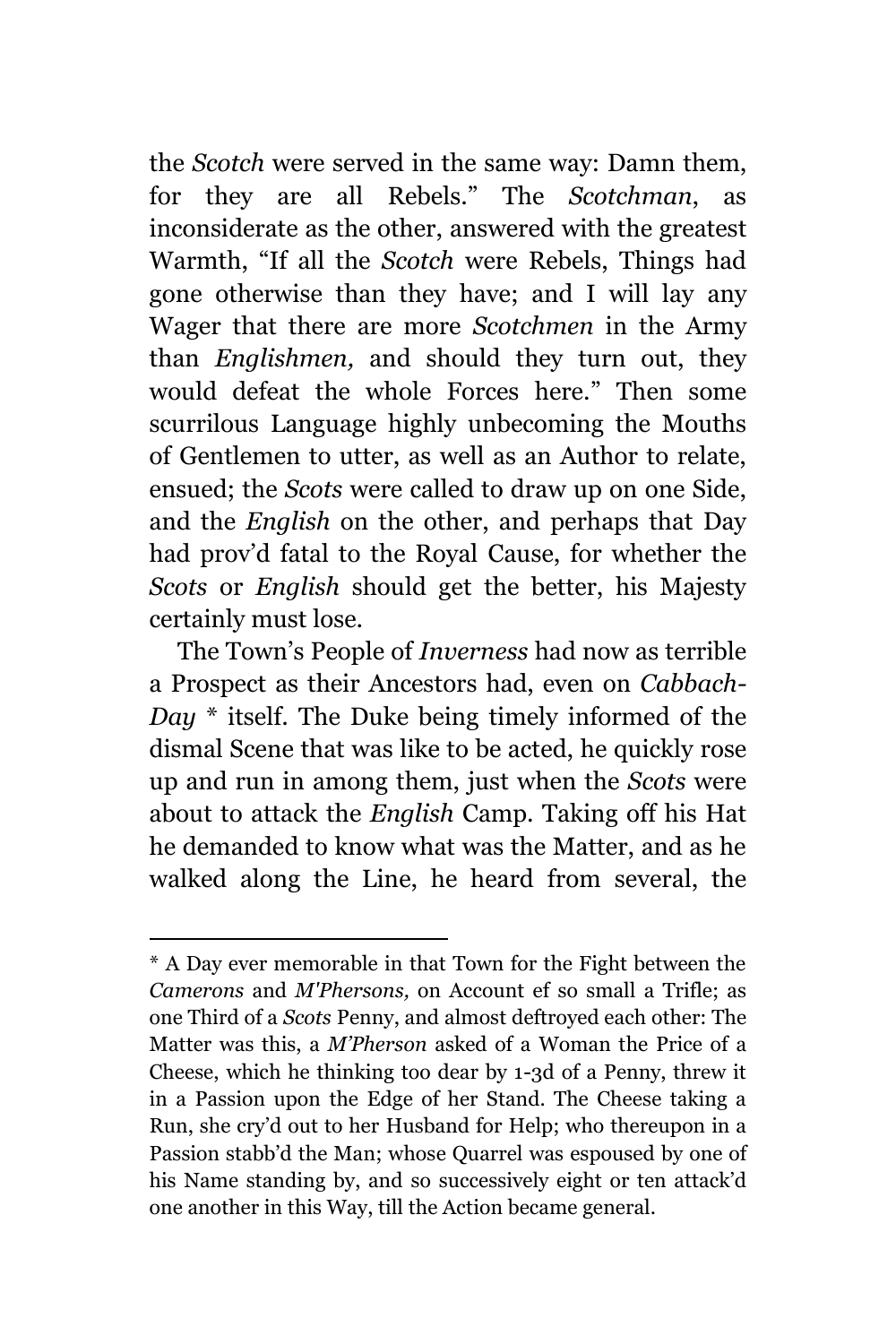the *Scotch* were served in the same way: Damn them, for they are all Rebels." The *Scotchman*, as inconsiderate as the other, answered with the greatest Warmth, "If all the *Scotch* were Rebels, Things had gone otherwise than they have; and I will lay any Wager that there are more *Scotchmen* in the Army than *Englishmen,* and should they turn out, they would defeat the whole Forces here." Then some scurrilous Language highly unbecoming the Mouths of Gentlemen to utter, as well as an Author to relate, ensued; the *Scots* were called to draw up on one Side, and the *English* on the other, and perhaps that Day had prov'd fatal to the Royal Cause, for whether the *Scots* or *English* should get the better, his Majesty certainly must lose.

The Town's People of *Inverness* had now as terrible a Prospect as their Ancestors had, even on *Cabbach-Day* \* itself. The Duke being timely informed of the dismal Scene that was like to be acted, he quickly rose up and run in among them, just when the *Scots* were about to attack the *English* Camp. Taking off his Hat he demanded to know what was the Matter, and as he walked along the Line, he heard from several, the

<sup>\*</sup> A Day ever memorable in that Town for the Fight between the *Camerons* and *M'Phersons,* on Account ef so small a Trifle; as one Third of a *Scots* Penny, and almost deftroyed each other: The Matter was this, a *M'Pherson* asked of a Woman the Price of a Cheese, which he thinking too dear by 1-3d of a Penny, threw it in a Passion upon the Edge of her Stand. The Cheese taking a Run, she cry'd out to her Husband for Help; who thereupon in a Passion stabb'd the Man; whose Quarrel was espoused by one of his Name standing by, and so successively eight or ten attack'd one another in this Way, till the Action became general.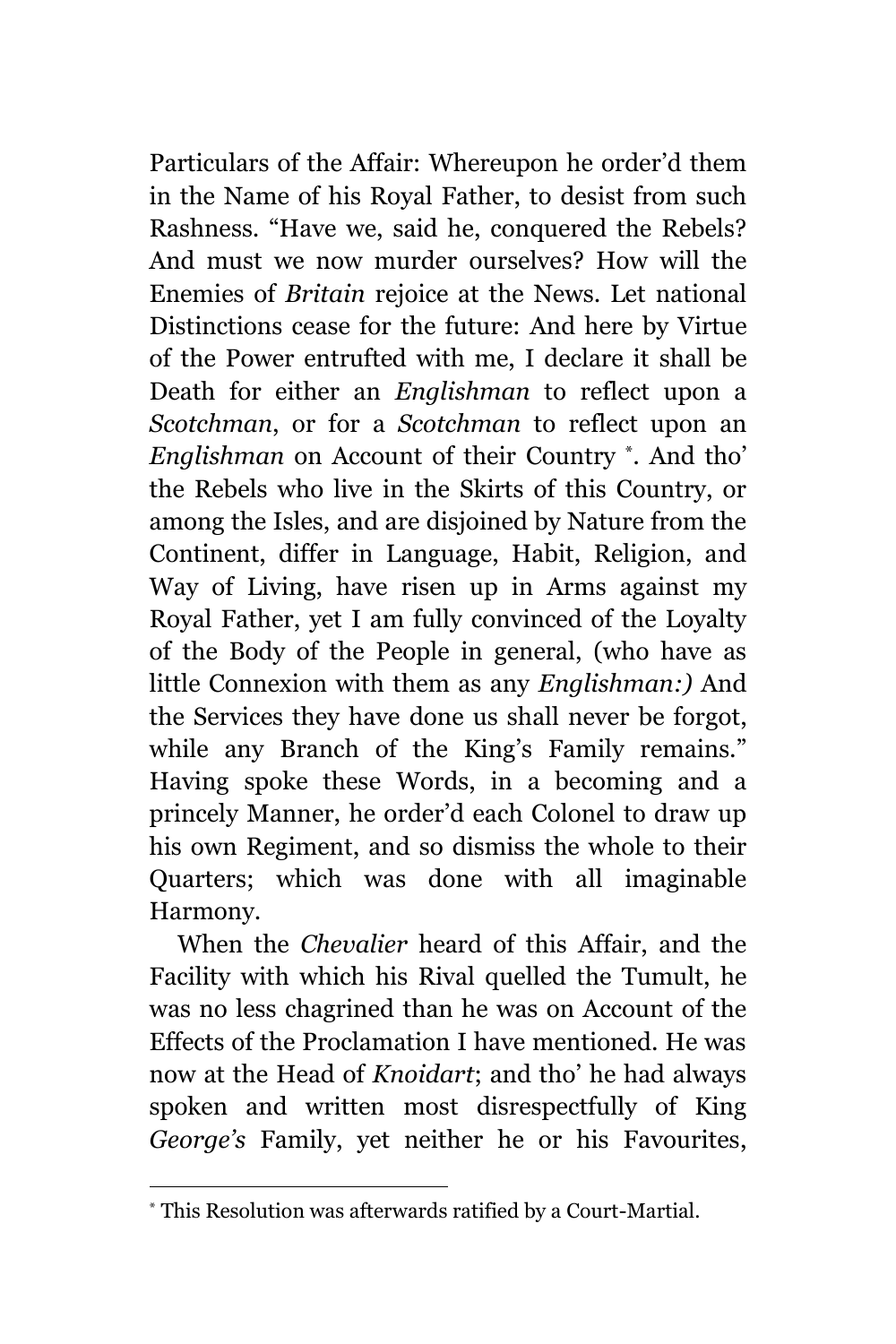Particulars of the Affair: Whereupon he order'd them in the Name of his Royal Father, to desist from such Rashness. "Have we, said he, conquered the Rebels? And must we now murder ourselves? How will the Enemies of *Britain* rejoice at the News. Let national Distinctions cease for the future: And here by Virtue of the Power entrufted with me, I declare it shall be Death for either an *Englishman* to reflect upon a *Scotchman*, or for a *Scotchman* to reflect upon an *Englishman* on Account of their Country \* *.* And tho' the Rebels who live in the Skirts of this Country, or among the Isles, and are disjoined by Nature from the Continent, differ in Language, Habit, Religion, and Way of Living, have risen up in Arms against my Royal Father, yet I am fully convinced of the Loyalty of the Body of the People in general, (who have as little Connexion with them as any *Englishman:)* And the Services they have done us shall never be forgot, while any Branch of the King's Family remains." Having spoke these Words, in a becoming and a princely Manner, he order'd each Colonel to draw up his own Regiment, and so dismiss the whole to their Quarters; which was done with all imaginable Harmony.

When the *Chevalier* heard of this Affair, and the Facility with which his Rival quelled the Tumult, he was no less chagrined than he was on Account of the Effects of the Proclamation I have mentioned. He was now at the Head of *Knoidart*; and tho' he had always spoken and written most disrespectfully of King *George's* Family, yet neither he or his Favourites,

<sup>\*</sup> This Resolution was afterwards ratified by a Court-Martial.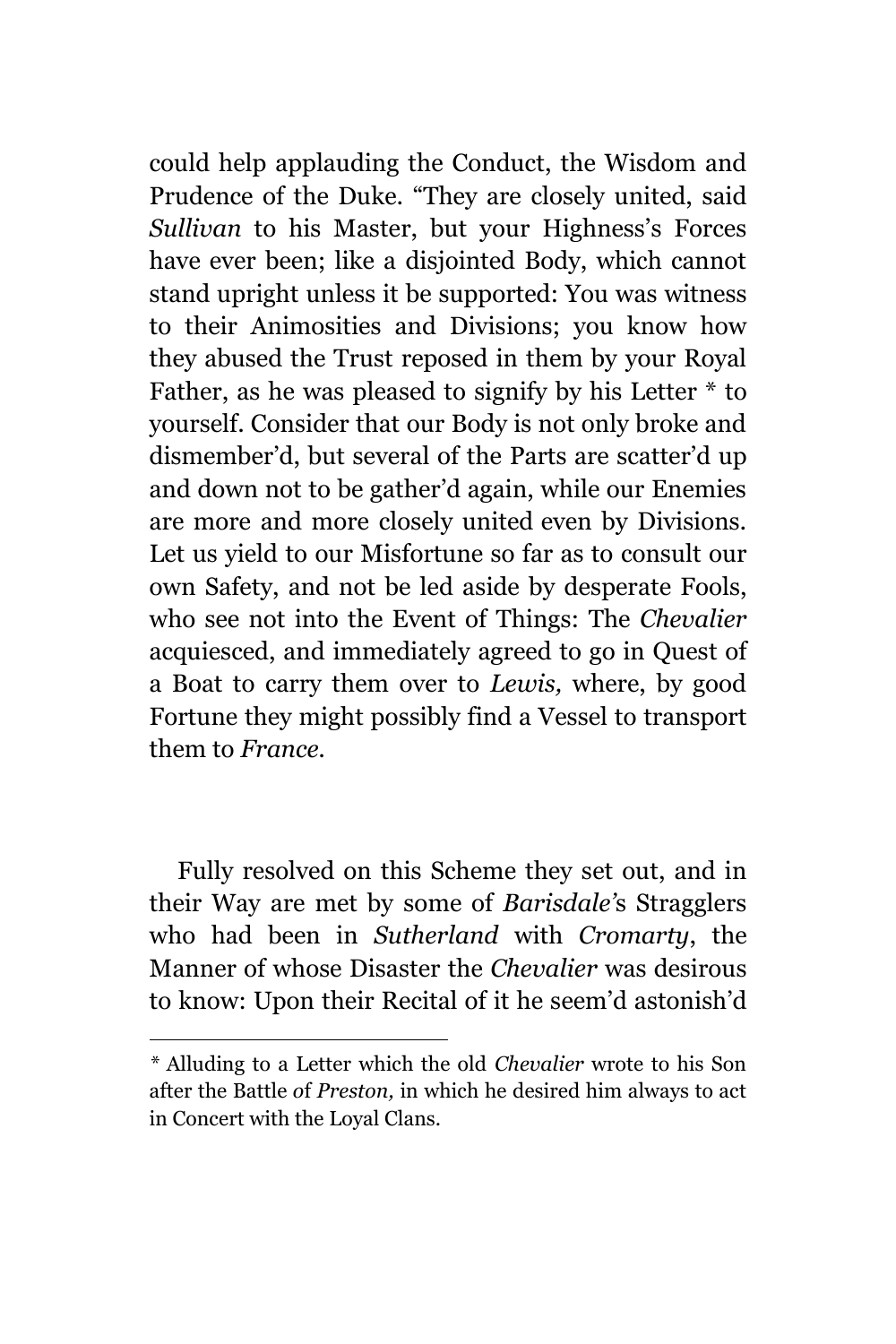could help applauding the Conduct, the Wisdom and Prudence of the Duke. "They are closely united, said *Sullivan* to his Master, but your Highness's Forces have ever been; like a disjointed Body, which cannot stand upright unless it be supported: You was witness to their Animosities and Divisions; you know how they abused the Trust reposed in them by your Royal Father, as he was pleased to signify by his Letter  $*$  to yourself. Consider that our Body is not only broke and dismember'd, but several of the Parts are scatter'd up and down not to be gather'd again, while our Enemies are more and more closely united even by Divisions. Let us yield to our Misfortune so far as to consult our own Safety, and not be led aside by desperate Fools, who see not into the Event of Things: The *Chevalier* acquiesced, and immediately agreed to go in Quest of a Boat to carry them over to *Lewis,* where, by good Fortune they might possibly find a Vessel to transport them to *France.*

Fully resolved on this Scheme they set out, and in their Way are met by some of *Barisdale'*s Stragglers who had been in *Sutherland* with *Cromarty*, the Manner of whose Disaster the *Chevalier* was desirous to know: Upon their Recital of it he seem'd astonish'd

*<sup>\*</sup>* Alluding to a Letter which the old *Chevalier* wrote to his Son after the Battle *o*f *Preston,* in which he desired him always to act in Concert with the Loyal Clans.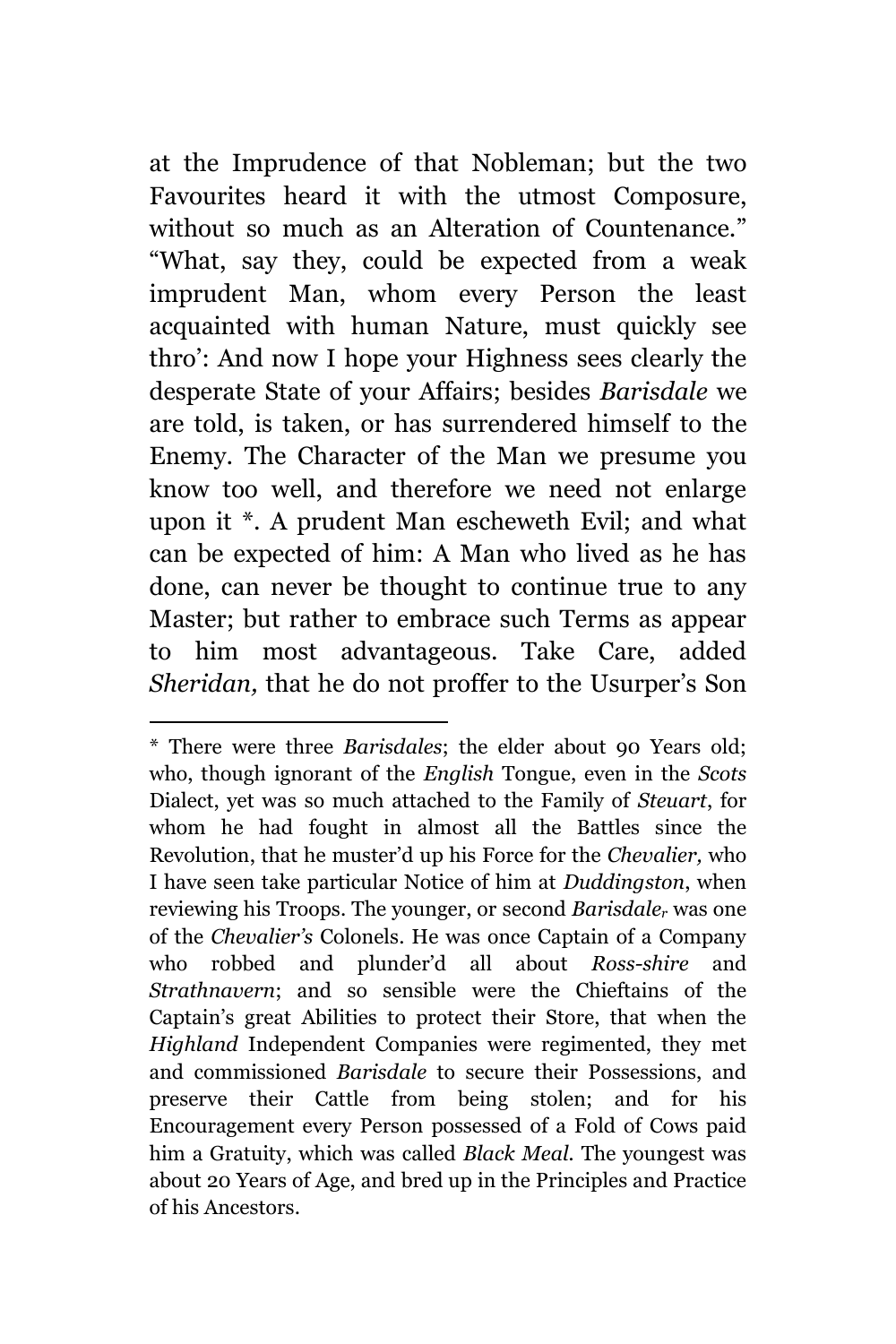at the Imprudence of that Nobleman; but the two Favourites heard it with the utmost Composure, without so much as an Alteration of Countenance." "What, say they, could be expected from a weak imprudent Man, whom every Person the least acquainted with human Nature, must quickly see thro': And now I hope your Highness sees clearly the desperate State of your Affairs; besides *Barisdale* we are told, is taken, or has surrendered himself to the Enemy. The Character of the Man we presume you know too well, and therefore we need not enlarge upon it \*. A prudent Man escheweth Evil; and what can be expected of him: A Man who lived as he has done, can never be thought to continue true to any Master; but rather to embrace such Terms as appear to him most advantageous. Take Care, added *Sheridan,* that he do not proffer to the Usurper's Son

<sup>\*</sup> There were three *Barisdales*; the elder about 90 Years old; who, though ignorant of the *English* Tongue, even in the *Scots* Dialect, yet was so much attached to the Family of *Steuart*, for whom he had fought in almost all the Battles since the Revolution, that he muster'd up his Force for the *Chevalier,* who I have seen take particular Notice of him at *Duddingston*, when reviewing his Troops. The younger, or second *Barisdale<sup>r</sup>* was one of the *Chevalier's* Colonels. He was once Captain of a Company who robbed and plunder'd all about *Ross-shire* and *Strathnavern*; and so sensible were the Chieftains of the Captain's great Abilities to protect their Store, that when the *Highland* Independent Companies were regimented, they met and commissioned *Barisdale* to secure their Possessions, and preserve their Cattle from being stolen; and for his Encouragement every Person possessed of a Fold of Cows paid him a Gratuity, which was called *Black Meal.* The youngest was about 20 Years of Age, and bred up in the Principles and Practice of his Ancestors.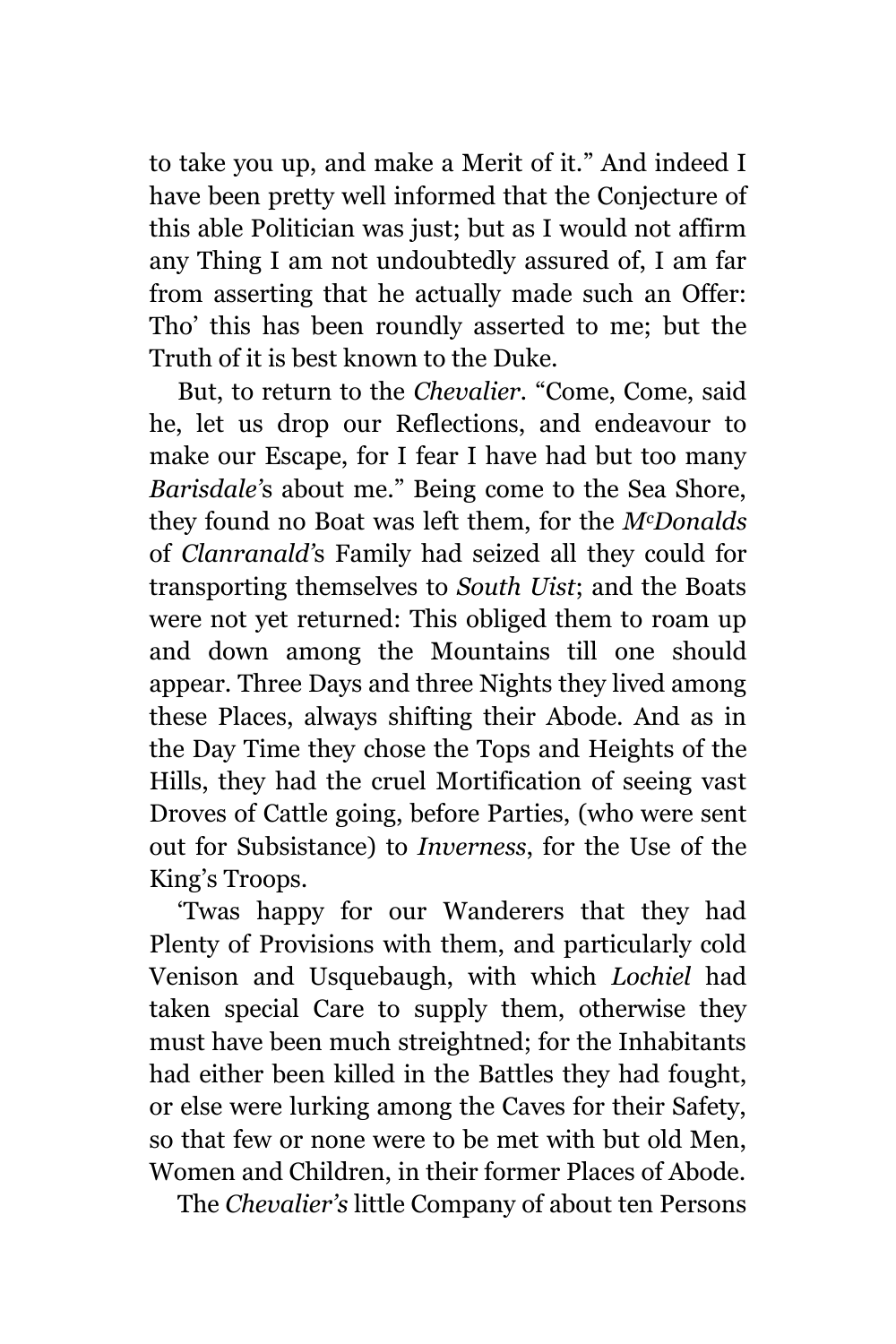to take you up, and make a Merit of it." And indeed I have been pretty well informed that the Conjecture of this able Politician was just; but as I would not affirm any Thing I am not undoubtedly assured of, I am far from asserting that he actually made such an Offer: Tho' this has been roundly asserted to me; but the Truth of it is best known to the Duke.

But, to return to the *Chevalier.* "Come, Come, said he, let us drop our Reflections, and endeavour to make our Escape, for I fear I have had but too many *Barisdale'*s about me." Being come to the Sea Shore, they found no Boat was left them, for the *McDonalds* of *Clanranald'*s Family had seized all they could for transporting themselves to *South Uist*; and the Boats were not yet returned: This obliged them to roam up and down among the Mountains till one should appear. Three Days and three Nights they lived among these Places, always shifting their Abode. And as in the Day Time they chose the Tops and Heights of the Hills, they had the cruel Mortification of seeing vast Droves of Cattle going, before Parties, (who were sent out for Subsistance) to *Inverness*, for the Use of the King's Troops.

'Twas happy for our Wanderers that they had Plenty of Provisions with them, and particularly cold Venison and Usquebaugh, with which *Lochiel* had taken special Care to supply them, otherwise they must have been much streightned; for the Inhabitants had either been killed in the Battles they had fought, or else were lurking among the Caves for their Safety, so that few or none were to be met with but old Men, Women and Children, in their former Places of Abode.

The *Chevalier's* little Company of about ten Persons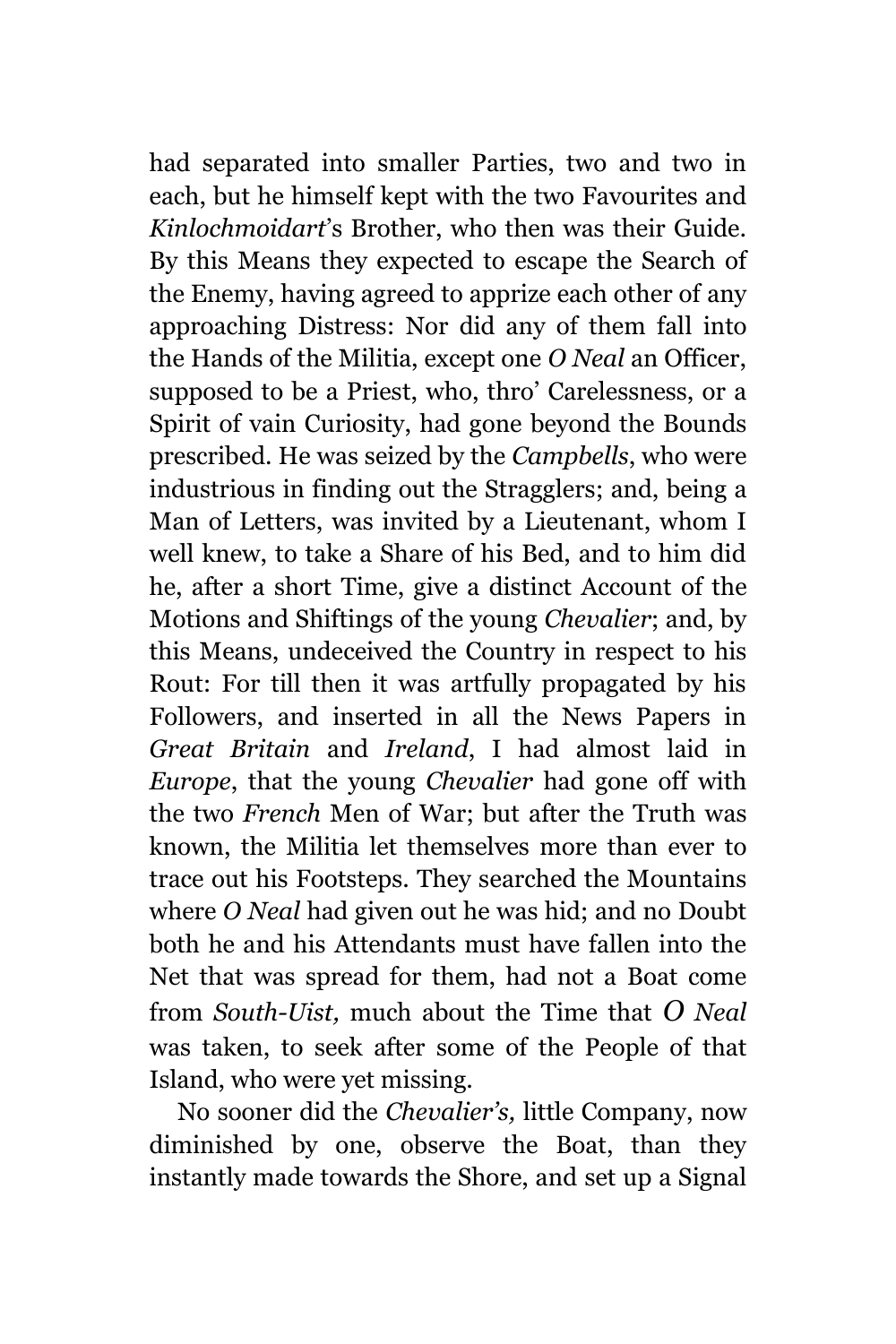had separated into smaller Parties, two and two in each, but he himself kept with the two Favourites and *Kinlochmoidart*'s Brother, who then was their Guide. By this Means they expected to escape the Search of the Enemy, having agreed to apprize each other of any approaching Distress: Nor did any of them fall into the Hands of the Militia, except one *O Neal* an Officer, supposed to be a Priest, who, thro' Carelessness, or a Spirit of vain Curiosity, had gone beyond the Bounds prescribed. He was seized by the *Campbells*, who were industrious in finding out the Stragglers; and, being a Man of Letters, was invited by a Lieutenant, whom I well knew, to take a Share of his Bed, and to him did he, after a short Time, give a distinct Account of the Motions and Shiftings of the young *Chevalier*; and, by this Means, undeceived the Country in respect to his Rout: For till then it was artfully propagated by his Followers, and inserted in all the News Papers in *Great Britain* and *Ireland*, I had almost laid in *Europe*, that the young *Chevalier* had gone off with the two *French* Men of War; but after the Truth was known, the Militia let themselves more than ever to trace out his Footsteps. They searched the Mountains where *O Neal* had given out he was hid; and no Doubt both he and his Attendants must have fallen into the Net that was spread for them, had not a Boat come from *South-Uist,* much about the Time that *O Neal* was taken, to seek after some of the People of that Island, who were yet missing.

No sooner did the *Chevalier's,* little Company, now diminished by one, observe the Boat, than they instantly made towards the Shore, and set up a Signal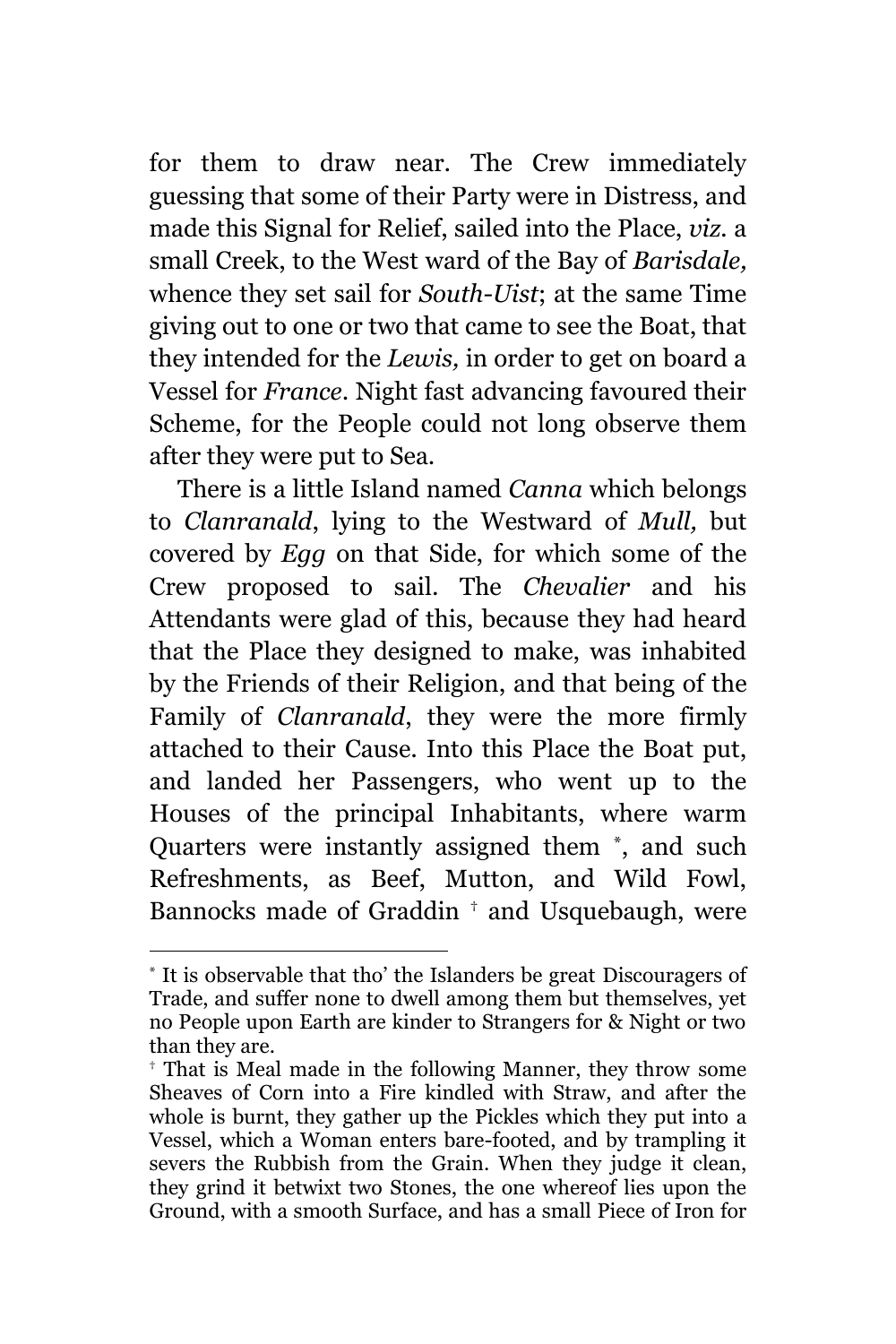for them to draw near. The Crew immediately guessing that some of their Party were in Distress, and made this Signal for Relief, sailed into the Place, *viz.* a small Creek, to the West ward of the Bay of *Barisdale,* whence they set sail for *South-Uist*; at the same Time giving out to one or two that came to see the Boat, that they intended for the *Lewis,* in order to get on board a Vessel for *France*. Night fast advancing favoured their Scheme, for the People could not long observe them after they were put to Sea.

There is a little Island named *Canna* which belongs to *Clanranald*, lying to the Westward of *Mull,* but covered by *Egg* on that Side, for which some of the Crew proposed to sail. The *Chevalier* and his Attendants were glad of this, because they had heard that the Place they designed to make, was inhabited by the Friends of their Religion, and that being of the Family of *Clanranald*, they were the more firmly attached to their Cause. Into this Place the Boat put, and landed her Passengers, who went up to the Houses of the principal Inhabitants, where warm Quarters were instantly assigned them \* , and such Refreshments, as Beef, Mutton, and Wild Fowl, Bannocks made of Graddin † and Usquebaugh, were

<sup>\*</sup> It is observable that tho' the Islanders be great Discouragers of Trade, and suffer none to dwell among them but themselves, yet no People upon Earth are kinder to Strangers for & Night or two than they are.

<sup>†</sup> That is Meal made in the following Manner, they throw some Sheaves of Corn into a Fire kindled with Straw, and after the whole is burnt, they gather up the Pickles which they put into a Vessel, which a Woman enters bare-footed, and by trampling it severs the Rubbish from the Grain. When they judge it clean, they grind it betwixt two Stones, the one whereof lies upon the Ground, with a smooth Surface, and has a small Piece of Iron for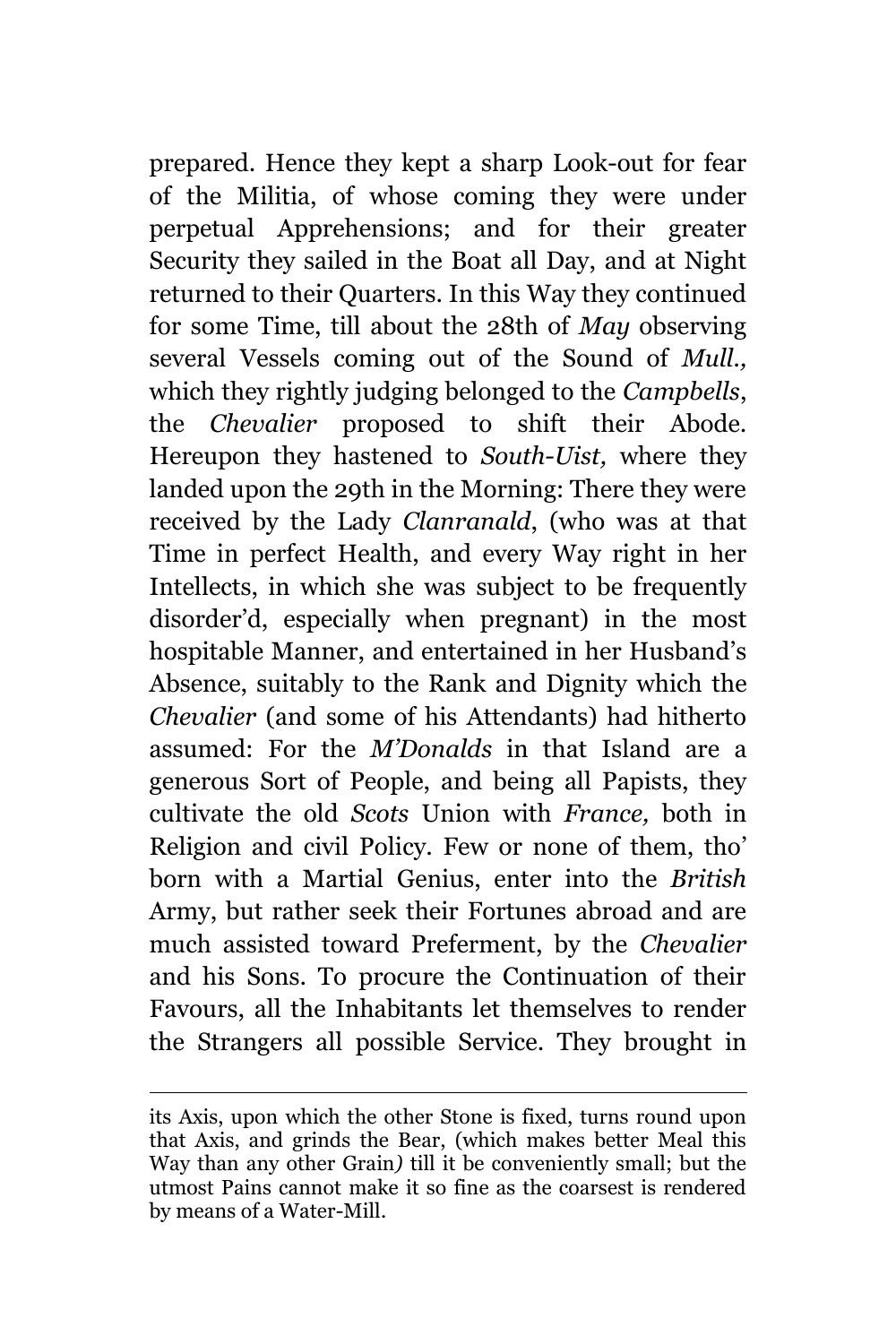prepared. Hence they kept a sharp Look-out for fear of the Militia, of whose coming they were under perpetual Apprehensions; and for their greater Security they sailed in the Boat all Day, and at Night returned to their Quarters. In this Way they continued for some Time, till about the 28th of *May* observing several Vessels coming out of the Sound of *Mull.,* which they rightly judging belonged to the *Campbells*, the *Chevalier* proposed to shift their Abode. Hereupon they hastened to *South-Uist,* where they landed upon the 29th in the Morning: There they were received by the Lady *Clanranald*, (who was at that Time in perfect Health, and every Way right in her Intellects, in which she was subject to be frequently disorder'd, especially when pregnant) in the most hospitable Manner, and entertained in her Husband's Absence, suitably to the Rank and Dignity which the *Chevalier* (and some of his Attendants) had hitherto assumed: For the *M'Donalds* in that Island are a generous Sort of People, and being all Papists, they cultivate the old *Scots* Union with *France,* both in Religion and civil Policy. Few or none of them, tho' born with a Martial Genius, enter into the *British* Army, but rather seek their Fortunes abroad and are much assisted toward Preferment, by the *Chevalier* and his Sons. To procure the Continuation of their Favours, all the Inhabitants let themselves to render the Strangers all possible Service. They brought in

L,

its Axis, upon which the other Stone is fixed, turns round upon that Axis, and grinds the Bear, (which makes better Meal this Way than any other Grain*)* till it be conveniently small; but the utmost Pains cannot make it so fine as the coarsest is rendered by means of a Water-Mill.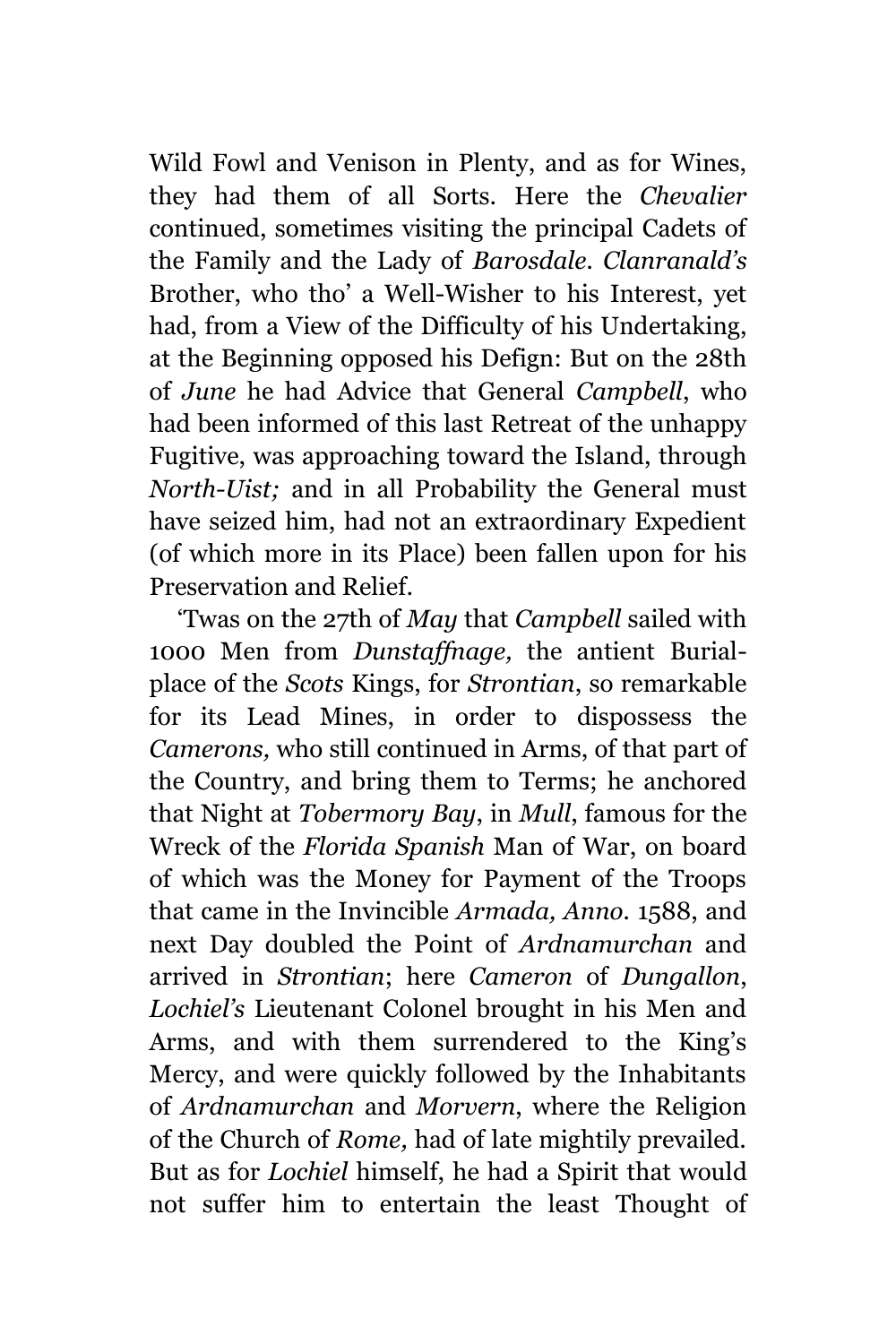Wild Fowl and Venison in Plenty, and as for Wines, they had them of all Sorts. Here the *Chevalier* continued, sometimes visiting the principal Cadets of the Family and the Lady of *Barosdale. Clanranald's* Brother, who tho' a Well-Wisher to his Interest, yet had, from a View of the Difficulty of his Undertaking, at the Beginning opposed his Defign: But on the 28th of *June* he had Advice that General *Campbell*, who had been informed of this last Retreat of the unhappy Fugitive, was approaching toward the Island, through *North-Uist;* and in all Probability the General must have seized him, had not an extraordinary Expedient (of which more in its Place) been fallen upon for his Preservation and Relief.

'Twas on the 27th of *May* that *Campbell* sailed with 1000 Men from *Dunstaffnage,* the antient Burialplace of the *Scots* Kings, for *Strontian*, so remarkable for its Lead Mines, in order to dispossess the *Camerons,* who still continued in Arms, of that part of the Country, and bring them to Terms; he anchored that Night at *Tobermory Bay*, in *Mull*, famous for the Wreck of the *Florida Spanish* Man of War, on board of which was the Money for Payment of the Troops that came in the Invincible *Armada, Anno.* 1588, and next Day doubled the Point of *Ardnamurchan* and arrived in *Strontian*; here *Cameron* of *Dungallon*, *Lochiel's* Lieutenant Colonel brought in his Men and Arms, and with them surrendered to the King's Mercy, and were quickly followed by the Inhabitants of *Ardnamurchan* and *Morvern*, where the Religion of the Church of *Rome,* had of late mightily prevailed. But as for *Lochiel* himself, he had a Spirit that would not suffer him to entertain the least Thought of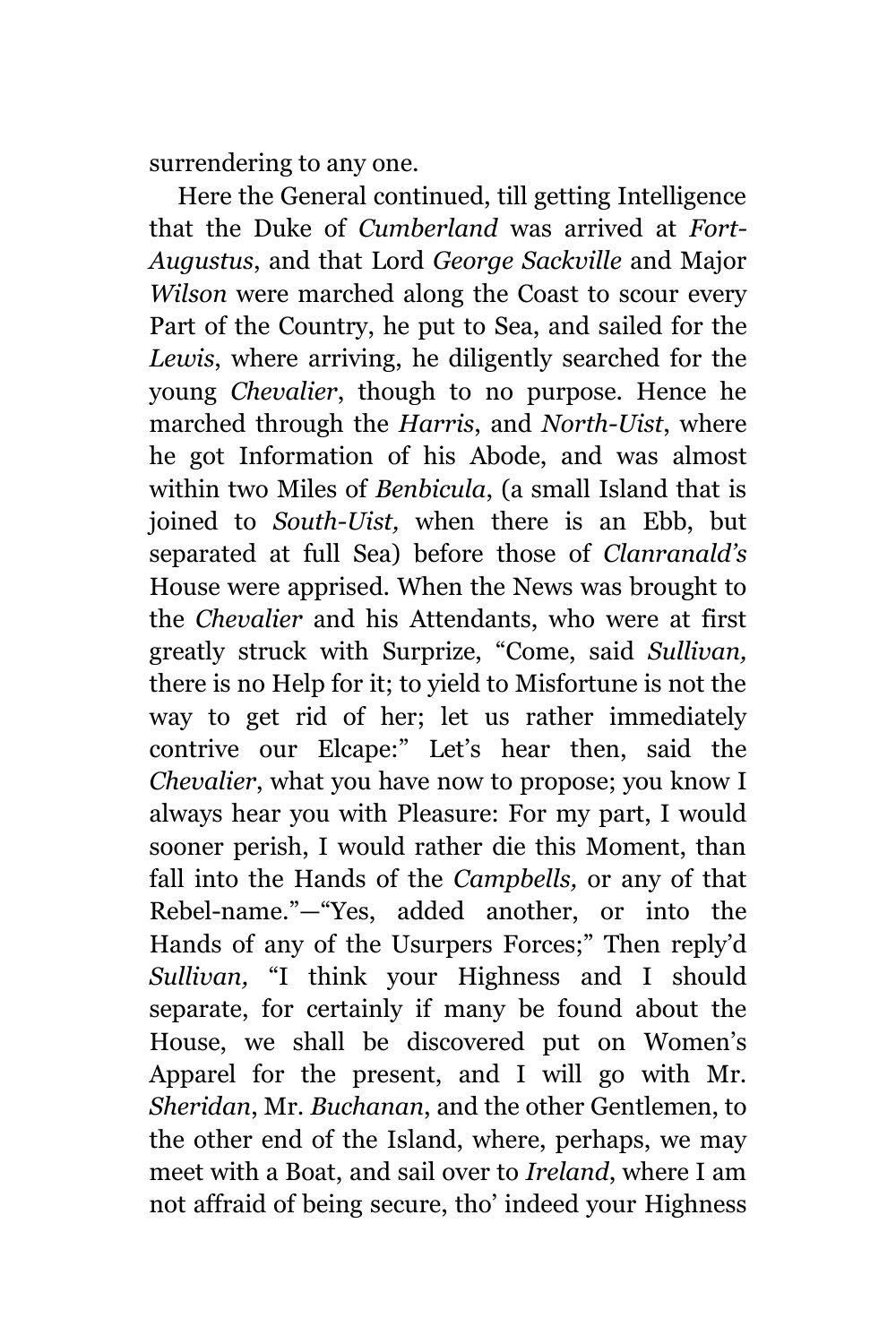surrendering to any one.

Here the General continued, till getting Intelligence that the Duke of *Cumberland* was arrived at *Fort-Augustus*, and that Lord *George Sackville* and Major *Wilson* were marched along the Coast to scour every Part of the Country, he put to Sea, and sailed for the *Lewis*, where arriving, he diligently searched for the young *Chevalier*, though to no purpose. Hence he marched through the *Harris*, and *North-Uist*, where he got Information of his Abode, and was almost within two Miles of *Benbicula*, (a small Island that is joined to *South-Uist,* when there is an Ebb, but separated at full Sea) before those of *Clanranald's*  House were apprised. When the News was brought to the *Chevalier* and his Attendants, who were at first greatly struck with Surprize, "Come, said *Sullivan,* there is no Help for it; to yield to Misfortune is not the way to get rid of her; let us rather immediately contrive our Elcape:" Let's hear then, said the *Chevalier*, what you have now to propose; you know I always hear you with Pleasure: For my part, I would sooner perish, I would rather die this Moment, than fall into the Hands of the *Campbells,* or any of that Rebel-name."—"Yes, added another, or into the Hands of any of the Usurpers Forces;" Then reply'd *Sullivan,* "I think your Highness and I should separate, for certainly if many be found about the House, we shall be discovered put on Women's Apparel for the present, and I will go with Mr. *Sheridan*, Mr. *Buchanan*, and the other Gentlemen, to the other end of the Island, where, perhaps, we may meet with a Boat, and sail over to *Ireland*, where I am not affraid of being secure, tho' indeed your Highness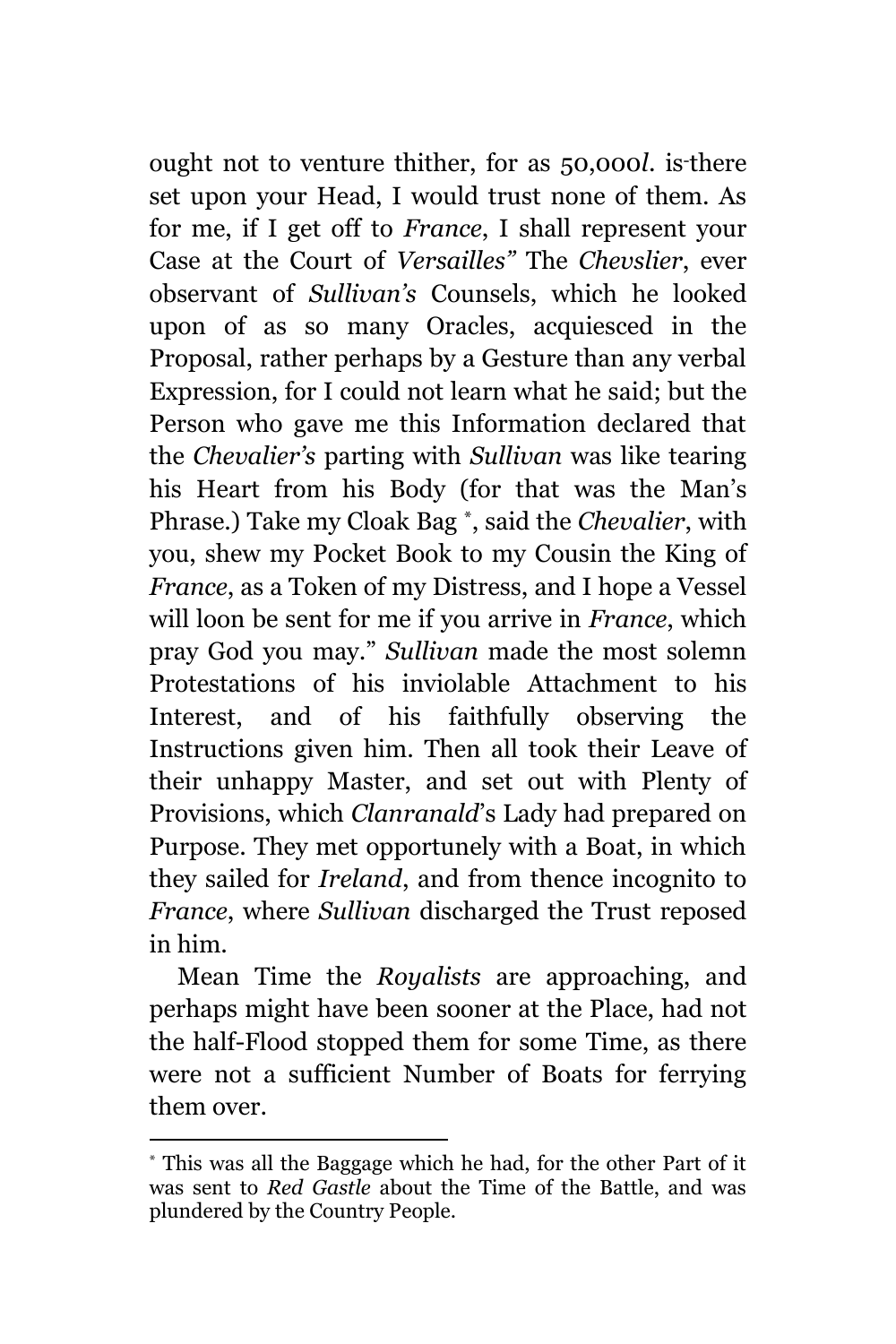ought not to venture thither, for as 50,000*l*. is-there set upon your Head, I would trust none of them. As for me, if I get off to *France*, I shall represent your Case at the Court of *Versailles"* The *Chevslier*, ever observant of *Sullivan's* Counsels, which he looked upon of as so many Oracles, acquiesced in the Proposal, rather perhaps by a Gesture than any verbal Expression, for I could not learn what he said; but the Person who gave me this Information declared that the *Chevalier's* parting with *Sullivan* was like tearing his Heart from his Body (for that was the Man's Phrase.) Take my Cloak Bag \* , said the *Chevalier*, with you, shew my Pocket Book to my Cousin the King of *France*, as a Token of my Distress, and I hope a Vessel will loon be sent for me if you arrive in *France*, which pray God you may." *Sullivan* made the most solemn Protestations of his inviolable Attachment to his Interest, and of his faithfully observing the Instructions given him. Then all took their Leave of their unhappy Master, and set out with Plenty of Provisions, which *Clanranald*'s Lady had prepared on Purpose. They met opportunely with a Boat, in which they sailed for *Ireland*, and from thence incognito to *France*, where *Sullivan* discharged the Trust reposed in him.

Mean Time the *Royalists* are approaching, and perhaps might have been sooner at the Place, had not the half-Flood stopped them for some Time, as there were not a sufficient Number of Boats for ferrying them over.

<sup>\*</sup> This was all the Baggage which he had, for the other Part of it was sent to *Red Gastle* about the Time of the Battle, and was plundered by the Country People.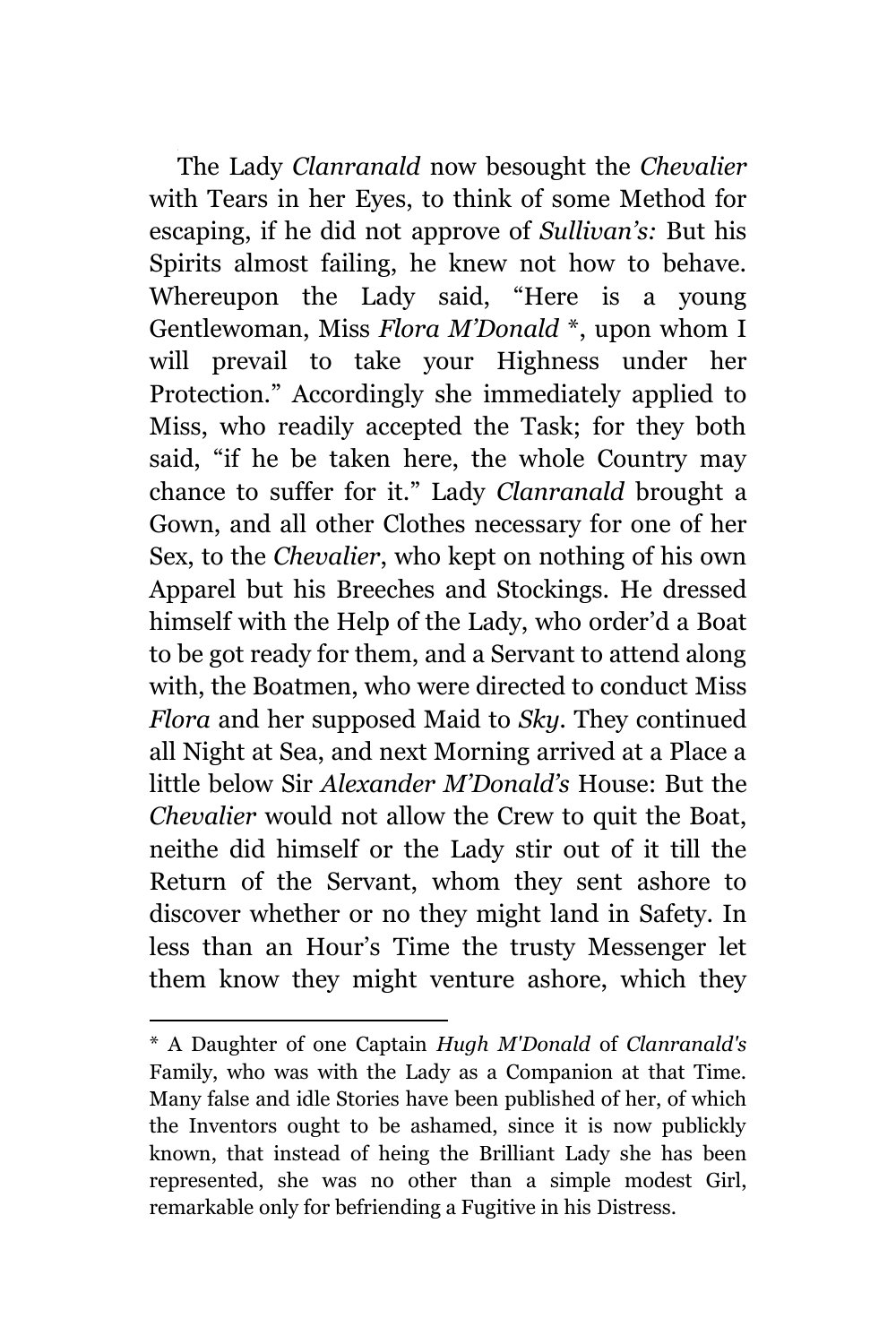The Lady *Clanranald* now besought the *Chevalier* with Tears in her Eyes, to think of some Method for escaping, if he did not approve of *Sullivan's:* But his Spirits almost failing, he knew not how to behave. Whereupon the Lady said, "Here is a young Gentlewoman, Miss *Flora M'Donald* \*, upon whom I will prevail to take your Highness under her Protection." Accordingly she immediately applied to Miss, who readily accepted the Task; for they both said, "if he be taken here, the whole Country may chance to suffer for it." Lady *Clanranald* brought a Gown, and all other Clothes necessary for one of her Sex, to the *Chevalier*, who kept on nothing of his own Apparel but his Breeches and Stockings. He dressed himself with the Help of the Lady, who order'd a Boat to be got ready for them, and a Servant to attend along with, the Boatmen, who were directed to conduct Miss *Flora* and her supposed Maid to *Sky.* They continued all Night at Sea, and next Morning arrived at a Place a little below Sir *Alexander M'Donald's* House: But the *Chevalier* would not allow the Crew to quit the Boat, neithe did himself or the Lady stir out of it till the Return of the Servant, whom they sent ashore to discover whether or no they might land in Safety. In less than an Hour's Time the trusty Messenger let them know they might venture ashore, which they

<sup>\*</sup> A Daughter of one Captain *Hugh M'Donald* of *Clanranald's* Family, who was with the Lady as a Companion at that Time. Many false and idle Stories have been published of her, of which the Inventors ought to be ashamed, since it is now publickly known, that instead of heing the Brilliant Lady she has been represented, she was no other than a simple modest Girl, remarkable only for befriending a Fugitive in his Distress.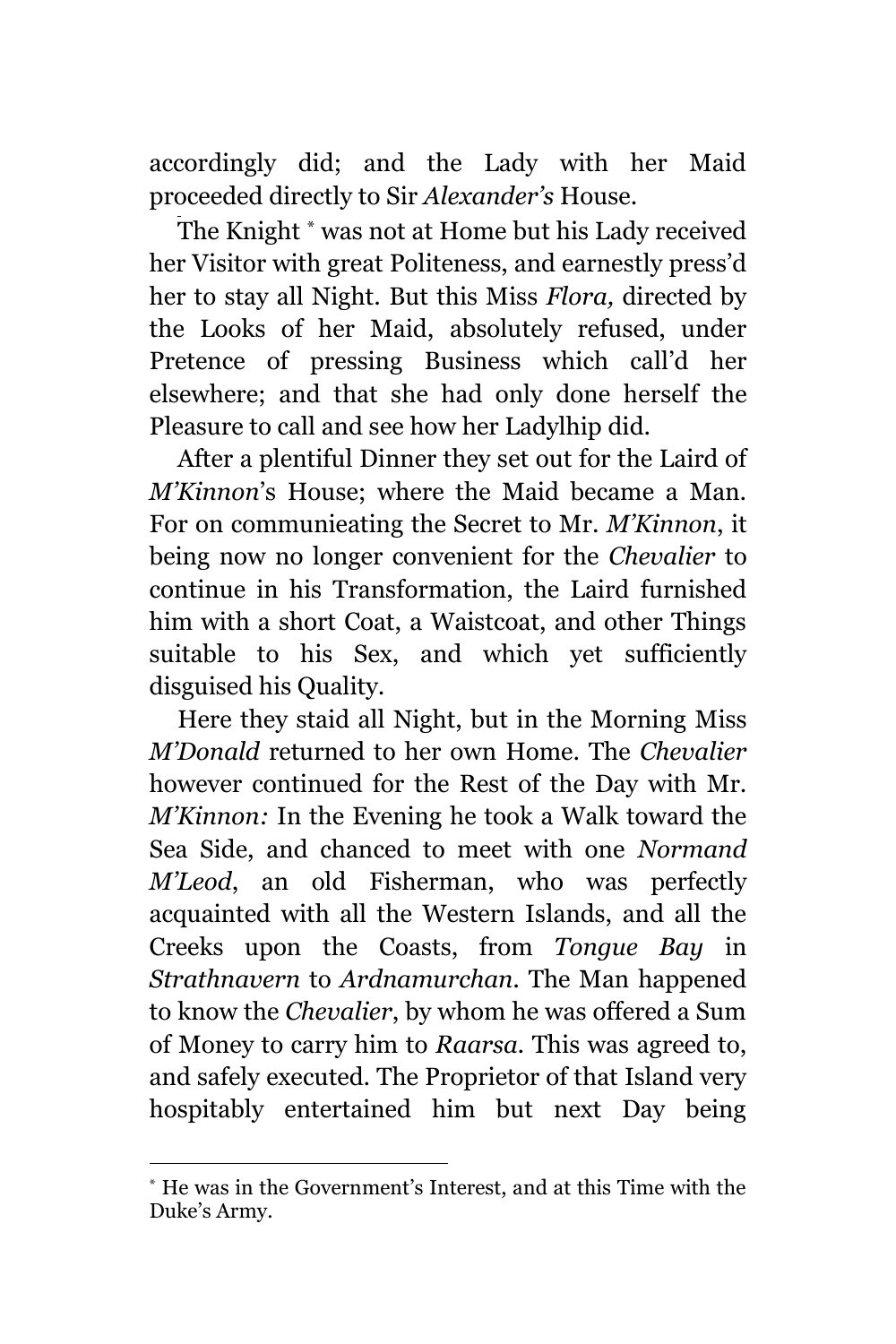accordingly did; and the Lady with her Maid proceeded directly to Sir *Alexander's* House.

The Knight \* was not at Home but his Lady received her Visitor with great Politeness, and earnestly press'd her to stay all Night. But this Miss *Flora,* directed by the Looks of her Maid, absolutely refused, under Pretence of pressing Business which call'd her elsewhere; and that she had only done herself the Pleasure to call and see how her Ladylhip did.

After a plentiful Dinner they set out for the Laird of *M'Kinnon*'s House; where the Maid became a Man. For on communieating the Secret to Mr. *M'Kinnon*, it being now no longer convenient for the *Chevalier* to continue in his Transformation, the Laird furnished him with a short Coat, a Waistcoat, and other Things suitable to his Sex, and which yet sufficiently disguised his Quality.

Here they staid all Night, but in the Morning Miss *M'Donald* returned to her own Home. The *Chevalier* however continued for the Rest of the Day with Mr. *M'Kinnon:* In the Evening he took a Walk toward the Sea Side, and chanced to meet with one *Normand M'Leod*, an old Fisherman, who was perfectly acquainted with all the Western Islands, and all the Creeks upon the Coasts, from *Tongue Bay* in *Strathnavern* to *Ardnamurchan.* The Man happened to know the *Chevalier*, by whom he was offered a Sum of Money to carry him to *Raarsa.* This was agreed to, and safely executed. The Proprietor of that Island very hospitably entertained him but next Day being

L,

<sup>\*</sup> He was in the Government's Interest, and at this Time with the Duke's Army.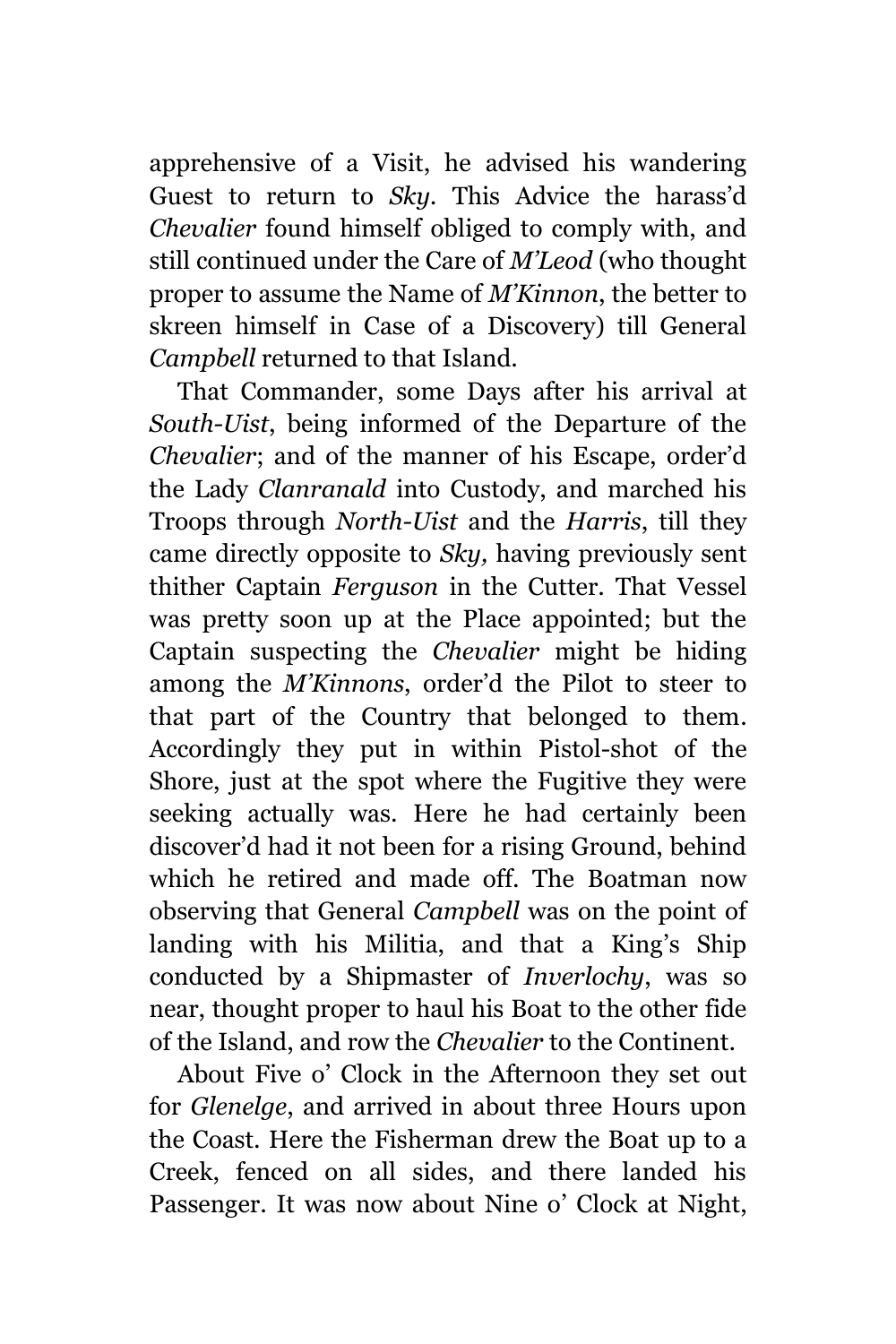apprehensive of a Visit, he advised his wandering Guest to return to *Sky.* This Advice the harass'd *Chevalier* found himself obliged to comply with, and still continued under the Care of *M'Leod* (who thought proper to assume the Name of *M'Kinnon*, the better to skreen himself in Case of a Discovery) till General *Campbell* returned to that Island.

That Commander, some Days after his arrival at *South-Uist*, being informed of the Departure of the *Chevalier*; and of the manner of his Escape, order'd the Lady *Clanranald* into Custody, and marched his Troops through *North-Uist* and the *Harris*, till they came directly opposite to *Sky,* having previously sent thither Captain *Ferguson* in the Cutter. That Vessel was pretty soon up at the Place appointed; but the Captain suspecting the *Chevalier* might be hiding among the *M'Kinnons*, order'd the Pilot to steer to that part of the Country that belonged to them. Accordingly they put in within Pistol-shot of the Shore, just at the spot where the Fugitive they were seeking actually was. Here he had certainly been discover'd had it not been for a rising Ground, behind which he retired and made off. The Boatman now observing that General *Campbell* was on the point of landing with his Militia, and that a King's Ship conducted by a Shipmaster of *Inverlochy*, was so near, thought proper to haul his Boat to the other fide of the Island, and row the *Chevalier* to the Continent.

About Five o' Clock in the Afternoon they set out for *Glenelge*, and arrived in about three Hours upon the Coast. Here the Fisherman drew the Boat up to a Creek, fenced on all sides, and there landed his Passenger. It was now about Nine o' Clock at Night,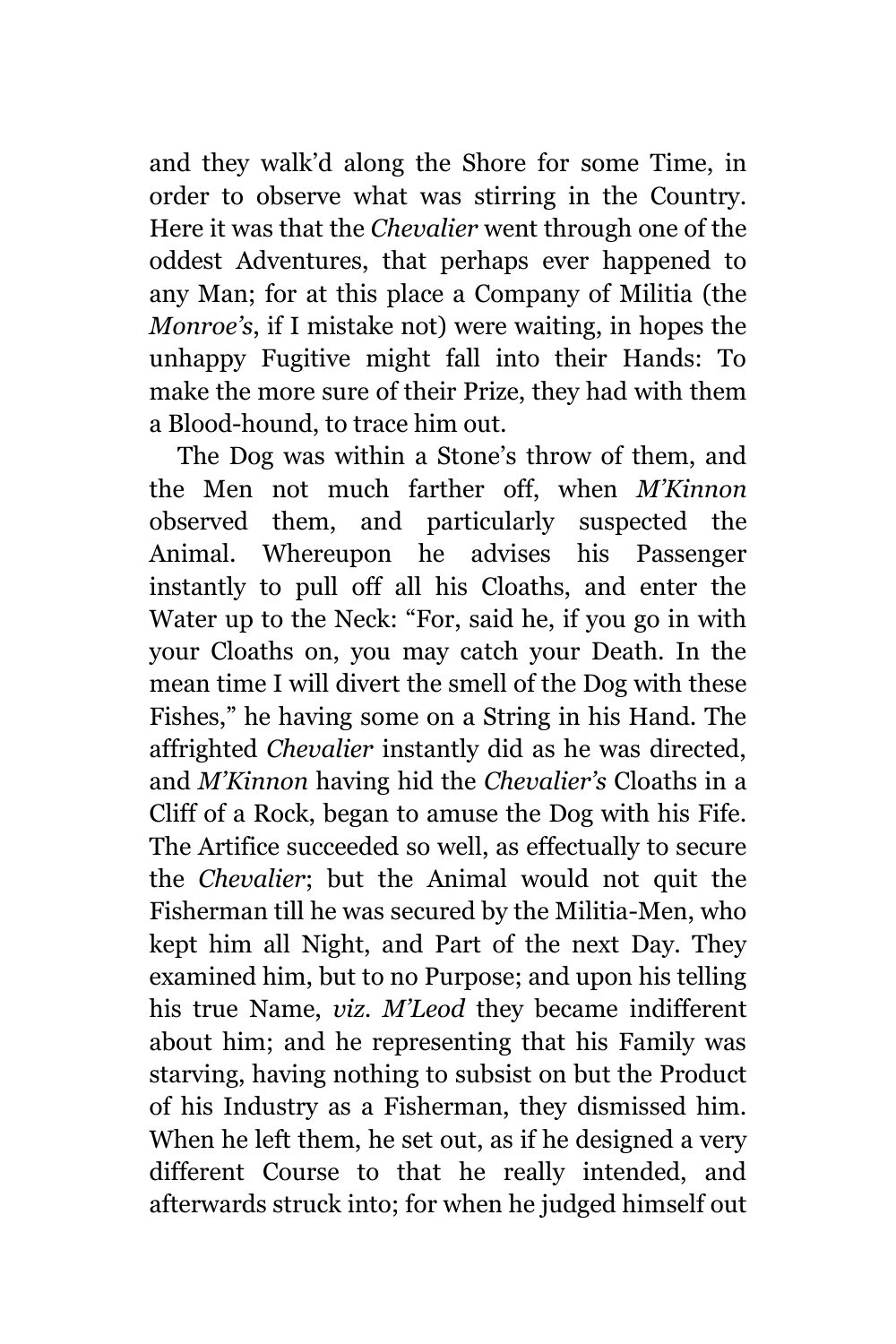and they walk'd along the Shore for some Time, in order to observe what was stirring in the Country. Here it was that the *Chevalier* went through one of the oddest Adventures, that perhaps ever happened to any Man; for at this place a Company of Militia (the *Monroe's*, if I mistake not) were waiting, in hopes the unhappy Fugitive might fall into their Hands: To make the more sure of their Prize, they had with them a Blood-hound, to trace him out.

The Dog was within a Stone's throw of them, and the Men not much farther off, when *M'Kinnon* observed them, and particularly suspected the Animal. Whereupon he advises his Passenger instantly to pull off all his Cloaths, and enter the Water up to the Neck: "For, said he, if you go in with your Cloaths on, you may catch your Death. In the mean time I will divert the smell of the Dog with these Fishes," he having some on a String in his Hand. The affrighted *Chevalier* instantly did as he was directed, and *M'Kinnon* having hid the *Chevalier's* Cloaths in a Cliff of a Rock, began to amuse the Dog with his Fife. The Artifice succeeded so well, as effectually to secure the *Chevalier*; but the Animal would not quit the Fisherman till he was secured by the Militia-Men, who kept him all Night, and Part of the next Day. They examined him, but to no Purpose; and upon his telling his true Name, *viz. M'Leod* they became indifferent about him; and he representing that his Family was starving, having nothing to subsist on but the Product of his Industry as a Fisherman, they dismissed him. When he left them, he set out, as if he designed a very different Course to that he really intended, and afterwards struck into; for when he judged himself out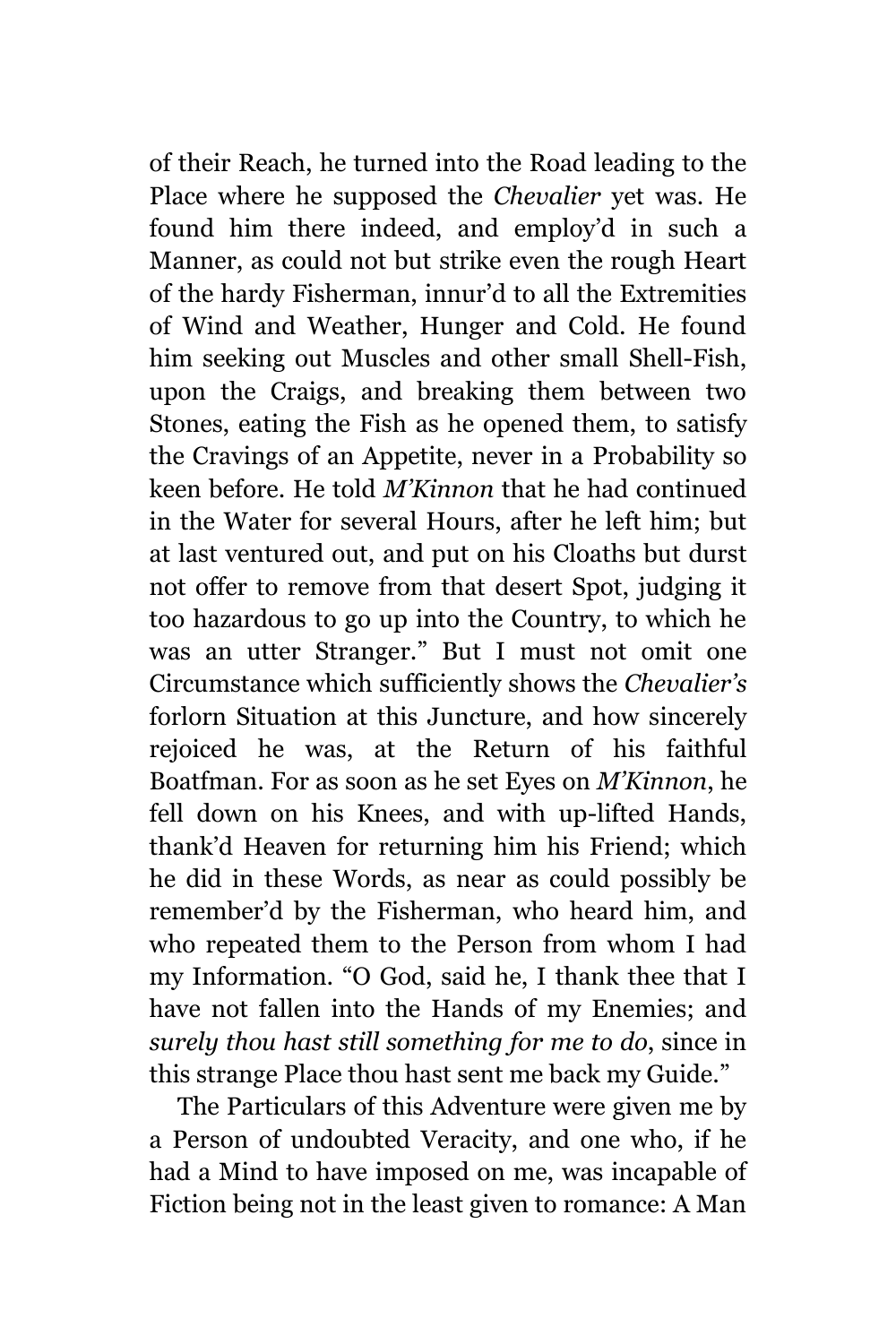of their Reach, he turned into the Road leading to the Place where he supposed the *Chevalier* yet was. He found him there indeed, and employ'd in such a Manner, as could not but strike even the rough Heart of the hardy Fisherman, innur'd to all the Extremities of Wind and Weather, Hunger and Cold. He found him seeking out Muscles and other small Shell-Fish, upon the Craigs, and breaking them between two Stones, eating the Fish as he opened them, to satisfy the Cravings of an Appetite, never in a Probability so keen before. He told *M'Kinnon* that he had continued in the Water for several Hours, after he left him; but at last ventured out, and put on his Cloaths but durst not offer to remove from that desert Spot, judging it too hazardous to go up into the Country, to which he was an utter Stranger." But I must not omit one Circumstance which sufficiently shows the *Chevalier's* forlorn Situation at this Juncture, and how sincerely rejoiced he was, at the Return of his faithful Boatfman. For as soon as he set Eyes on *M'Kinnon*, he fell down on his Knees, and with up-lifted Hands, thank'd Heaven for returning him his Friend; which he did in these Words, as near as could possibly be remember'd by the Fisherman, who heard him, and who repeated them to the Person from whom I had my Information. "O God, said he, I thank thee that I have not fallen into the Hands of my Enemies; and *surely thou hast still something for me to do*, since in this strange Place thou hast sent me back my Guide."

The Particulars of this Adventure were given me by a Person of undoubted Veracity, and one who, if he had a Mind to have imposed on me, was incapable of Fiction being not in the least given to romance: A Man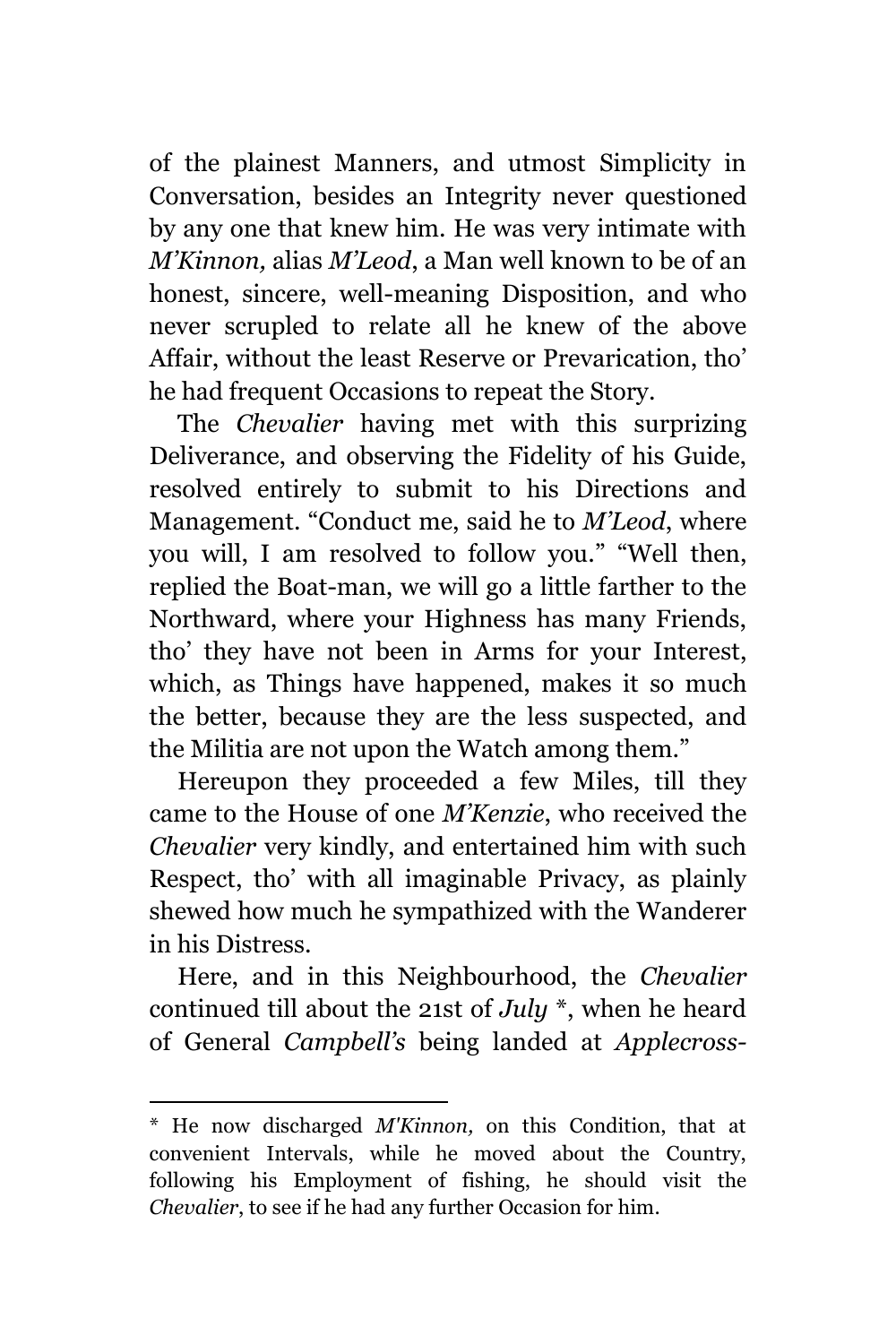of the plainest Manners, and utmost Simplicity in Conversation, besides an Integrity never questioned by any one that knew him. He was very intimate with *M'Kinnon,* alias *M'Leod*, a Man well known to be of an honest, sincere, well-meaning Disposition, and who never scrupled to relate all he knew of the above Affair, without the least Reserve or Prevarication, tho' he had frequent Occasions to repeat the Story.

The *Chevalier* having met with this surprizing Deliverance, and observing the Fidelity of his Guide, resolved entirely to submit to his Directions and Management. "Conduct me, said he to *M'Leod*, where you will, I am resolved to follow you." "Well then, replied the Boat-man, we will go a little farther to the Northward, where your Highness has many Friends, tho' they have not been in Arms for your Interest, which, as Things have happened, makes it so much the better, because they are the less suspected, and the Militia are not upon the Watch among them."

Hereupon they proceeded a few Miles, till they came to the House of one *M'Kenzie*, who received the *Chevalier* very kindly, and entertained him with such Respect, tho' with all imaginable Privacy, as plainly shewed how much he sympathized with the Wanderer in his Distress.

Here, and in this Neighbourhood, the *Chevalier* continued till about the 21st of *July* \*, when he heard of General *Campbell's* being landed at *Applecross-*

a<br>B \* He now discharged *M'Kinnon,* on this Condition, that at convenient Intervals, while he moved about the Country, following his Employment of fishing, he should visit the *Chevalier*, to see if he had any further Occasion for him.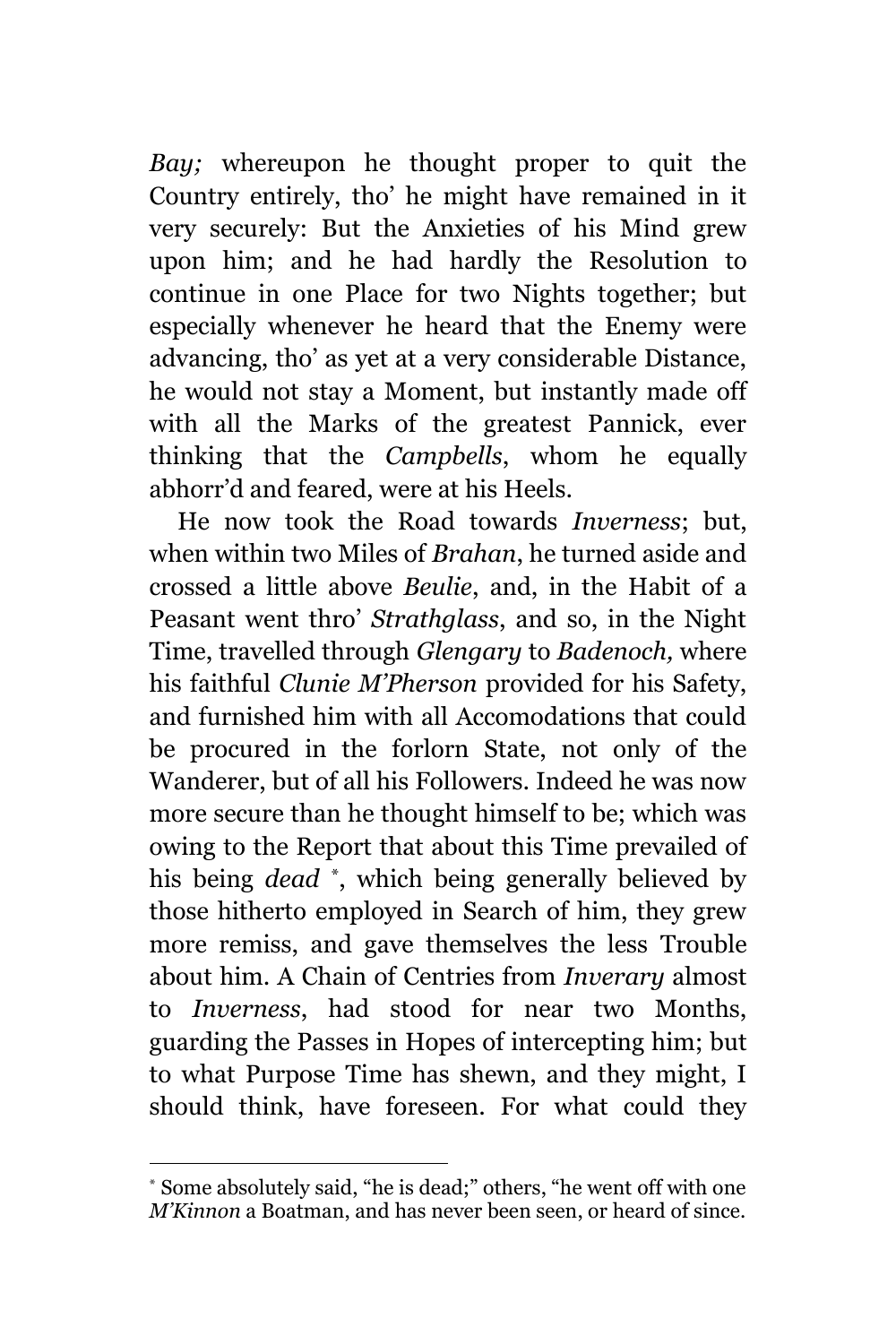*Bay;* whereupon he thought proper to quit the Country entirely, tho' he might have remained in it very securely: But the Anxieties of his Mind grew upon him; and he had hardly the Resolution to continue in one Place for two Nights together; but especially whenever he heard that the Enemy were advancing, tho' as yet at a very considerable Distance, he would not stay a Moment, but instantly made off with all the Marks of the greatest Pannick, ever thinking that the *Campbells*, whom he equally abhorr'd and feared, were at his Heels.

He now took the Road towards *Inverness*; but, when within two Miles of *Brahan*, he turned aside and crossed a little above *Beulie*, and, in the Habit of a Peasant went thro' *Strathglass*, and so, in the Night Time, travelled through *Glengary* to *Badenoch,* where his faithful *Clunie M'Pherson* provided for his Safety, and furnished him with all Accomodations that could be procured in the forlorn State, not only of the Wanderer, but of all his Followers. Indeed he was now more secure than he thought himself to be; which was owing to the Report that about this Time prevailed of his being *dead* \* , which being generally believed by those hitherto employed in Search of him, they grew more remiss, and gave themselves the less Trouble about him. A Chain of Centries from *Inverary* almost to *Inverness*, had stood for near two Months, guarding the Passes in Hopes of intercepting him; but to what Purpose Time has shewn, and they might, I should think, have foreseen. For what could they

L,

Some absolutely said, "he is dead;" others, "he went off with one *M'Kinnon* a Boatman, and has never been seen, or heard of since.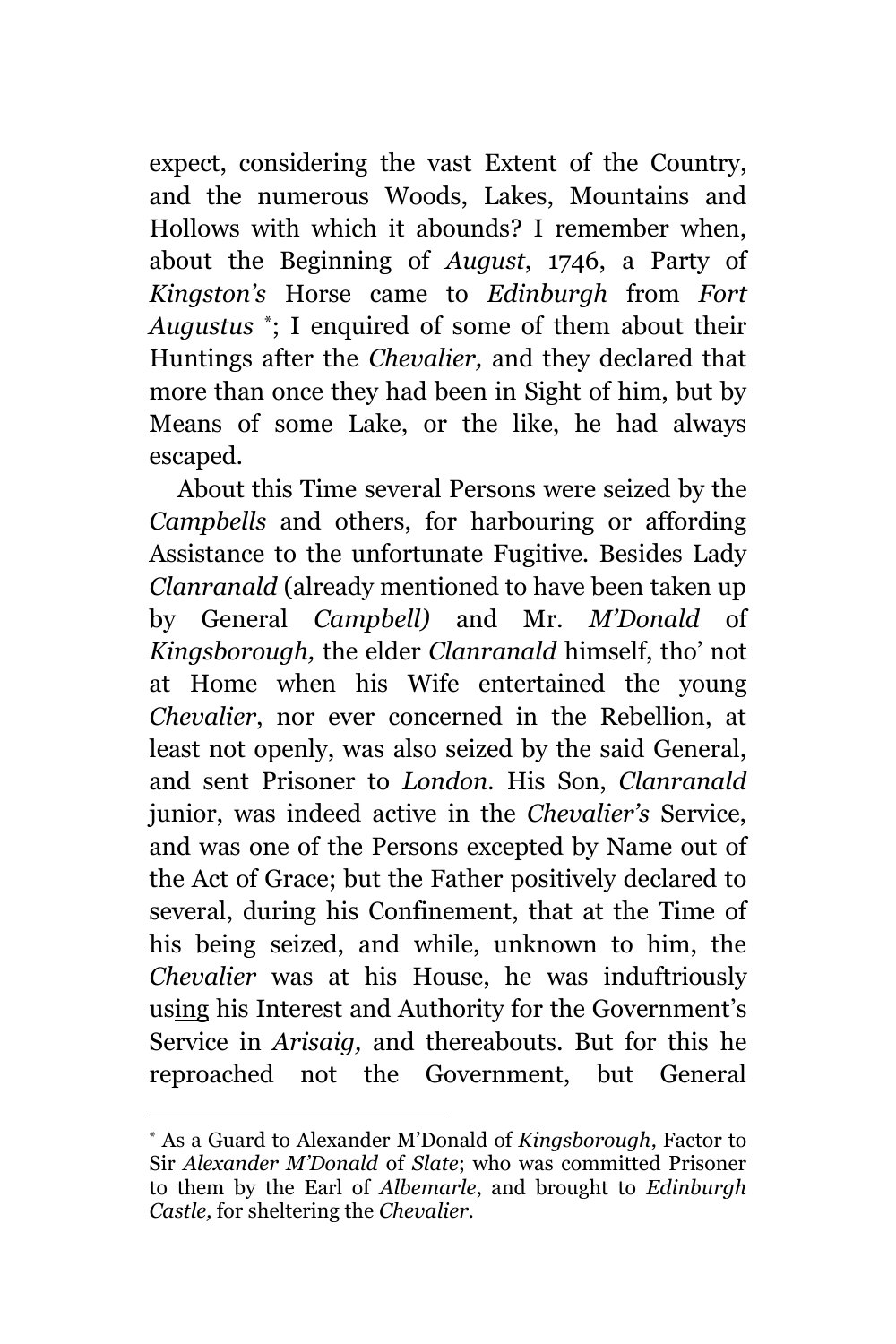expect, considering the vast Extent of the Country, and the numerous Woods, Lakes, Mountains and Hollows with which it abounds? I remember when, about the Beginning of *August*, 1746, a Party of *Kingston's* Horse came to *Edinburgh* from *Fort Augustus* \* ; I enquired of some of them about their Huntings after the\* *Chevalier,* and they declared that more than once they had been in Sight of him, but by Means of some Lake, or the like, he had always escaped.

About this Time several Persons were seized by the *Campbells* and others, for harbouring or affording Assistance to the unfortunate Fugitive. Besides Lady *Clanranald* (already mentioned to have been taken up by General *Campbell)* and Mr. *M'Donald* of *Kingsborough,* the elder *Clanranald* himself, tho' not at Home when his Wife entertained the young *Chevalier*, nor ever concerned in the Rebellion, at least not openly, was also seized by the said General, and sent Prisoner to *London.* His Son, *Clanranald* junior, was indeed active in the *Chevalier's* Service, and was one of the Persons excepted by Name out of the Act of Grace; but the Father positively declared to several, during his Confinement, that at the Time of his being seized, and while, unknown to him, the *Chevalier* was at his House, he was induftriously using his Interest and Authority for the Government's Service in *Arisaig,* and thereabouts. But for this he reproached not the Government, but General

i<br>L

<sup>\*</sup> As a Guard to Alexander M'Donald of *Kingsborough,* Factor to Sir *Alexander M'Donald* of *Slate*; who was committed Prisoner to them by the Earl of *Albemarle*, and brought to *Edinburgh Castle,* for sheltering the *Chevalier.*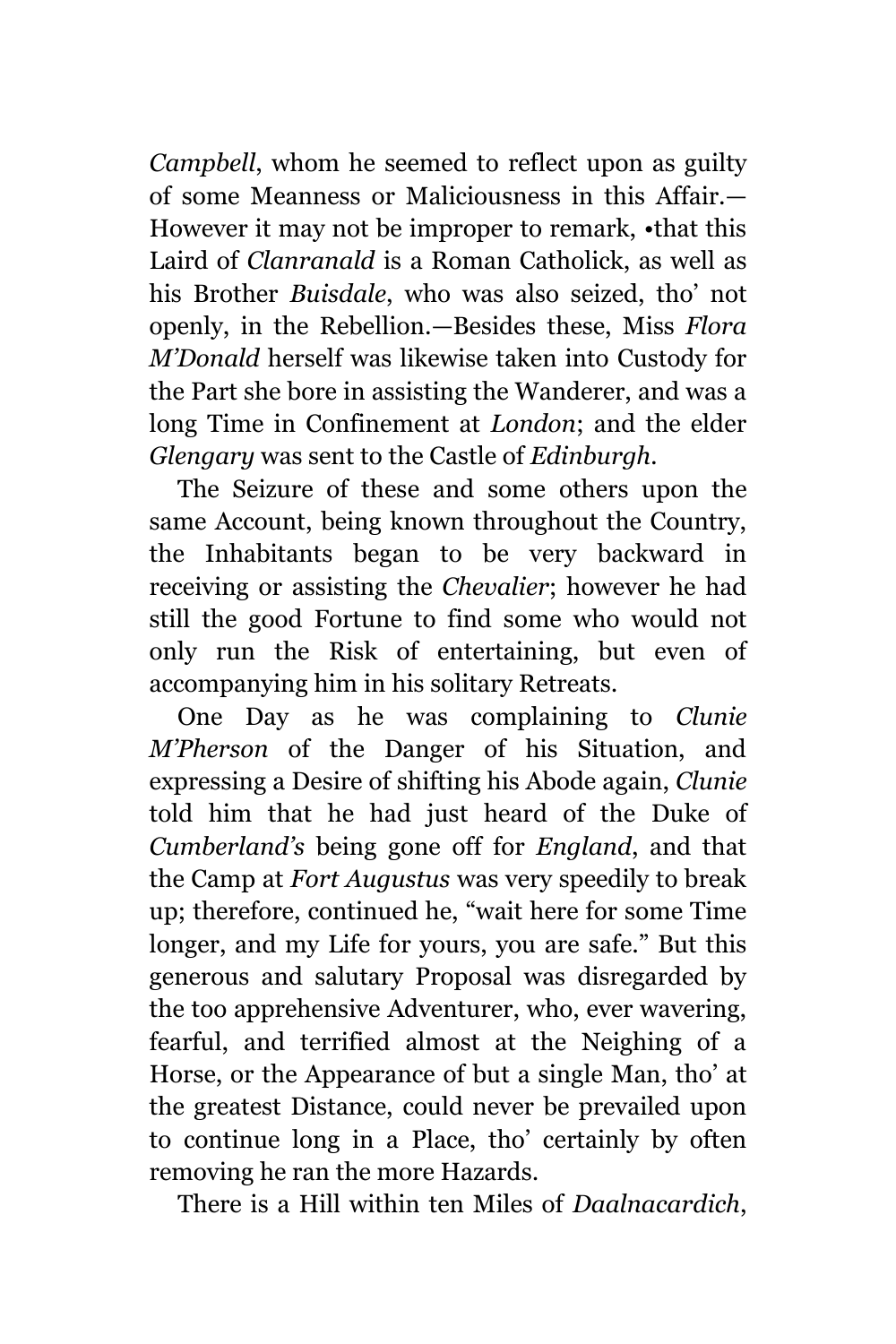*Campbell*, whom he seemed to reflect upon as guilty of some Meanness or Maliciousness in this Affair.— However it may not be improper to remark, •that this Laird of *Clanranald* is a Roman Catholick, as well as his Brother *Buisdale*, who was also seized, tho' not openly, in the Rebellion.—Besides these, Miss *Flora M'Donald* herself was likewise taken into Custody for the Part she bore in assisting the Wanderer, and was a long Time in Confinement at *London*; and the elder *Glengary* was sent to the Castle of *Edinburgh.*

The Seizure of these and some others upon the same Account, being known throughout the Country, the Inhabitants began to be very backward in receiving or assisting the *Chevalier*; however he had still the good Fortune to find some who would not only run the Risk of entertaining, but even of accompanying him in his solitary Retreats.

One Day as he was complaining to *Clunie M'Pherson* of the Danger of his Situation, and expressing a Desire of shifting his Abode again, *Clunie* told him that he had just heard of the Duke of *Cumberland's* being gone off for *England*, and that the Camp at *Fort Augustus* was very speedily to break up; therefore, continued he, "wait here for some Time longer, and my Life for yours, you are safe." But this generous and salutary Proposal was disregarded by the too apprehensive Adventurer, who, ever wavering, fearful, and terrified almost at the Neighing of a Horse, or the Appearance of but a single Man, tho' at the greatest Distance, could never be prevailed upon to continue long in a Place, tho' certainly by often removing he ran the more Hazards.

There is a Hill within ten Miles of *Daalnacardich*,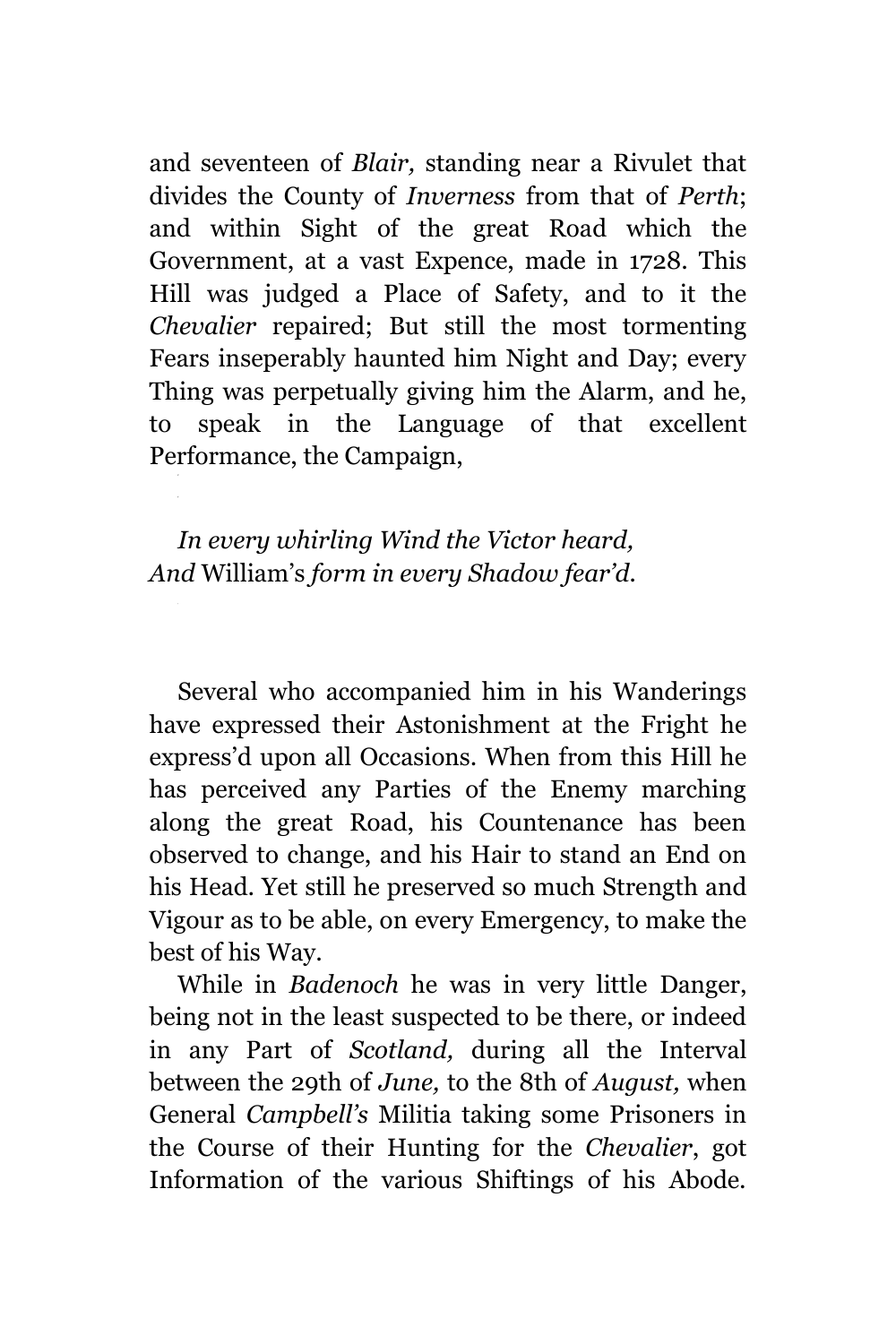and seventeen of *Blair,* standing near a Rivulet that divides the County of *Inverness* from that of *Perth*; and within Sight of the great Road which the Government, at a vast Expence, made in 1728. This Hill was judged a Place of Safety, and to it the *Chevalier* repaired; But still the most tormenting Fears inseperably haunted him Night and Day; every Thing was perpetually giving him the Alarm, and he, to speak in the Language of that excellent Performance, the Campaign,

*In every whirling Wind the Victor heard, And* William's *form in every Shadow fear'd.*

Several who accompanied him in his Wanderings have expressed their Astonishment at the Fright he express'd upon all Occasions. When from this Hill he has perceived any Parties of the Enemy marching along the great Road, his Countenance has been observed to change, and his Hair to stand an End on his Head. Yet still he preserved so much Strength and Vigour as to be able, on every Emergency, to make the best of his Way.

While in *Badenoch* he was in very little Danger, being not in the least suspected to be there, or indeed in any Part of *Scotland,* during all the Interval between the 29th of *June,* to the 8th of *August,* when General *Campbell's* Militia taking some Prisoners in the Course of their Hunting for the *Chevalier*, got Information of the various Shiftings of his Abode.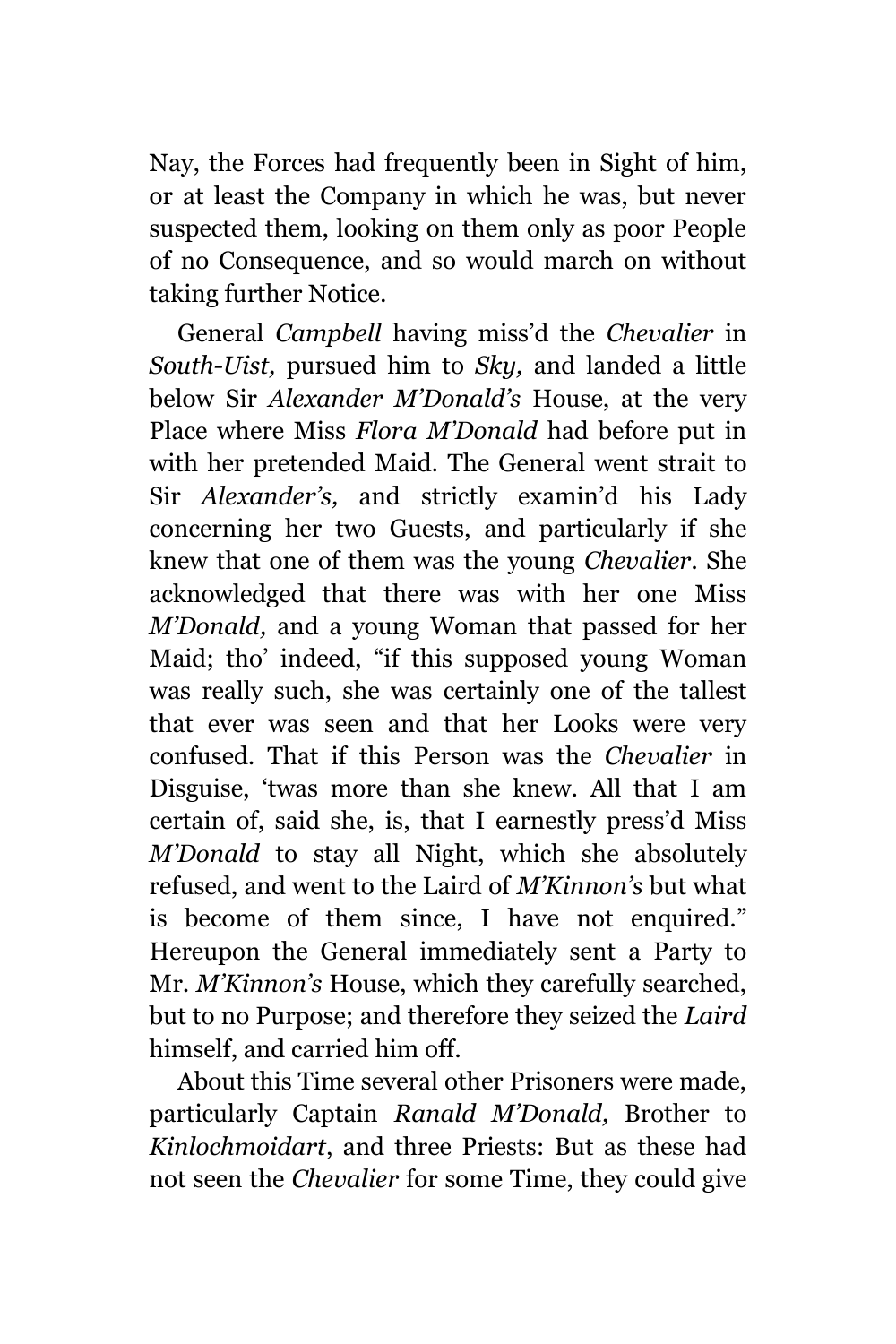Nay, the Forces had frequently been in Sight of him, or at least the Company in which he was, but never suspected them, looking on them only as poor People of no Consequence, and so would march on without taking further Notice.

General *Campbell* having miss'd the *Chevalier* in *South-Uist,* pursued him to *Sky,* and landed a little below Sir *Alexander M'Donald's* House, at the very Place where Miss *Flora M'Donald* had before put in with her pretended Maid. The General went strait to Sir *Alexander's,* and strictly examin'd his Lady concerning her two Guests, and particularly if she knew that one of them was the young *Chevalier*. She acknowledged that there was with her one Miss *M'Donald,* and a young Woman that passed for her Maid; tho' indeed, "if this supposed young Woman was really such, she was certainly one of the tallest that ever was seen and that her Looks were very confused. That if this Person was the *Chevalier* in Disguise, 'twas more than she knew. All that I am certain of, said she, is, that I earnestly press'd Miss *M'Donald* to stay all Night, which she absolutely refused, and went to the Laird of *M'Kinnon's* but what is become of them since, I have not enquired." Hereupon the General immediately sent a Party to Mr. *M'Kinnon's* House, which they carefully searched, but to no Purpose; and therefore they seized the *Laird*  himself, and carried him off.

About this Time several other Prisoners were made, particularly Captain *Ranald M'Donald,* Brother to *Kinlochmoidart*, and three Priests: But as these had not seen the *Chevalier* for some Time, they could give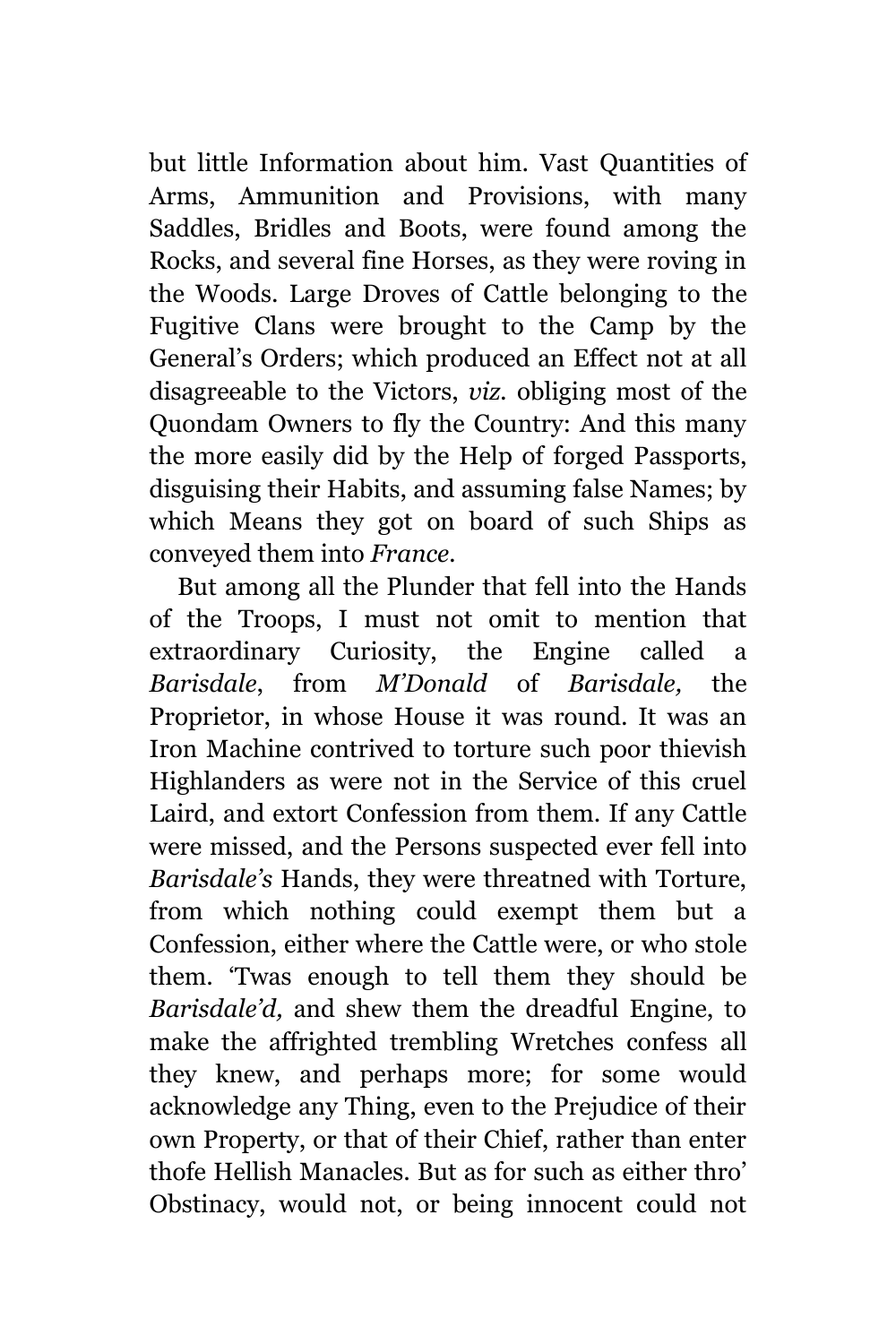but little Information about him. Vast Quantities of Arms, Ammunition and Provisions, with many Saddles, Bridles and Boots, were found among the Rocks, and several fine Horses, as they were roving in the Woods. Large Droves of Cattle belonging to the Fugitive Clans were brought to the Camp by the General's Orders; which produced an Effect not at all disagreeable to the Victors, *viz.* obliging most of the Quondam Owners to fly the Country: And this many the more easily did by the Help of forged Passports, disguising their Habits, and assuming false Names; by which Means they got on board of such Ships as conveyed them into *France.*

But among all the Plunder that fell into the Hands of the Troops, I must not omit to mention that extraordinary Curiosity, the Engine called a *Barisdale*, from *M'Donald* of *Barisdale,* the Proprietor, in whose House it was round. It was an Iron Machine contrived to torture such poor thievish Highlanders as were not in the Service of this cruel Laird, and extort Confession from them. If any Cattle were missed, and the Persons suspected ever fell into *Barisdale's* Hands, they were threatned with Torture, from which nothing could exempt them but a Confession, either where the Cattle were, or who stole them. 'Twas enough to tell them they should be *Barisdale'd,* and shew them the dreadful Engine, to make the affrighted trembling Wretches confess all they knew, and perhaps more; for some would acknowledge any Thing, even to the Prejudice of their own Property, or that of their Chief, rather than enter thofe Hellish Manacles. But as for such as either thro' Obstinacy, would not, or being innocent could not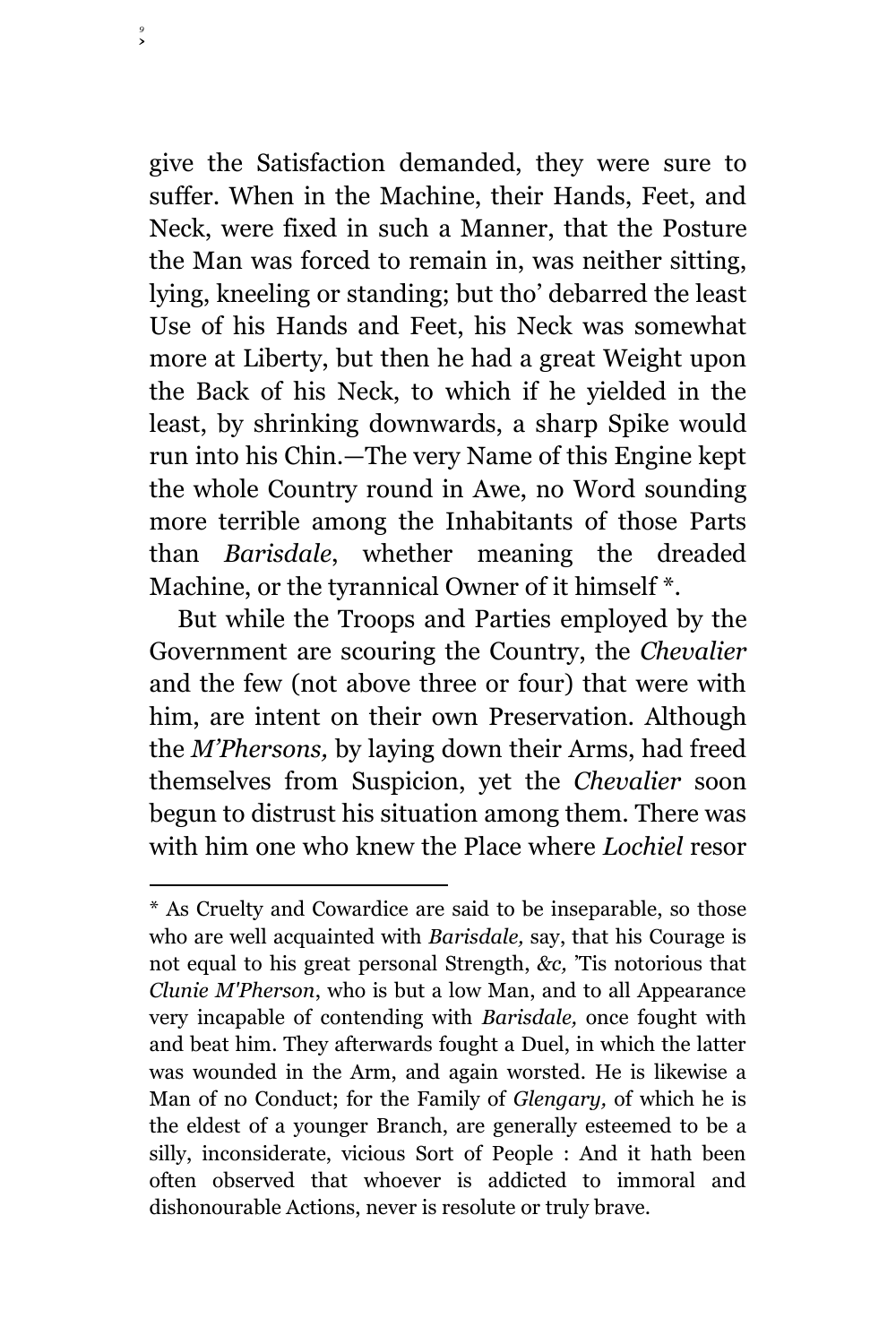give the Satisfaction demanded, they were sure to suffer. When in the Machine, their Hands, Feet, and Neck, were fixed in such a Manner, that the Posture the Man was forced to remain in, was neither sitting, lying, kneeling or standing; but tho' debarred the least Use of his Hands and Feet, his Neck was somewhat more at Liberty, but then he had a great Weight upon the Back of his Neck, to which if he yielded in the least, by shrinking downwards, a sharp Spike would run into his Chin.—The very Name of this Engine kept the whole Country round in Awe, no Word sounding more terrible among the Inhabitants of those Parts than *Barisdale*, whether meaning the dreaded Machine, or the tyrannical Owner of it himself  $*$ .

*9*

÷.

But while the Troops and Parties employed by the Government are scouring the Country, the *Chevalier* and the few (not above three or four) that were with him, are intent on their own Preservation. Although the *M'Phersons,* by laying down their Arms, had freed themselves from Suspicion, yet the *Chevalier* soon begun to distrust his situation among them. There was with him one who knew the Place where *Lochiel* resor

<sup>\*</sup> As Cruelty and Cowardice are said to be inseparable, so those who are well acquainted with *Barisdale,* say, that his Courage is not equal to his great personal Strength, *&c,* 'Tis notorious that *Clunie M'Pherson*, who is but a low Man, and to all Appearance very incapable of contending with *Barisdale,* once fought with and beat him. They afterwards fought a Duel, in which the latter was wounded in the Arm, and again worsted. He is likewise a Man of no Conduct; for the Family of *Glengary,* of which he is the eldest of a younger Branch, are generally esteemed to be a silly, inconsiderate, vicious Sort of People : And it hath been often observed that whoever is addicted to immoral and dishonourable Actions, never is resolute or truly brave.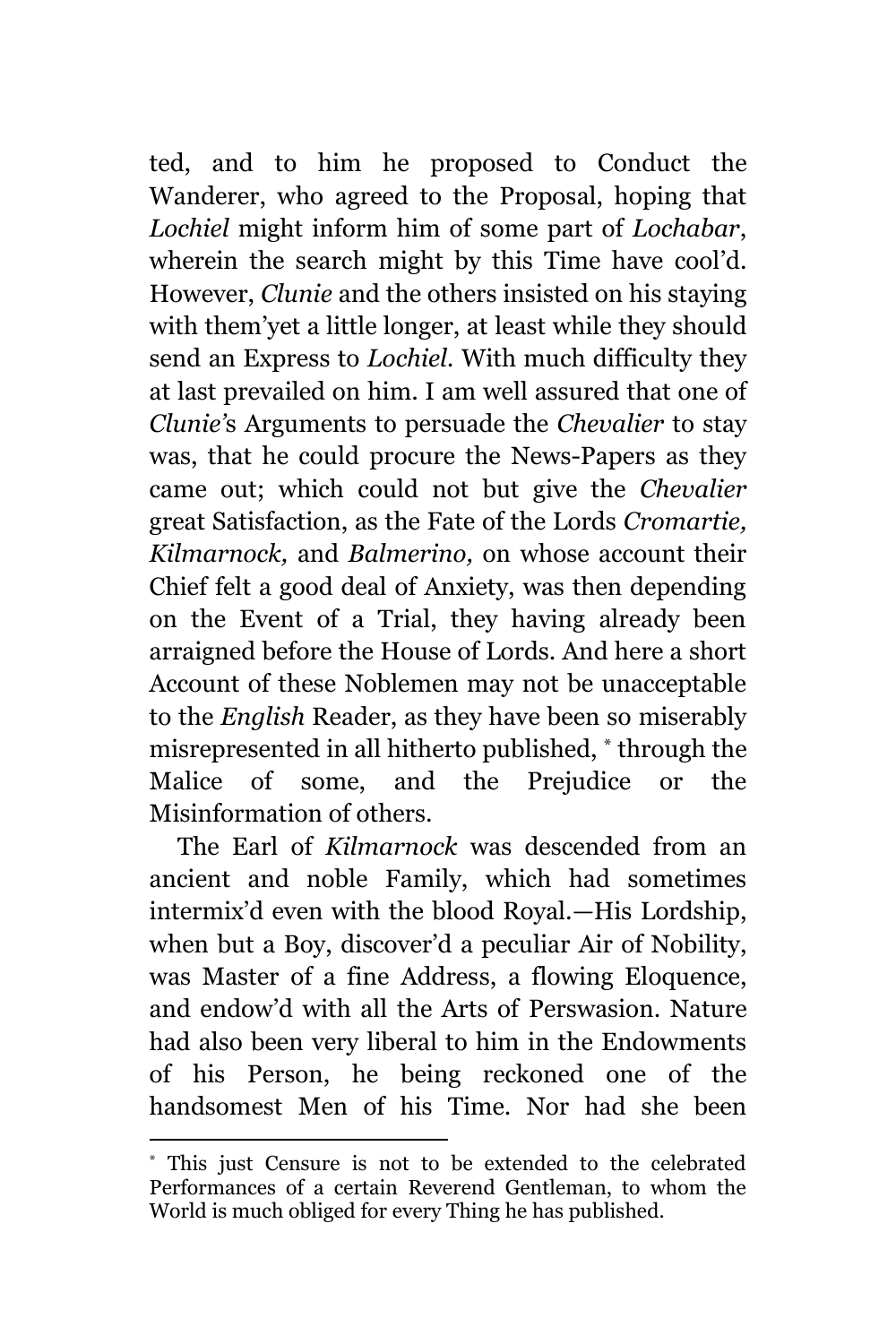ted, and to him he proposed to Conduct the Wanderer, who agreed to the Proposal, hoping that *Lochiel* might inform him of some part of *Lochabar*, wherein the search might by this Time have cool'd. However, *Clunie* and the others insisted on his staying with them'yet a little longer, at least while they should send an Express to *Lochiel.* With much difficulty they at last prevailed on him. I am well assured that one of *Clunie'*s Arguments to persuade the *Chevalier* to stay was, that he could procure the News-Papers as they came out; which could not but give the *Chevalier* great Satisfaction, as the Fate of the Lords *Cromartie, Kilmarnock,* and *Balmerino,* on whose account their Chief felt a good deal of Anxiety, was then depending on the Event of a Trial, they having already been arraigned before the House of Lords. And here a short Account of these Noblemen may not be unacceptable to the *English* Reader, as they have been so miserably misrepresented in all hitherto published, \* through the Malice of some, and the Prejudice or the Misinformation of others.

The Earl of *Kilmarnock* was descended from an ancient and noble Family, which had sometimes intermix'd even with the blood Royal.—His Lordship, when but a Boy, discover'd a peculiar Air of Nobility, was Master of a fine Address, a flowing Eloquence, and endow'd with all the Arts of Perswasion. Nature had also been very liberal to him in the Endowments of his Person, he being reckoned one of the handsomest Men of his Time. Nor had she been

<sup>\*</sup> This just Censure is not to be extended to the celebrated Performances of a certain Reverend Gentleman, to whom the World is much obliged for every Thing he has published.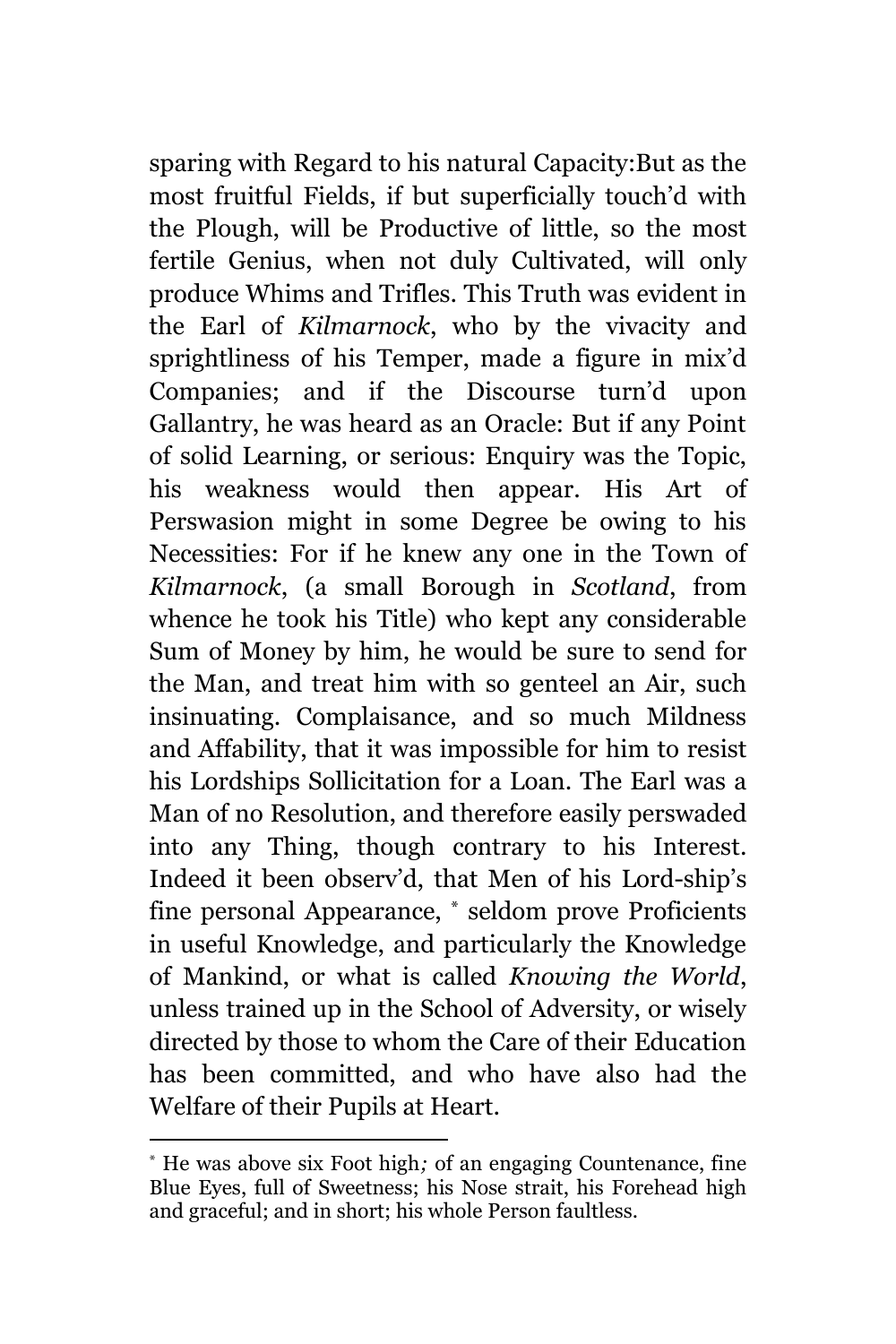sparing with Regard to his natural Capacity:But as the most fruitful Fields, if but superficially touch'd with the Plough, will be Productive of little, so the most fertile Genius, when not duly Cultivated, will only produce Whims and Trifles. This Truth was evident in the Earl of *Kilmarnock*, who by the vivacity and sprightliness of his Temper, made a figure in mix'd Companies; and if the Discourse turn'd upon Gallantry, he was heard as an Oracle: But if any Point of solid Learning, or serious: Enquiry was the Topic, his weakness would then appear. His Art of Perswasion might in some Degree be owing to his Necessities: For if he knew any one in the Town of *Kilmarnock*, (a small Borough in *Scotland*, from whence he took his Title) who kept any considerable Sum of Money by him, he would be sure to send for the Man, and treat him with so genteel an Air, such insinuating. Complaisance, and so much Mildness and Affability, that it was impossible for him to resist his Lordships Sollicitation for a Loan. The Earl was a Man of no Resolution, and therefore easily perswaded into any Thing, though contrary to his Interest. Indeed it been observ'd, that Men of his Lord-ship's fine personal Appearance, \* seldom prove Proficients in useful Knowledge, and particularly the Knowledge of Mankind, or what is called *Knowing the World*, unless trained up in the School of Adversity, or wisely directed by those to whom the Care of their Education has been committed, and who have also had the Welfare of their Pupils at Heart.

<sup>\*</sup> He was above six Foot high*;* of an engaging Countenance, fine Blue Eyes, full of Sweetness; his Nose strait, his Forehead high and graceful; and in short; his whole Person faultless.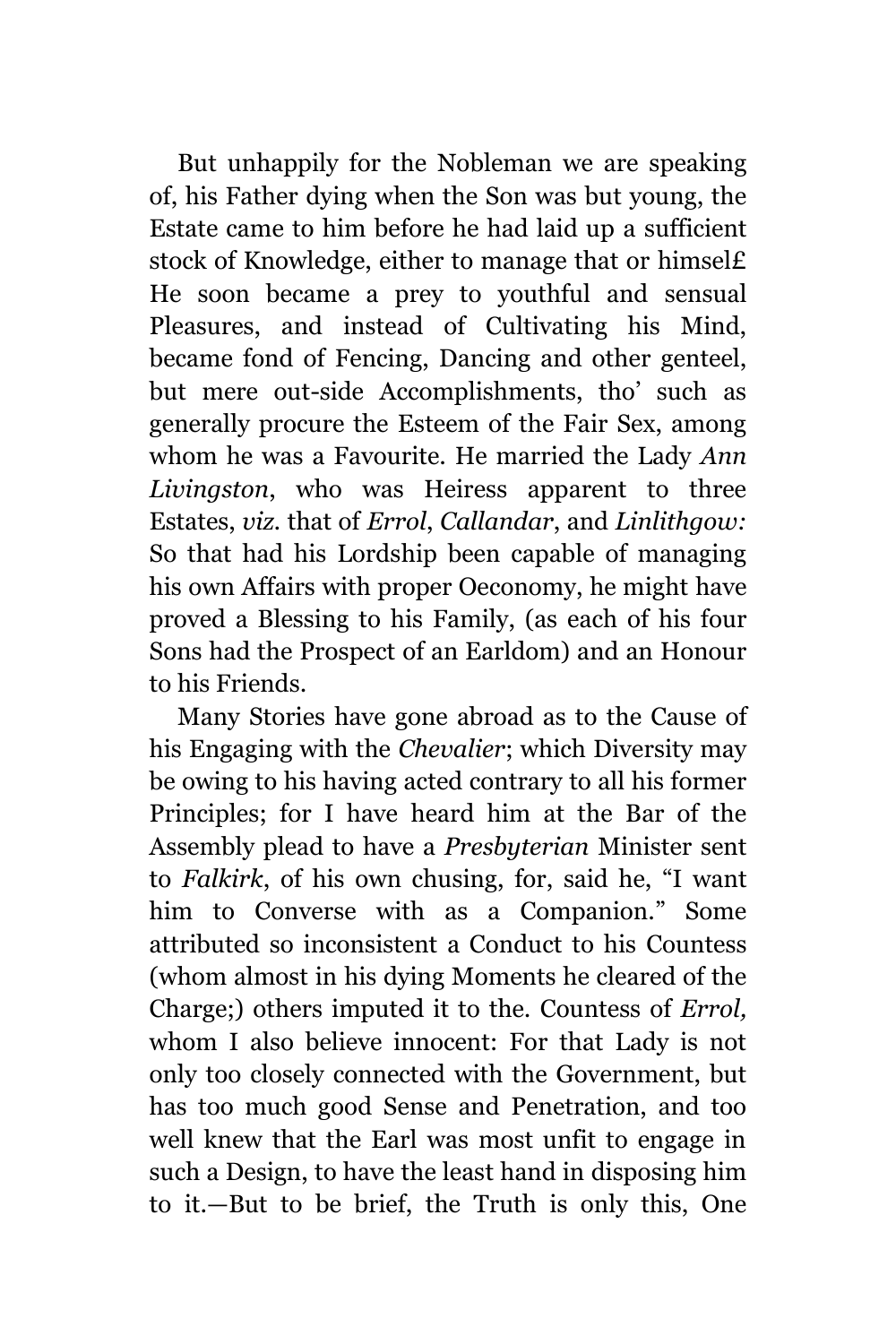But unhappily for the Nobleman we are speaking of, his Father dying when the Son was but young, the Estate came to him before he had laid up a sufficient stock of Knowledge, either to manage that or himsel£ He soon became a prey to youthful and sensual Pleasures, and instead of Cultivating his Mind, became fond of Fencing, Dancing and other genteel, but mere out-side Accomplishments, tho' such as generally procure the Esteem of the Fair Sex, among whom he was a Favourite. He married the Lady *Ann Livingston*, who was Heiress apparent to three Estates, *viz.* that of *Errol*, *Callandar*, and *Linlithgow:* So that had his Lordship been capable of managing his own Affairs with proper Oeconomy, he might have proved a Blessing to his Family, (as each of his four Sons had the Prospect of an Earldom) and an Honour to his Friends.

Many Stories have gone abroad as to the Cause of his Engaging with the *Chevalier*; which Diversity may be owing to his having acted contrary to all his former Principles; for I have heard him at the Bar of the Assembly plead to have a *Presbyterian* Minister sent to *Falkirk*, of his own chusing, for, said he, "I want him to Converse with as a Companion." Some attributed so inconsistent a Conduct to his Countess (whom almost in his dying Moments he cleared of the Charge;) others imputed it to the. Countess of *Errol,* whom I also believe innocent: For that Lady is not only too closely connected with the Government, but has too much good Sense and Penetration, and too well knew that the Earl was most unfit to engage in such a Design, to have the least hand in disposing him to it.—But to be brief, the Truth is only this, One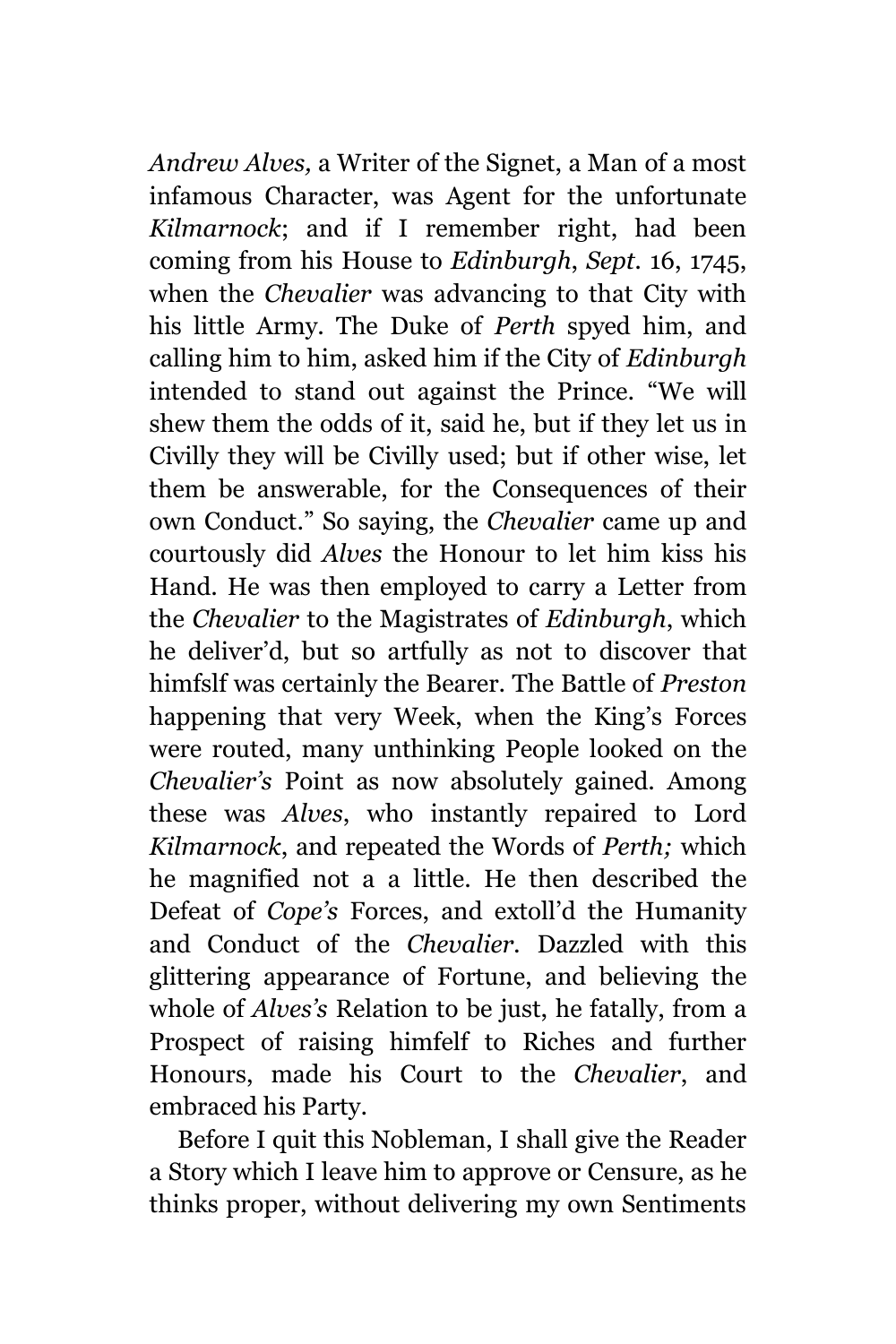*Andrew Alves,* a Writer of the Signet, a Man of a most infamous Character, was Agent for the unfortunate *Kilmarnock*; and if I remember right, had been coming from his House to *Edinburgh*, *Sept.* 16, 1745, when the *Chevalier* was advancing to that City with his little Army. The Duke of *Perth* spyed him, and calling him to him, asked him if the City of *Edinburgh* intended to stand out against the Prince. "We will shew them the odds of it, said he, but if they let us in Civilly they will be Civilly used; but if other wise, let them be answerable, for the Consequences of their own Conduct." So saying, the *Chevalier* came up and courtously did *Alves* the Honour to let him kiss his Hand. He was then employed to carry a Letter from the *Chevalier* to the Magistrates of *Edinburgh*, which he deliver'd, but so artfully as not to discover that himfslf was certainly the Bearer. The Battle of *Preston* happening that very Week, when the King's Forces were routed, many unthinking People looked on the *Chevalier's* Point as now absolutely gained. Among these was *Alves*, who instantly repaired to Lord *Kilmarnock*, and repeated the Words of *Perth;* which he magnified not a a little. He then described the Defeat of *Cope's* Forces, and extoll'd the Humanity and Conduct of the *Chevalier.* Dazzled with this glittering appearance of Fortune, and believing the whole of *Alves's* Relation to be just, he fatally, from a Prospect of raising himfelf to Riches and further Honours, made his Court to the *Chevalier*, and embraced his Party.

Before I quit this Nobleman, I shall give the Reader a Story which I leave him to approve or Censure, as he thinks proper, without delivering my own Sentiments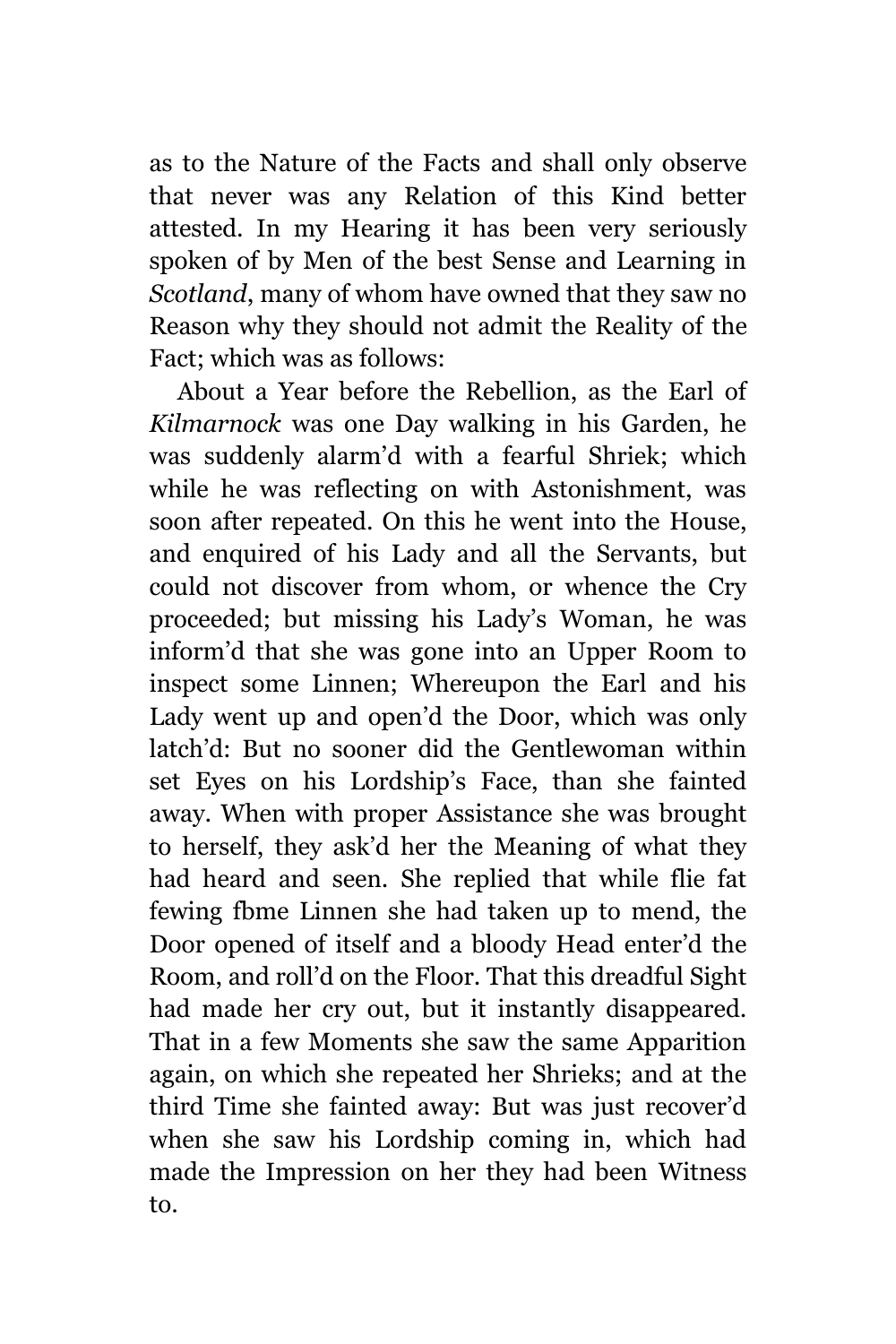as to the Nature of the Facts and shall only observe that never was any Relation of this Kind better attested. In my Hearing it has been very seriously spoken of by Men of the best Sense and Learning in *Scotland*, many of whom have owned that they saw no Reason why they should not admit the Reality of the Fact; which was as follows:

About a Year before the Rebellion, as the Earl of *Kilmarnock* was one Day walking in his Garden, he was suddenly alarm'd with a fearful Shriek; which while he was reflecting on with Astonishment, was soon after repeated. On this he went into the House, and enquired of his Lady and all the Servants, but could not discover from whom, or whence the Cry proceeded; but missing his Lady's Woman, he was inform'd that she was gone into an Upper Room to inspect some Linnen; Whereupon the Earl and his Lady went up and open'd the Door, which was only latch'd: But no sooner did the Gentlewoman within set Eyes on his Lordship's Face, than she fainted away. When with proper Assistance she was brought to herself, they ask'd her the Meaning of what they had heard and seen. She replied that while flie fat fewing fbme Linnen she had taken up to mend, the Door opened of itself and a bloody Head enter'd the Room, and roll'd on the Floor. That this dreadful Sight had made her cry out, but it instantly disappeared. That in a few Moments she saw the same Apparition again, on which she repeated her Shrieks; and at the third Time she fainted away: But was just recover'd when she saw his Lordship coming in, which had made the Impression on her they had been Witness to.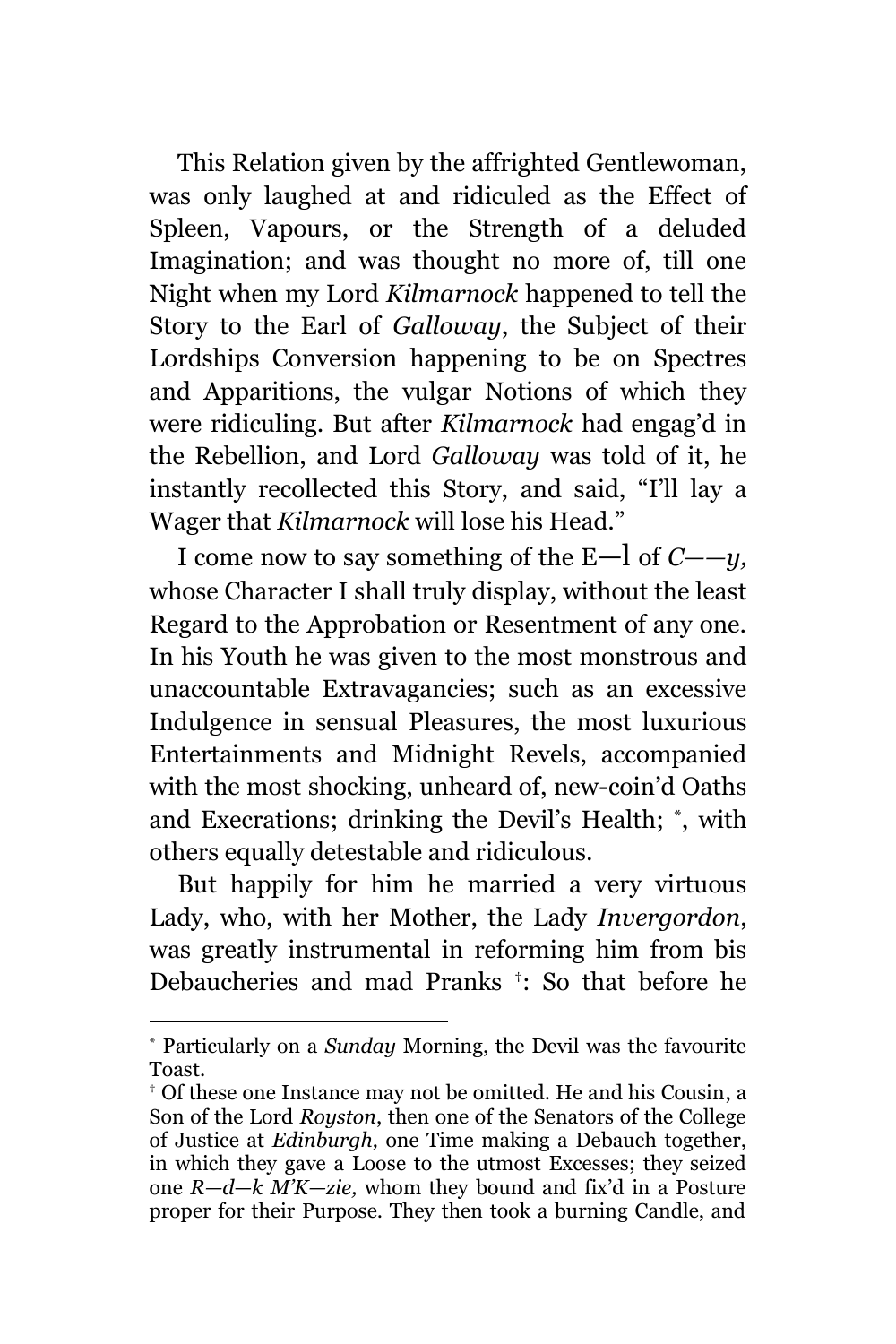This Relation given by the affrighted Gentlewoman, was only laughed at and ridiculed as the Effect of Spleen, Vapours, or the Strength of a deluded Imagination; and was thought no more of, till one Night when my Lord *Kilmarnock* happened to tell the Story to the Earl of *Galloway*, the Subject of their Lordships Conversion happening to be on Spectres and Apparitions, the vulgar Notions of which they were ridiculing. But after *Kilmarnock* had engag'd in the Rebellion, and Lord *Galloway* was told of it, he instantly recollected this Story, and said, "I'll lay a Wager that *Kilmarnock* will lose his Head."

I come now to say something of the E—l of *C——y,* whose Character I shall truly display, without the least Regard to the Approbation or Resentment of any one. In his Youth he was given to the most monstrous and unaccountable Extravagancies; such as an excessive Indulgence in sensual Pleasures, the most luxurious Entertainments and Midnight Revels, accompanied with the most shocking, unheard of, new-coin'd Oaths and Execrations; drinking the Devil's Health; \* , with others equally detestable and ridiculous.

But happily for him he married a very virtuous Lady, who, with her Mother, the Lady *Invergordon*, was greatly instrumental in reforming him from bis Debaucheries and mad Pranks † : So that before he

<sup>\*</sup> Particularly on a *Sunday* Morning, the Devil was the favourite Toast.

<sup>†</sup> Of these one Instance may not be omitted. He and his Cousin, a Son of the Lord *Royston*, then one of the Senators of the College of Justice at *Edinburgh,* one Time making a Debauch together, in which they gave a Loose to the utmost Excesses; they seized one *R—d*—*k M'K—zie,* whom they bound and fix'd in a Posture proper for their Purpose. They then took a burning Candle, and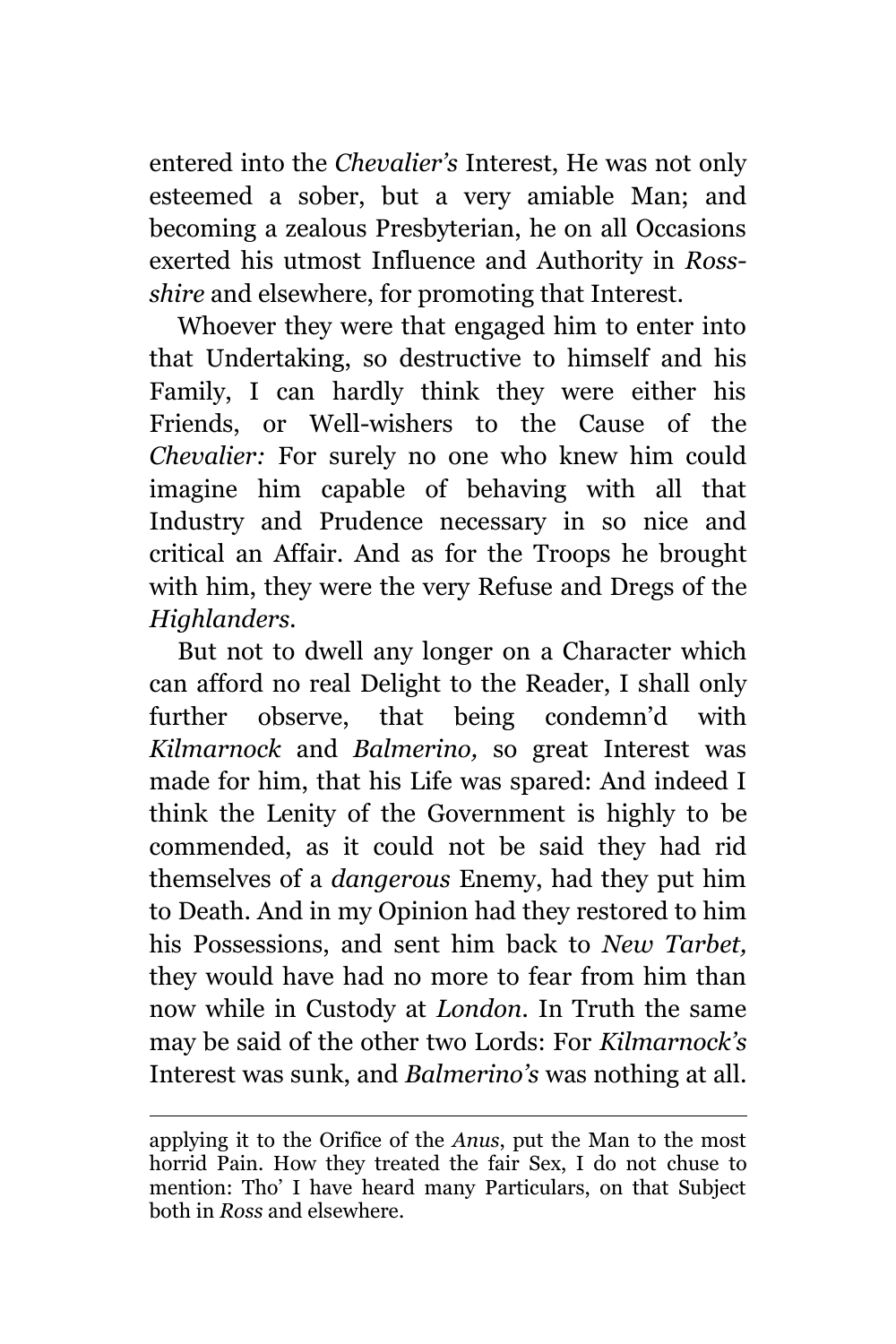entered into the *Chevalier's* Interest, He was not only esteemed a sober, but a very amiable Man; and becoming a zealous Presbyterian, he on all Occasions exerted his utmost Influence and Authority in *Rossshire* and elsewhere, for promoting that Interest.

Whoever they were that engaged him to enter into that Undertaking, so destructive to himself and his Family, I can hardly think they were either his Friends, or Well-wishers to the Cause of the *Chevalier:* For surely no one who knew him could imagine him capable of behaving with all that Industry and Prudence necessary in so nice and critical an Affair. And as for the Troops he brought with him, they were the very Refuse and Dregs of the *Highlanders.*

But not to dwell any longer on a Character which can afford no real Delight to the Reader, I shall only further observe, that being condemn'd with *Kilmarnock* and *Balmerino,* so great Interest was made for him, that his Life was spared: And indeed I think the Lenity of the Government is highly to be commended, as it could not be said they had rid themselves of a *dangerous* Enemy, had they put him to Death. And in my Opinion had they restored to him his Possessions, and sent him back to *New Tarbet,*  they would have had no more to fear from him than now while in Custody at *London.* In Truth the same may be said of the other two Lords: For *Kilmarnock's* Interest was sunk, and *Balmerino's* was nothing at all.

applying it to the Orifice of the *Anus*, put the Man to the most horrid Pain. How they treated the fair Sex, I do not chuse to mention: Tho' I have heard many Particulars, on that Subject both in *Ross* and elsewhere.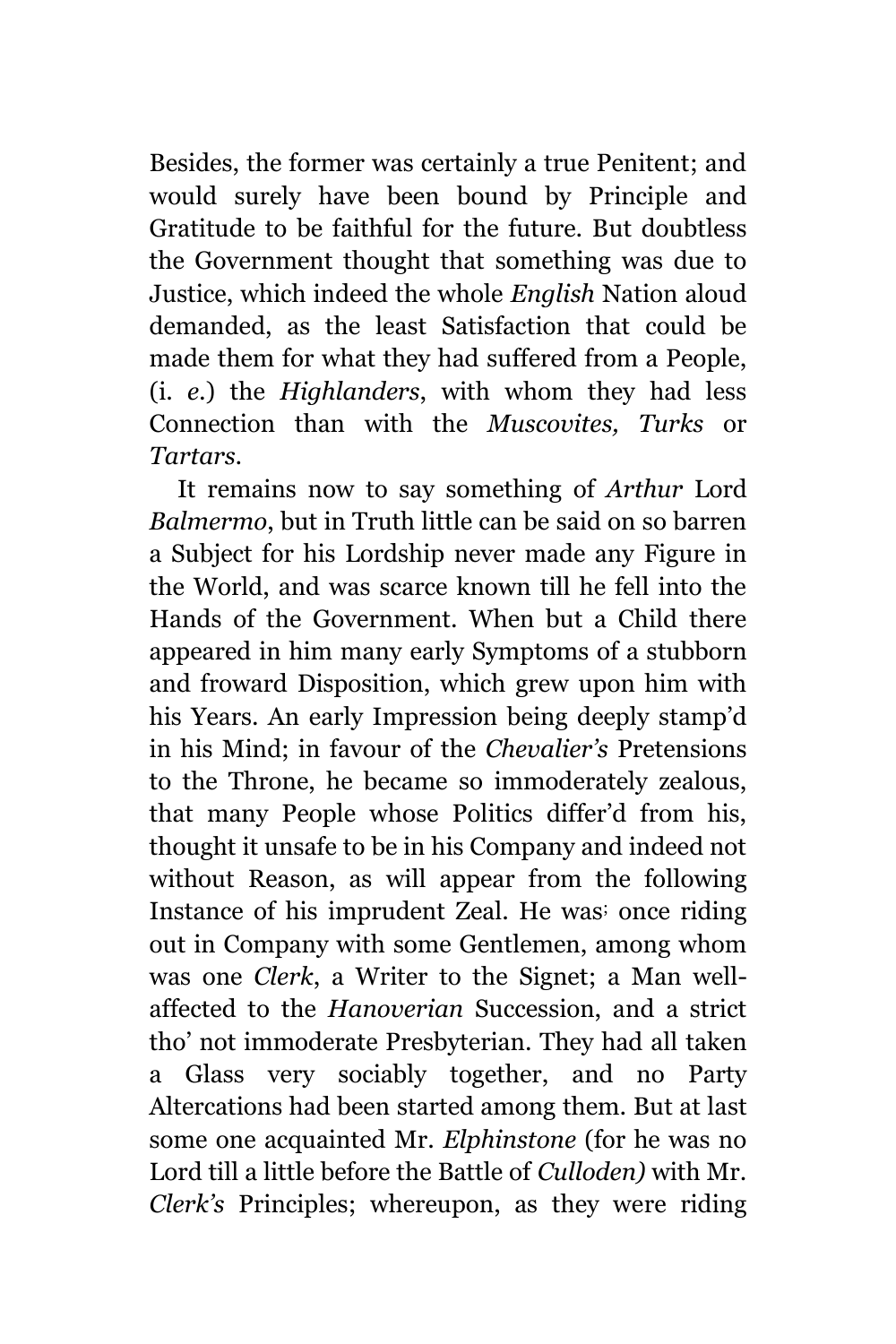Besides, the former was certainly a true Penitent; and would surely have been bound by Principle and Gratitude to be faithful for the future. But doubtless the Government thought that something was due to Justice, which indeed the whole *English* Nation aloud demanded, as the least Satisfaction that could be made them for what they had suffered from a People, (i. *e.*) the *Highlanders*, with whom they had less Connection than with the *Muscovites, Turks* or *Tartars.*

It remains now to say something of *Arthur* Lord *Balmermo*, but in Truth little can be said on so barren a Subject for his Lordship never made any Figure in the World, and was scarce known till he fell into the Hands of the Government. When but a Child there appeared in him many early Symptoms of a stubborn and froward Disposition, which grew upon him with his Years. An early Impression being deeply stamp'd in his Mind; in favour of the *Chevalier's* Pretensions to the Throne, he became so immoderately zealous, that many People whose Politics differ'd from his, thought it unsafe to be in his Company and indeed not without Reason, as will appear from the following Instance of his imprudent Zeal. He was; once riding out in Company with some Gentlemen, among whom was one *Clerk*, a Writer to the Signet; a Man wellaffected to the *Hanoverian* Succession, and a strict tho' not immoderate Presbyterian. They had all taken a Glass very sociably together, and no Party Altercations had been started among them. But at last some one acquainted Mr. *Elphinstone* (for he was no Lord till a little before the Battle of *Culloden)* with Mr. *Clerk's* Principles; whereupon, as they were riding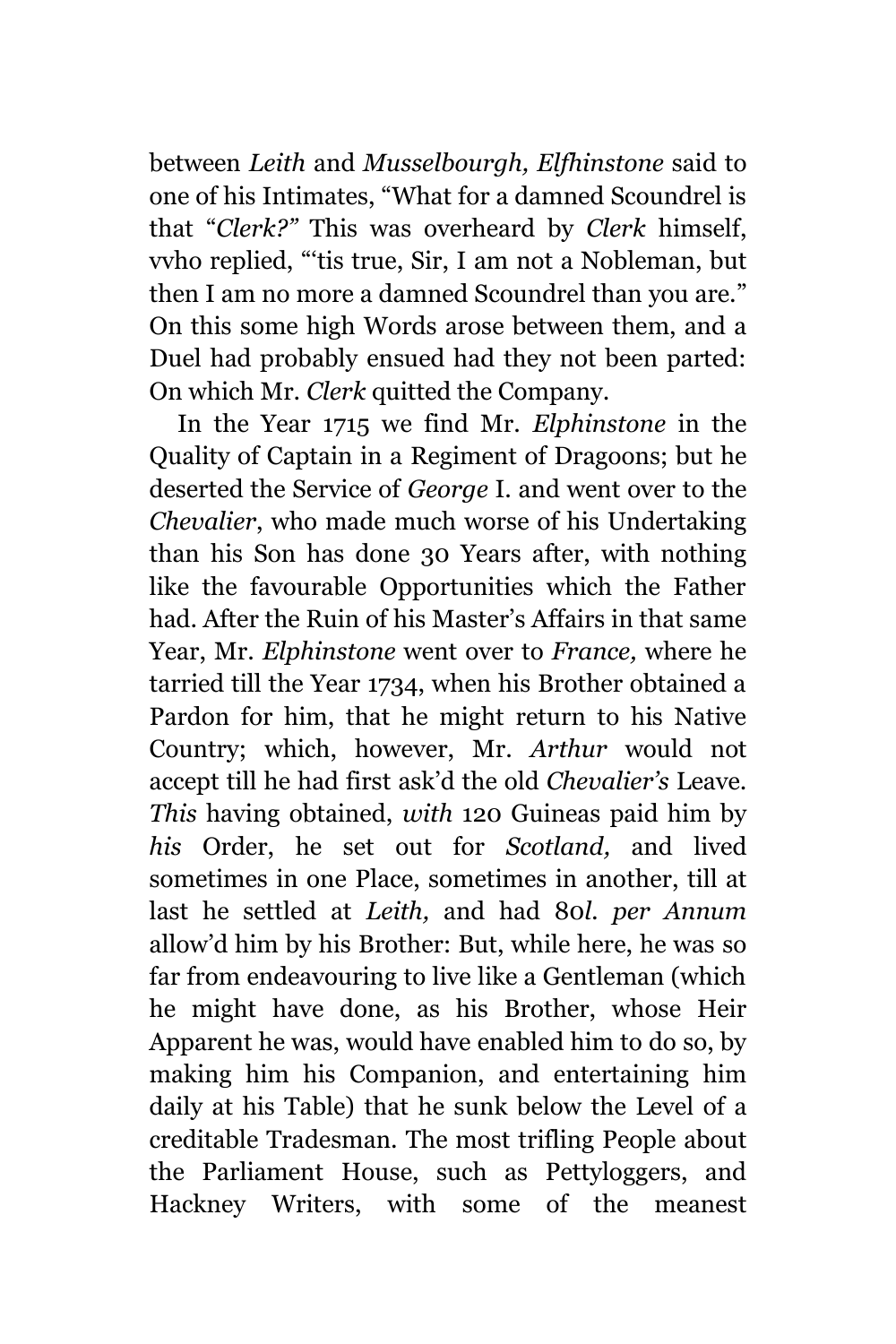between *Leith* and *Musselbourgh, Elfhinstone* said to one of his Intimates, "What for a damned Scoundrel is that "*Clerk?"* This was overheard by *Clerk* himself, vvho replied, "'tis true, Sir, I am not a Nobleman, but then I am no more a damned Scoundrel than you are." On this some high Words arose between them, and a Duel had probably ensued had they not been parted: On which Mr. *Clerk* quitted the Company.

In the Year 1715 we find Mr. *Elphinstone* in the Quality of Captain in a Regiment of Dragoons; but he deserted the Service of *George* I. and went over to the *Chevalier*, who made much worse of his Undertaking than his Son has done 30 Years after, with nothing like the favourable Opportunities which the Father had. After the Ruin of his Master's Affairs in that same Year, Mr. *Elphinstone* went over to *France,* where he tarried till the Year 1734, when his Brother obtained a Pardon for him, that he might return to his Native Country; which, however, Mr. *Arthur* would not accept till he had first ask'd the old *Chevalier's* Leave. *This* having obtained, *with* 120 Guineas paid him by *his* Order, he set out for *Scotland,* and lived sometimes in one Place, sometimes in another, till at last he settled at *Leith,* and had 80*l. per Annum* allow'd him by his Brother: But, while here, he was so far from endeavouring to live like a Gentleman (which he might have done, as his Brother, whose Heir Apparent he was, would have enabled him to do so, by making him his Companion, and entertaining him daily at his Table) that he sunk below the Level of a creditable Tradesman. The most trifling People about the Parliament House, such as Pettyloggers, and Hackney Writers, with some of the meanest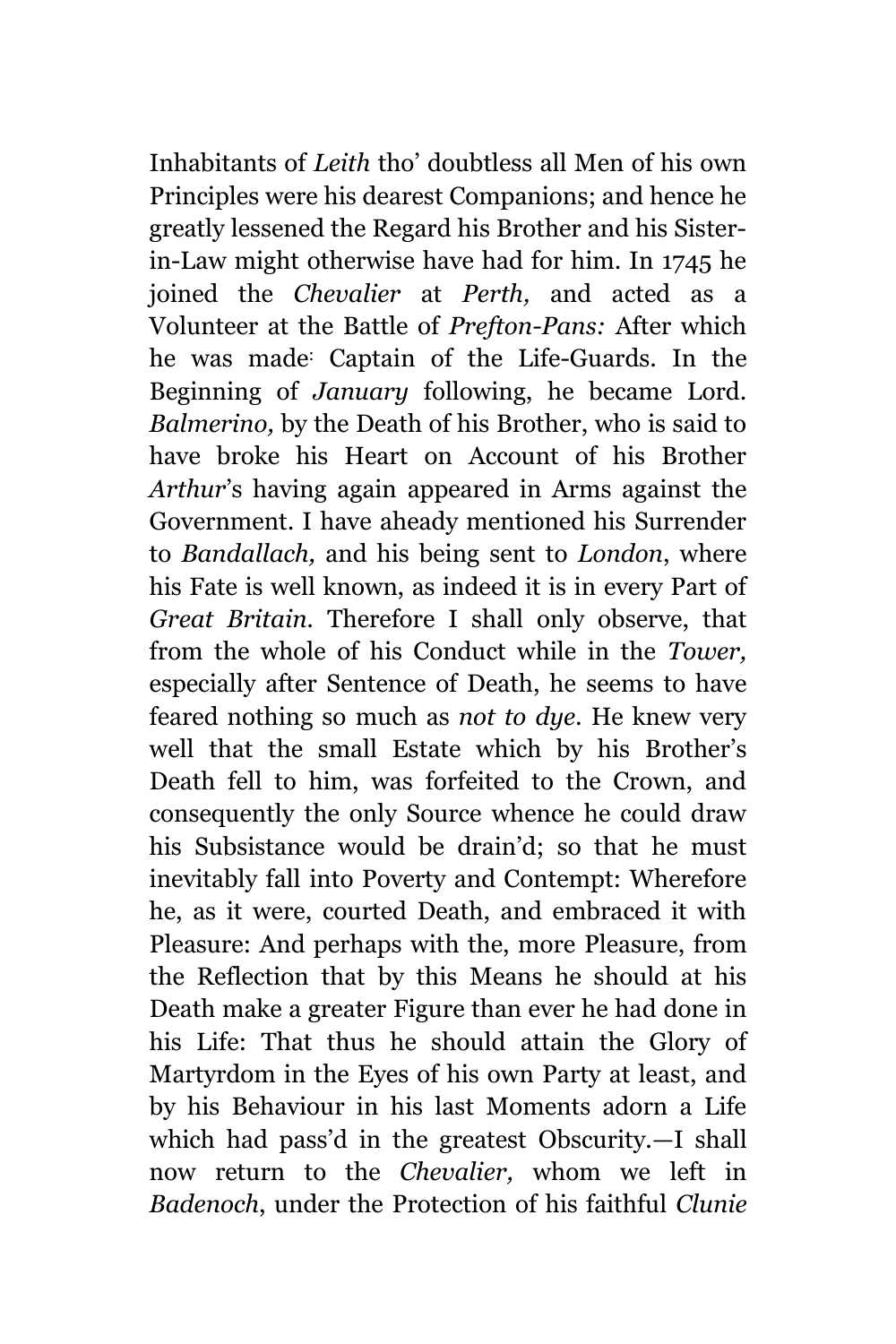Inhabitants of *Leith* tho' doubtless all Men of his own Principles were his dearest Companions; and hence he greatly lessened the Regard his Brother and his Sisterin-Law might otherwise have had for him. In 1745 he joined the *Chevalier* at *Perth,* and acted as a Volunteer at the Battle of *Prefton-Pans:* After which he was made: Captain of the Life-Guards. In the Beginning of *January* following, he became Lord. *Balmerino,* by the Death of his Brother, who is said to have broke his Heart on Account of his Brother *Arthur*'s having again appeared in Arms against the Government. I have aheady mentioned his Surrender to *Bandallach,* and his being sent to *London*, where his Fate is well known, as indeed it is in every Part of *Great Britain.* Therefore I shall only observe, that from the whole of his Conduct while in the *Tower,* especially after Sentence of Death, he seems to have feared nothing so much as *not to dye.* He knew very well that the small Estate which by his Brother's Death fell to him, was forfeited to the Crown, and consequently the only Source whence he could draw his Subsistance would be drain'd; so that he must inevitably fall into Poverty and Contempt: Wherefore he, as it were, courted Death, and embraced it with Pleasure: And perhaps with the, more Pleasure, from the Reflection that by this Means he should at his Death make a greater Figure than ever he had done in his Life: That thus he should attain the Glory of Martyrdom in the Eyes of his own Party at least, and by his Behaviour in his last Moments adorn a Life which had pass'd in the greatest Obscurity.—I shall now return to the *Chevalier,* whom we left in *Badenoch*, under the Protection of his faithful *Clunie*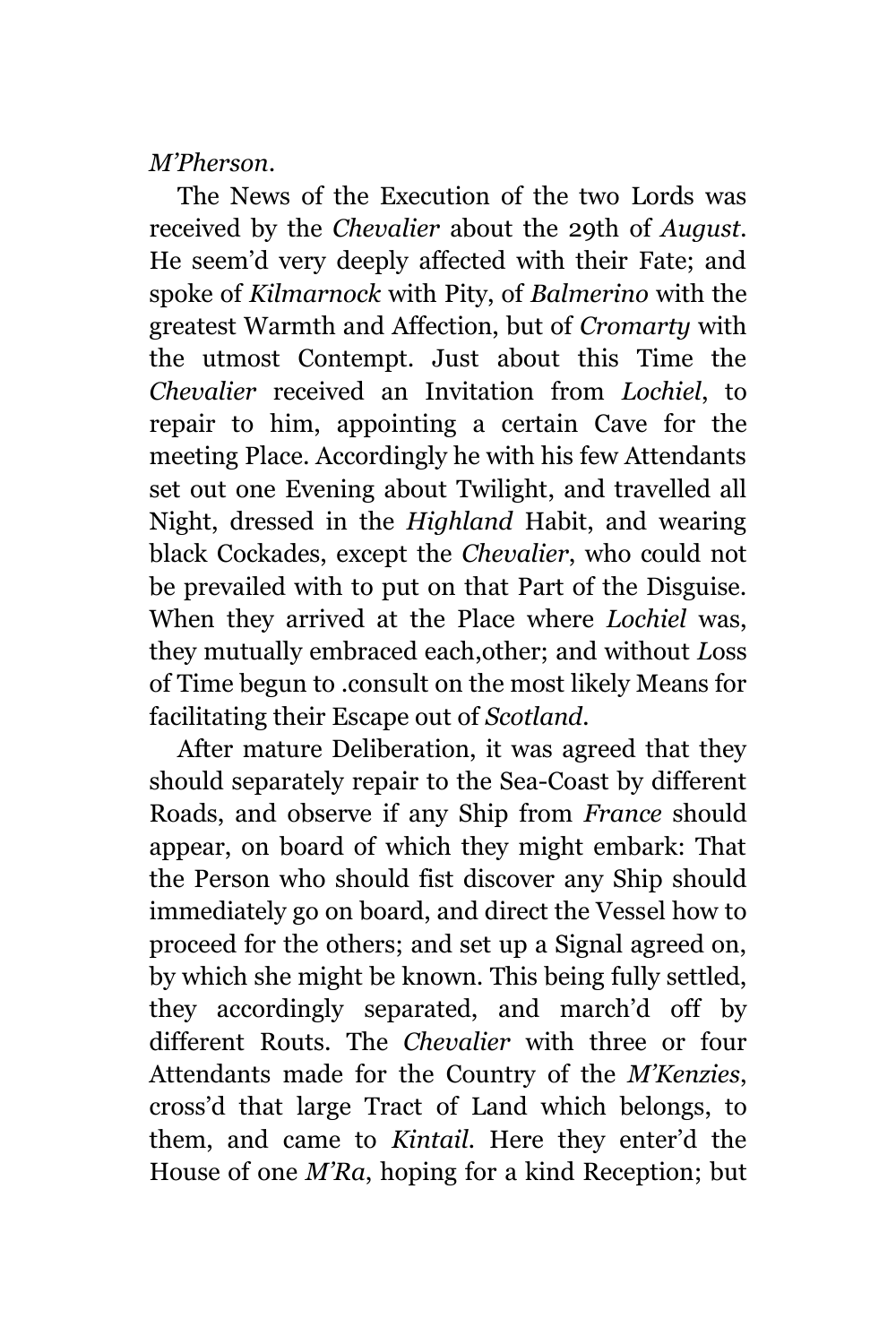*M'Pherson*.

The News of the Execution of the two Lords was received by the *Chevalier* about the 29th of *August.* He seem'd very deeply affected with their Fate; and spoke of *Kilmarnock* with Pity, of *Balmerino* with the greatest Warmth and Affection, but of *Cromarty* with the utmost Contempt. Just about this Time the *Chevalier* received an Invitation from *Lochiel*, to repair to him, appointing a certain Cave for the meeting Place. Accordingly he with his few Attendants set out one Evening about Twilight, and travelled all Night, dressed in the *Highland* Habit, and wearing black Cockades, except the *Chevalier*, who could not be prevailed with to put on that Part of the Disguise. When they arrived at the Place where *Lochiel* was, they mutually embraced each,other; and without *L*oss of Time begun to .consult on the most likely Means for facilitating their Escape out of *Scotland.*

After mature Deliberation, it was agreed that they should separately repair to the Sea-Coast by different Roads, and observe if any Ship from *France* should appear, on board of which they might embark: That the Person who should fist discover any Ship should immediately go on board, and direct the Vessel how to proceed for the others; and set up a Signal agreed on, by which she might be known. This being fully settled, they accordingly separated, and march'd off by different Routs. The *Chevalier* with three or four Attendants made for the Country of the *M'Kenzies*, cross'd that large Tract of Land which belongs, to them, and came to *Kintail.* Here they enter'd the House of one *M'Ra*, hoping for a kind Reception; but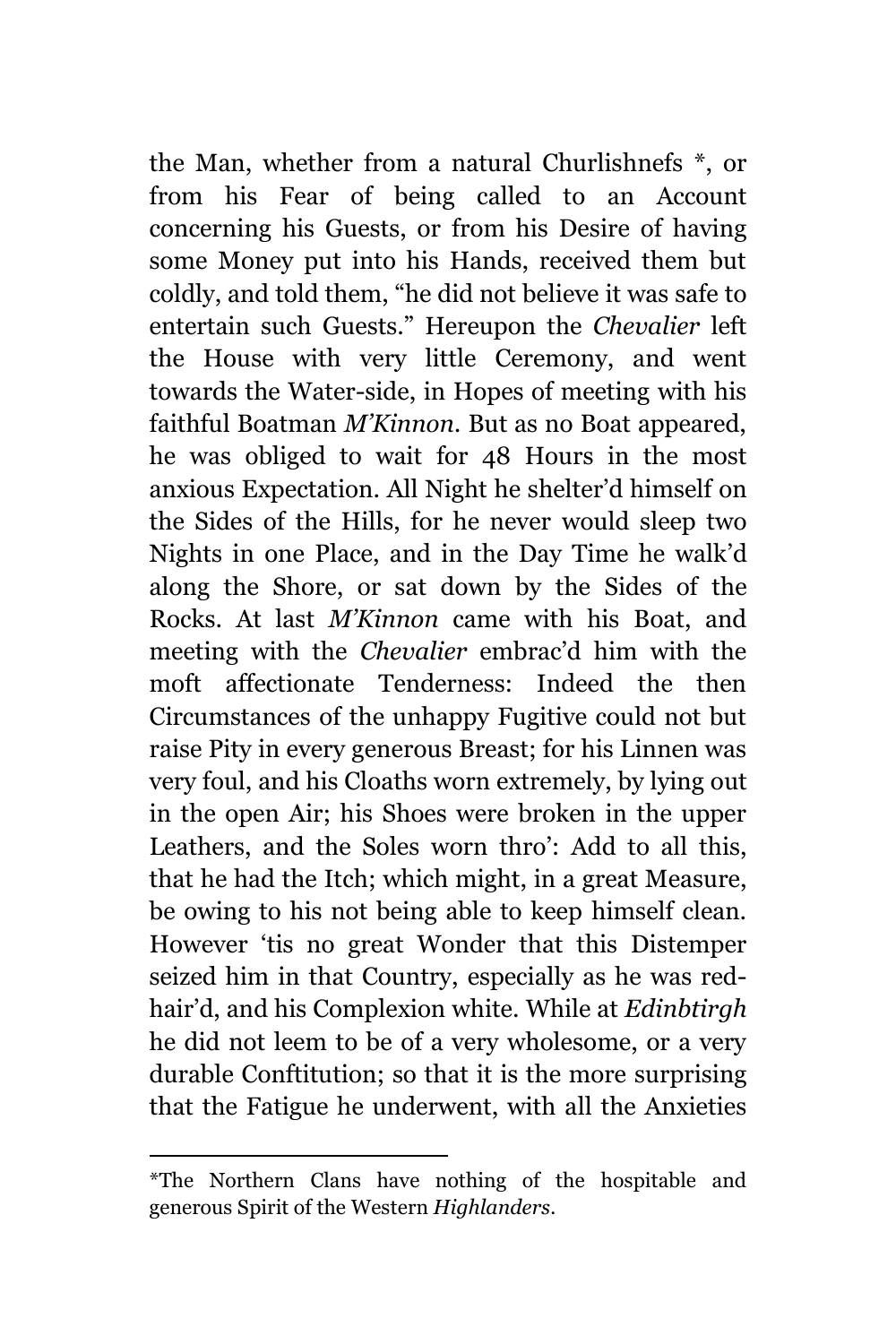the Man, whether from a natural Churlishnefs \*, or from his Fear of being called to an Account concerning his Guests, or from his Desire of having some Money put into his Hands, received them but coldly, and told them, "he did not believe it was safe to entertain such Guests." Hereupon the *Chevalier* left the House with very little Ceremony, and went towards the Water-side, in Hopes of meeting with his faithful Boatman *M'Kinnon.* But as no Boat appeared, he was obliged to wait for 48 Hours in the most anxious Expectation. All Night he shelter'd himself on the Sides of the Hills, for he never would sleep two Nights in one Place, and in the Day Time he walk'd along the Shore, or sat down by the Sides of the Rocks. At last *M'Kinnon* came with his Boat, and meeting with the *Chevalier* embrac'd him with the moft affectionate Tenderness: Indeed the then Circumstances of the unhappy Fugitive could not but raise Pity in every generous Breast; for his Linnen was very foul, and his Cloaths worn extremely, by lying out in the open Air; his Shoes were broken in the upper Leathers, and the Soles worn thro': Add to all this, that he had the Itch; which might, in a great Measure, be owing to his not being able to keep himself clean. However 'tis no great Wonder that this Distemper seized him in that Country, especially as he was redhair'd, and his Complexion white. While at *Edinbtirgh* he did not leem to be of a very wholesome, or a very durable Conftitution; so that it is the more surprising that the Fatigue he underwent, with all the Anxieties

<sup>\*</sup>The Northern Clans have nothing of the hospitable and generous Spirit of the Western *Highlanders.*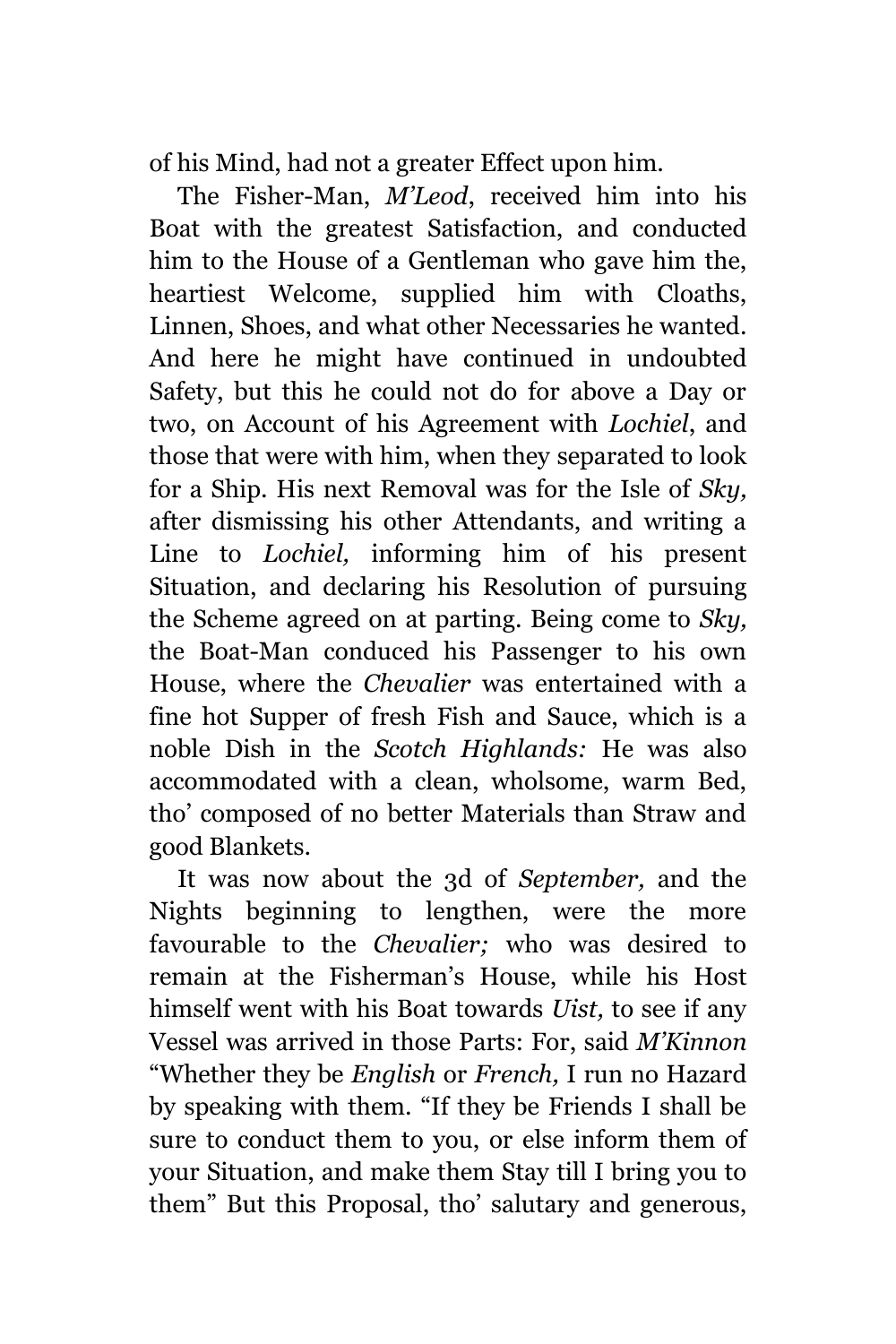of his Mind, had not a greater Effect upon him.

The Fisher-Man, *M'Leod*, received him into his Boat with the greatest Satisfaction, and conducted him to the House of a Gentleman who gave him the, heartiest Welcome, supplied him with Cloaths, Linnen, Shoes, and what other Necessaries he wanted. And here he might have continued in undoubted Safety, but this he could not do for above a Day or two, on Account of his Agreement with *Lochiel*, and those that were with him, when they separated to look for a Ship. His next Removal was for the Isle of *Sky,* after dismissing his other Attendants, and writing a Line to *Lochiel,* informing him of his present Situation, and declaring his Resolution of pursuing the Scheme agreed on at parting. Being come to *Sky,* the Boat-Man conduced his Passenger to his own House, where the *Chevalier* was entertained with a fine hot Supper of fresh Fish and Sauce, which is a noble Dish in the *Scotch Highlands:* He was also accommodated with a clean, wholsome, warm Bed, tho' composed of no better Materials than Straw and good Blankets.

It was now about the 3d of *September,* and the Nights beginning to lengthen, were the more favourable to the *Chevalier;* who was desired to remain at the Fisherman's House, while his Host himself went with his Boat towards *Uist,* to see if any Vessel was arrived in those Parts: For, said *M'Kinnon* "Whether they be *English* or *French,* I run no Hazard by speaking with them. "If they be Friends I shall be sure to conduct them to you, or else inform them of your Situation, and make them Stay till I bring you to them" But this Proposal, tho' salutary and generous,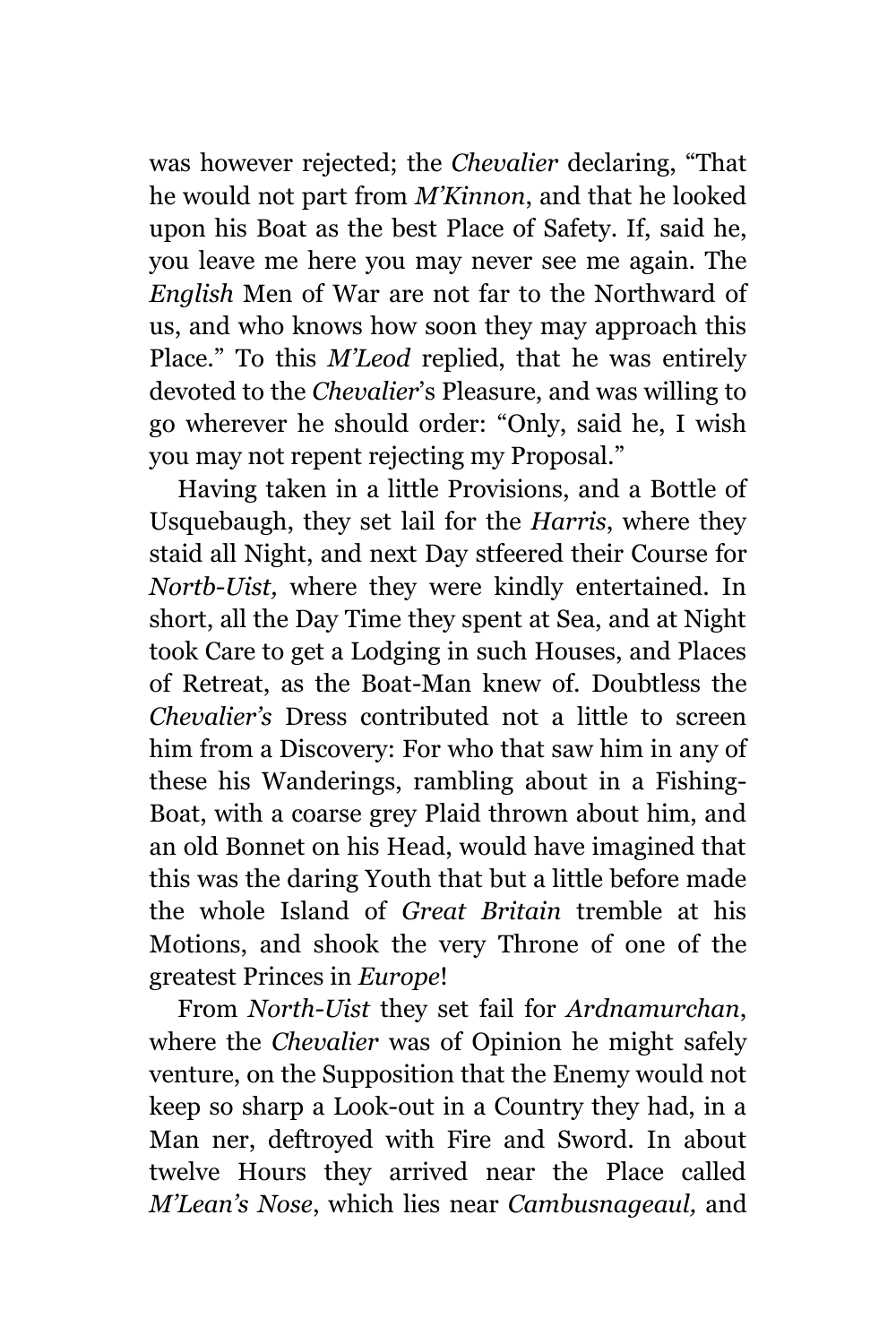was however rejected; the *Chevalier* declaring, "That he would not part from *M'Kinnon*, and that he looked upon his Boat as the best Place of Safety. If, said he, you leave me here you may never see me again. The *English* Men of War are not far to the Northward of us, and who knows how soon they may approach this Place." To this *M'Leod* replied, that he was entirely devoted to the *Chevalier*'s Pleasure, and was willing to go wherever he should order: "Only, said he, I wish you may not repent rejecting my Proposal."

Having taken in a little Provisions, and a Bottle of Usquebaugh, they set lail for the *Harris*, where they staid all Night, and next Day stfeered their Course for *Nortb-Uist,* where they were kindly entertained. In short, all the Day Time they spent at Sea, and at Night took Care to get a Lodging in such Houses, and Places of Retreat, as the Boat-Man knew of. Doubtless the *Chevalier's* Dress contributed not a little to screen him from a Discovery: For who that saw him in any of these his Wanderings, rambling about in a Fishing-Boat, with a coarse grey Plaid thrown about him, and an old Bonnet on his Head, would have imagined that this was the daring Youth that but a little before made the whole Island of *Great Britain* tremble at his Motions, and shook the very Throne of one of the greatest Princes in *Europe*!

From *North-Uist* they set fail for *Ardnamurchan*, where the *Chevalier* was of Opinion he might safely venture, on the Supposition that the Enemy would not keep so sharp a Look-out in a Country they had, in a Man ner, deftroyed with Fire and Sword. In about twelve Hours they arrived near the Place called *M'Lean's Nose*, which lies near *Cambusnageaul,* and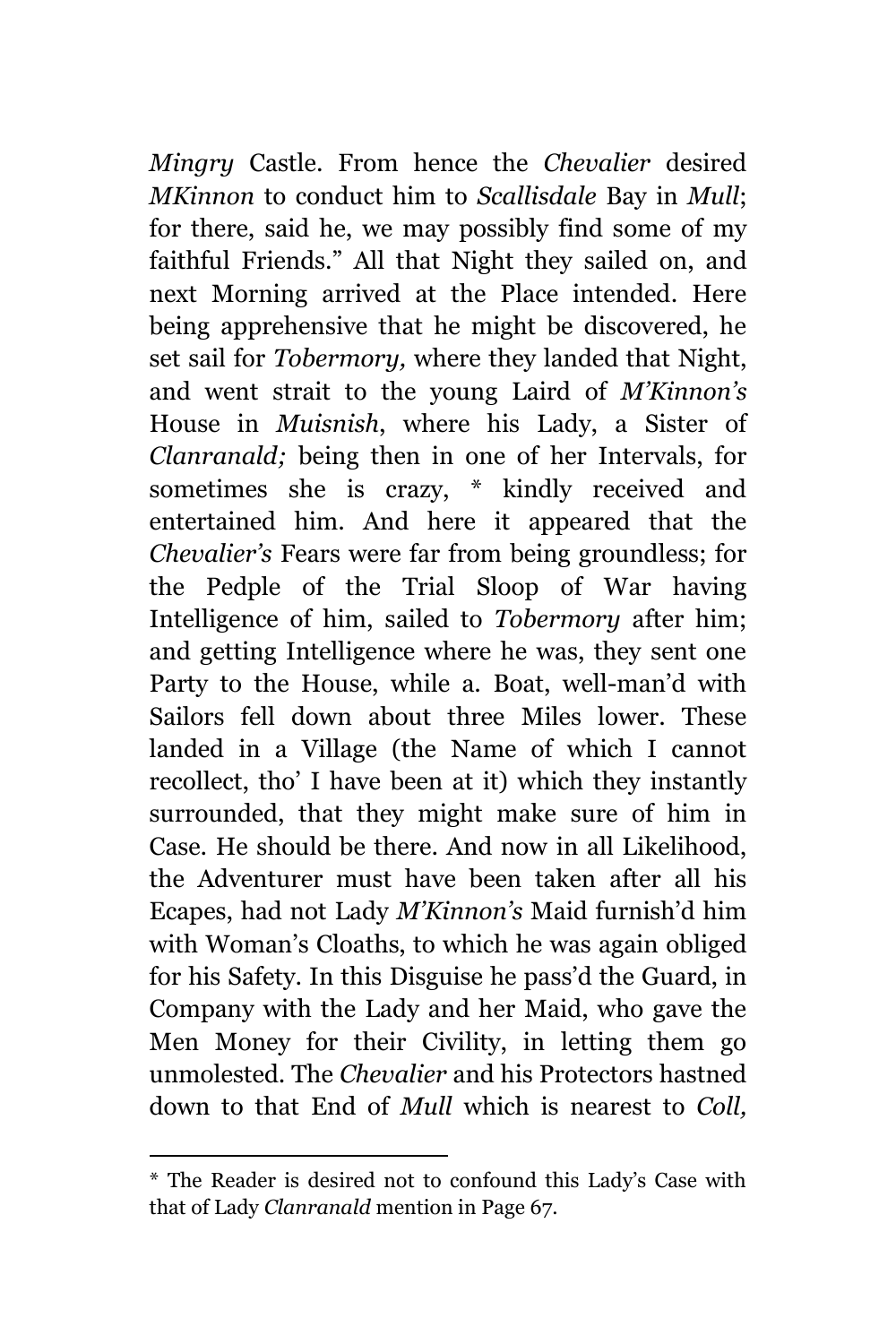*Mingry* Castle. From hence the *Chevalier* desired *MKinnon* to conduct him to *Scallisdale* Bay in *Mull*; for there, said he, we may possibly find some of my faithful Friends." All that Night they sailed on, and next Morning arrived at the Place intended. Here being apprehensive that he might be discovered, he set sail for *Tobermory,* where they landed that Night, and went strait to the young Laird of *M'Kinnon's*  House in *Muisnish*, where his Lady, a Sister of *Clanranald;* being then in one of her Intervals, for sometimes she is crazy, \* kindly received and entertained him. And here it appeared that the *Chevalier's* Fears were far from being groundless; for the Pedple of the Trial Sloop of War having Intelligence of him, sailed to *Tobermory* after him; and getting Intelligence where he was, they sent one Party to the House, while a. Boat, well-man'd with Sailors fell down about three Miles lower. These landed in a Village (the Name of which I cannot recollect, tho' I have been at it) which they instantly surrounded, that they might make sure of him in Case. He should be there. And now in all Likelihood, the Adventurer must have been taken after all his Ecapes, had not Lady *M'Kinnon's* Maid furnish'd him with Woman's Cloaths, to which he was again obliged for his Safety. In this Disguise he pass'd the Guard, in Company with the Lady and her Maid, who gave the Men Money for their Civility, in letting them go unmolested. The *Chevalier* and his Protectors hastned down to that End of *Mull* which is nearest to *Coll,*

<sup>\*</sup> The Reader is desired not to confound this Lady's Case with that of Lady *Clanranald* mention in Page 67.